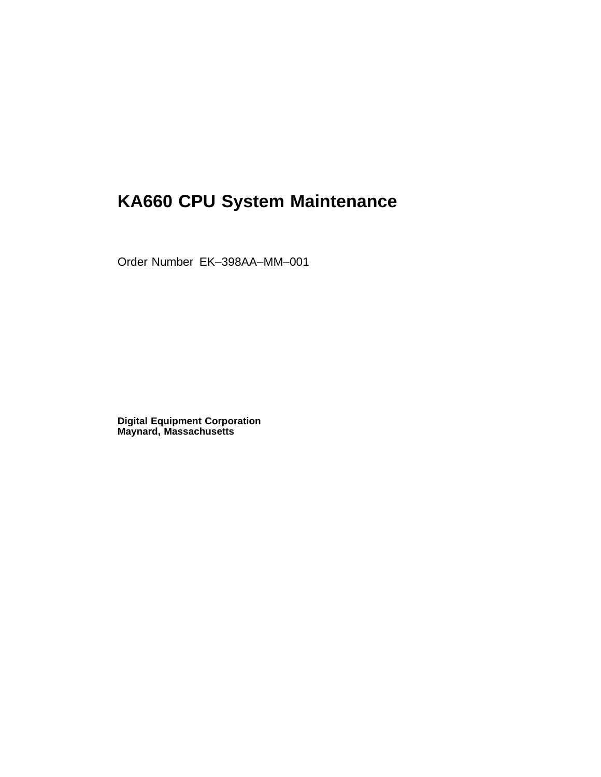# **KA660 CPU System Maintenance**

Order Number EK–398AA–MM–001

**Digital Equipment Corporation Maynard, Massachusetts**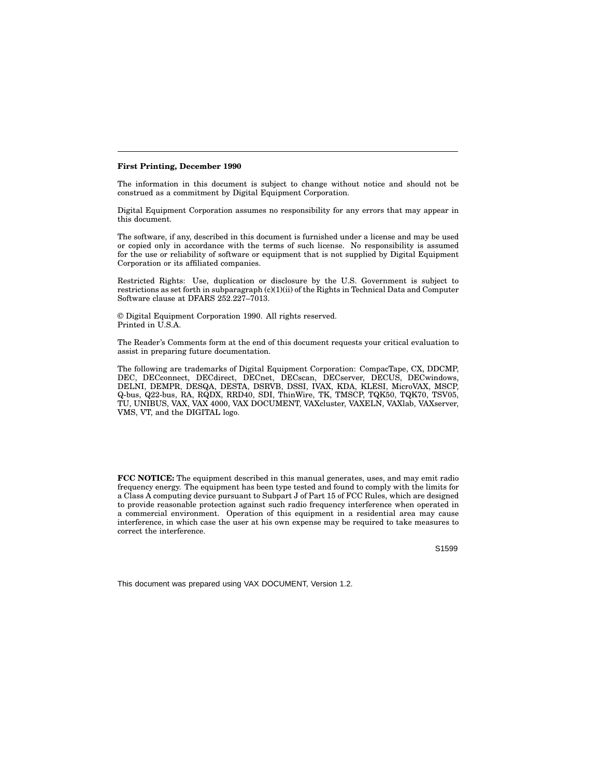#### **First Printing, December 1990**

The information in this document is subject to change without notice and should not be construed as a commitment by Digital Equipment Corporation.

Digital Equipment Corporation assumes no responsibility for any errors that may appear in this document.

The software, if any, described in this document is furnished under a license and may be used or copied only in accordance with the terms of such license. No responsibility is assumed for the use or reliability of software or equipment that is not supplied by Digital Equipment Corporation or its affiliated companies.

Restricted Rights: Use, duplication or disclosure by the U.S. Government is subject to restrictions as set forth in subparagraph (c)(1)(ii) of the Rights in Technical Data and Computer Software clause at DFARS 252.227–7013.

© Digital Equipment Corporation 1990. All rights reserved. Printed in U.S.A.

The Reader's Comments form at the end of this document requests your critical evaluation to assist in preparing future documentation.

The following are trademarks of Digital Equipment Corporation: CompacTape, CX, DDCMP, DEC, DECconnect, DECdirect, DECnet, DECscan, DECserver, DECUS, DECwindows, DELNI, DEMPR, DESQA, DESTA, DSRVB, DSSI, IVAX, KDA, KLESI, MicroVAX, MSCP, Q-bus, Q22-bus, RA, RQDX, RRD40, SDI, ThinWire, TK, TMSCP, TQK50, TQK70, TSV05, TU, UNIBUS, VAX, VAX 4000, VAX DOCUMENT, VAXcluster, VAXELN, VAXlab, VAXserver, VMS, VT, and the DIGITAL logo.

**FCC NOTICE:** The equipment described in this manual generates, uses, and may emit radio frequency energy. The equipment has been type tested and found to comply with the limits for a Class A computing device pursuant to Subpart J of Part 15 of FCC Rules, which are designed to provide reasonable protection against such radio frequency interference when operated in a commercial environment. Operation of this equipment in a residential area may cause interference, in which case the user at his own expense may be required to take measures to correct the interference.

S1599

This document was prepared using VAX DOCUMENT, Version 1.2.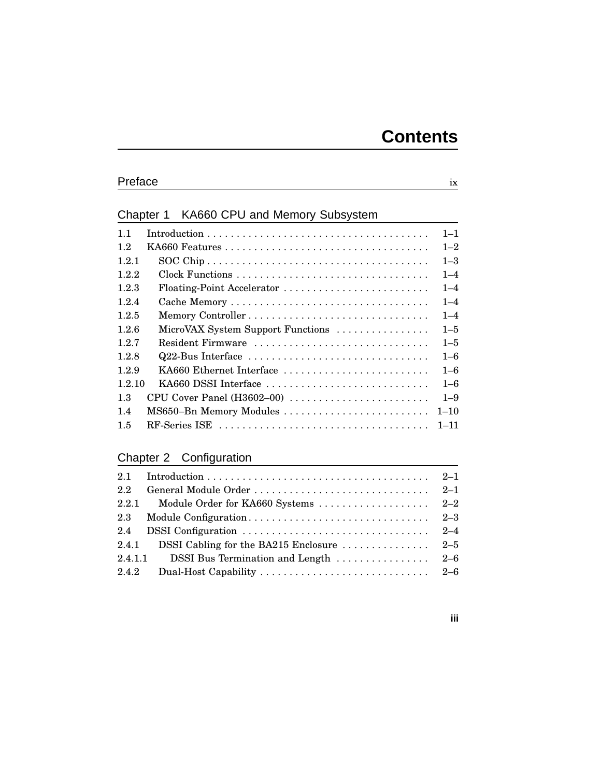# Preface ix

# Chapter 1 KA660 CPU and Memory Subsystem

| 11     |                                   | $1 - 1$  |
|--------|-----------------------------------|----------|
| 12     |                                   | $1 - 2$  |
| 1.2.1  |                                   | $1 - 3$  |
| 1.2.2  | Clock Functions                   | $1 - 4$  |
| 1.2.3  | Floating-Point Accelerator        | $1 - 4$  |
| 1.2.4  |                                   | $1 - 4$  |
| 1.2.5  |                                   | $1 - 4$  |
| 1.2.6  | MicroVAX System Support Functions | $1 - 5$  |
| 1.2.7  | Resident Firmware                 | $1 - 5$  |
| 1.2.8  | Q22-Bus Interface                 | $1 - 6$  |
| 1.2.9  | KA660 Ethernet Interface          | $1 - 6$  |
| 1 2 10 | KA660 DSSI Interface              | $1 - 6$  |
| 1.3    | CPU Cover Panel (H3602-00)        | $1 - 9$  |
| 1.4    | MS650-Bn Memory Modules           | $1 - 10$ |
| 1.5    |                                   | $1 - 11$ |
|        |                                   |          |

# Chapter 2 Configuration

| 2.2     |                                                                        |  |
|---------|------------------------------------------------------------------------|--|
| 2.2.1   |                                                                        |  |
|         |                                                                        |  |
| 2.4     |                                                                        |  |
| 2.4.1   | DSSI Cabling for the BA215 Enclosure $\ldots \ldots \ldots \ldots 2-5$ |  |
| 2.4.1.1 | DSSI Bus Termination and Length $\dots \dots \dots \dots \dots$ 2-6    |  |
| 2.4.2   |                                                                        |  |

# **iii**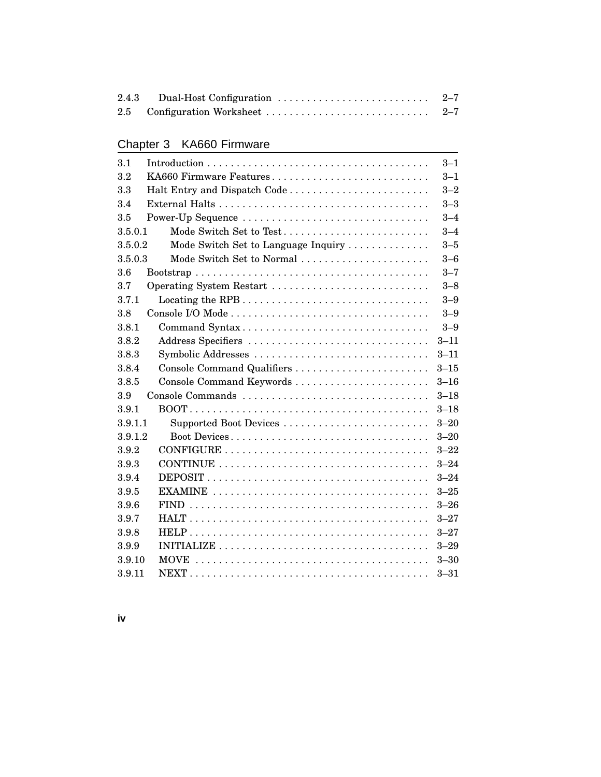# Chapter 3 KA660 Firmware

| 3.1                                            | $3 - 1$  |
|------------------------------------------------|----------|
| KA660 Firmware Features<br>$3.2\,$             | $3 - 1$  |
| 3.3                                            | $3 - 2$  |
| 3.4                                            | $3 - 3$  |
| Power-Up Sequence<br>3.5                       | $3 - 4$  |
| Mode Switch Set to Test<br>3.5.0.1             | $3 - 4$  |
| Mode Switch Set to Language Inquiry<br>3.5.0.2 | $3 - 5$  |
| Mode Switch Set to Normal<br>3.5.0.3           | $3 - 6$  |
| 3.6                                            | $3 - 7$  |
| 3.7<br>Operating System Restart                | $3 - 8$  |
| 3.7.1                                          | $3 - 9$  |
| 3.8                                            | $3 - 9$  |
| 3.8.1<br>Command Syntax                        | $3 - 9$  |
| Address Specifiers<br>3.8.2                    | $3 - 11$ |
| Symbolic Addresses<br>3.8.3                    | $3 - 11$ |
| Console Command Qualifiers<br>3.8.4            | $3 - 15$ |
| Console Command Keywords<br>3.8.5              | $3 - 16$ |
| 3.9                                            | $3 - 18$ |
| 3.9.1                                          | $3 - 18$ |
| 3.9.1.1<br>Supported Boot Devices              | $3 - 20$ |
| Boot Devices<br>3.9.1.2                        | $3 - 20$ |
| 3.9.2                                          | $3 - 22$ |
| 3.9.3                                          | $3 - 24$ |
| 3.9.4                                          | $3 - 24$ |
| 3.9.5                                          | $3 - 25$ |
| 3.9.6                                          | $3 - 26$ |
| 3.9.7                                          | $3 - 27$ |
| 3.9.8                                          | $3 - 27$ |
| 3.9.9                                          | $3 - 29$ |
| 3.9.10                                         | $3 - 30$ |
| 3.9.11                                         | $3 - 31$ |

**iv**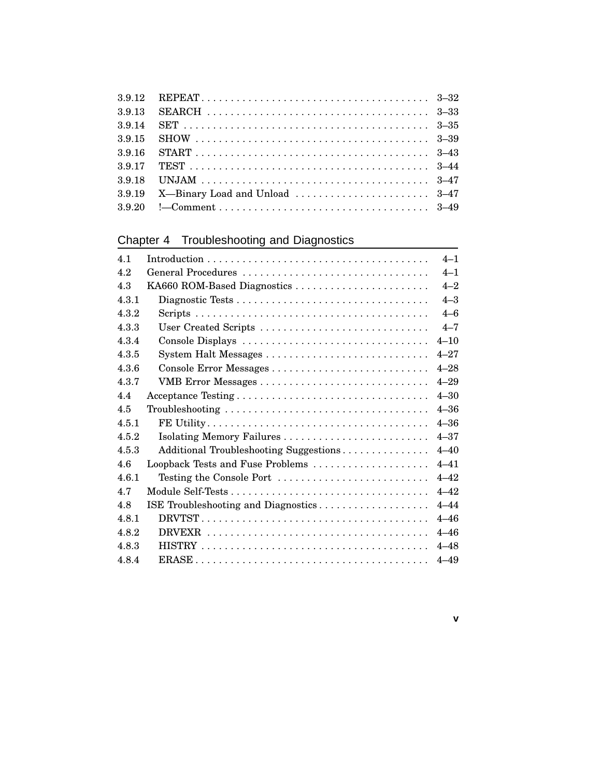# Chapter 4 Troubleshooting and Diagnostics

| 4.1   |                                                                          | $4 - 1$  |
|-------|--------------------------------------------------------------------------|----------|
| 4.2   | General Procedures                                                       | $4 - 1$  |
| 4.3   | KA660 ROM-Based Diagnostics                                              | $4 - 2$  |
| 4.3.1 |                                                                          | $4 - 3$  |
| 4.3.2 |                                                                          | $4 - 6$  |
| 4.3.3 |                                                                          | $4 - 7$  |
| 4.3.4 | Console Displays                                                         | $4 - 10$ |
| 4.3.5 |                                                                          | $4 - 27$ |
| 4.3.6 |                                                                          | $4 - 28$ |
| 4.3.7 |                                                                          | $4 - 29$ |
| 4.4   |                                                                          | $4 - 30$ |
| 4.5   |                                                                          | $4 - 36$ |
| 4.5.1 |                                                                          | $4 - 36$ |
| 4.5.2 |                                                                          | $4 - 37$ |
| 4.5.3 | Additional Troubleshooting Suggestions                                   | $4 - 40$ |
| 4.6   | Loopback Tests and Fuse Problems                                         | $4 - 41$ |
| 461   | Testing the Console Port $\dots\dots\dots\dots\dots\dots\dots\dots\dots$ | $4 - 42$ |
| 4.7   |                                                                          | $4 - 42$ |
| 4.8   | ISE Troubleshooting and Diagnostics                                      | $4 - 44$ |
| 4.8.1 |                                                                          | $4 - 46$ |
| 4.8.2 |                                                                          | $4 - 46$ |
| 4.8.3 |                                                                          | $4 - 48$ |
| 4.8.4 |                                                                          | $4 - 49$ |

**v**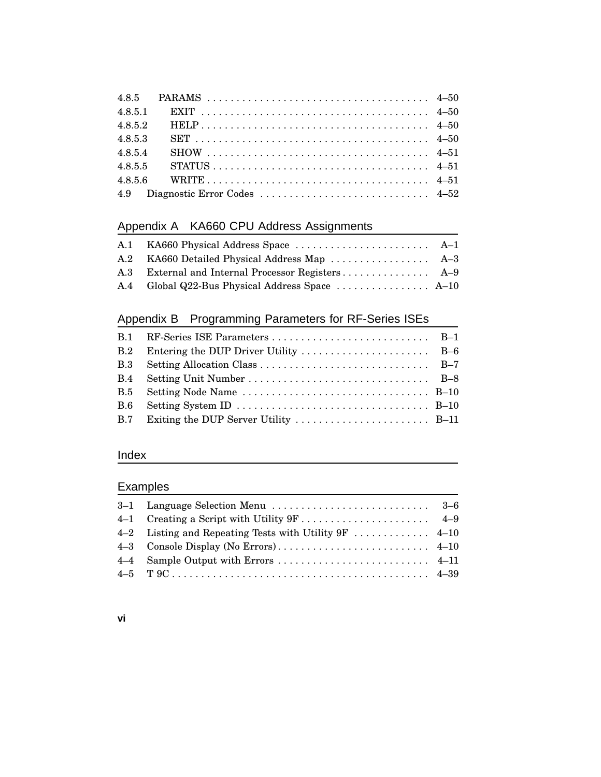| 4.8.5.1 |  |
|---------|--|
| 4.8.5.2 |  |
| 4.8.5.3 |  |
| 4.8.5.4 |  |
| 4.8.5.5 |  |
|         |  |
|         |  |

# Appendix A KA660 CPU Address Assignments

| A.3 External and Internal Processor Registers A-9 |  |
|---------------------------------------------------|--|
|                                                   |  |

# Appendix B Programming Parameters for RF-Series ISEs

| B.2        |  |
|------------|--|
| <b>B.3</b> |  |
| B.4        |  |
| <b>B.5</b> |  |
| <b>B.6</b> |  |
|            |  |

# Index

# Examples

#### **vi**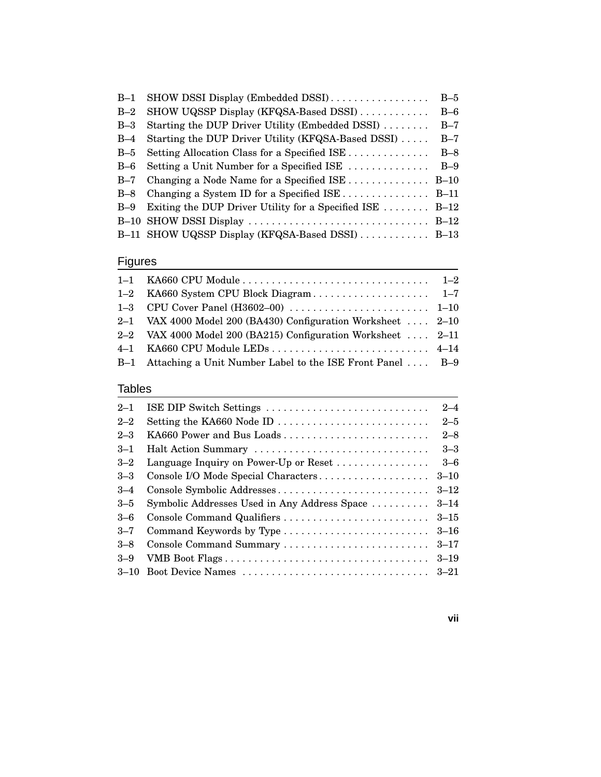| SHOW DSSI Display (Embedded DSSI)                         | $B-5$ |
|-----------------------------------------------------------|-------|
| SHOW UQSSP Display (KFQSA-Based DSSI)                     | $B-6$ |
| Starting the DUP Driver Utility (Embedded DSSI)           | $B-7$ |
| Starting the DUP Driver Utility (KFQSA-Based DSSI)        | $B-7$ |
| Setting Allocation Class for a Specified ISE              | $B-8$ |
| Setting a Unit Number for a Specified ISE                 | $B-9$ |
| Changing a Node Name for a Specified ISE  B-10            |       |
| Changing a System ID for a Specified ISE B-11             |       |
| Exiting the DUP Driver Utility for a Specified ISE $B-12$ |       |
|                                                           |       |
| B-11 SHOW UQSSP Display (KFQSA-Based DSSI)  B-13          |       |
|                                                           |       |

# **Figures**

| 2-1 VAX 4000 Model 200 (BA430) Configuration Worksheet $2-10$ |  |
|---------------------------------------------------------------|--|
| 2-2 VAX 4000 Model 200 (BA215) Configuration Worksheet  2-11  |  |
|                                                               |  |
| B-1 Attaching a Unit Number Label to the ISE Front Panel  B-9 |  |
|                                                               |  |

### Tables

| $2 - 1$  | ISE DIP Switch Settings                      | $2 - 4$  |
|----------|----------------------------------------------|----------|
| $2 - 2$  | Setting the KA660 Node ID                    | $2 - 5$  |
| $2 - 3$  | KA660 Power and Bus Loads                    | $2 - 8$  |
| $3 - 1$  | Halt Action Summary                          | $3 - 3$  |
| $3 - 2$  | Language Inquiry on Power-Up or Reset        | $3-6$    |
| $3 - 3$  | Console I/O Mode Special Characters          | $3 - 10$ |
| $3 - 4$  | Console Symbolic Addresses                   | $3 - 12$ |
| $3 - 5$  | Symbolic Addresses Used in Any Address Space | $3 - 14$ |
| $3 - 6$  |                                              | $3 - 15$ |
| $3 - 7$  |                                              | $3 - 16$ |
| $3 - 8$  | Console Command Summary                      | $3 - 17$ |
| $3 - 9$  | VMB Boot Flags                               | $3 - 19$ |
| $3 - 10$ |                                              |          |
|          |                                              |          |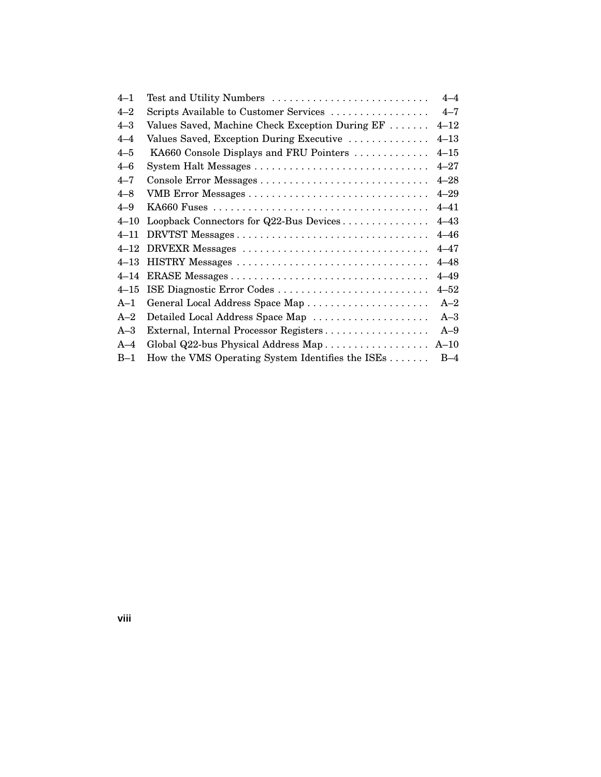| $4 - 1$  | Test and Utility Numbers                         | $4 - 4$  |
|----------|--------------------------------------------------|----------|
| $4 - 2$  | Scripts Available to Customer Services           | $4 - 7$  |
| $4 - 3$  | Values Saved, Machine Check Exception During EF  | $4 - 12$ |
| $4 - 4$  | Values Saved, Exception During Executive         | $4 - 13$ |
| $4 - 5$  | KA660 Console Displays and FRU Pointers          | $4 - 15$ |
| $4 - 6$  |                                                  | $4 - 27$ |
| $4 - 7$  |                                                  | $4 - 28$ |
| $4 - 8$  |                                                  | $4 - 29$ |
| $4 - 9$  |                                                  | $4 - 41$ |
| $4 - 10$ | Loopback Connectors for Q22-Bus Devices          | $4 - 43$ |
| $4 - 11$ |                                                  | $4 - 46$ |
| $4 - 12$ | DRVEXR Messages                                  | $4 - 47$ |
| $4 - 13$ | HISTRY Messages                                  | $4 - 48$ |
| $4 - 14$ |                                                  | $4 - 49$ |
| $4 - 15$ | ISE Diagnostic Error Codes                       | $4 - 52$ |
| $A-1$    | General Local Address Space Map                  | $A-2$    |
| $A-2$    | Detailed Local Address Space Map                 | $A-3$    |
| $A-3$    | External, Internal Processor Registers           | $A-9$    |
| $A-4$    | Global Q22-bus Physical Address Map              | $A-10$   |
| $B-1$    | How the VMS Operating System Identifies the ISEs | $B-4$    |

**viii**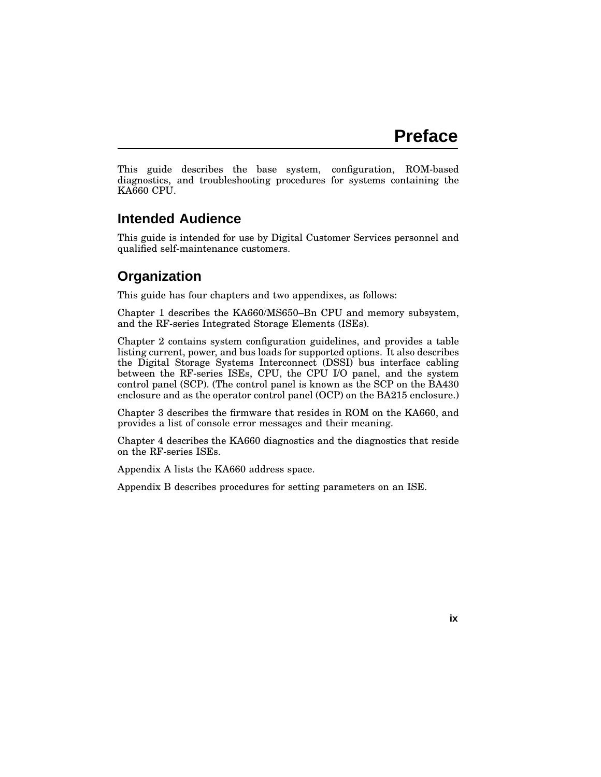This guide describes the base system, configuration, ROM-based diagnostics, and troubleshooting procedures for systems containing the KA660 CPU.

## **Intended Audience**

This guide is intended for use by Digital Customer Services personnel and qualified self-maintenance customers.

# **Organization**

This guide has four chapters and two appendixes, as follows:

Chapter 1 describes the KA660/MS650–Bn CPU and memory subsystem, and the RF-series Integrated Storage Elements (ISEs).

Chapter 2 contains system configuration guidelines, and provides a table listing current, power, and bus loads for supported options. It also describes the Digital Storage Systems Interconnect (DSSI) bus interface cabling between the RF-series ISEs, CPU, the CPU I/O panel, and the system control panel (SCP). (The control panel is known as the SCP on the BA430 enclosure and as the operator control panel (OCP) on the BA215 enclosure.)

Chapter 3 describes the firmware that resides in ROM on the KA660, and provides a list of console error messages and their meaning.

Chapter 4 describes the KA660 diagnostics and the diagnostics that reside on the RF-series ISEs.

Appendix A lists the KA660 address space.

Appendix B describes procedures for setting parameters on an ISE.

**ix**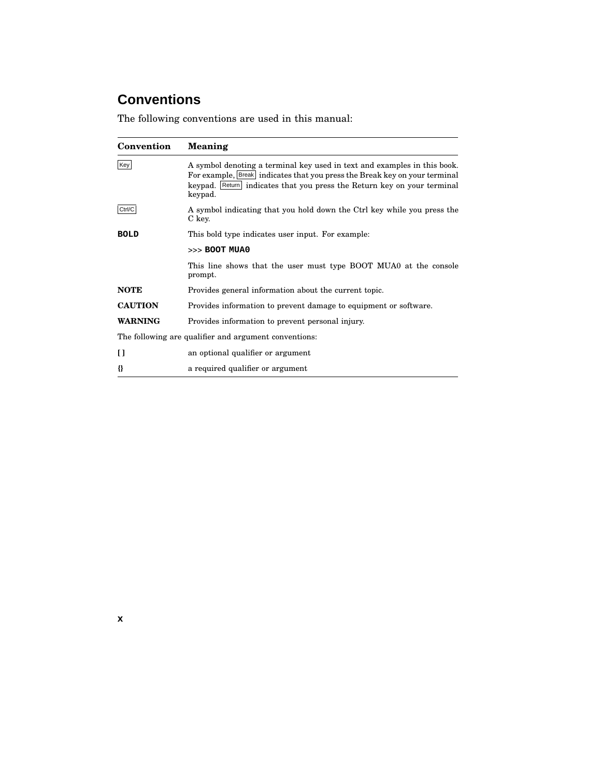# **Conventions**

The following conventions are used in this manual:

| Convention     | Meaning                                                                                                                                                                                                                                      |
|----------------|----------------------------------------------------------------------------------------------------------------------------------------------------------------------------------------------------------------------------------------------|
| Key            | A symbol denoting a terminal key used in text and examples in this book.<br>For example, Break indicates that you press the Break key on your terminal<br>keypad. Return indicates that you press the Return key on your terminal<br>keypad. |
| Ctrl/C         | A symbol indicating that you hold down the Ctrl key while you press the<br>C key.                                                                                                                                                            |
| <b>BOLD</b>    | This bold type indicates user input. For example:                                                                                                                                                                                            |
|                | >>> BOOT MUA0                                                                                                                                                                                                                                |
|                | This line shows that the user must type BOOT MUA0 at the console<br>prompt.                                                                                                                                                                  |
| <b>NOTE</b>    | Provides general information about the current topic.                                                                                                                                                                                        |
| <b>CAUTION</b> | Provides information to prevent damage to equipment or software.                                                                                                                                                                             |
| WARNING        | Provides information to prevent personal injury.                                                                                                                                                                                             |
|                | The following are qualifier and argument conventions:                                                                                                                                                                                        |
| H              | an optional qualifier or argument                                                                                                                                                                                                            |
| {}             | a required qualifier or argument                                                                                                                                                                                                             |

**x**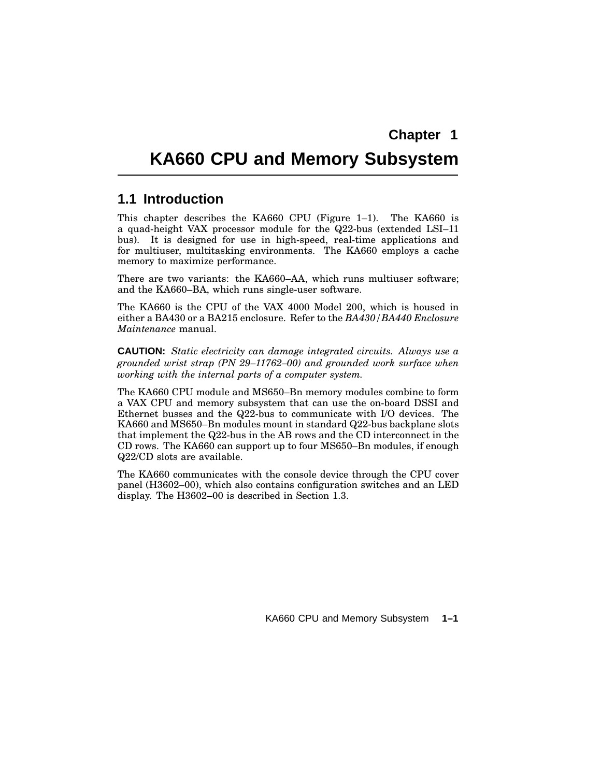# **KA660 CPU and Memory Subsystem**

#### **1.1 Introduction**

This chapter describes the KA660 CPU (Figure 1–1). The KA660 is a quad-height VAX processor module for the Q22-bus (extended LSI–11 bus). It is designed for use in high-speed, real-time applications and for multiuser, multitasking environments. The KA660 employs a cache memory to maximize performance.

There are two variants: the KA660–AA, which runs multiuser software; and the KA660–BA, which runs single-user software.

The KA660 is the CPU of the VAX 4000 Model 200, which is housed in either a BA430 or a BA215 enclosure. Refer to the *BA430/BA440 Enclosure Maintenance* manual.

**CAUTION:** *Static electricity can damage integrated circuits. Always use a grounded wrist strap (PN 29–11762–00) and grounded work surface when working with the internal parts of a computer system.*

The KA660 CPU module and MS650–Bn memory modules combine to form a VAX CPU and memory subsystem that can use the on-board DSSI and Ethernet busses and the Q22-bus to communicate with I/O devices. The KA660 and MS650–Bn modules mount in standard Q22-bus backplane slots that implement the Q22-bus in the AB rows and the CD interconnect in the CD rows. The KA660 can support up to four MS650–Bn modules, if enough Q22/CD slots are available.

The KA660 communicates with the console device through the CPU cover panel (H3602–00), which also contains configuration switches and an LED display. The H3602–00 is described in Section 1.3.

KA660 CPU and Memory Subsystem **1–1**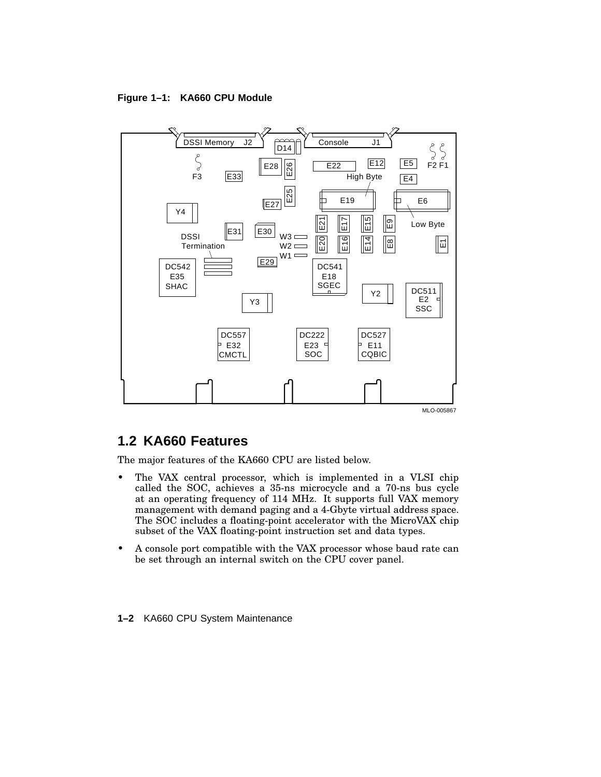**Figure 1–1: KA660 CPU Module**



# **1.2 KA660 Features**

The major features of the KA660 CPU are listed below.

- The VAX central processor, which is implemented in a VLSI chip called the SOC, achieves a 35-ns microcycle and a 70-ns bus cycle at an operating frequency of 114 MHz. It supports full VAX memory management with demand paging and a 4-Gbyte virtual address space. The SOC includes a floating-point accelerator with the MicroVAX chip subset of the VAX floating-point instruction set and data types.
- A console port compatible with the VAX processor whose baud rate can be set through an internal switch on the CPU cover panel.
- **1–2** KA660 CPU System Maintenance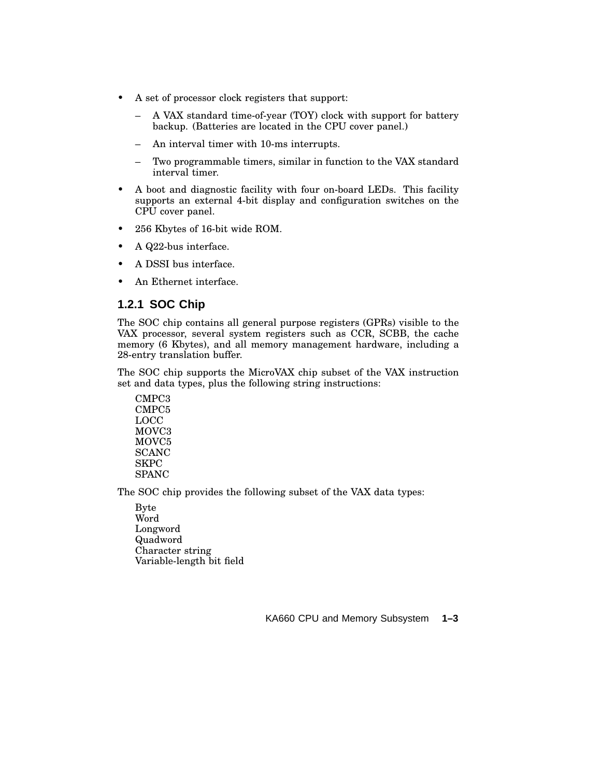- A set of processor clock registers that support:
	- A VAX standard time-of-year (TOY) clock with support for battery backup. (Batteries are located in the CPU cover panel.)
	- An interval timer with 10-ms interrupts.
	- Two programmable timers, similar in function to the VAX standard interval timer.
- A boot and diagnostic facility with four on-board LEDs. This facility supports an external 4-bit display and configuration switches on the CPU cover panel.
- 256 Kbytes of 16-bit wide ROM.
- A Q22-bus interface.
- A DSSI bus interface.
- An Ethernet interface.

#### **1.2.1 SOC Chip**

The SOC chip contains all general purpose registers (GPRs) visible to the VAX processor, several system registers such as CCR, SCBB, the cache memory (6 Kbytes), and all memory management hardware, including a 28-entry translation buffer.

The SOC chip supports the MicroVAX chip subset of the VAX instruction set and data types, plus the following string instructions:

CMPC3 CMPC5 LOCC MOVC3 MOVC5 SCANC SKPC SPANC

The SOC chip provides the following subset of the VAX data types:

Byte Word Longword Quadword Character string Variable-length bit field

KA660 CPU and Memory Subsystem **1–3**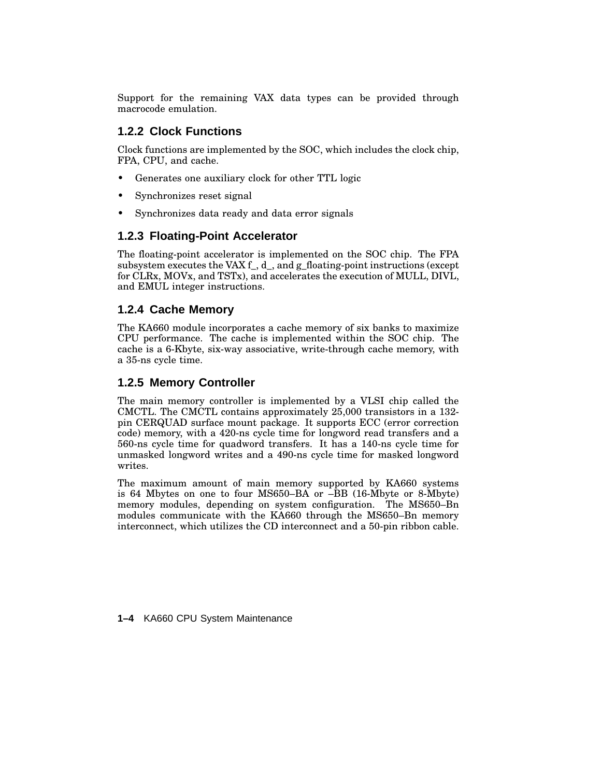Support for the remaining VAX data types can be provided through macrocode emulation.

#### **1.2.2 Clock Functions**

Clock functions are implemented by the SOC, which includes the clock chip, FPA, CPU, and cache.

- Generates one auxiliary clock for other TTL logic
- Synchronizes reset signal
- Synchronizes data ready and data error signals

#### **1.2.3 Floating-Point Accelerator**

The floating-point accelerator is implemented on the SOC chip. The FPA subsystem executes the VAX f\_, d\_, and g\_floating-point instructions (except for CLRx, MOVx, and TSTx), and accelerates the execution of MULL, DIVL, and EMUL integer instructions.

#### **1.2.4 Cache Memory**

The KA660 module incorporates a cache memory of six banks to maximize CPU performance. The cache is implemented within the SOC chip. The cache is a 6-Kbyte, six-way associative, write-through cache memory, with a 35-ns cycle time.

#### **1.2.5 Memory Controller**

The main memory controller is implemented by a VLSI chip called the CMCTL. The CMCTL contains approximately 25,000 transistors in a 132 pin CERQUAD surface mount package. It supports ECC (error correction code) memory, with a 420-ns cycle time for longword read transfers and a 560-ns cycle time for quadword transfers. It has a 140-ns cycle time for unmasked longword writes and a 490-ns cycle time for masked longword writes.

The maximum amount of main memory supported by KA660 systems is 64 Mbytes on one to four MS650–BA or –BB (16-Mbyte or 8-Mbyte) memory modules, depending on system configuration. The MS650–Bn modules communicate with the KA660 through the MS650–Bn memory interconnect, which utilizes the CD interconnect and a 50-pin ribbon cable.

**1–4** KA660 CPU System Maintenance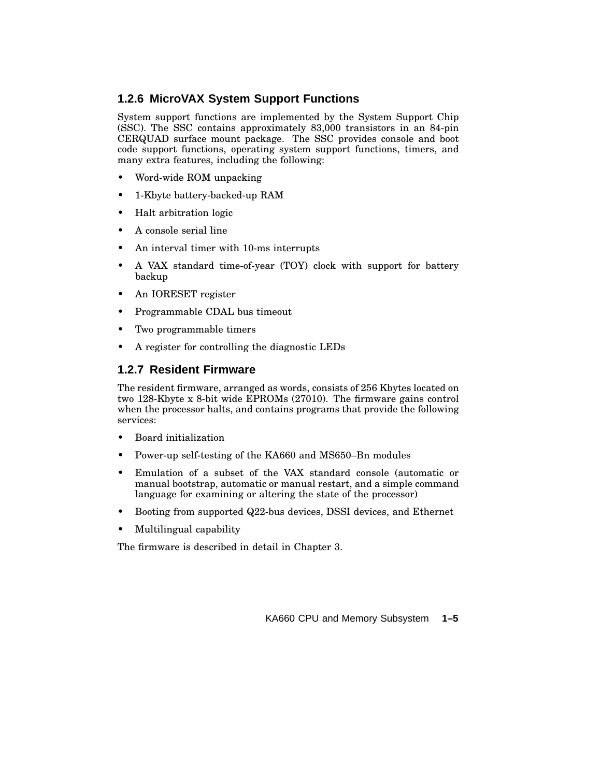#### **1.2.6 MicroVAX System Support Functions**

System support functions are implemented by the System Support Chip (SSC). The SSC contains approximately 83,000 transistors in an 84-pin CERQUAD surface mount package. The SSC provides console and boot code support functions, operating system support functions, timers, and many extra features, including the following:

- Word-wide ROM unpacking
- 1-Kbyte battery-backed-up RAM
- Halt arbitration logic
- A console serial line
- An interval timer with 10-ms interrupts
- A VAX standard time-of-year (TOY) clock with support for battery backup
- An IORESET register
- Programmable CDAL bus timeout
- Two programmable timers
- A register for controlling the diagnostic LEDs

#### **1.2.7 Resident Firmware**

The resident firmware, arranged as words, consists of 256 Kbytes located on two 128-Kbyte x 8-bit wide EPROMs (27010). The firmware gains control when the processor halts, and contains programs that provide the following services:

- Board initialization
- Power-up self-testing of the KA660 and MS650–Bn modules
- Emulation of a subset of the VAX standard console (automatic or manual bootstrap, automatic or manual restart, and a simple command language for examining or altering the state of the processor)
- Booting from supported Q22-bus devices, DSSI devices, and Ethernet
- Multilingual capability

The firmware is described in detail in Chapter 3.

KA660 CPU and Memory Subsystem **1–5**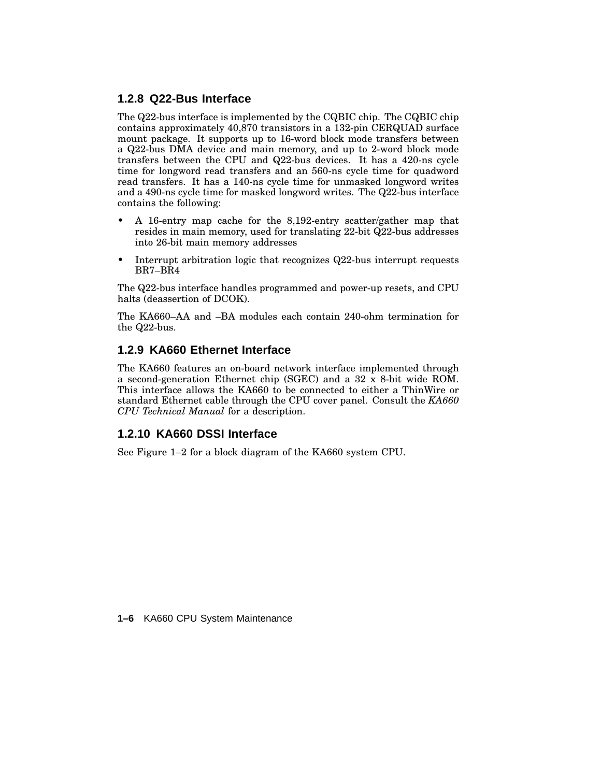#### **1.2.8 Q22-Bus Interface**

The Q22-bus interface is implemented by the CQBIC chip. The CQBIC chip contains approximately 40,870 transistors in a 132-pin CERQUAD surface mount package. It supports up to 16-word block mode transfers between a Q22-bus DMA device and main memory, and up to 2-word block mode transfers between the CPU and Q22-bus devices. It has a 420-ns cycle time for longword read transfers and an 560-ns cycle time for quadword read transfers. It has a 140-ns cycle time for unmasked longword writes and a 490-ns cycle time for masked longword writes. The Q22-bus interface contains the following:

- A 16-entry map cache for the 8,192-entry scatter/gather map that resides in main memory, used for translating 22-bit Q22-bus addresses into 26-bit main memory addresses
- Interrupt arbitration logic that recognizes Q22-bus interrupt requests BR7–BR4

The Q22-bus interface handles programmed and power-up resets, and CPU halts (deassertion of DCOK).

The KA660–AA and –BA modules each contain 240-ohm termination for the Q22-bus.

#### **1.2.9 KA660 Ethernet Interface**

The KA660 features an on-board network interface implemented through a second-generation Ethernet chip (SGEC) and a 32 x 8-bit wide ROM. This interface allows the KA660 to be connected to either a ThinWire or standard Ethernet cable through the CPU cover panel. Consult the *KA660 CPU Technical Manual* for a description.

#### **1.2.10 KA660 DSSI Interface**

See Figure 1–2 for a block diagram of the KA660 system CPU.

**1–6** KA660 CPU System Maintenance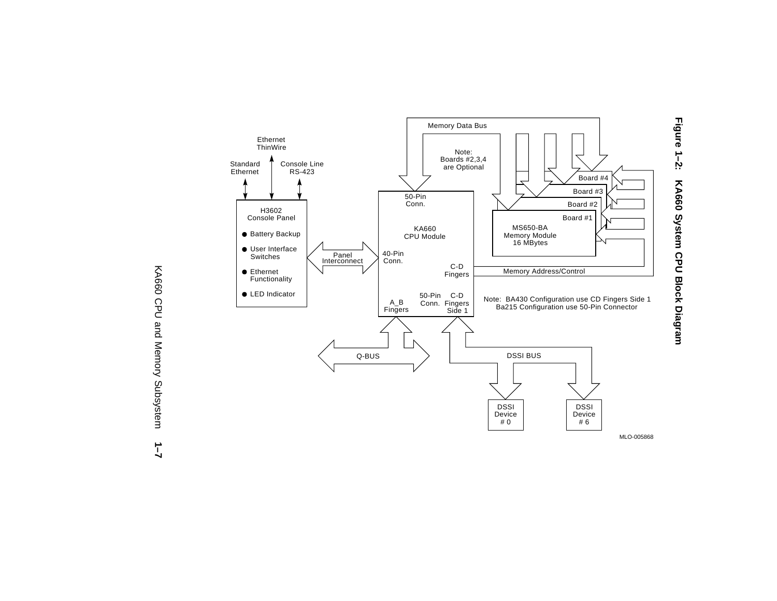

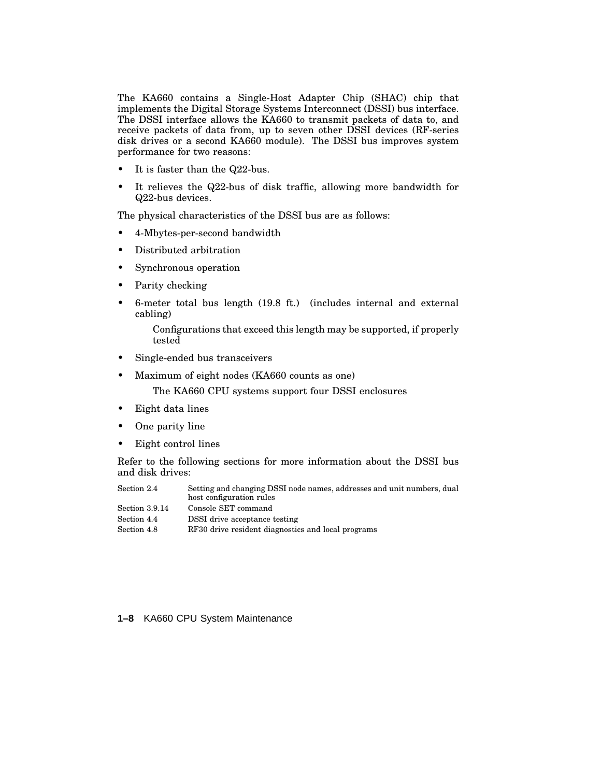The KA660 contains a Single-Host Adapter Chip (SHAC) chip that implements the Digital Storage Systems Interconnect (DSSI) bus interface. The DSSI interface allows the KA660 to transmit packets of data to, and receive packets of data from, up to seven other DSSI devices (RF-series disk drives or a second KA660 module). The DSSI bus improves system performance for two reasons:

- It is faster than the Q22-bus.
- It relieves the Q22-bus of disk traffic, allowing more bandwidth for Q22-bus devices.

The physical characteristics of the DSSI bus are as follows:

- 4-Mbytes-per-second bandwidth
- Distributed arbitration
- Synchronous operation
- Parity checking
- 6-meter total bus length (19.8 ft.) (includes internal and external cabling)

Configurations that exceed this length may be supported, if properly tested

- Single-ended bus transceivers
- Maximum of eight nodes (KA660 counts as one) The KA660 CPU systems support four DSSI enclosures
- Eight data lines
- One parity line
- Eight control lines

Refer to the following sections for more information about the DSSI bus and disk drives:

| Section 2.4    | Setting and changing DSSI node names, addresses and unit numbers, dual<br>host configuration rules |
|----------------|----------------------------------------------------------------------------------------------------|
| Section 3.9.14 | Console SET command                                                                                |
| Section 4.4    | DSSI drive acceptance testing                                                                      |
| Section 4.8    | RF30 drive resident diagnostics and local programs                                                 |

**1–8** KA660 CPU System Maintenance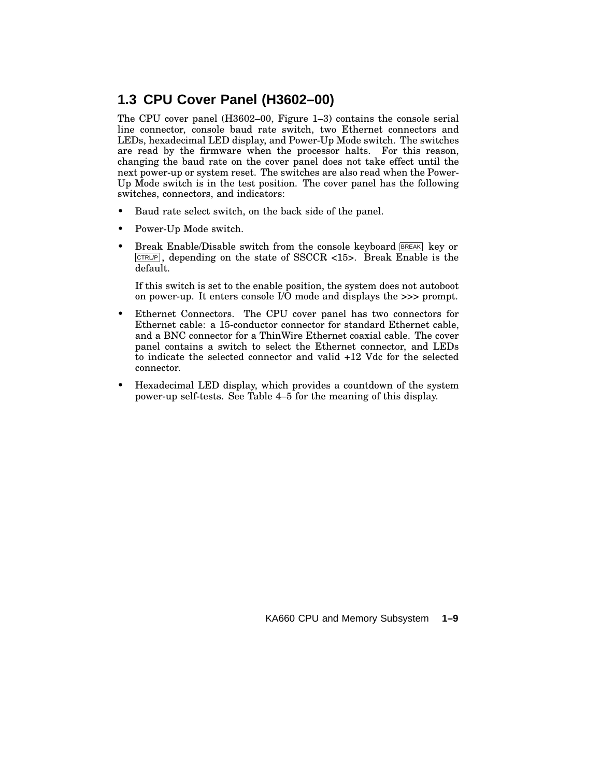# **1.3 CPU Cover Panel (H3602–00)**

The CPU cover panel (H3602–00, Figure 1–3) contains the console serial line connector, console baud rate switch, two Ethernet connectors and LEDs, hexadecimal LED display, and Power-Up Mode switch. The switches are read by the firmware when the processor halts. For this reason, changing the baud rate on the cover panel does not take effect until the next power-up or system reset. The switches are also read when the Power-Up Mode switch is in the test position. The cover panel has the following switches, connectors, and indicators:

- Baud rate select switch, on the back side of the panel.
- Power-Up Mode switch.
- Break Enable/Disable switch from the console keyboard **BREAK** key or  $CTRUP$ , depending on the state of SSCCR <15>. Break Enable is the default.

If this switch is set to the enable position, the system does not autoboot on power-up. It enters console I/O mode and displays the >>> prompt.

- Ethernet Connectors. The CPU cover panel has two connectors for Ethernet cable: a 15-conductor connector for standard Ethernet cable, and a BNC connector for a ThinWire Ethernet coaxial cable. The cover panel contains a switch to select the Ethernet connector, and LEDs to indicate the selected connector and valid +12 Vdc for the selected connector.
- Hexadecimal LED display, which provides a countdown of the system power-up self-tests. See Table 4–5 for the meaning of this display.

KA660 CPU and Memory Subsystem **1–9**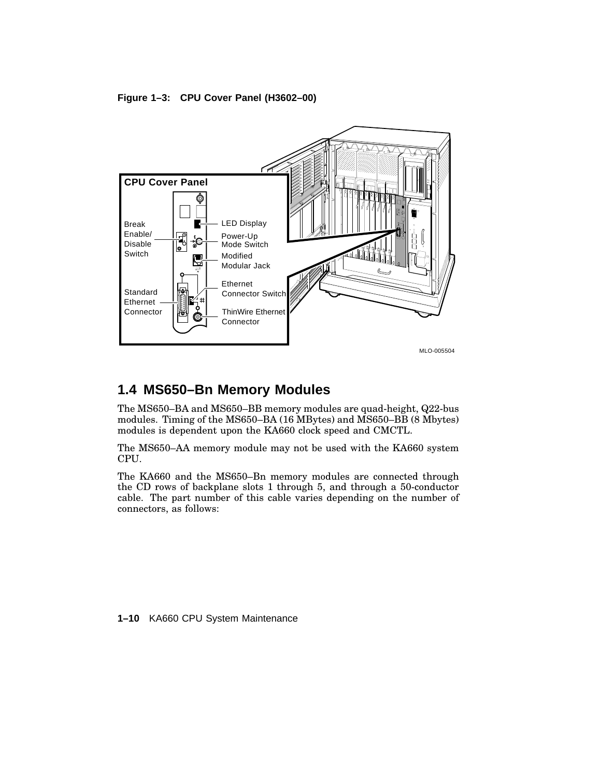#### **Figure 1–3: CPU Cover Panel (H3602–00)**



# **1.4 MS650–Bn Memory Modules**

The MS650–BA and MS650–BB memory modules are quad-height, Q22-bus modules. Timing of the MS650–BA (16 MBytes) and MS650–BB (8 Mbytes) modules is dependent upon the KA660 clock speed and CMCTL.

The MS650–AA memory module may not be used with the KA660 system CPU.

The KA660 and the MS650–Bn memory modules are connected through the CD rows of backplane slots 1 through 5, and through a 50-conductor cable. The part number of this cable varies depending on the number of connectors, as follows:

**1–10** KA660 CPU System Maintenance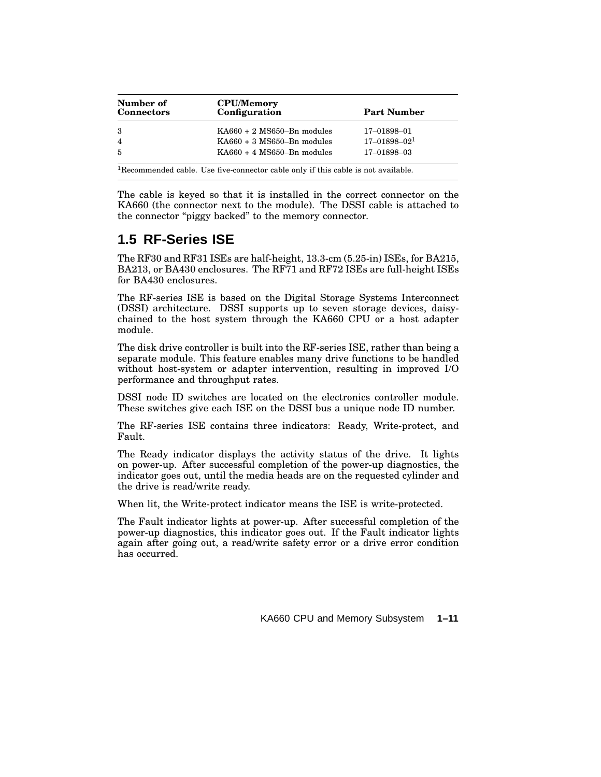| Number of<br><b>Connectors</b> | <b>CPU/Memory</b><br>Configuration                                                            | <b>Part Number</b> |
|--------------------------------|-----------------------------------------------------------------------------------------------|--------------------|
| -3                             | $K\text{A}660 + 2 \text{ MS}650 - \text{Bn}$ modules                                          | 17-01898-01        |
| $\overline{4}$                 | $KAG60 + 3 MS650 - Bn$ modules                                                                | $17 - 01898 - 021$ |
| $\overline{5}$                 | $K\text{A}660 + 4 \text{ MS}650 - Bn \text{ modules}$                                         | 17-01898-03        |
|                                | <sup>1</sup> Recommended cable. Use five-connector cable only if this cable is not available. |                    |

The cable is keyed so that it is installed in the correct connector on the KA660 (the connector next to the module). The DSSI cable is attached to the connector "piggy backed" to the memory connector.

# **1.5 RF-Series ISE**

The RF30 and RF31 ISEs are half-height, 13.3-cm (5.25-in) ISEs, for BA215, BA213, or BA430 enclosures. The RF71 and RF72 ISEs are full-height ISEs for BA430 enclosures.

The RF-series ISE is based on the Digital Storage Systems Interconnect (DSSI) architecture. DSSI supports up to seven storage devices, daisychained to the host system through the KA660 CPU or a host adapter module.

The disk drive controller is built into the RF-series ISE, rather than being a separate module. This feature enables many drive functions to be handled without host-system or adapter intervention, resulting in improved I/O performance and throughput rates.

DSSI node ID switches are located on the electronics controller module. These switches give each ISE on the DSSI bus a unique node ID number.

The RF-series ISE contains three indicators: Ready, Write-protect, and Fault.

The Ready indicator displays the activity status of the drive. It lights on power-up. After successful completion of the power-up diagnostics, the indicator goes out, until the media heads are on the requested cylinder and the drive is read/write ready.

When lit, the Write-protect indicator means the ISE is write-protected.

The Fault indicator lights at power-up. After successful completion of the power-up diagnostics, this indicator goes out. If the Fault indicator lights again after going out, a read/write safety error or a drive error condition has occurred.

KA660 CPU and Memory Subsystem **1–11**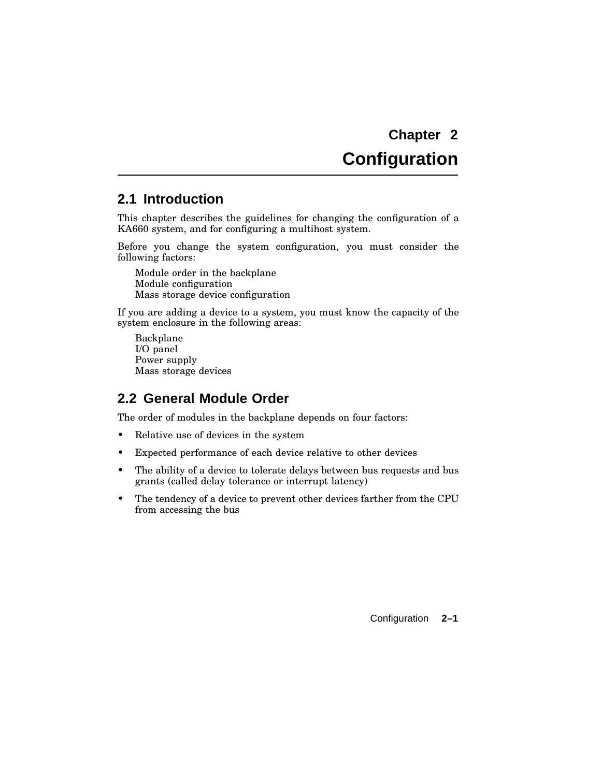# **Configuration**

### **2.1 Introduction**

This chapter describes the guidelines for changing the configuration of a KA660 system, and for configuring a multihost system.

Before you change the system configuration, you must consider the following factors:

Module order in the backplane Module configuration Mass storage device configuration

If you are adding a device to a system, you must know the capacity of the system enclosure in the following areas:

Backplane I/O panel Power supply Mass storage devices

## **2.2 General Module Order**

The order of modules in the backplane depends on four factors:

- Relative use of devices in the system
- Expected performance of each device relative to other devices
- The ability of a device to tolerate delays between bus requests and bus grants (called delay tolerance or interrupt latency)
- The tendency of a device to prevent other devices farther from the CPU from accessing the bus

Configuration **2–1**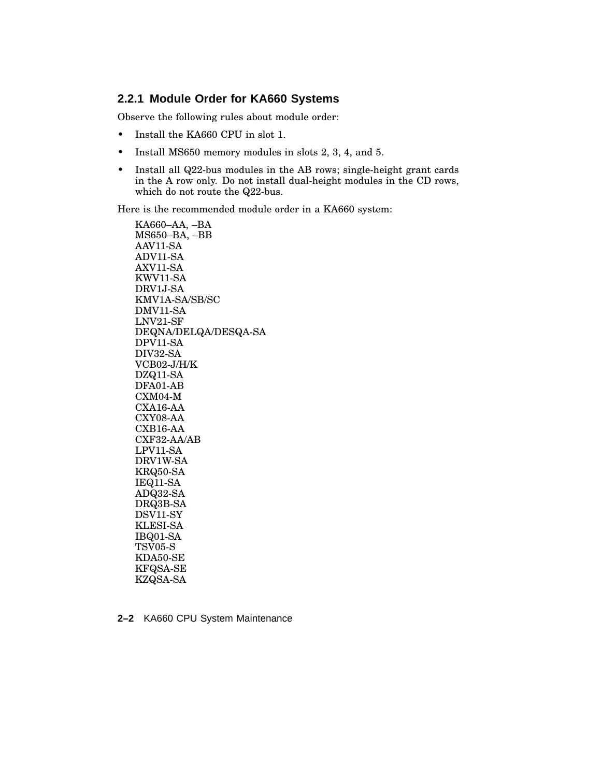#### **2.2.1 Module Order for KA660 Systems**

Observe the following rules about module order:

- Install the KA660 CPU in slot 1.
- Install MS650 memory modules in slots 2, 3, 4, and 5.
- Install all Q22-bus modules in the AB rows; single-height grant cards in the A row only. Do not install dual-height modules in the CD rows, which do not route the Q22-bus.

Here is the recommended module order in a KA660 system:

KA660–AA, –BA MS650–BA, –BB AAV11-SA ADV11-SA AXV11-SA KWV11-SA DRV1J-SA KMV1A-SA/SB/SC DMV11-SA LNV21-SF DEQNA/DELQA/DESQA-SA DPV11-SA DIV32-SA VCB02-J/H/K DZQ11-SA DFA01-AB CXM04-M CXA16-AA CXY08-AA CXB16-AA CXF32-AA/AB LPV11-SA DRV1W-SA KRQ50-SA IEQ11-SA ADQ32-SA DRQ3B-SA DSV11-SY KLESI-SA IBQ01-SA TSV05-S KDA50-SE KFQSA-SE KZQSA-SA

**2–2** KA660 CPU System Maintenance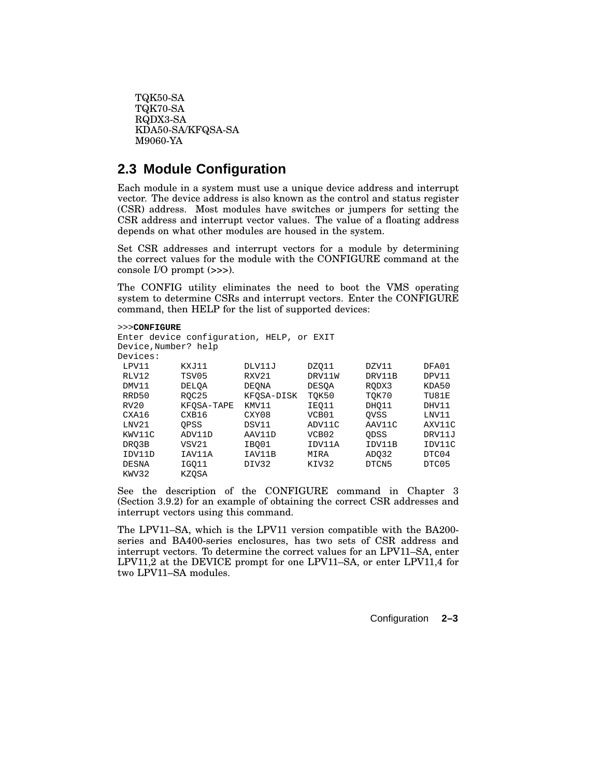```
TQK50-SA
TQK70-SA
RQDX3-SA
KDA50-SA/KFQSA-SA
M9060-YA
```
# **2.3 Module Configuration**

Each module in a system must use a unique device address and interrupt vector. The device address is also known as the control and status register (CSR) address. Most modules have switches or jumpers for setting the CSR address and interrupt vector values. The value of a floating address depends on what other modules are housed in the system.

Set CSR addresses and interrupt vectors for a module by determining the correct values for the module with the CONFIGURE command at the console I/O prompt (>>>).

The CONFIG utility eliminates the need to boot the VMS operating system to determine CSRs and interrupt vectors. Enter the CONFIGURE command, then HELP for the list of supported devices:

```
>>>CONFIGURE
Enter device configuration, HELP, or EXIT
```

```
Device,Number? help
```

| Devices:     |              |              |                   |             |        |
|--------------|--------------|--------------|-------------------|-------------|--------|
| LPV11        | KXJ11        | DLV11J       | DZ011             | DZV11       | DFA01  |
| RLV12        | TSV05        | RXV21        | DRV11W            | DRV11B      | DPV11  |
| DMV11        | <b>DELOA</b> | <b>DEONA</b> | <b>DESOA</b>      | RODX3       | KDA50  |
| RRD50        | ROC25        | KFOSA-DISK   | TOK50             | TOK70       | TU81E  |
| RV20         | KFOSA-TAPE   | KMV11        | IEO11             | DHO11       | DHV11  |
| CXA16        | CXB16        | CXY08        | VCB01             | <b>OVSS</b> | LNV11  |
| LNV21        | OPSS         | DSV11        | ADV11C            | AAV11C      | AXV11C |
| KWV11C       | ADV11D       | AAV11D       | VCB <sub>02</sub> | ODSS        | DRV11J |
| DRO3B        | VSV21        | IBO01        | IDV11A            | IDV11B      | IDV11C |
| IDV11D       | IAV11A       | IAV11B       | MIRA              | ADO32       | DTC04  |
| <b>DESNA</b> | IGO11        | DIV32        | KIV32             | DTCN5       | DTC05  |
| KWV32        | KZOSA        |              |                   |             |        |

See the description of the CONFIGURE command in Chapter 3 (Section 3.9.2) for an example of obtaining the correct CSR addresses and interrupt vectors using this command.

The LPV11–SA, which is the LPV11 version compatible with the BA200 series and BA400-series enclosures, has two sets of CSR address and interrupt vectors. To determine the correct values for an LPV11–SA, enter LPV11,2 at the DEVICE prompt for one LPV11–SA, or enter LPV11,4 for two LPV11–SA modules.

Configuration **2–3**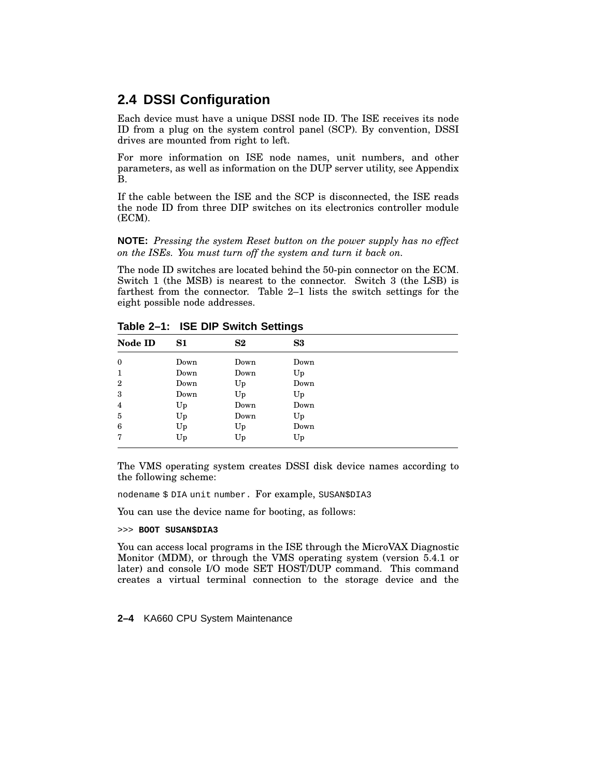## **2.4 DSSI Configuration**

Each device must have a unique DSSI node ID. The ISE receives its node ID from a plug on the system control panel (SCP). By convention, DSSI drives are mounted from right to left.

For more information on ISE node names, unit numbers, and other parameters, as well as information on the DUP server utility, see Appendix B.

If the cable between the ISE and the SCP is disconnected, the ISE reads the node ID from three DIP switches on its electronics controller module (ECM).

**NOTE:** *Pressing the system Reset button on the power supply has no effect on the ISEs. You must turn off the system and turn it back on.*

The node ID switches are located behind the 50-pin connector on the ECM. Switch 1 (the MSB) is nearest to the connector. Switch 3 (the LSB) is farthest from the connector. Table 2–1 lists the switch settings for the eight possible node addresses.

| Node ID          | S1   | $\bf S2$ | S3   |  |
|------------------|------|----------|------|--|
| $\mathbf{0}$     | Down | Down     | Down |  |
|                  | Down | Down     | Up   |  |
| $\boldsymbol{2}$ | Down | Up       | Down |  |
| 3                | Down | Up       | Up   |  |
| 4                | Up   | Down     | Down |  |
| 5                | Up   | Down     | Up   |  |
| 6                | Up   | Up       | Down |  |
| 7                | Up   | Up       | Up   |  |

**Table 2–1: ISE DIP Switch Settings**

The VMS operating system creates DSSI disk device names according to the following scheme:

nodename \$ DIA unit number. For example, SUSAN\$DIA3

You can use the device name for booting, as follows:

>>> **BOOT SUSAN\$DIA3**

You can access local programs in the ISE through the MicroVAX Diagnostic Monitor (MDM), or through the VMS operating system (version 5.4.1 or later) and console I/O mode SET HOST/DUP command. This command creates a virtual terminal connection to the storage device and the

**2–4** KA660 CPU System Maintenance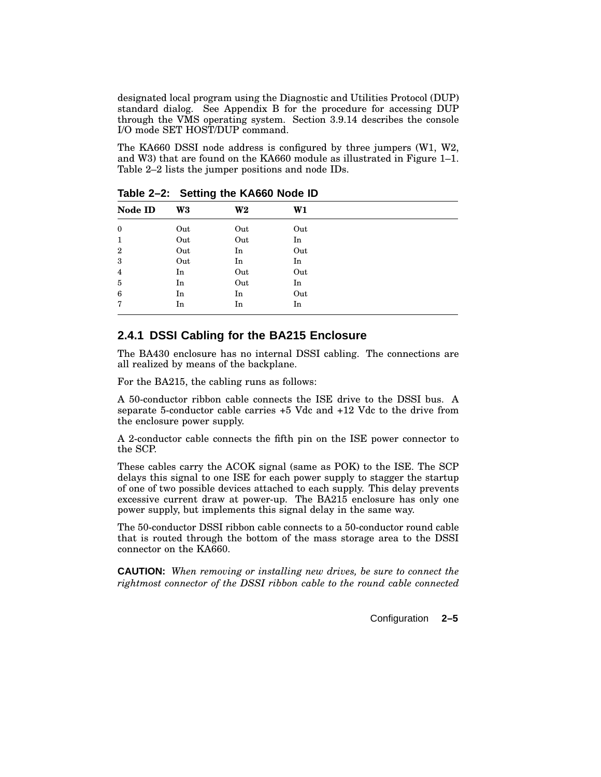designated local program using the Diagnostic and Utilities Protocol (DUP) standard dialog. See Appendix B for the procedure for accessing DUP through the VMS operating system. Section 3.9.14 describes the console I/O mode SET HOST/DUP command.

The KA660 DSSI node address is configured by three jumpers (W1, W2, and W3) that are found on the KA660 module as illustrated in Figure 1–1. Table 2–2 lists the jumper positions and node IDs.

| Node ID        | W <sub>3</sub> | W <sub>2</sub> | W1  |  |
|----------------|----------------|----------------|-----|--|
| $\bf{0}$       | Out            | Out            | Out |  |
| 1              | Out            | Out            | In  |  |
| $\overline{2}$ | Out            | In             | Out |  |
| 3              | Out            | In             | In  |  |
| 4              | In             | Out            | Out |  |
| 5              | In             | Out            | In  |  |
| 6              | In             | In             | Out |  |
| 7              | In             | In             | In  |  |

**Table 2–2: Setting the KA660 Node ID**

#### **2.4.1 DSSI Cabling for the BA215 Enclosure**

The BA430 enclosure has no internal DSSI cabling. The connections are all realized by means of the backplane.

For the BA215, the cabling runs as follows:

A 50-conductor ribbon cable connects the ISE drive to the DSSI bus. A separate 5-conductor cable carries +5 Vdc and +12 Vdc to the drive from the enclosure power supply.

A 2-conductor cable connects the fifth pin on the ISE power connector to the SCP.

These cables carry the ACOK signal (same as POK) to the ISE. The SCP delays this signal to one ISE for each power supply to stagger the startup of one of two possible devices attached to each supply. This delay prevents excessive current draw at power-up. The BA215 enclosure has only one power supply, but implements this signal delay in the same way.

The 50-conductor DSSI ribbon cable connects to a 50-conductor round cable that is routed through the bottom of the mass storage area to the DSSI connector on the KA660.

**CAUTION:** *When removing or installing new drives, be sure to connect the rightmost connector of the DSSI ribbon cable to the round cable connected*

Configuration **2–5**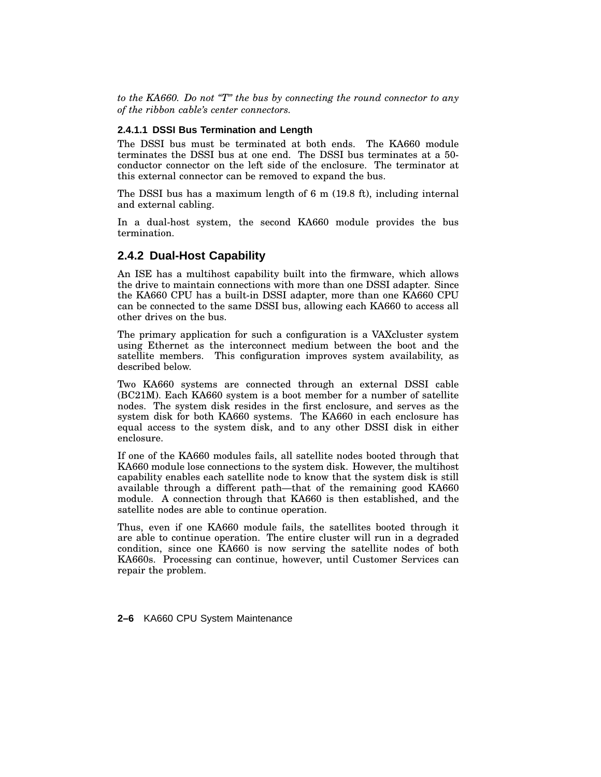*to the KA660. Do not ''T'' the bus by connecting the round connector to any of the ribbon cable's center connectors.*

#### **2.4.1.1 DSSI Bus Termination and Length**

The DSSI bus must be terminated at both ends. The KA660 module terminates the DSSI bus at one end. The DSSI bus terminates at a 50 conductor connector on the left side of the enclosure. The terminator at this external connector can be removed to expand the bus.

The DSSI bus has a maximum length of 6 m (19.8 ft), including internal and external cabling.

In a dual-host system, the second KA660 module provides the bus termination.

#### **2.4.2 Dual-Host Capability**

An ISE has a multihost capability built into the firmware, which allows the drive to maintain connections with more than one DSSI adapter. Since the KA660 CPU has a built-in DSSI adapter, more than one KA660 CPU can be connected to the same DSSI bus, allowing each KA660 to access all other drives on the bus.

The primary application for such a configuration is a VAXcluster system using Ethernet as the interconnect medium between the boot and the satellite members. This configuration improves system availability, as described below.

Two KA660 systems are connected through an external DSSI cable (BC21M). Each KA660 system is a boot member for a number of satellite nodes. The system disk resides in the first enclosure, and serves as the system disk for both KA660 systems. The KA660 in each enclosure has equal access to the system disk, and to any other DSSI disk in either enclosure.

If one of the KA660 modules fails, all satellite nodes booted through that KA660 module lose connections to the system disk. However, the multihost capability enables each satellite node to know that the system disk is still available through a different path—that of the remaining good KA660 module. A connection through that KA660 is then established, and the satellite nodes are able to continue operation.

Thus, even if one KA660 module fails, the satellites booted through it are able to continue operation. The entire cluster will run in a degraded condition, since one KA660 is now serving the satellite nodes of both KA660s. Processing can continue, however, until Customer Services can repair the problem.

**2–6** KA660 CPU System Maintenance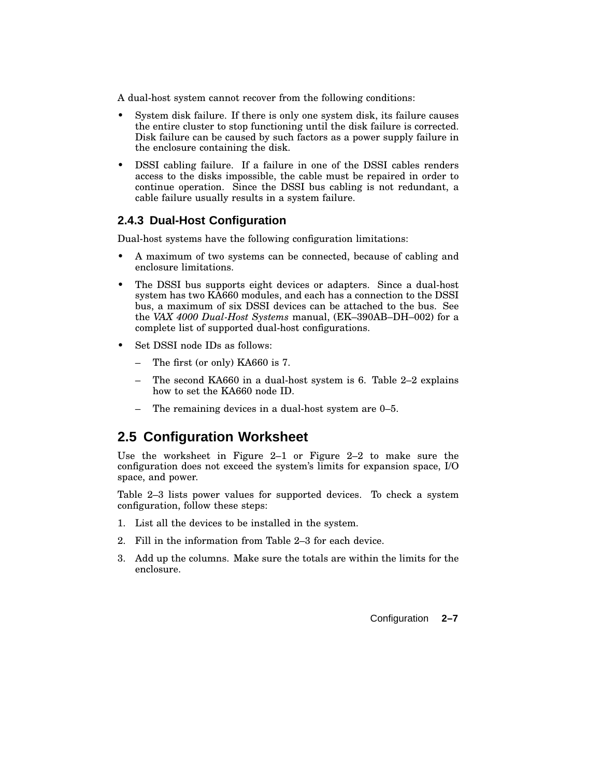A dual-host system cannot recover from the following conditions:

- System disk failure. If there is only one system disk, its failure causes the entire cluster to stop functioning until the disk failure is corrected. Disk failure can be caused by such factors as a power supply failure in the enclosure containing the disk.
- DSSI cabling failure. If a failure in one of the DSSI cables renders access to the disks impossible, the cable must be repaired in order to continue operation. Since the DSSI bus cabling is not redundant, a cable failure usually results in a system failure.

#### **2.4.3 Dual-Host Configuration**

Dual-host systems have the following configuration limitations:

- A maximum of two systems can be connected, because of cabling and enclosure limitations.
- The DSSI bus supports eight devices or adapters. Since a dual-host system has two KA660 modules, and each has a connection to the DSSI bus, a maximum of six DSSI devices can be attached to the bus. See the *VAX 4000 Dual-Host Systems* manual, (EK–390AB–DH–002) for a complete list of supported dual-host configurations.
- Set DSSI node IDs as follows:
	- The first (or only) KA660 is 7.
	- The second KA660 in a dual-host system is 6. Table 2–2 explains how to set the KA660 node ID.
	- The remaining devices in a dual-host system are 0–5.

## **2.5 Configuration Worksheet**

Use the worksheet in Figure 2–1 or Figure 2–2 to make sure the configuration does not exceed the system's limits for expansion space, I/O space, and power.

Table 2–3 lists power values for supported devices. To check a system configuration, follow these steps:

- 1. List all the devices to be installed in the system.
- 2. Fill in the information from Table 2–3 for each device.
- 3. Add up the columns. Make sure the totals are within the limits for the enclosure.

Configuration **2–7**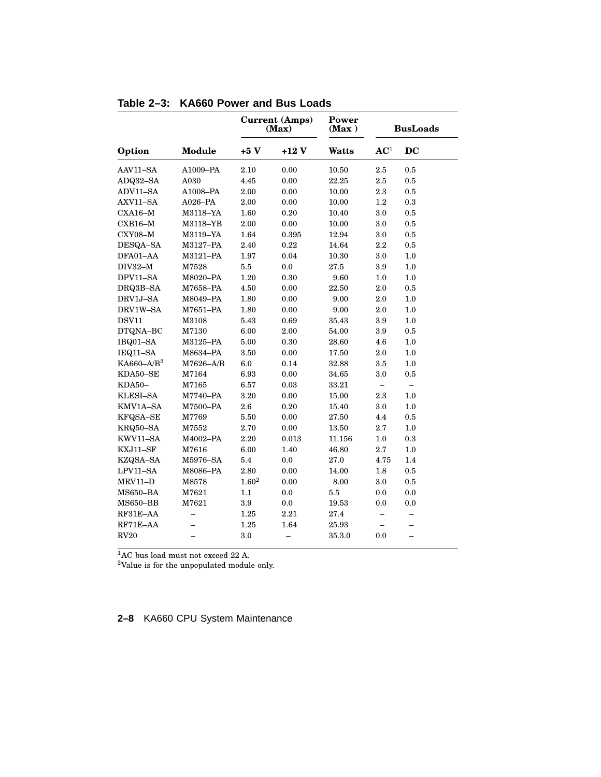|                           |               |                   | <b>Current (Amps)</b><br>(Max) | Power<br>(Max) |                 | <b>BusLoads</b>          |
|---------------------------|---------------|-------------------|--------------------------------|----------------|-----------------|--------------------------|
| Option                    | <b>Module</b> | $+5V$             | $+12V$                         | Watts          | AC <sup>1</sup> | DC                       |
| AAV11-SA                  | A1009-PA      | 2.10              | 0.00                           | 10.50          | 2.5             | 0.5                      |
| ADQ32-SA                  | A030          | 4.45              | 0.00                           | 22.25          | 2.5             | $\rm 0.5$                |
| ADV11-SA                  | A1008-PA      | 2.00              | $0.00\,$                       | 10.00          | $2.3\,$         | $0.5\,$                  |
| AXV11-SA                  | $A026-PA$     | 2.00              | 0.00                           | 10.00          | $1.2\,$         | $0.3\,$                  |
| $CXA16-M$                 | M3118-YA      | 1.60              | 0.20                           | 10.40          | 3.0             | $0.5\,$                  |
| $\rm CXB16\text{--}M$     | M3118–YB      | 2.00              | 0.00                           | 10.00          | 3.0             | 0.5                      |
| CXY08-M                   | M3119-YA      | 1.64              | 0.395                          | 12.94          | 3.0             | 0.5                      |
| DESQA-SA                  | M3127-PA      | 2.40              | $\rm 0.22$                     | 14.64          | 2.2             | 0.5                      |
| DFA01-AA                  | M3121-PA      | 1.97              | 0.04                           | 10.30          | 3.0             | 1.0                      |
| $DIV32-M$                 | M7528         | 5.5               | 0.0                            | 27.5           | 3.9             | 1.0                      |
| DPV11-SA                  | M8020-PA      | 1.20              | 0.30                           | 9.60           | 1.0             | 1.0                      |
| DRQ3B-SA                  | M7658-PA      | 4.50              | 0.00                           | 22.50          | 2.0             | 0.5                      |
| DRV1J-SA                  | M8049-PA      | 1.80              | $0.00\,$                       | 9.00           | 2.0             | 1.0                      |
| DRV1W-SA                  | M7651-PA      | 1.80              | 0.00                           | 9.00           | 2.0             | 1.0                      |
| <b>DSV11</b>              | M3108         | 5.43              | 0.69                           | 35.43          | 3.9             | $1.0\,$                  |
| DTQNA-BC                  | M7130         | 6.00              | $2.00\,$                       | 54.00          | 3.9             | $0.5\,$                  |
| IBQ01-SA                  | M3125-PA      | 5.00              | 0.30                           | 28.60          | 4.6             | 1.0                      |
| IEQ11-SA                  | M8634-PA      | 3.50              | 0.00                           | 17.50          | 2.0             | 1.0                      |
| $K$ A660-A/B <sup>2</sup> | M7626-A/B     | 6.0               | 0.14                           | 32.88          | 3.5             | $1.0\,$                  |
| KDA50-SE                  | M7164         | 6.93              | 0.00                           | 34.65          | 3.0             | 0.5                      |
| KDA50-                    | M7165         | 6.57              | 0.03                           | 33.21          |                 |                          |
| KLESI-SA                  | M7740–PA      | 3.20              | 0.00                           | 15.00          | 2.3             | 1.0                      |
| KMV1A-SA                  | M7500-PA      | 2.6               | 0.20                           | 15.40          | 3.0             | 1.0                      |
| KFQSA-SE                  | M7769         | 5.50              | 0.00                           | 27.50          | 4.4             | 0.5                      |
| KRQ50-SA                  | M7552         | 2.70              | 0.00                           | 13.50          | 2.7             | 1.0                      |
| KWV11-SA                  | M4002-PA      | 2.20              | 0.013                          | 11.156         | 1.0             | 0.3                      |
| KXJ11-SF                  | M7616         | 6.00              | 1.40                           | 46.80          | 2.7             | 1.0                      |
| KZQSA-SA                  | M5976-SA      | 5.4               | 0.0                            | 27.0           | 4.75            | 1.4                      |
| $LPV11-SA$                | M8086-PA      | 2.80              | 0.00                           | 14.00          | 1.8             | 0.5                      |
| MRV11-D                   | M8578         | 1.60 <sup>2</sup> | 0.00                           | 8.00           | $3.0\,$         | 0.5                      |
| MS650-BA                  | M7621         | 1.1               | 0.0                            | $5.5\,$        | 0.0             | 0.0                      |
| $MS650 - BB$              | M7621         | 3.9               | 0.0                            | 19.53          | 0.0             | 0.0                      |
| RF31E-AA                  | -             | 1.25              | 2.21                           | 27.4           | -               | -                        |
| RF71E-AA                  |               | 1.25              | 1.64                           | 25.93          |                 |                          |
| RV20                      |               | 3.0               | $\overline{\phantom{0}}$       | 35.3.0         | 0.0             | $\overline{\phantom{0}}$ |

**Table 2–3: KA660 Power and Bus Loads**

<sup>1</sup>AC bus load must not exceed 22 A.

<sup>2</sup>Value is for the unpopulated module only.

### **2–8** KA660 CPU System Maintenance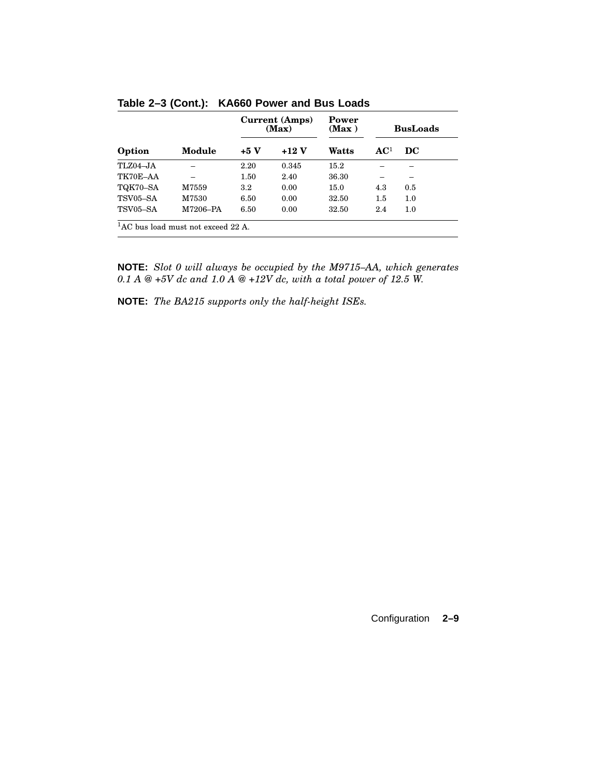|                                            |          | Current (Amps)<br>(Max) |       | Power<br>(Max) | <b>BusLoads</b> |     |
|--------------------------------------------|----------|-------------------------|-------|----------------|-----------------|-----|
| Option                                     | Module   | $+5V$                   | +12 V | Watts          | AC <sup>1</sup> | DC  |
| $TLZ04 - JA$                               |          | 2.20                    | 0.345 | 15.2           |                 |     |
| TK70E-AA                                   |          | 1.50                    | 2.40  | 36.30          |                 |     |
| TQK70-SA                                   | M7559    | $3.2\,$                 | 0.00  | 15.0           | 4.3             | 0.5 |
| TSV05-SA                                   | M7530    | 6.50                    | 0.00  | 32.50          | 1.5             | 1.0 |
| TSV05-SA                                   | M7206-PA | 6.50                    | 0.00  | 32.50          | 2.4             | 1.0 |
| ${}^{1}$ AC bus load must not exceed 22 A. |          |                         |       |                |                 |     |

**Table 2–3 (Cont.): KA660 Power and Bus Loads**

**NOTE:** *Slot 0 will always be occupied by the M9715–AA, which generates 0.1 A @ +5V dc and 1.0 A @ +12V dc, with a total power of 12.5 W.*

**NOTE:** *The BA215 supports only the half-height ISEs.*

Configuration **2–9**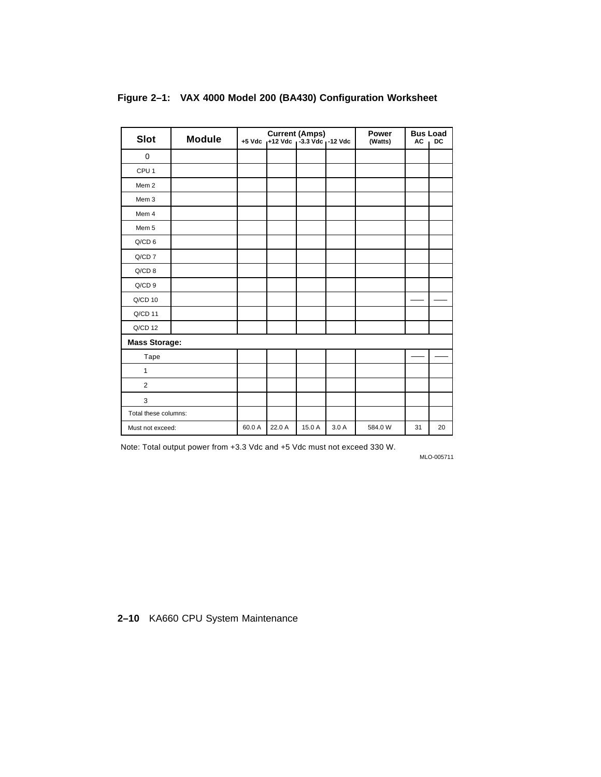| <b>Slot</b>          | <b>Module</b> |        | <b>Current (Amps)</b><br>+5 Vdc $_1$ +12 Vdc $_1$ -3.3 Vdc $_1$ -12 Vdc |        |      | <b>Power</b><br>(Watts) | <b>AC</b> | <b>Bus Load</b><br><b>DC</b> |
|----------------------|---------------|--------|-------------------------------------------------------------------------|--------|------|-------------------------|-----------|------------------------------|
| $\mathbf 0$          |               |        |                                                                         |        |      |                         |           |                              |
| CPU <sub>1</sub>     |               |        |                                                                         |        |      |                         |           |                              |
| Mem <sub>2</sub>     |               |        |                                                                         |        |      |                         |           |                              |
| Mem 3                |               |        |                                                                         |        |      |                         |           |                              |
| Mem 4                |               |        |                                                                         |        |      |                         |           |                              |
| Mem 5                |               |        |                                                                         |        |      |                         |           |                              |
| Q/CD 6               |               |        |                                                                         |        |      |                         |           |                              |
| $Q/CD$ $7$           |               |        |                                                                         |        |      |                         |           |                              |
| $Q/CD$ 8             |               |        |                                                                         |        |      |                         |           |                              |
| $Q/CD$ 9             |               |        |                                                                         |        |      |                         |           |                              |
| $Q/CD$ 10            |               |        |                                                                         |        |      |                         |           |                              |
| $Q/CD$ 11            |               |        |                                                                         |        |      |                         |           |                              |
| $Q/CD$ 12            |               |        |                                                                         |        |      |                         |           |                              |
| <b>Mass Storage:</b> |               |        |                                                                         |        |      |                         |           |                              |
| Tape                 |               |        |                                                                         |        |      |                         |           |                              |
| 1                    |               |        |                                                                         |        |      |                         |           |                              |
| $\overline{2}$       |               |        |                                                                         |        |      |                         |           |                              |
| 3                    |               |        |                                                                         |        |      |                         |           |                              |
| Total these columns: |               |        |                                                                         |        |      |                         |           |                              |
| Must not exceed:     |               | 60.0 A | 22.0 A                                                                  | 15.0 A | 3.0A | 584.0 W                 | 31        | 20                           |

#### **Figure 2–1: VAX 4000 Model 200 (BA430) Configuration Worksheet**

Note: Total output power from +3.3 Vdc and +5 Vdc must not exceed 330 W.

MLO-005711

**2–10** KA660 CPU System Maintenance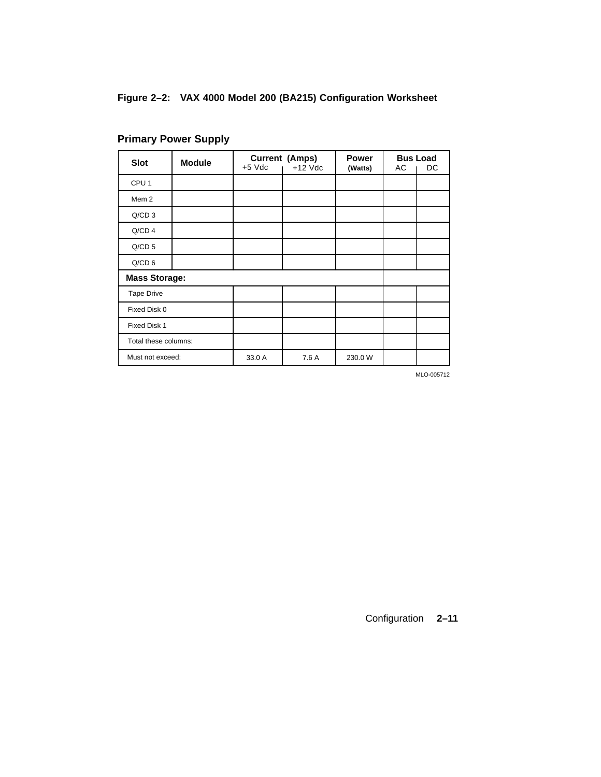# **Figure 2–2: VAX 4000 Model 200 (BA215) Configuration Worksheet**

| <b>Slot</b>          | <b>Module</b> |          | <b>Current (Amps)</b> | <b>Power</b> |    | <b>Bus Load</b> |
|----------------------|---------------|----------|-----------------------|--------------|----|-----------------|
|                      |               | $+5$ Vdc | $+12$ Vdc             | (Watts)      | АC | DC              |
| CPU <sub>1</sub>     |               |          |                       |              |    |                 |
| Mem <sub>2</sub>     |               |          |                       |              |    |                 |
| $Q/CD$ 3             |               |          |                       |              |    |                 |
| $Q/CD$ 4             |               |          |                       |              |    |                 |
| $Q/CD$ 5             |               |          |                       |              |    |                 |
| $Q/CD$ 6             |               |          |                       |              |    |                 |
| <b>Mass Storage:</b> |               |          |                       |              |    |                 |
| <b>Tape Drive</b>    |               |          |                       |              |    |                 |
| Fixed Disk 0         |               |          |                       |              |    |                 |
| Fixed Disk 1         |               |          |                       |              |    |                 |
| Total these columns: |               |          |                       |              |    |                 |
| Must not exceed:     |               | 33.0 A   | 7.6 A                 | 230.0 W      |    |                 |

# **Primary Power Supply**

MLO-005712

Configuration **2–11**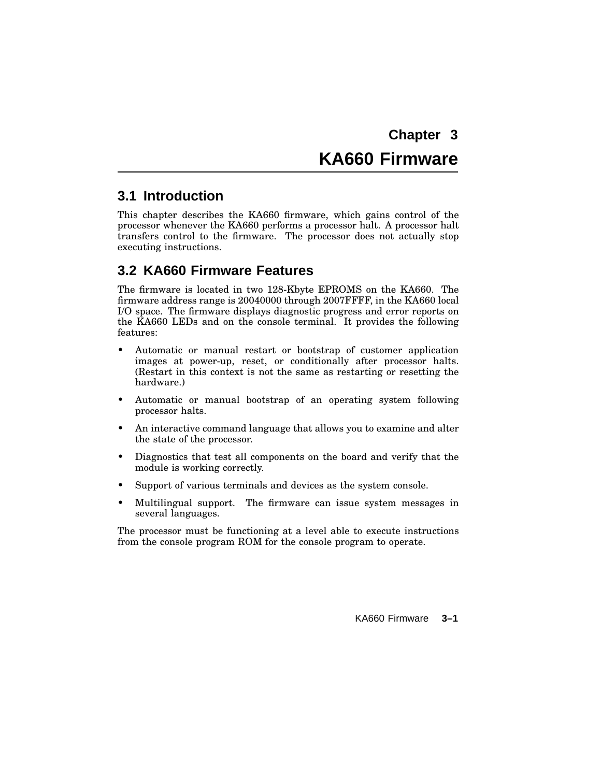# **KA660 Firmware**

## **3.1 Introduction**

This chapter describes the KA660 firmware, which gains control of the processor whenever the KA660 performs a processor halt. A processor halt transfers control to the firmware. The processor does not actually stop executing instructions.

# **3.2 KA660 Firmware Features**

The firmware is located in two 128-Kbyte EPROMS on the KA660. The firmware address range is 20040000 through 2007FFFF, in the KA660 local I/O space. The firmware displays diagnostic progress and error reports on the KA660 LEDs and on the console terminal. It provides the following features:

- Automatic or manual restart or bootstrap of customer application images at power-up, reset, or conditionally after processor halts. (Restart in this context is not the same as restarting or resetting the hardware.)
- Automatic or manual bootstrap of an operating system following processor halts.
- An interactive command language that allows you to examine and alter the state of the processor.
- Diagnostics that test all components on the board and verify that the module is working correctly.
- Support of various terminals and devices as the system console.
- Multilingual support. The firmware can issue system messages in several languages.

The processor must be functioning at a level able to execute instructions from the console program ROM for the console program to operate.

KA660 Firmware **3–1**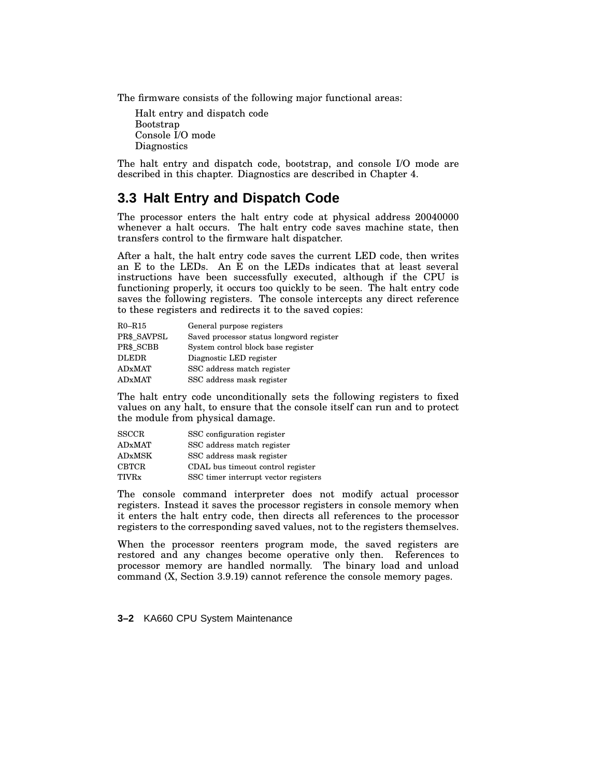The firmware consists of the following major functional areas:

Halt entry and dispatch code Bootstrap Console I/O mode **Diagnostics** 

The halt entry and dispatch code, bootstrap, and console I/O mode are described in this chapter. Diagnostics are described in Chapter 4.

## **3.3 Halt Entry and Dispatch Code**

The processor enters the halt entry code at physical address 20040000 whenever a halt occurs. The halt entry code saves machine state, then transfers control to the firmware halt dispatcher.

After a halt, the halt entry code saves the current LED code, then writes an E to the LEDs. An E on the LEDs indicates that at least several instructions have been successfully executed, although if the CPU is functioning properly, it occurs too quickly to be seen. The halt entry code saves the following registers. The console intercepts any direct reference to these registers and redirects it to the saved copies:

| $R0 - R15$    | General purpose registers                |
|---------------|------------------------------------------|
| PR\$ SAVPSL   | Saved processor status longword register |
| PR\$ SCBB     | System control block base register       |
| <b>DLEDR</b>  | Diagnostic LED register                  |
| <b>ADxMAT</b> | SSC address match register               |
| <b>ADxMAT</b> | SSC address mask register                |

The halt entry code unconditionally sets the following registers to fixed values on any halt, to ensure that the console itself can run and to protect the module from physical damage.

| <b>SSCCR</b>  | SSC configuration register           |
|---------------|--------------------------------------|
| <b>ADxMAT</b> | SSC address match register           |
| <b>ADxMSK</b> | SSC address mask register            |
| <b>CBTCR</b>  | CDAL bus timeout control register    |
| TIVRx         | SSC timer interrupt vector registers |

The console command interpreter does not modify actual processor registers. Instead it saves the processor registers in console memory when it enters the halt entry code, then directs all references to the processor registers to the corresponding saved values, not to the registers themselves.

When the processor reenters program mode, the saved registers are restored and any changes become operative only then. References to processor memory are handled normally. The binary load and unload command (X, Section 3.9.19) cannot reference the console memory pages.

**3–2** KA660 CPU System Maintenance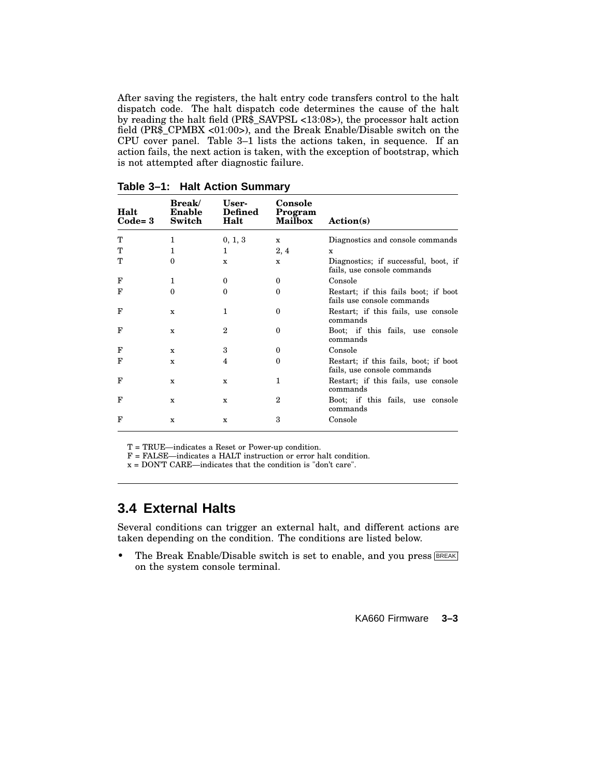After saving the registers, the halt entry code transfers control to the halt dispatch code. The halt dispatch code determines the cause of the halt by reading the halt field (PR\$\_SAVPSL <13:08>), the processor halt action field (PR\$\_CPMBX <01:00>), and the Break Enable/Disable switch on the CPU cover panel. Table 3–1 lists the actions taken, in sequence. If an action fails, the next action is taken, with the exception of bootstrap, which is not attempted after diagnostic failure.

| Halt<br>$Code=3$ | <b>Break</b><br>Enable<br>Switch | User-<br><b>Defined</b><br>Halt | <b>Console</b><br>Program<br><b>Mailbox</b> | Action(s)                                                            |
|------------------|----------------------------------|---------------------------------|---------------------------------------------|----------------------------------------------------------------------|
| т                | 1                                | 0, 1, 3                         | x                                           | Diagnostics and console commands                                     |
| т                | 1                                | 1                               | 2, 4                                        | X                                                                    |
| т                | $\Omega$                         | X                               | X                                           | Diagnostics; if successful, boot, if<br>fails, use console commands  |
| F                | 1                                | 0                               | 0                                           | Console                                                              |
| F                | $\mathbf{0}$                     | 0                               | 0                                           | Restart; if this fails boot; if boot<br>fails use console commands   |
| F                | X                                | 1                               | $\Omega$                                    | Restart; if this fails, use console<br>commands                      |
| F                | X                                | 2                               | 0                                           | Boot; if this fails, use console<br>commands                         |
| F                | X                                | 3                               | $\Omega$                                    | Console                                                              |
| F                | X                                | 4                               | $\Omega$                                    | Restart; if this fails, boot; if boot<br>fails, use console commands |
| F                | X                                | X                               | 1                                           | Restart; if this fails, use console<br>commands                      |
| F                | X                                | X                               | $\overline{2}$                              | Boot; if this fails, use console<br>commands                         |
| F                | X                                | X                               | 3                                           | Console                                                              |

**Table 3–1: Halt Action Summary**

T = TRUE—indicates a Reset or Power-up condition.

F = FALSE—indicates a HALT instruction or error halt condition.

x = DON'T CARE—indicates that the condition is "don't care".

### **3.4 External Halts**

Several conditions can trigger an external halt, and different actions are taken depending on the condition. The conditions are listed below.

• The Break Enable/Disable switch is set to enable, and you press **BREAK** on the system console terminal.

KA660 Firmware **3–3**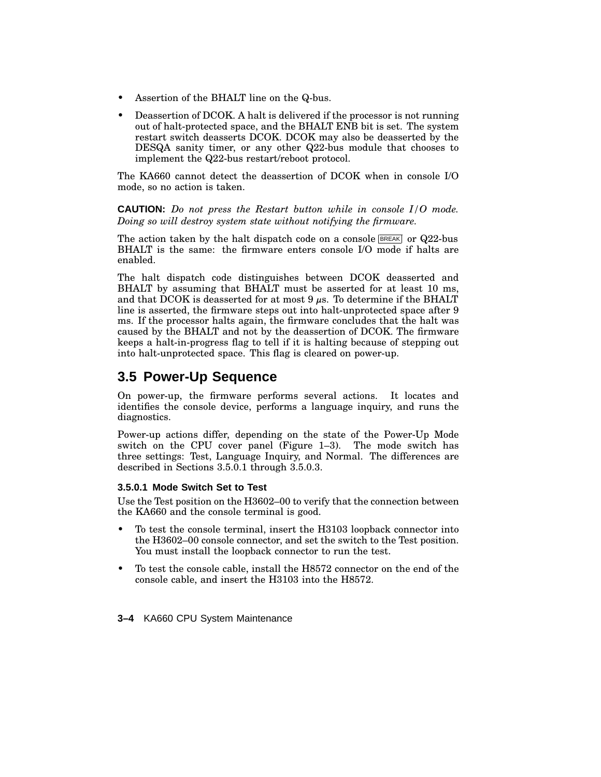- Assertion of the BHALT line on the Q-bus.
- Deassertion of DCOK. A halt is delivered if the processor is not running out of halt-protected space, and the BHALT ENB bit is set. The system restart switch deasserts DCOK. DCOK may also be deasserted by the DESQA sanity timer, or any other Q22-bus module that chooses to implement the Q22-bus restart/reboot protocol.

The KA660 cannot detect the deassertion of DCOK when in console I/O mode, so no action is taken.

**CAUTION:** *Do not press the Restart button while in console I/O mode. Doing so will destroy system state without notifying the firmware.*

The action taken by the halt dispatch code on a console  $BREAK$  or Q22-bus BHALT is the same: the firmware enters console I/O mode if halts are enabled.

The halt dispatch code distinguishes between DCOK deasserted and BHALT by assuming that BHALT must be asserted for at least 10 ms, and that DCOK is deasserted for at most 9  $\mu$ s. To determine if the BHALT line is asserted, the firmware steps out into halt-unprotected space after 9 ms. If the processor halts again, the firmware concludes that the halt was caused by the BHALT and not by the deassertion of DCOK. The firmware keeps a halt-in-progress flag to tell if it is halting because of stepping out into halt-unprotected space. This flag is cleared on power-up.

# **3.5 Power-Up Sequence**

On power-up, the firmware performs several actions. It locates and identifies the console device, performs a language inquiry, and runs the diagnostics.

Power-up actions differ, depending on the state of the Power-Up Mode switch on the CPU cover panel (Figure 1–3). The mode switch has three settings: Test, Language Inquiry, and Normal. The differences are described in Sections 3.5.0.1 through 3.5.0.3.

#### **3.5.0.1 Mode Switch Set to Test**

Use the Test position on the H3602–00 to verify that the connection between the KA660 and the console terminal is good.

- To test the console terminal, insert the H3103 loopback connector into the H3602–00 console connector, and set the switch to the Test position. You must install the loopback connector to run the test.
- To test the console cable, install the H8572 connector on the end of the console cable, and insert the H3103 into the H8572.
- **3–4** KA660 CPU System Maintenance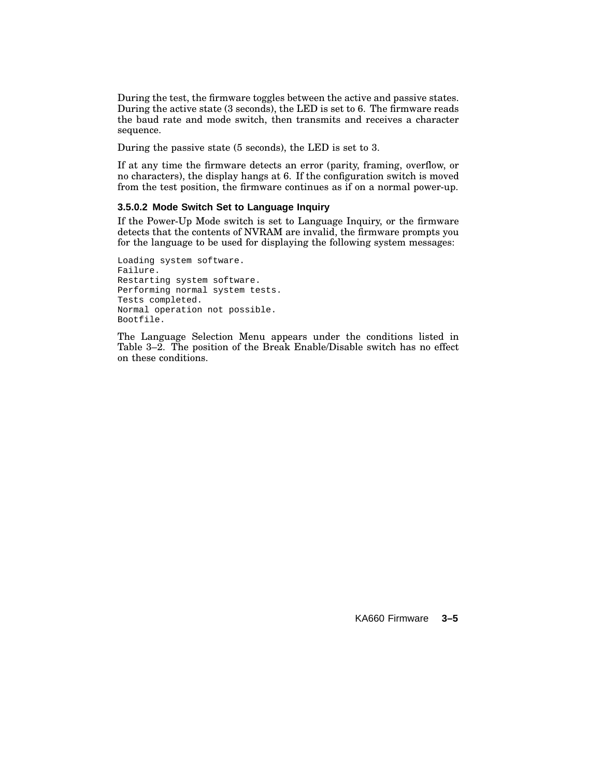During the test, the firmware toggles between the active and passive states. During the active state (3 seconds), the LED is set to 6. The firmware reads the baud rate and mode switch, then transmits and receives a character sequence.

During the passive state (5 seconds), the LED is set to 3.

If at any time the firmware detects an error (parity, framing, overflow, or no characters), the display hangs at 6. If the configuration switch is moved from the test position, the firmware continues as if on a normal power-up.

### **3.5.0.2 Mode Switch Set to Language Inquiry**

If the Power-Up Mode switch is set to Language Inquiry, or the firmware detects that the contents of NVRAM are invalid, the firmware prompts you for the language to be used for displaying the following system messages:

Loading system software. Failure. Restarting system software. Performing normal system tests. Tests completed. Normal operation not possible. Bootfile.

The Language Selection Menu appears under the conditions listed in Table 3–2. The position of the Break Enable/Disable switch has no effect on these conditions.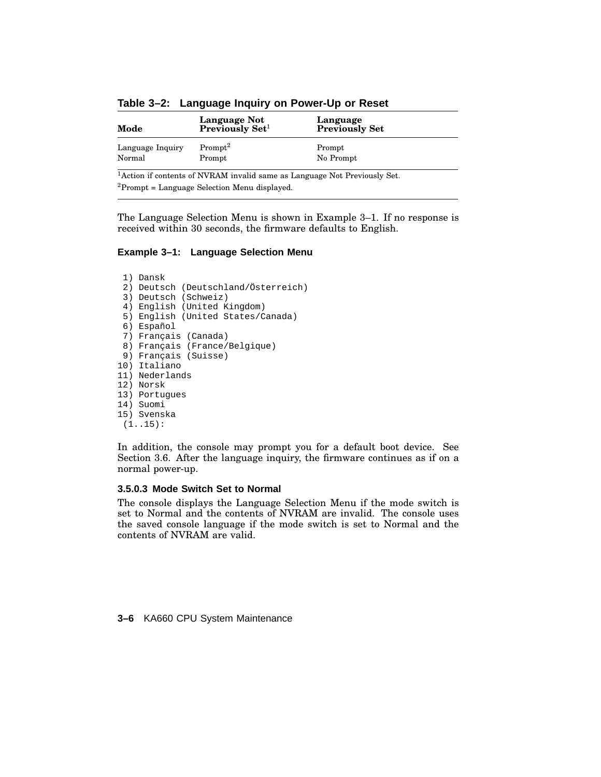| Mode                       | Language Not<br>Previously Set <sup>1</sup> | Language<br><b>Previously Set</b> |
|----------------------------|---------------------------------------------|-----------------------------------|
| Language Inquiry<br>Normal | $Prompt^2$<br>Prompt                        | Prompt<br>No Prompt               |
|                            |                                             |                                   |

**Table 3–2: Language Inquiry on Power-Up or Reset**

<sup>1</sup> Action if contents of NVRAM invalid same as Language Not Previously Set.  ${}^{2}$ Prompt = Language Selection Menu displayed.

The Language Selection Menu is shown in Example 3–1. If no response is received within 30 seconds, the firmware defaults to English.

#### **Example 3–1: Language Selection Menu**

```
1) Dansk
 2) Deutsch (Deutschland/Österreich)
 3) Deutsch (Schweiz)
 4) English (United Kingdom)
 5) English (United States/Canada)
 6) Español
 7) Français (Canada)
 8) Français (France/Belgique)
 9) Français (Suisse)
10) Italiano
11) Nederlands
12) Norsk
13) Portugues
14) Suomi
15) Svenska
```

```
(1..15):
```
In addition, the console may prompt you for a default boot device. See Section 3.6. After the language inquiry, the firmware continues as if on a normal power-up.

#### **3.5.0.3 Mode Switch Set to Normal**

The console displays the Language Selection Menu if the mode switch is set to Normal and the contents of NVRAM are invalid. The console uses the saved console language if the mode switch is set to Normal and the contents of NVRAM are valid.

**3–6** KA660 CPU System Maintenance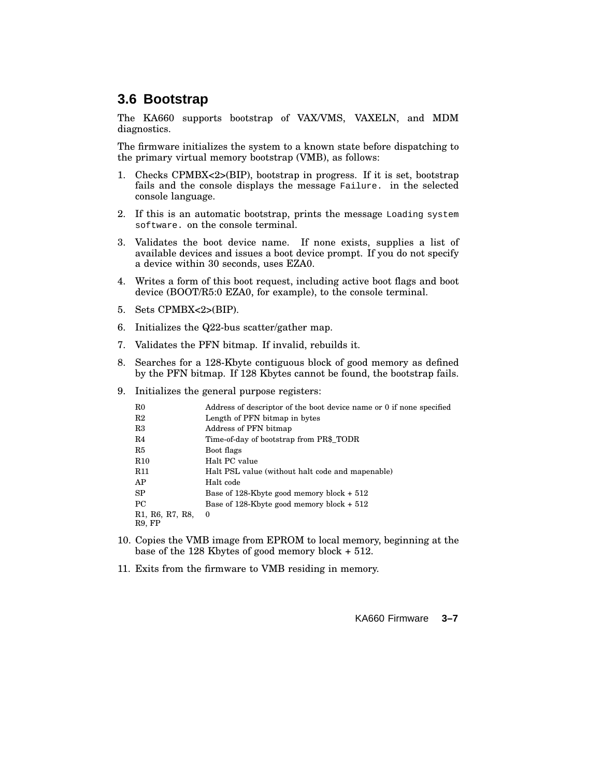# **3.6 Bootstrap**

The KA660 supports bootstrap of VAX/VMS, VAXELN, and MDM diagnostics.

The firmware initializes the system to a known state before dispatching to the primary virtual memory bootstrap (VMB), as follows:

- 1. Checks CPMBX<2>(BIP), bootstrap in progress. If it is set, bootstrap fails and the console displays the message Failure. in the selected console language.
- 2. If this is an automatic bootstrap, prints the message Loading system software. on the console terminal.
- 3. Validates the boot device name. If none exists, supplies a list of available devices and issues a boot device prompt. If you do not specify a device within 30 seconds, uses EZA0.
- 4. Writes a form of this boot request, including active boot flags and boot device (BOOT/R5:0 EZA0, for example), to the console terminal.
- 5. Sets CPMBX<2>(BIP).
- 6. Initializes the Q22-bus scatter/gather map.
- 7. Validates the PFN bitmap. If invalid, rebuilds it.
- 8. Searches for a 128-Kbyte contiguous block of good memory as defined by the PFN bitmap. If 128 Kbytes cannot be found, the bootstrap fails.
- 9. Initializes the general purpose registers:

| $_{\rm R0}$                                                                   | Address of descriptor of the boot device name or 0 if none specified |
|-------------------------------------------------------------------------------|----------------------------------------------------------------------|
| R2                                                                            | Length of PFN bitmap in bytes                                        |
| R3                                                                            | Address of PFN bitmap                                                |
| R4                                                                            | Time-of-day of bootstrap from PR\$ TODR                              |
| R5                                                                            | Boot flags                                                           |
| R10                                                                           | Halt PC value                                                        |
| <b>R11</b>                                                                    | Halt PSL value (without halt code and mapenable)                     |
| AP                                                                            | Halt code                                                            |
| <b>SP</b>                                                                     | Base of 128-K byte good memory block $+512$                          |
| PC.                                                                           | Base of 128-Kbyte good memory block $+512$                           |
| R <sub>1</sub> , R <sub>6</sub> , R <sub>7</sub> , R <sub>8</sub> ,<br>R9, FP | $\theta$                                                             |

- 10. Copies the VMB image from EPROM to local memory, beginning at the base of the 128 Kbytes of good memory block + 512.
- 11. Exits from the firmware to VMB residing in memory.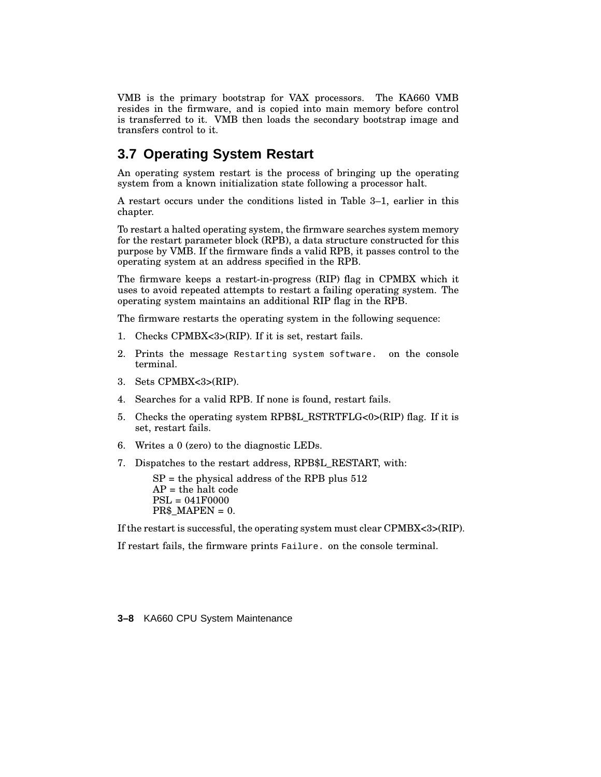VMB is the primary bootstrap for VAX processors. The KA660 VMB resides in the firmware, and is copied into main memory before control is transferred to it. VMB then loads the secondary bootstrap image and transfers control to it.

# **3.7 Operating System Restart**

An operating system restart is the process of bringing up the operating system from a known initialization state following a processor halt.

A restart occurs under the conditions listed in Table 3–1, earlier in this chapter.

To restart a halted operating system, the firmware searches system memory for the restart parameter block (RPB), a data structure constructed for this purpose by VMB. If the firmware finds a valid RPB, it passes control to the operating system at an address specified in the RPB.

The firmware keeps a restart-in-progress (RIP) flag in CPMBX which it uses to avoid repeated attempts to restart a failing operating system. The operating system maintains an additional RIP flag in the RPB.

The firmware restarts the operating system in the following sequence:

- 1. Checks CPMBX<3>(RIP). If it is set, restart fails.
- 2. Prints the message Restarting system software. on the console terminal.
- 3. Sets CPMBX<3>(RIP).
- 4. Searches for a valid RPB. If none is found, restart fails.
- 5. Checks the operating system RPB\$L\_RSTRTFLG<0>(RIP) flag. If it is set, restart fails.
- 6. Writes a 0 (zero) to the diagnostic LEDs.
- 7. Dispatches to the restart address, RPB\$L\_RESTART, with:

 $SP =$  the physical address of the RPB plus 512  $AP =$  the halt code PSL = 041F0000  $PR$MAPEN = 0.$ 

If the restart is successful, the operating system must clear CPMBX<3>(RIP).

If restart fails, the firmware prints Failure. on the console terminal.

**3–8** KA660 CPU System Maintenance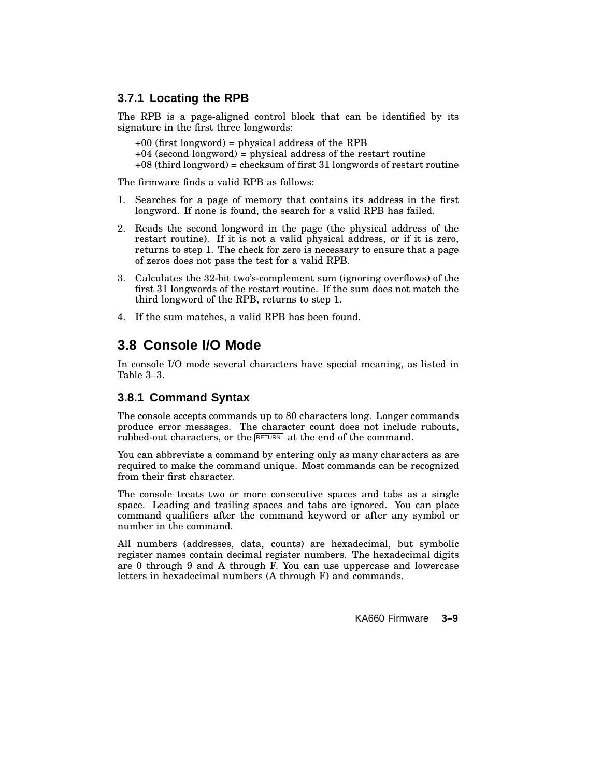# **3.7.1 Locating the RPB**

The RPB is a page-aligned control block that can be identified by its signature in the first three longwords:

+00 (first longword) = physical address of the RPB  $+04$  (second longword) = physical address of the restart routine +08 (third longword) = checksum of first 31 longwords of restart routine

The firmware finds a valid RPB as follows:

- 1. Searches for a page of memory that contains its address in the first longword. If none is found, the search for a valid RPB has failed.
- 2. Reads the second longword in the page (the physical address of the restart routine). If it is not a valid physical address, or if it is zero, returns to step 1. The check for zero is necessary to ensure that a page of zeros does not pass the test for a valid RPB.
- 3. Calculates the 32-bit two's-complement sum (ignoring overflows) of the first 31 longwords of the restart routine. If the sum does not match the third longword of the RPB, returns to step 1.
- 4. If the sum matches, a valid RPB has been found.

# **3.8 Console I/O Mode**

In console I/O mode several characters have special meaning, as listed in Table 3–3.

## **3.8.1 Command Syntax**

The console accepts commands up to 80 characters long. Longer commands produce error messages. The character count does not include rubouts, rubbed-out characters, or the **RETURN** at the end of the command.

You can abbreviate a command by entering only as many characters as are required to make the command unique. Most commands can be recognized from their first character.

The console treats two or more consecutive spaces and tabs as a single space. Leading and trailing spaces and tabs are ignored. You can place command qualifiers after the command keyword or after any symbol or number in the command.

All numbers (addresses, data, counts) are hexadecimal, but symbolic register names contain decimal register numbers. The hexadecimal digits are 0 through 9 and A through F. You can use uppercase and lowercase letters in hexadecimal numbers (A through F) and commands.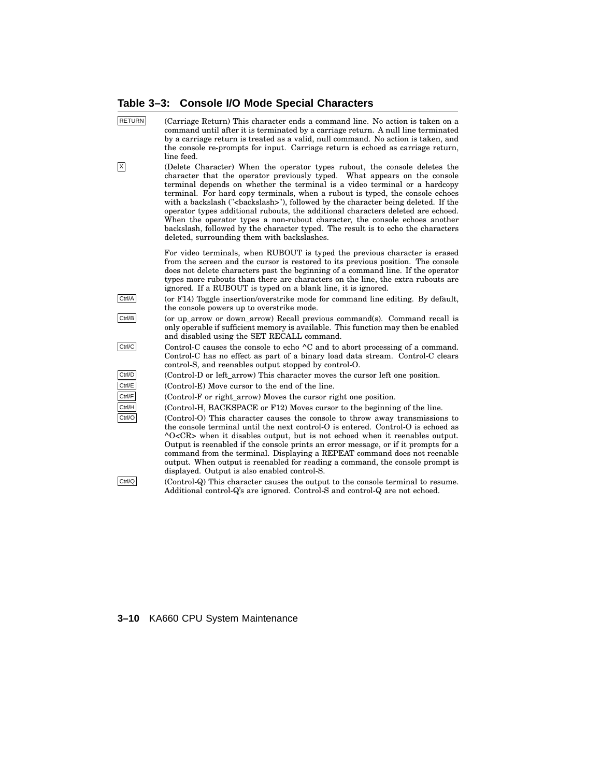# **Table 3–3: Console I/O Mode Special Characters**

| <b>RETURN</b>           | (Carriage Return) This character ends a command line. No action is taken on a<br>command until after it is terminated by a carriage return. A null line terminated<br>by a carriage return is treated as a valid, null command. No action is taken, and<br>the console re-prompts for input. Carriage return is echoed as carriage return,<br>line feed.                                                                                                                                                                                                                             |
|-------------------------|--------------------------------------------------------------------------------------------------------------------------------------------------------------------------------------------------------------------------------------------------------------------------------------------------------------------------------------------------------------------------------------------------------------------------------------------------------------------------------------------------------------------------------------------------------------------------------------|
| $\overline{\mathsf{x}}$ | (Delete Character) When the operator types rubout, the console deletes the<br>character that the operator previously typed. What appears on the console<br>terminal depends on whether the terminal is a video terminal or a hardcopy<br>terminal. For hard copy terminals, when a rubout is typed, the console echoes<br>with a backslash ("<br>backslash>"), followed by the character being deleted. If the<br>operator types additional rubouts, the additional characters deleted are echoed.<br>When the operator types a non-rubout character, the console echoes another<br> |
|                         | For video terminals, when RUBOUT is typed the previous character is erased<br>from the screen and the cursor is restored to its previous position. The console<br>does not delete characters past the beginning of a command line. If the operator<br>types more rubouts than there are characters on the line, the extra rubouts are<br>ignored. If a RUBOUT is typed on a blank line, it is ignored.                                                                                                                                                                               |
| Ctrl/A                  | (or F14) Toggle insertion/overstrike mode for command line editing. By default,<br>the console powers up to overstrike mode.                                                                                                                                                                                                                                                                                                                                                                                                                                                         |
| Ctrl/B                  | (or up_arrow or down_arrow) Recall previous command(s). Command recall is<br>only operable if sufficient memory is available. This function may then be enabled<br>and disabled using the SET RECALL command.                                                                                                                                                                                                                                                                                                                                                                        |
| Ctrl/C                  | Control-C causes the console to echo ^C and to abort processing of a command.<br>Control-C has no effect as part of a binary load data stream. Control-C clears<br>control-S, and reenables output stopped by control-O.                                                                                                                                                                                                                                                                                                                                                             |
| Ctrl/D                  | (Control-D or left_arrow) This character moves the cursor left one position.                                                                                                                                                                                                                                                                                                                                                                                                                                                                                                         |
| Ctrl/E                  | (Control-E) Move cursor to the end of the line.                                                                                                                                                                                                                                                                                                                                                                                                                                                                                                                                      |
| Ctrl/F                  | (Control-F or right_arrow) Moves the cursor right one position.                                                                                                                                                                                                                                                                                                                                                                                                                                                                                                                      |
| Ctrl/H                  | (Control-H, BACKSPACE or F12) Moves cursor to the beginning of the line.                                                                                                                                                                                                                                                                                                                                                                                                                                                                                                             |
| Ctrl/O                  | (Control-O) This character causes the console to throw away transmissions to<br>the console terminal until the next control-O is entered. Control-O is echoed as<br>$\sim$ O <cr> when it disables output, but is not echoed when it reenables output.<br/>Output is reenabled if the console prints an error message, or if it prompts for a<br/>command from the terminal. Displaying a REPEAT command does not reenable<br/>output. When output is reenabled for reading a command, the console prompt is<br/>displayed. Output is also enabled control-S.</cr>                   |

 $\text{Ctrl}/\text{Q}$  (Control-Q) This character causes the output to the console terminal to resume. Additional control-Q's are ignored. Control-S and control-Q are not echoed.

# **3–10** KA660 CPU System Maintenance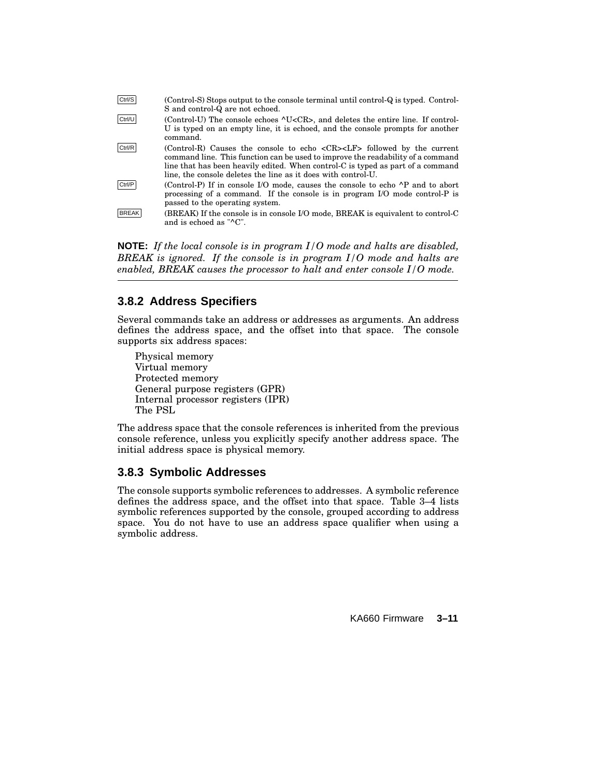| Ctrl/S       | (Control-S) Stops output to the console terminal until control-Q is typed. Control-<br>S and control-Q are not echoed.                                                                                                                                                                                                                        |
|--------------|-----------------------------------------------------------------------------------------------------------------------------------------------------------------------------------------------------------------------------------------------------------------------------------------------------------------------------------------------|
| Ctrl/U       | (Control-U) The console echoes ^U <cr>, and deletes the entire line. If control-<br/>U is typed on an empty line, it is echoed, and the console prompts for another<br/>command.</cr>                                                                                                                                                         |
| Ctrl/R       | (Control-R) Causes the console to echo $\langle CR \rangle \langle LF \rangle$ followed by the current<br>command line. This function can be used to improve the readability of a command<br>line that has been heavily edited. When control-C is typed as part of a command<br>line, the console deletes the line as it does with control-U. |
| Ctrl/P       | (Control-P) If in console I/O mode, causes the console to echo ^P and to abort<br>processing of a command. If the console is in program I/O mode control-P is<br>passed to the operating system.                                                                                                                                              |
| <b>BREAK</b> | (BREAK) If the console is in console I/O mode, BREAK is equivalent to control-C<br>and is echoed as "^C".                                                                                                                                                                                                                                     |

**NOTE:** *If the local console is in program I/O mode and halts are disabled, BREAK is ignored. If the console is in program I/O mode and halts are enabled, BREAK causes the processor to halt and enter console I/O mode.*

### **3.8.2 Address Specifiers**

Several commands take an address or addresses as arguments. An address defines the address space, and the offset into that space. The console supports six address spaces:

Physical memory Virtual memory Protected memory General purpose registers (GPR) Internal processor registers (IPR) The PSL

The address space that the console references is inherited from the previous console reference, unless you explicitly specify another address space. The initial address space is physical memory.

### **3.8.3 Symbolic Addresses**

The console supports symbolic references to addresses. A symbolic reference defines the address space, and the offset into that space. Table 3–4 lists symbolic references supported by the console, grouped according to address space. You do not have to use an address space qualifier when using a symbolic address.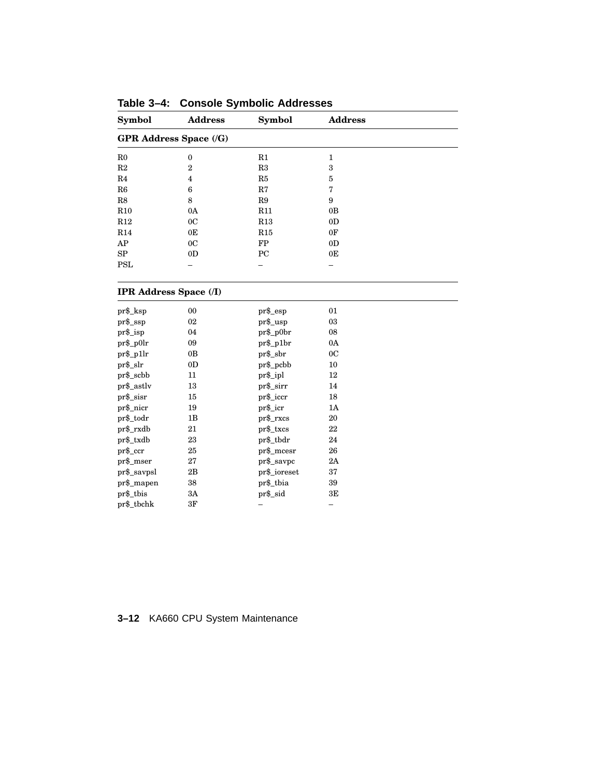| <b>Symbol</b>                 | <b>Address</b><br>Symbol      |              | <b>Address</b> |  |  |  |
|-------------------------------|-------------------------------|--------------|----------------|--|--|--|
|                               | <b>GPR Address Space (/G)</b> |              |                |  |  |  |
| R <sub>0</sub>                | $\boldsymbol{0}$              | R1           | $\mathbf{1}$   |  |  |  |
| R2                            | $\overline{2}$                | R3           | 3              |  |  |  |
| R4                            | $\overline{4}$                | R5           | $\overline{5}$ |  |  |  |
| R6                            | $\boldsymbol{6}$              | R7           | 7              |  |  |  |
| ${\rm R}8$                    | 8                             | R9           | 9              |  |  |  |
| R10                           | 0A                            | R11          | 0B             |  |  |  |
| R12                           | 0 <sup>C</sup>                | R13          | 0 <sub>D</sub> |  |  |  |
| R14                           | 0E                            | R15          | 0F             |  |  |  |
| AP                            | 0 <sup>C</sup>                | ${\rm FP}$   | 0 <sub>D</sub> |  |  |  |
| ${\rm SP}$                    | 0 <sub>D</sub>                | PC           | 0E             |  |  |  |
| <b>PSL</b>                    |                               |              |                |  |  |  |
| <b>IPR Address Space (/I)</b> |                               |              |                |  |  |  |
| pr\$_ksp                      | 00                            | $pr$ \$_esp  | 01             |  |  |  |
| $pr$ \$_ssp                   | 02                            | pr\$_usp     | 03             |  |  |  |
| pr\$_isp                      | 04                            | pr\$_p0br    | 08             |  |  |  |
| $pr\$ _p0lr                   | 09                            | $pr\$ _p1br  | 0A             |  |  |  |
| $pr\$ _p1 $lr$                | 0B                            | pr\$_sbr     | 0 <sup>C</sup> |  |  |  |
| pr\$_slr                      | 0 <sub>D</sub>                | pr\$_pcbb    | 10             |  |  |  |
| pr\$_scbb                     | 11                            | pr\$_ipl     | 12             |  |  |  |
| pr\$_astlv                    | 13                            | pr\$_sirr    | 14             |  |  |  |
| pr\$_sisr                     | 15                            | pr\$_iccr    | 18             |  |  |  |
| pr\$_nicr                     | 19                            | pr\$_icr     | 1A             |  |  |  |
| pr\$_todr                     | 1B                            | pr\$_rxcs    | 20             |  |  |  |
| pr\$_rxdb                     | 21                            | pr\$_txcs    | 22             |  |  |  |
| pr\$_txdb                     | 23                            | pr\$_tbdr    | 24             |  |  |  |
| pr\$_ccr                      | 25                            | pr\$_mcesr   | 26             |  |  |  |
| $pr\$ _mser                   | 27                            | $pr\$ _savpc | 2A             |  |  |  |
| $pr$ \$_savpsl                | 2B                            | pr\$_ioreset | 37             |  |  |  |
| pr\$_mapen                    | 38                            | pr\$_tbia    | 39             |  |  |  |
| pr\$_tbis                     | 3A                            | pr\$_sid     | 3E             |  |  |  |
| pr\$_tbchk                    | 3F                            |              | -              |  |  |  |

**Table 3–4: Console Symbolic Addresses**

# **3–12** KA660 CPU System Maintenance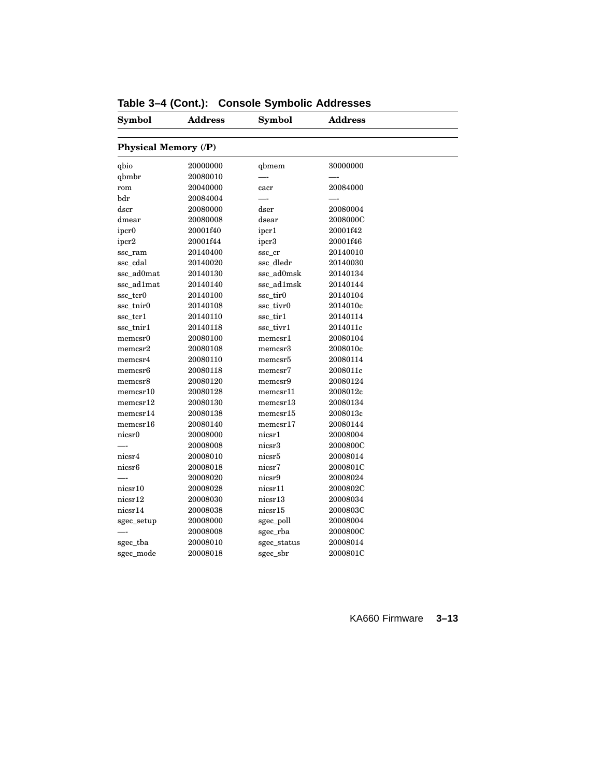| Symbol               | <b>Address</b> | Symbol      | <b>Address</b> |  |
|----------------------|----------------|-------------|----------------|--|
| Physical Memory (/P) |                |             |                |  |
| qbio                 | 20000000       | qbmem       | 30000000       |  |
| qbmbr                | 20080010       |             |                |  |
| rom                  | 20040000       | cacr        | 20084000       |  |
| bdr                  | 20084004       |             |                |  |
| dscr                 | 20080000       | dser        | 20080004       |  |
| dmear                | 20080008       | dsear       | 2008000C       |  |
| ipcr <sub>0</sub>    | 20001f40       | ipcr1       | 20001f42       |  |
| ipcr <sub>2</sub>    | 20001f44       | ipcr3       | 20001f46       |  |
| ssc_ram              | 20140400       | ssc_cr      | 20140010       |  |
| ssc_cdal             | 20140020       | ssc_dledr   | 20140030       |  |
| ssc_ad0mat           | 20140130       | ssc_ad0msk  | 20140134       |  |
| ssc_ad1mat           | 20140140       | ssc_ad1msk  | 20140144       |  |
| ssc_tcr0             | 20140100       | ssc_tir0    | 20140104       |  |
| ssc_tnir0            | 20140108       | ssc_tivr0   | 2014010c       |  |
| ssc_tcr1             | 20140110       | ssc_tir1    | 20140114       |  |
| ssc_tnir1            | 20140118       | ssc_tivr1   | 2014011c       |  |
| memcsr0              | 20080100       | memcsr1     | 20080104       |  |
| memory2              | 20080108       | memcsr3     | 2008010c       |  |
| memcsr4              | 20080110       | memcsr5     | 20080114       |  |
| memcsr <sub>6</sub>  | 20080118       | memcsr7     | 2008011c       |  |
| memcsr8              | 20080120       | memcsr9     | 20080124       |  |
| memory10             | 20080128       | memcsr11    | 2008012c       |  |
| memory12             | 20080130       | memory13    | 20080134       |  |
| memory14             | 20080138       | memory15    | 2008013c       |  |
| memcsr16             | 20080140       | memory17    | 20080144       |  |
| nicsr0               | 20008000       | nicsr1      | 20008004       |  |
|                      | 20008008       | nicsr3      | 2000800C       |  |
| nicsr4               | 20008010       | nicsr5      | 20008014       |  |
| nicsr <sub>6</sub>   | 20008018       | nicsr7      | 2000801C       |  |
|                      | 20008020       | nicsr9      | 20008024       |  |
| nicsr10              | 20008028       | nicsr11     | 2000802C       |  |
| nicsr12              | 20008030       | nicsr13     | 20008034       |  |
| nicsr14              | 20008038       | nicsr15     | 2000803C       |  |
| sgec_setup           | 20008000       | sgec_poll   | 20008004       |  |
|                      | 20008008       | sgec_rba    | 2000800C       |  |
| sgec_tba             | 20008010       | sgec_status | 20008014       |  |
| sgec_mode            | 20008018       | sgec_sbr    | 2000801C       |  |
|                      |                |             |                |  |

|  |  |  |  |  | Table 3-4 (Cont.): Console Symbolic Addresses |
|--|--|--|--|--|-----------------------------------------------|
|--|--|--|--|--|-----------------------------------------------|

KA660 Firmware **3–13**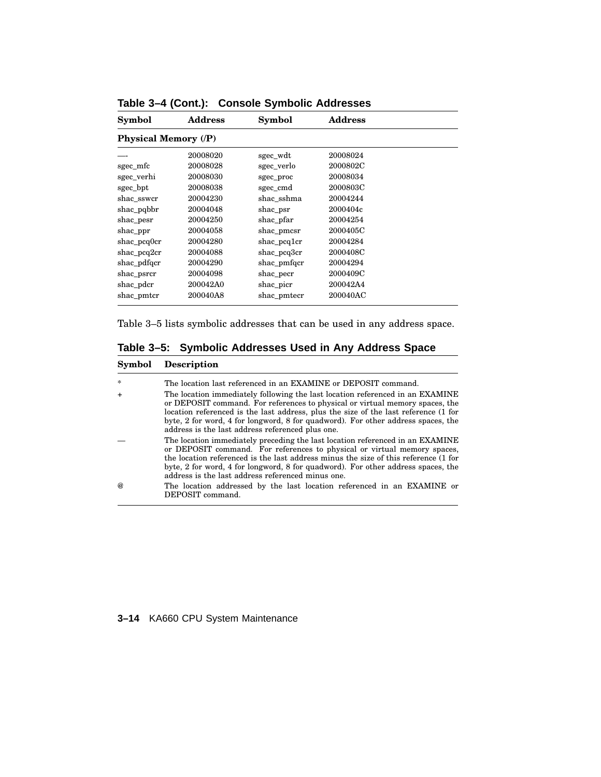| <b>Symbol</b>               | <b>Address</b> | <b>Symbol</b> | <b>Address</b> |  |
|-----------------------------|----------------|---------------|----------------|--|
| <b>Physical Memory (/P)</b> |                |               |                |  |
|                             | 20008020       | sgec_wdt      | 20008024       |  |
| sgec_mfc                    | 20008028       | sgec verlo    | 2000802C       |  |
| sgec_verhi                  | 20008030       | sgec_proc     | 20008034       |  |
| sgec_bpt                    | 20008038       | sgec_cmd      | 2000803C       |  |
| shac sswcr                  | 20004230       | shac sshma    | 20004244       |  |
| shac_pqbbr                  | 20004048       | shac_psr      | 2000404c       |  |
| shac_pesr                   | 20004250       | shac_pfar     | 20004254       |  |
| shac_ppr                    | 20004058       | shac_pmcsr    | 2000405C       |  |
| $shac\_pcq0cr$              | 20004280       | shac_pcq1cr   | 20004284       |  |
| $shac_pca2cr$               | 20004088       | shac_pcq3cr   | 2000408C       |  |
| shac_pdfqcr                 | 20004290       | shac_pmfqcr   | 20004294       |  |
| shac_psrcr                  | 20004098       | shac_pecr     | 2000409C       |  |
| shac_pdcr                   | 200042A0       | shac_picr     | 200042A4       |  |
| shac_pmtcr                  | 200040A8       | shac_pmtecr   | 200040AC       |  |

**Table 3–4 (Cont.): Console Symbolic Addresses**

Table 3–5 lists symbolic addresses that can be used in any address space.

**Table 3–5: Symbolic Addresses Used in Any Address Space**

| Symbol | Description |
|--------|-------------|
|--------|-------------|

| $\star$  | The location last referenced in an EXAMINE or DEPOSIT command.                                                                                                                                                                                                                                                                                                                               |
|----------|----------------------------------------------------------------------------------------------------------------------------------------------------------------------------------------------------------------------------------------------------------------------------------------------------------------------------------------------------------------------------------------------|
|          | The location immediately following the last location referenced in an EXAMINE<br>or DEPOSIT command. For references to physical or virtual memory spaces, the<br>location referenced is the last address, plus the size of the last reference (1 for<br>byte, 2 for word, 4 for longword, 8 for quadword). For other address spaces, the<br>address is the last address referenced plus one. |
|          | The location immediately preceding the last location referenced in an EXAMINE<br>or DEPOSIT command. For references to physical or virtual memory spaces,<br>the location referenced is the last address minus the size of this reference (1 for<br>byte, 2 for word, 4 for longword, 8 for quadword). For other address spaces, the<br>address is the last address referenced minus one.    |
| $\omega$ | The location addressed by the last location referenced in an EXAMINE or<br>DEPOSIT command.                                                                                                                                                                                                                                                                                                  |

### **3–14** KA660 CPU System Maintenance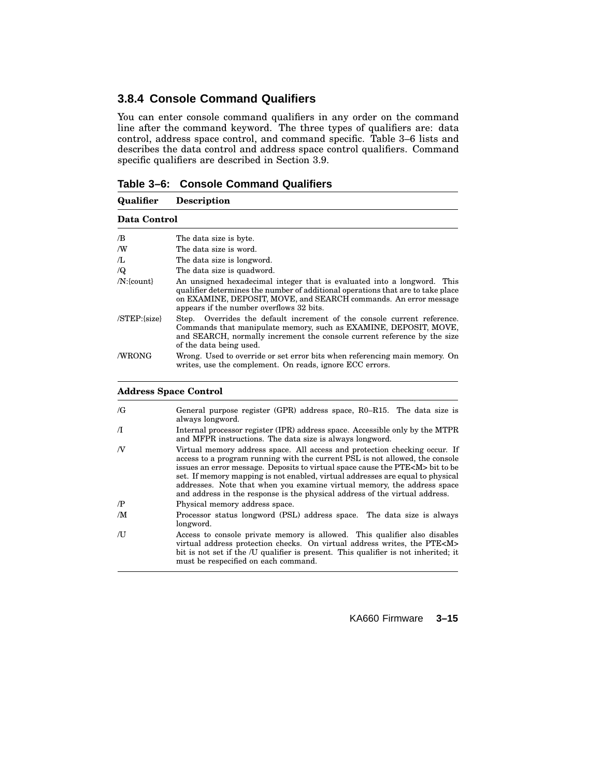# **3.8.4 Console Command Qualifiers**

You can enter console command qualifiers in any order on the command line after the command keyword. The three types of qualifiers are: data control, address space control, and command specific. Table 3–6 lists and describes the data control and address space control qualifiers. Command specific qualifiers are described in Section 3.9.

| Table 3–6: Console Command Qualifiers |  |  |  |  |
|---------------------------------------|--|--|--|--|
|---------------------------------------|--|--|--|--|

| Qualifier        | <b>Description</b>                                                                                                                                                                                                                                                         |
|------------------|----------------------------------------------------------------------------------------------------------------------------------------------------------------------------------------------------------------------------------------------------------------------------|
| Data Control     |                                                                                                                                                                                                                                                                            |
| /B               | The data size is byte.                                                                                                                                                                                                                                                     |
| /W               | The data size is word.                                                                                                                                                                                                                                                     |
| Æ,               | The data size is longword.                                                                                                                                                                                                                                                 |
| $\sqrt{Q}$       | The data size is quadword.                                                                                                                                                                                                                                                 |
| $/N$ : {count}   | An unsigned hexadecimal integer that is evaluated into a longword. This<br>qualifier determines the number of additional operations that are to take place<br>on EXAMINE, DEPOSIT, MOVE, and SEARCH commands. An error message<br>appears if the number overflows 32 bits. |
| $/STEP$ : {size} | Step. Overrides the default increment of the console current reference.<br>Commands that manipulate memory, such as EXAMINE, DEPOSIT, MOVE,<br>and SEARCH, normally increment the console current reference by the size<br>of the data being used.                         |
| /WRONG           | Wrong. Used to override or set error bits when referencing main memory. On<br>writes, use the complement. On reads, ignore ECC errors.                                                                                                                                     |

#### **Address Space Control**

| /G         | General purpose register (GPR) address space, $R0-R15$ . The data size is<br>always longword.                                                                                                                                                                                                                                                                                                                                                                                                   |
|------------|-------------------------------------------------------------------------------------------------------------------------------------------------------------------------------------------------------------------------------------------------------------------------------------------------------------------------------------------------------------------------------------------------------------------------------------------------------------------------------------------------|
| $\pi$      | Internal processor register (IPR) address space. Accessible only by the MTPR<br>and MFPR instructions. The data size is always longword.                                                                                                                                                                                                                                                                                                                                                        |
| N          | Virtual memory address space. All access and protection checking occur. If<br>access to a program running with the current PSL is not allowed, the console<br>issues an error message. Deposits to virtual space cause the PTE <m> bit to be<br/>set. If memory mapping is not enabled, virtual addresses are equal to physical<br/>addresses. Note that when you examine virtual memory, the address space<br/>and address in the response is the physical address of the virtual address.</m> |
| $\sqrt{P}$ | Physical memory address space.                                                                                                                                                                                                                                                                                                                                                                                                                                                                  |
| /M         | Processor status longword (PSL) address space. The data size is always<br>longword.                                                                                                                                                                                                                                                                                                                                                                                                             |
| /U         | Access to console private memory is allowed. This qualifier also disables<br>virtual address protection checks. On virtual address writes, the PTE <m><br/>bit is not set if the /U qualifier is present. This qualifier is not inherited; it<br/>must be respecified on each command.</m>                                                                                                                                                                                                      |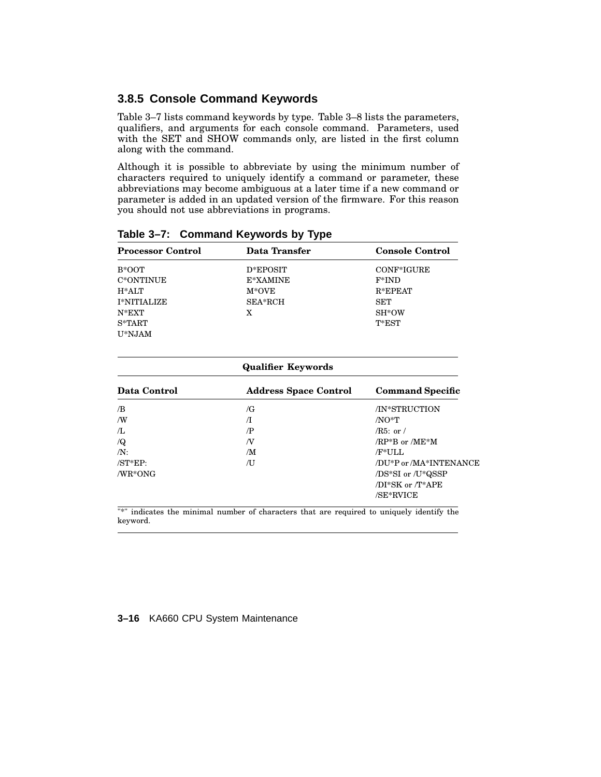### **3.8.5 Console Command Keywords**

Table 3–7 lists command keywords by type. Table 3–8 lists the parameters, qualifiers, and arguments for each console command. Parameters, used with the SET and SHOW commands only, are listed in the first column along with the command.

Although it is possible to abbreviate by using the minimum number of characters required to uniquely identify a command or parameter, these abbreviations may become ambiguous at a later time if a new command or parameter is added in an updated version of the firmware. For this reason you should not use abbreviations in programs.

| <b>Processor Control</b> | Data Transfer | <b>Console Control</b> |
|--------------------------|---------------|------------------------|
| B*OOT                    | D*EPOSIT      | CONF*IGURE             |
| C*ONTINUE                | E*XAMINE      | $F*IND$                |
| $H^*ALT$                 | $M*OVE$       | $R*EPEAT$              |
| <b>I*NITIALIZE</b>       | SEA*RCH       | <b>SET</b>             |
| $N*EXT$                  | X             | SH*OW                  |
| $S*TART$                 |               | T*EST                  |
| U*NJAM                   |               |                        |
|                          |               |                        |

**Table 3–7: Command Keywords by Type**

| <b>Qualifier Keywords</b> |                              |                         |
|---------------------------|------------------------------|-------------------------|
| Data Control              | <b>Address Space Control</b> | <b>Command Specific</b> |
| /B                        | /G                           | /IN*STRUCTION           |
| /W                        | Л                            | $/NO^*T$                |
| /L                        | /P                           | $/R5:$ or $/$           |
| $\sqrt{Q}$                | ΛV                           | $/RP*B$ or $/ME*M$      |
| $/N$ :                    | /M                           | /F*ULL                  |
| $/ST*EP$                  | ΛJ                           | /DU*P or /MA*INTENANCE  |
| $/WR*ONG$                 |                              | /DS*SI or /U*QSSP       |
|                           |                              | /DI*SK or /T*APE        |
|                           |                              | /SE*RVICE               |

"\*" indicates the minimal number of characters that are required to uniquely identify the keyword.

#### **3–16** KA660 CPU System Maintenance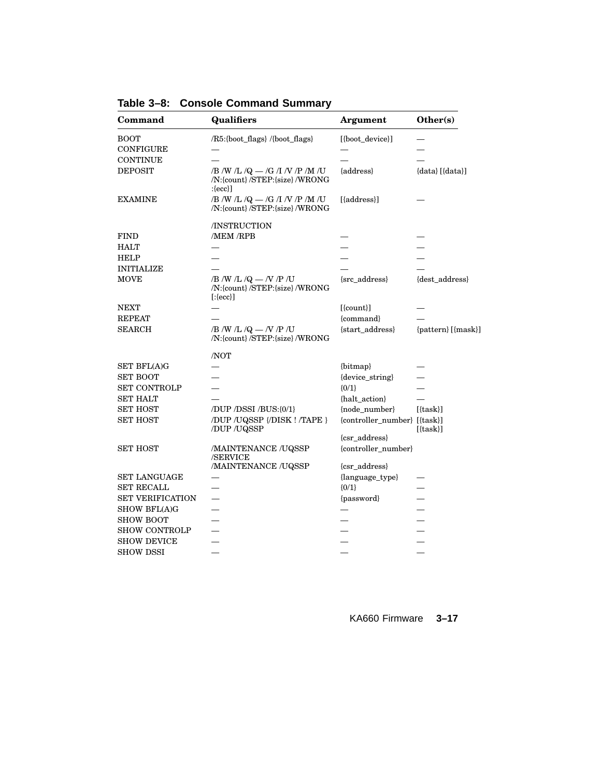| Command                 | Qualifiers                                                                       | <b>Argument</b>                      | Other(s)                |
|-------------------------|----------------------------------------------------------------------------------|--------------------------------------|-------------------------|
| <b>BOOT</b>             | /R5:{boot_flags} /{boot_flags}                                                   | [{boot_device}]                      |                         |
| <b>CONFIGURE</b>        |                                                                                  |                                      |                         |
| CONTINUE                |                                                                                  |                                      |                         |
| <b>DEPOSIT</b>          | /B /W /L /Q $-$ /G /I /V /P /M /U<br>/N:{count}/STEP:{size}/WRONG<br>$:\{ecc\}]$ | {address}                            | $\{data\}$ $[\{data\}]$ |
| <b>EXAMINE</b>          | /B /W /L /Q $-$ /G /I /V /P /M /U<br>/N:{count}/STEP:{size} /WRONG               | [{address}]                          |                         |
|                         | /INSTRUCTION                                                                     |                                      |                         |
| <b>FIND</b>             | /MEM /RPB                                                                        |                                      |                         |
| HALT                    |                                                                                  |                                      |                         |
| <b>HELP</b>             |                                                                                  |                                      |                         |
| <b>INITIALIZE</b>       |                                                                                  |                                      |                         |
| <b>MOVE</b>             | /B /W /L /Q $-$ /V /P /U<br>/N:{count}/STEP:{size}/WRONG<br>$[:{(\text{ecc})}]$  | {src_address}                        | {dest_address}          |
| <b>NEXT</b>             |                                                                                  | $[$ {count} $]$                      |                         |
| <b>REPEAT</b>           |                                                                                  | {command}                            |                         |
| <b>SEARCH</b>           | /B /W /L /Q $-$ /V /P /U<br>/N:{count}/STEP:{size}/WRONG                         | {start_address}                      | {pattern} [{mask}]      |
|                         | /NOT                                                                             |                                      |                         |
| <b>SET BFL(A)G</b>      |                                                                                  | {bitmap}                             |                         |
| <b>SET BOOT</b>         |                                                                                  | {device_string}                      |                         |
| <b>SET CONTROLP</b>     |                                                                                  | ${0/1}$                              |                         |
| <b>SET HALT</b>         |                                                                                  | {halt_action}                        |                         |
| SET HOST                | /DUP /DSSI /BUS:{0/1}                                                            | {node_number}                        | $[{\text{task}}]$       |
| <b>SET HOST</b>         | /DUP /UQSSP {/DISK ! /TAPE }<br>/DUP /UQSSP                                      | {controller_number} [{task}]         | $[{\text{task}}]$       |
|                         |                                                                                  | {csr_address}                        |                         |
| <b>SET HOST</b>         | /MAINTENANCE /UQSSP<br>/SERVICE<br>/MAINTENANCE /UQSSP                           | {controller_number}<br>{csr_address} |                         |
| SET LANGUAGE            |                                                                                  | {language_type}                      |                         |
| <b>SET RECALL</b>       |                                                                                  | ${0/1}$                              |                         |
| <b>SET VERIFICATION</b> |                                                                                  | {password}                           |                         |
| <b>SHOW BFL(A)G</b>     |                                                                                  |                                      |                         |
| <b>SHOW BOOT</b>        |                                                                                  |                                      |                         |
| <b>SHOW CONTROLP</b>    |                                                                                  |                                      |                         |
| <b>SHOW DEVICE</b>      |                                                                                  |                                      |                         |
| <b>SHOW DSSI</b>        |                                                                                  |                                      |                         |
|                         |                                                                                  |                                      |                         |

**Table 3–8: Console Command Summary**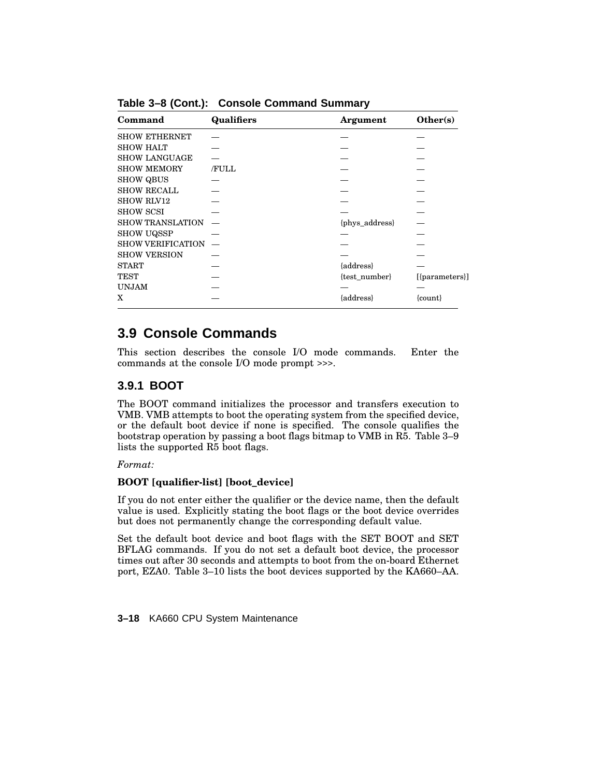| Command                  | <b>Qualifiers</b> | Argument       | Other(s)         |
|--------------------------|-------------------|----------------|------------------|
| <b>SHOW ETHERNET</b>     |                   |                |                  |
| SHOW HALT                |                   |                |                  |
| <b>SHOW LANGUAGE</b>     |                   |                |                  |
| <b>SHOW MEMORY</b>       | <b>FULL</b>       |                |                  |
| <b>SHOW QBUS</b>         |                   |                |                  |
| <b>SHOW RECALL</b>       |                   |                |                  |
| <b>SHOW RLV12</b>        |                   |                |                  |
| <b>SHOW SCSI</b>         |                   |                |                  |
| <b>SHOW TRANSLATION</b>  |                   | {phys_address} |                  |
| <b>SHOW UQSSP</b>        |                   |                |                  |
| <b>SHOW VERIFICATION</b> |                   |                |                  |
| <b>SHOW VERSION</b>      |                   |                |                  |
| <b>START</b>             |                   | {address}      |                  |
| <b>TEST</b>              |                   | {test_number}  | $[{parameters}]$ |
| UNJAM                    |                   |                |                  |
| X                        |                   | {address}      | $\{count\}$      |

**Table 3–8 (Cont.): Console Command Summary**

# **3.9 Console Commands**

This section describes the console I/O mode commands. Enter the commands at the console I/O mode prompt >>>.

# **3.9.1 BOOT**

The BOOT command initializes the processor and transfers execution to VMB. VMB attempts to boot the operating system from the specified device, or the default boot device if none is specified. The console qualifies the bootstrap operation by passing a boot flags bitmap to VMB in R5. Table 3–9 lists the supported R5 boot flags.

### *Format:*

### **BOOT [qualifier-list] [boot\_device]**

If you do not enter either the qualifier or the device name, then the default value is used. Explicitly stating the boot flags or the boot device overrides but does not permanently change the corresponding default value.

Set the default boot device and boot flags with the SET BOOT and SET BFLAG commands. If you do not set a default boot device, the processor times out after 30 seconds and attempts to boot from the on-board Ethernet port, EZA0. Table 3–10 lists the boot devices supported by the KA660–AA.

**3–18** KA660 CPU System Maintenance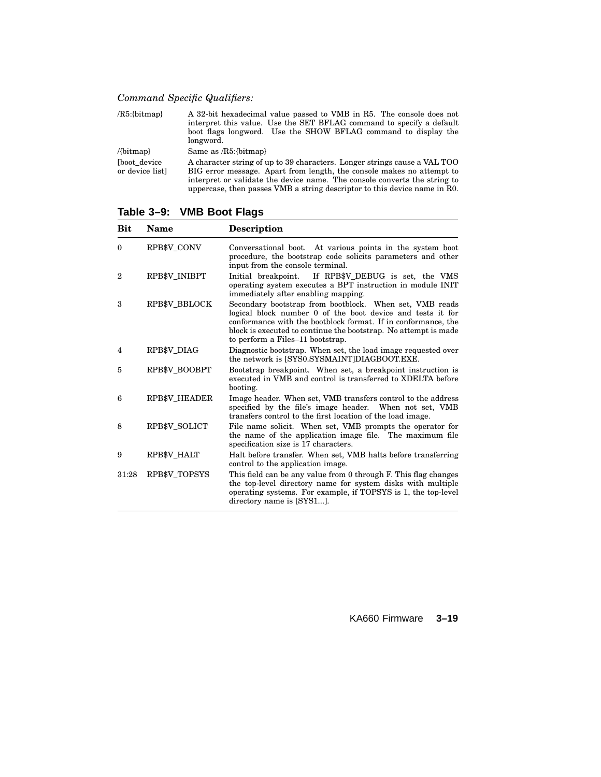*Command Specific Qualifiers:*

| $/R5$ :{bitmap}                        | A 32-bit hexadecimal value passed to VMB in R5. The console does not<br>interpret this value. Use the SET BFLAG command to specify a default<br>boot flags longword. Use the SHOW BFLAG command to display the<br>longword.                                                                                  |
|----------------------------------------|--------------------------------------------------------------------------------------------------------------------------------------------------------------------------------------------------------------------------------------------------------------------------------------------------------------|
| $\{bitmap\}$                           | Same as $/R5$ : {bitmap}                                                                                                                                                                                                                                                                                     |
| <b>Thoot</b> device<br>or device listl | A character string of up to 39 characters. Longer strings cause a VAL TOO<br>BIG error message. Apart from length, the console makes no attempt to<br>interpret or validate the device name. The console converts the string to<br>uppercase, then passes VMB a string descriptor to this device name in R0. |

**Table 3–9: VMB Boot Flags**

| Bit          | <b>Name</b>          | Description                                                                                                                                                                                                                                                                                   |
|--------------|----------------------|-----------------------------------------------------------------------------------------------------------------------------------------------------------------------------------------------------------------------------------------------------------------------------------------------|
| $\theta$     | RPB\$V CONV          | Conversational boot. At various points in the system boot<br>procedure, the bootstrap code solicits parameters and other<br>input from the console terminal.                                                                                                                                  |
| $\mathbf{2}$ | RPB\$V INIBPT        | If RPB\$V_DEBUG is set, the VMS<br>Initial breakpoint.<br>operating system executes a BPT instruction in module INIT<br>immediately after enabling mapping.                                                                                                                                   |
| 3            | <b>RPB\$V BBLOCK</b> | Secondary bootstrap from bootblock. When set, VMB reads<br>logical block number 0 of the boot device and tests it for<br>conformance with the bootblock format. If in conformance, the<br>block is executed to continue the bootstrap. No attempt is made<br>to perform a Files-11 bootstrap. |
| 4            | RPB\$V DIAG          | Diagnostic bootstrap. When set, the load image requested over<br>the network is ISYS0.SYSMAINTIDIAGBOOT.EXE.                                                                                                                                                                                  |
| 5            | RPB\$V BOOBPT        | Bootstrap breakpoint. When set, a breakpoint instruction is<br>executed in VMB and control is transferred to XDELTA before<br>booting.                                                                                                                                                        |
| 6            | <b>RPB\$V HEADER</b> | Image header. When set, VMB transfers control to the address<br>specified by the file's image header. When not set, VMB<br>transfers control to the first location of the load image.                                                                                                         |
| 8            | RPB\$V SOLICT        | File name solicit. When set, VMB prompts the operator for<br>the name of the application image file. The maximum file<br>specification size is 17 characters.                                                                                                                                 |
| 9            | RPB\$V HALT          | Halt before transfer. When set, VMB halts before transferring<br>control to the application image.                                                                                                                                                                                            |
| 31:28        | RPB\$V TOPSYS        | This field can be any value from 0 through F. This flag changes<br>the top-level directory name for system disks with multiple<br>operating systems. For example, if TOPSYS is 1, the top-level<br>directory name is [SYS1].                                                                  |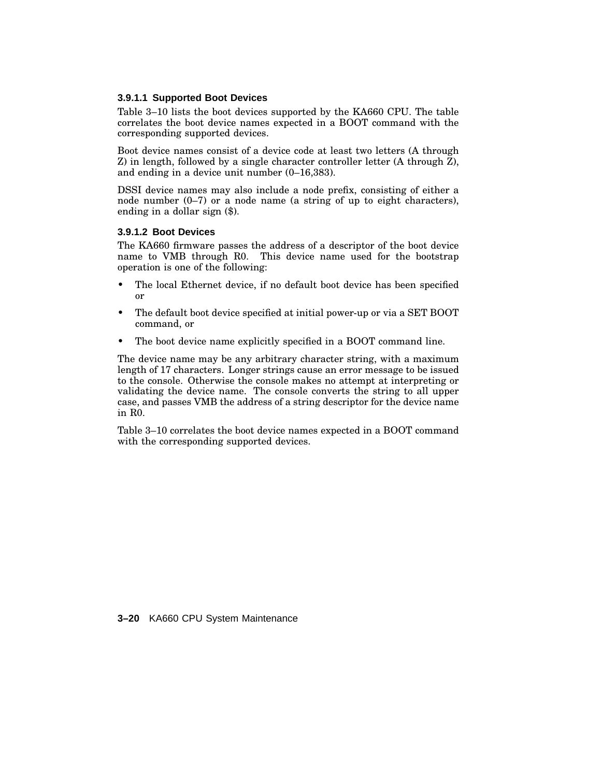### **3.9.1.1 Supported Boot Devices**

Table 3–10 lists the boot devices supported by the KA660 CPU. The table correlates the boot device names expected in a BOOT command with the corresponding supported devices.

Boot device names consist of a device code at least two letters (A through Z) in length, followed by a single character controller letter (A through Z), and ending in a device unit number (0–16,383).

DSSI device names may also include a node prefix, consisting of either a node number (0–7) or a node name (a string of up to eight characters), ending in a dollar sign (\$).

### **3.9.1.2 Boot Devices**

The KA660 firmware passes the address of a descriptor of the boot device name to VMB through R0. This device name used for the bootstrap operation is one of the following:

- The local Ethernet device, if no default boot device has been specified or
- The default boot device specified at initial power-up or via a SET BOOT command, or
- The boot device name explicitly specified in a BOOT command line.

The device name may be any arbitrary character string, with a maximum length of 17 characters. Longer strings cause an error message to be issued to the console. Otherwise the console makes no attempt at interpreting or validating the device name. The console converts the string to all upper case, and passes VMB the address of a string descriptor for the device name in R0.

Table 3–10 correlates the boot device names expected in a BOOT command with the corresponding supported devices.

**3–20** KA660 CPU System Maintenance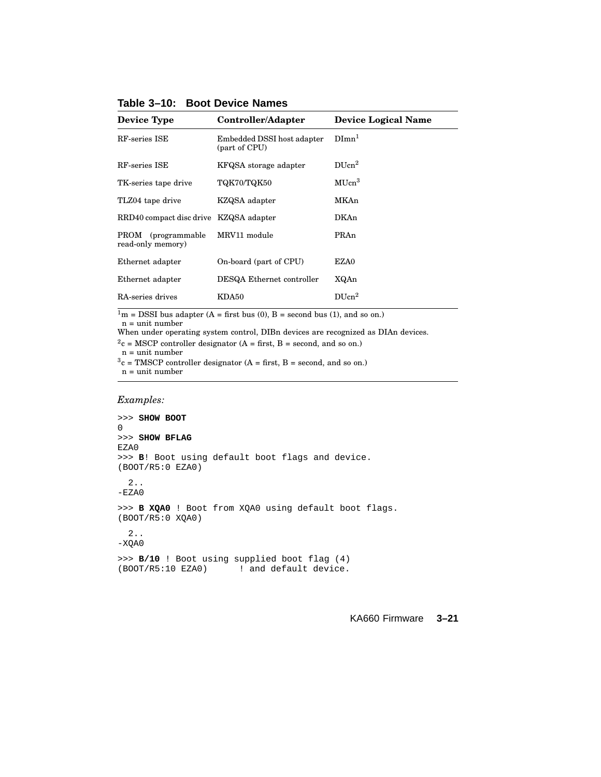| <b>Device Type</b>                          | Controller/Adapter                          | <b>Device Logical Name</b> |  |
|---------------------------------------------|---------------------------------------------|----------------------------|--|
| RF-series ISE                               | Embedded DSSI host adapter<br>(part of CPU) | $Dimn^1$                   |  |
| RF-series ISE                               | KFQSA storage adapter                       | $DI$ Icn <sup>2</sup>      |  |
| TK-series tape drive                        | TQK70/TQK50                                 | MUcn <sup>3</sup>          |  |
| TLZ04 tape drive                            | KZQSA adapter                               | MKAn                       |  |
| RRD40 compact disc drive KZQSA adapter      |                                             | <b>DKAn</b>                |  |
| (programmable)<br>PROM<br>read-only memory) | MRV11 module                                | PRAn                       |  |
| Ethernet adapter                            | On-board (part of CPU)                      | EZA0                       |  |
| Ethernet adapter                            | DESQA Ethernet controller                   | XQAn                       |  |
| RA-series drives                            | KDA50                                       | $DI$ Icn <sup>2</sup>      |  |

**Table 3–10: Boot Device Names**

 $\frac{1}{1}$ m = DSSI bus adapter (A = first bus (0), B = second bus (1), and so on.)

n = unit number

When under operating system control, DIBn devices are recognized as DIAn devices.

 $2c = MSCP$  controller designator (A = first, B = second, and so on.)

n = unit number

 $3c = TMSCP$  controller designator (A = first, B = second, and so on.) n = unit number

*Examples:*

```
>>> SHOW BOOT
0
>>> SHOW BFLAG
EZA0
>>> B! Boot using default boot flags and device.
(BOOT/R5:0 EZA0)
  2..
-EZA0
>>> B XQA0 ! Boot from XQA0 using default boot flags.
(BOOT/R5:0 XQA0)
  2..
-XQA0
>>> B/10 ! Boot using supplied boot flag (4)
(BOOT/R5:10 EZA0) ! and default device.
```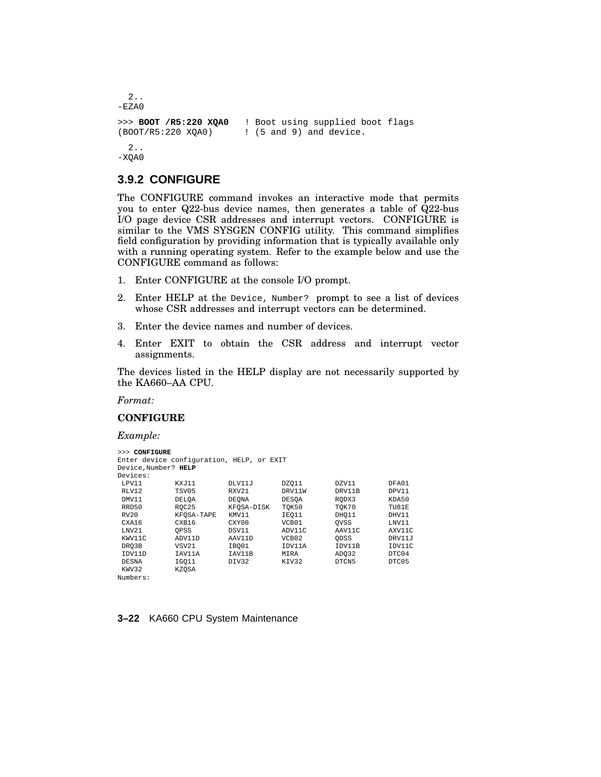```
2..
-EZAO>>> BOOT /R5:220 XQA0 ! Boot using supplied boot flags
(BOOT/R5:220 XQA0) ! (5 and 9) and device.
 2..
-XQA0
```
### **3.9.2 CONFIGURE**

The CONFIGURE command invokes an interactive mode that permits you to enter Q22-bus device names, then generates a table of Q22-bus I/O page device CSR addresses and interrupt vectors. CONFIGURE is similar to the VMS SYSGEN CONFIG utility. This command simplifies field configuration by providing information that is typically available only with a running operating system. Refer to the example below and use the CONFIGURE command as follows:

- 1. Enter CONFIGURE at the console I/O prompt.
- 2. Enter HELP at the Device, Number? prompt to see a list of devices whose CSR addresses and interrupt vectors can be determined.
- 3. Enter the device names and number of devices.
- 4. Enter EXIT to obtain the CSR address and interrupt vector assignments.

The devices listed in the HELP display are not necessarily supported by the KA660–AA CPU.

*Format:*

#### **CONFIGURE**

*Example:*

```
>>> CONFIGURE
Enter device configuration, HELP, or EXIT
Device,Number? HELP
Devices:<br>LPV11
LPV11 KXJ11 DLV11J DZQ11 DZV11 DFA01
RLV12 TSV05 RXV21 DRV11W DRV11B DPV11
DMV11 DELQA DEQNA DESQA RQDX3 KDA50
RRD50 RQC25 KFQSA-DISK TQK50 TQK70 TU81E<br>RV20 KFQSA-TAPE KMV11 IEQ11 DHQ11 DHV11
RV20 KFQSA-TAPE KMV11 IEQ11 DHQ11 DHV11
CXA16 CXB16 CXY08 VCB01 QVSS LNV11
LNV21 QPSS DSV11 ADV11C AAV11C AXV11C
KWV11C ADV11D AAV11D VCB02 QDSS DRV11J
DRQ3B VSV21 IBQ01 IDV11A IDV11B IDV11C
IDV11D IAV11A IAV11B MIRA ADQ32 DTC04
DESNA IGQ11 DIV32 KIV32 DTCN5 DTC05
KWV32 KZQSA
Numbers:
```
#### **3–22** KA660 CPU System Maintenance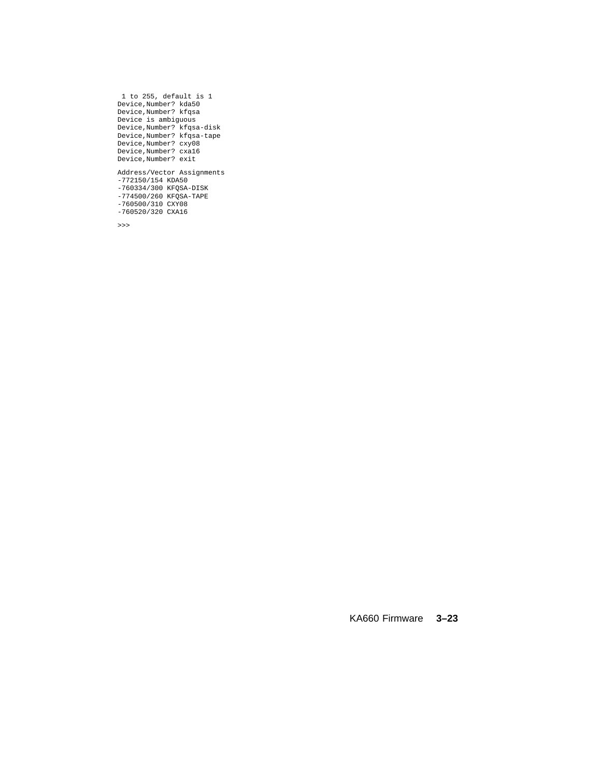```
1 to 255, default is 1
Device,Number? kda50
Device,Number? kfqsa
Device is ambiguous
Device,Number? kfqsa-disk
Device,Number? kfqsa-tape
Device,Number? cxy08
Device,Number? cxa16
Device,Number? exit
Address/Vector Assignments
-772150/154 KDA50
-760334/300 KFQSA-DISK
-774500/260 KFQSA-TAPE
-760500/310 CXY08
-760520/320 CXA16
```
>>>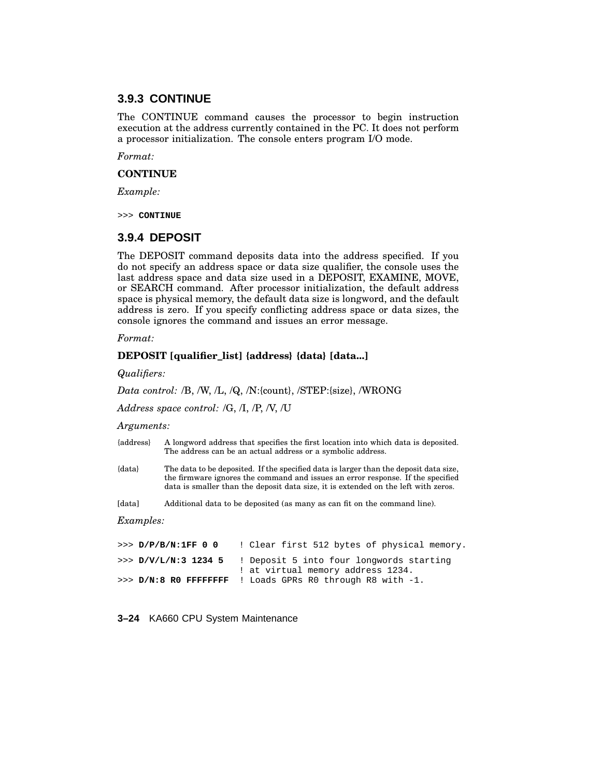### **3.9.3 CONTINUE**

The CONTINUE command causes the processor to begin instruction execution at the address currently contained in the PC. It does not perform a processor initialization. The console enters program I/O mode.

*Format:*

#### **CONTINUE**

*Example:*

>>> **CONTINUE**

### **3.9.4 DEPOSIT**

The DEPOSIT command deposits data into the address specified. If you do not specify an address space or data size qualifier, the console uses the last address space and data size used in a DEPOSIT, EXAMINE, MOVE, or SEARCH command. After processor initialization, the default address space is physical memory, the default data size is longword, and the default address is zero. If you specify conflicting address space or data sizes, the console ignores the command and issues an error message.

#### *Format:*

#### **DEPOSIT [qualifier\_list] {address} {data} [data...]**

*Qualifiers:*

*Data control:* /B, /W, /L, /Q, /N:{count}, /STEP:{size}, /WRONG

*Address space control:* /G, /I, /P, /V, /U

#### *Arguments:*

- {address} A longword address that specifies the first location into which data is deposited. The address can be an actual address or a symbolic address.
- {data} The data to be deposited. If the specified data is larger than the deposit data size, the firmware ignores the command and issues an error response. If the specified data is smaller than the deposit data size, it is extended on the left with zeros.

[data] Additional data to be deposited (as many as can fit on the command line).

*Examples:*

```
>>> D/P/B/N:1FF 0 0 ! Clear first 512 bytes of physical memory.
>>> D/V/L/N:3 1234 5 ! Deposit 5 into four longwords starting
                      ! at virtual memory address 1234.
>>> D/N:8 R0 FFFFFFFF ! Loads GPRs R0 through R8 with -1.
```
**3–24** KA660 CPU System Maintenance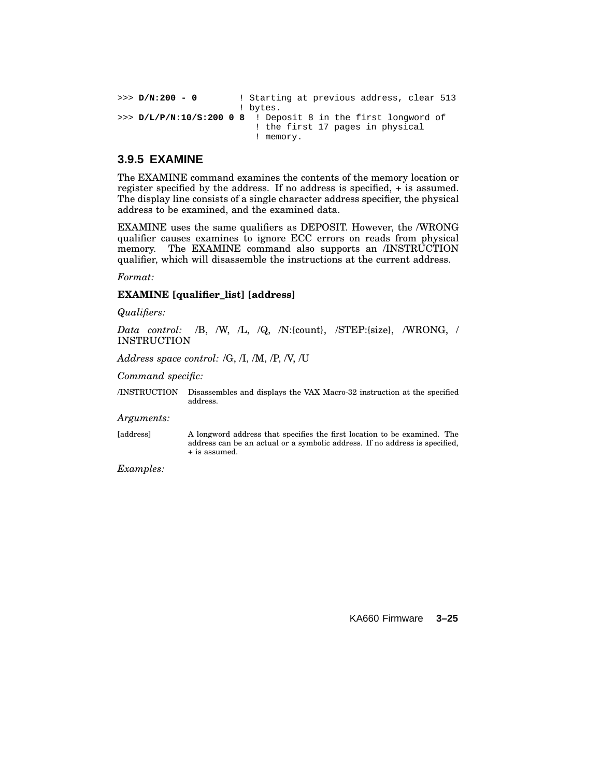```
>>> D/N:200 - 0 ! Starting at previous address, clear 513
                      ! bytes.
>>> D/L/P/N:10/S:200 0 8 ! Deposit 8 in the first longword of
                         ! the first 17 pages in physical
                         ! memory.
```
### **3.9.5 EXAMINE**

The EXAMINE command examines the contents of the memory location or register specified by the address. If no address is specified, + is assumed. The display line consists of a single character address specifier, the physical address to be examined, and the examined data.

EXAMINE uses the same qualifiers as DEPOSIT. However, the /WRONG qualifier causes examines to ignore ECC errors on reads from physical memory. The EXAMINE command also supports an /INSTRUCTION qualifier, which will disassemble the instructions at the current address.

*Format:*

### **EXAMINE [qualifier\_list] [address]**

*Qualifiers:*

*Data control:* /B, /W, /L, /Q, /N:{count}, /STEP:{size}, /WRONG, / INSTRUCTION

*Address space control:* /G, /I, /M, /P, /V, /U

*Command specific:*

/INSTRUCTION Disassembles and displays the VAX Macro-32 instruction at the specified address.

*Arguments:*

[address] A longword address that specifies the first location to be examined. The address can be an actual or a symbolic address. If no address is specified, + is assumed.

*Examples:*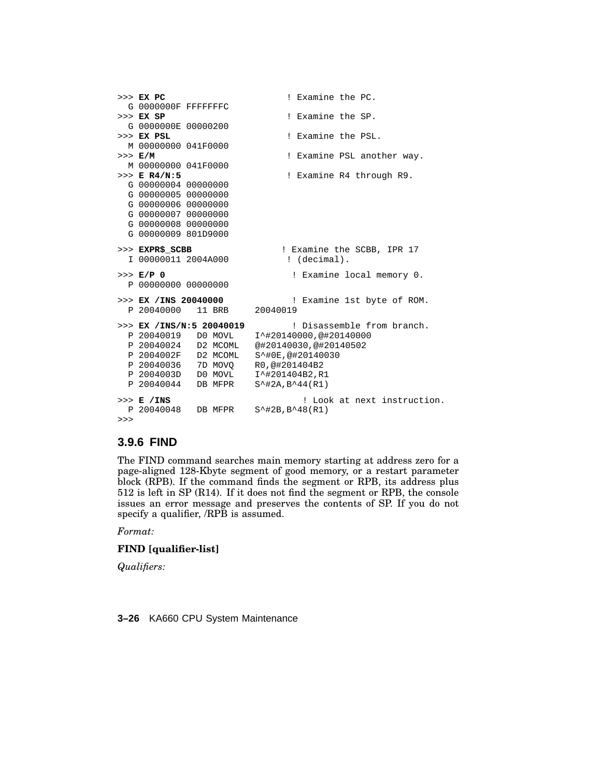```
>>> EX PC ! Examine the PC.
 G 0000000F FFFFFFFC
>>> EX SP ! Examine the SP.
 G 0000000E 00000200
>>> EX PSL ! Examine the PSL.
 M 00000000 041F0000
>>> E/M ! Examine PSL another way.
 M 00000000 041F0000
>>> E R4/N:5 ! Examine R4 through R9.
 G 00000004 00000000
 G 00000005 00000000
 G 00000006 00000000
 G 00000007 00000000
 G 00000008 00000000
 G 00000009 801D9000
>>> EXPR$_SCBB <br>
1 00000011 2004A000 <br>
2004A000 <br>
2004A000 <br>
2004A000 <br>
2008B
 I 00000011 2004A000
>>> E/P 0 ! Examine local memory 0.
 P 00000000 00000000
>>> EX /INS 20040000 ! Examine 1st byte of ROM.
 P 20040000 11 BRB 20040019
>>> EX /INS/N:5 20040019 ! Disassemble from branch.
 P 20040019 D0 MOVL I^#20140000,@#20140000
                      @#20140030,@#20140502<br>S^#0E,@#20140030P 2004002F D2 MCOML
 P 20040036 7D MOVQ R0,@#201404B2
 P 2004003D D0 MOVL I^#201404B2,R1
 P 20040044 DB MFPR S^#2A,B^44(R1)
>>> E /INS ! Look at next instruction.
           DB MFPR S^{\text{+2B,B-48(R1)}>>>
```
### **3.9.6 FIND**

The FIND command searches main memory starting at address zero for a page-aligned 128-Kbyte segment of good memory, or a restart parameter block (RPB). If the command finds the segment or RPB, its address plus 512 is left in SP (R14). If it does not find the segment or RPB, the console issues an error message and preserves the contents of SP. If you do not specify a qualifier, /RPB is assumed.

*Format:*

### **FIND [qualifier-list]**

*Qualifiers:*

**3–26** KA660 CPU System Maintenance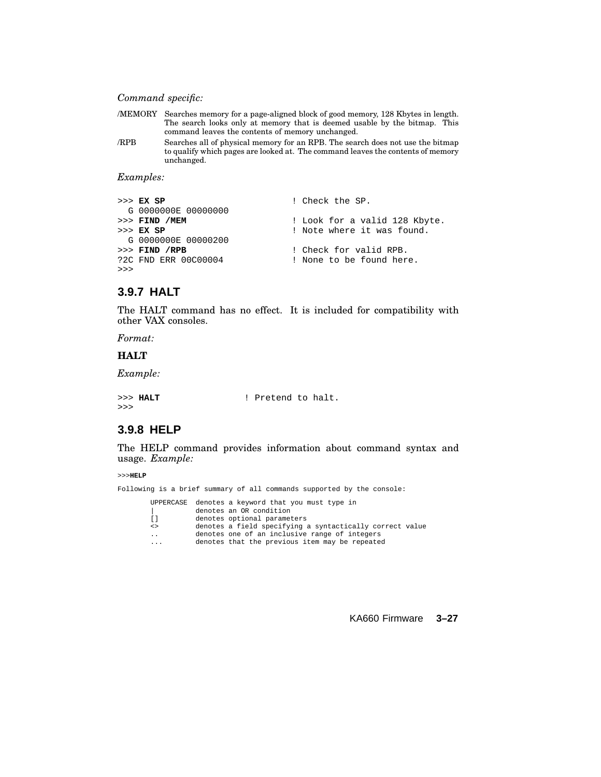### *Command specific:*

|                  |                     | /MEMORY Searches memory for a page-aligned block of good memory, 128 Kbytes in length.<br>The search looks only at memory that is deemed usable by the bitmap. This<br>command leaves the contents of memory unchanged. |
|------------------|---------------------|-------------------------------------------------------------------------------------------------------------------------------------------------------------------------------------------------------------------------|
| /RPB             | unchanged.          | Searches all of physical memory for an RPB. The search does not use the bitmap<br>to qualify which pages are looked at. The command leaves the contents of memory                                                       |
| <i>Examples:</i> |                     |                                                                                                                                                                                                                         |
| $>>$ EX SP       | G 0000000E 00000000 | ! Check the SP.                                                                                                                                                                                                         |
| $>>$ EX SP       | $>>$ FIND /MEM      | ! Look for a valid 128 Kbyte.<br>! Note where it was found.                                                                                                                                                             |

G 0000000E 00000200<br>>>> FIND /RPB >>> **FIND** /RPB<br>
?2C FND ERR 00C00004 1 None to be found here ! None to be found here. >>>

# **3.9.7 HALT**

The HALT command has no effect. It is included for compatibility with other VAX consoles.

*Format:*

#### **HALT**

*Example:*

|    | >>> HALT | ! Pretend to halt. |  |
|----|----------|--------------------|--|
| >> |          |                    |  |

### **3.9.8 HELP**

The HELP command provides information about command syntax and usage. *Example:*

>>>**HELP**

|                         | Following is a brief summary of all commands supported by the console:                                                                                      |  |
|-------------------------|-------------------------------------------------------------------------------------------------------------------------------------------------------------|--|
| $\Box$                  | UPPERCASE denotes a keyword that you must type in<br>denotes an OR condition<br>denotes optional parameters                                                 |  |
| $\leq$<br>$\ddotsc$     | denotes a field specifying a syntactically correct value<br>denotes one of an inclusive range of integers<br>denotes that the previous item may be repeated |  |
| $\cdot$ $\cdot$ $\cdot$ |                                                                                                                                                             |  |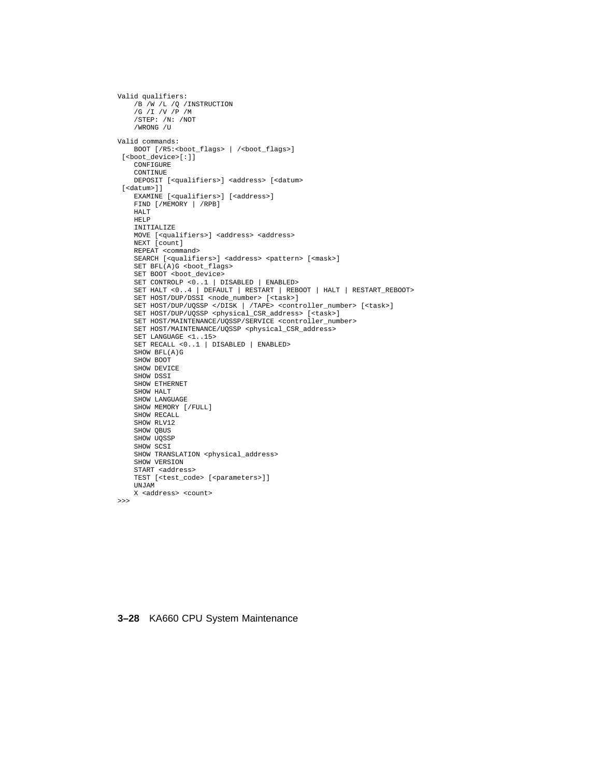```
Valid qualifiers:
    /B /W /L /Q /INSTRUCTION
/G /I /V /P /M
    /STEP: /N: /NOT
    /WRONG /U
Valid commands:
    BOOT [/R5:<boot_flags> | /<br/>boot_flags>]
 [<boot_device>[:]]
    CONFIGURE
    CONTINUE
    DEPOSIT [<qualifiers>] <address> [<datum>
 [<datum>]]
    EXAMINE [<qualifiers>] [<address>]
    FIND [/MEMORY | /RPB]
    HALT
    HELP
    INITIALIZE
    MOVE [<qualifiers>] <address> <address>
    NEXT [count]
    REPEAT <command>
    SEARCH [<qualifiers>] <address> <pattern> [<mask>]
    SET BFL(A)G <boot_flags>
    SET BOOT <br/>boot_device>
    SET CONTROLP <0..1 | DISABLED | ENABLED>
SET HALT <0..4 | DEFAULT | RESTART | REBOOT | HALT | RESTART_REBOOT>
    SET HOST/DUP/DSSI <node_number> [<task>]
    SET HOST/DUP/UQSSP </DISK | /TAPE> <controller_number> [<task>]
    SET HOST/DUP/UQSSP <physical_CSR_address> [<task>]
    SET HOST/MAINTENANCE/UQSSP/SERVICE <controller_number>
    SET HOST/MAINTENANCE/UQSSP <physical_CSR_address>
    SET LANGUAGE <1..15>
    SET RECALL <0..1 | DISABLED | ENABLED>
    SHOW BFL(A)G
    SHOW BOOT
    SHOW DEVICE
    SHOW DSSI
    SHOW ETHERNET
    SHOW HALT
    SHOW LANGUAGE
    SHOW MEMORY [/FULL]
    SHOW RECALL
    SHOW RLV12
    SHOW QBUS
    SHOW UQSSP
    SHOW SCSI
    SHOW TRANSLATION <physical_address>
    SHOW VERSION
    START <address>
    TEST [<test_code> [<parameters>]]
    UNJAM
    X <address> <count>
```

```
\rightarrow
```
#### **3–28** KA660 CPU System Maintenance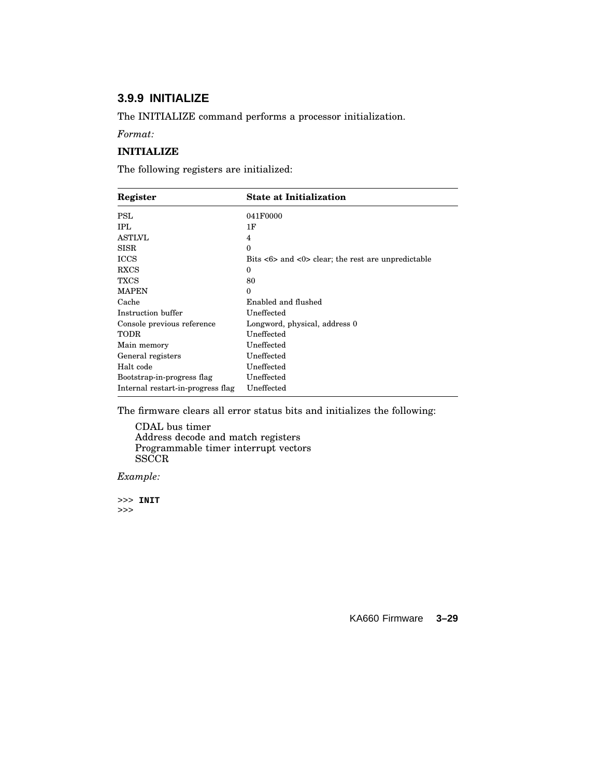# **3.9.9 INITIALIZE**

The INITIALIZE command performs a processor initialization.

*Format:*

### **INITIALIZE**

The following registers are initialized:

| Register                          | <b>State at Initialization</b>                                                     |  |
|-----------------------------------|------------------------------------------------------------------------------------|--|
| <b>PSL</b>                        | 041F0000                                                                           |  |
| IPL.                              | 1F                                                                                 |  |
| <b>ASTLVL</b>                     | 4                                                                                  |  |
| <b>SISR</b>                       | $\Omega$                                                                           |  |
| <b>ICCS</b>                       | Bits $\langle 6 \rangle$ and $\langle 0 \rangle$ clear; the rest are unpredictable |  |
| <b>RXCS</b>                       | $\Omega$                                                                           |  |
| <b>TXCS</b>                       | 80                                                                                 |  |
| <b>MAPEN</b>                      | $\Omega$                                                                           |  |
| Cache                             | Enabled and flushed                                                                |  |
| Instruction buffer                | Uneffected                                                                         |  |
| Console previous reference        | Longword, physical, address 0                                                      |  |
| TODR                              | Uneffected                                                                         |  |
| Main memory                       | Uneffected                                                                         |  |
| General registers                 | Uneffected                                                                         |  |
| Halt code                         | Uneffected                                                                         |  |
| Bootstrap-in-progress flag        | Uneffected                                                                         |  |
| Internal restart-in-progress flag | Uneffected                                                                         |  |
|                                   |                                                                                    |  |

The firmware clears all error status bits and initializes the following:

CDAL bus timer Address decode and match registers Programmable timer interrupt vectors  $_{\rm SSCCR}$ 

*Example:*

>>> **INIT** >>>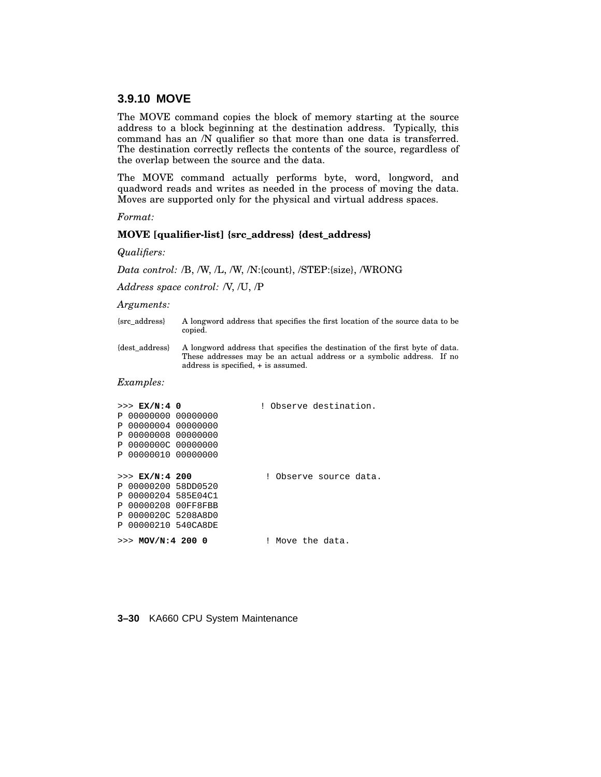### **3.9.10 MOVE**

The MOVE command copies the block of memory starting at the source address to a block beginning at the destination address. Typically, this command has an /N qualifier so that more than one data is transferred. The destination correctly reflects the contents of the source, regardless of the overlap between the source and the data.

The MOVE command actually performs byte, word, longword, and quadword reads and writes as needed in the process of moving the data. Moves are supported only for the physical and virtual address spaces.

*Format:*

#### **MOVE [qualifier-list] {src\_address} {dest\_address}**

*Qualifiers:*

*Data control:* /B, /W, /L, /W, /N:{count}, /STEP:{size}, /WRONG

*Address space control:* /V, /U, /P

#### *Arguments:*

- {src\_address} A longword address that specifies the first location of the source data to be copied.
- {dest\_address} A longword address that specifies the destination of the first byte of data. These addresses may be an actual address or a symbolic address. If no address is specified, + is assumed.

#### *Examples:*

| $>>$ EX/N:4 0          |  | ! Observe destination. |
|------------------------|--|------------------------|
| $P$ 000000000 00000000 |  |                        |
| P 00000004 00000000    |  |                        |
| $P$ 000000008 00000000 |  |                        |
| $P$ 00000000C 00000000 |  |                        |
| P 00000010 00000000    |  |                        |
|                        |  |                        |
| >> E[X/N:4 200         |  | Observe source data.   |
| P 00000200 58DD0520    |  |                        |
| P 00000204 585E04C1    |  |                        |
| P 00000208 00FF8FBB    |  |                        |
| P 0000020C 5208A8D0    |  |                        |
| P 00000210 540CA8DE    |  |                        |
| $>>$ MOV/N:4 200 0     |  | Move the data.         |

#### **3–30** KA660 CPU System Maintenance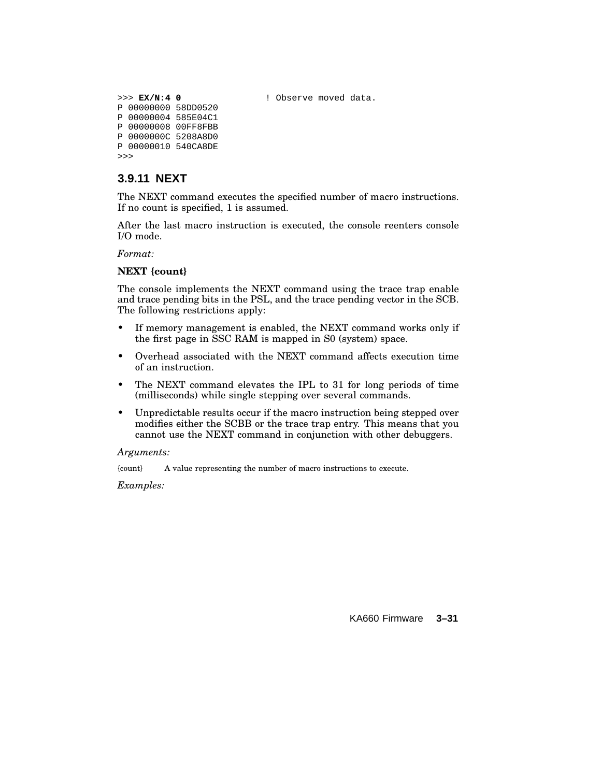>>> **EX/N:4 0** ! Observe moved data.

P 00000000 58DD0520 P 00000004 585E04C1 P 00000008 00FF8FBB P 0000000C 5208A8D0 P 00000010 540CA8DE >>>

## **3.9.11 NEXT**

The NEXT command executes the specified number of macro instructions. If no count is specified, 1 is assumed.

After the last macro instruction is executed, the console reenters console I/O mode.

*Format:*

### **NEXT {count}**

The console implements the NEXT command using the trace trap enable and trace pending bits in the PSL, and the trace pending vector in the SCB. The following restrictions apply:

- If memory management is enabled, the NEXT command works only if the first page in SSC RAM is mapped in S0 (system) space.
- Overhead associated with the NEXT command affects execution time of an instruction.
- The NEXT command elevates the IPL to 31 for long periods of time (milliseconds) while single stepping over several commands.
- Unpredictable results occur if the macro instruction being stepped over modifies either the SCBB or the trace trap entry. This means that you cannot use the NEXT command in conjunction with other debuggers.

#### *Arguments:*

{count} A value representing the number of macro instructions to execute.

*Examples:*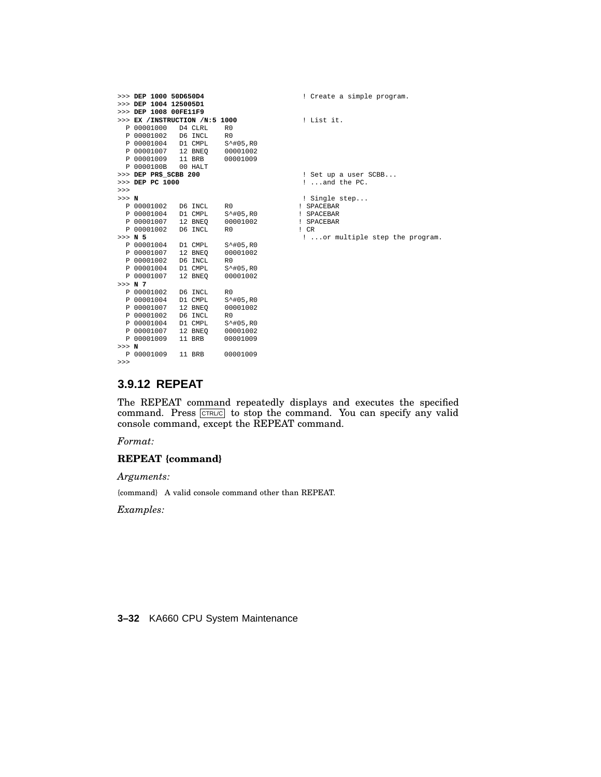```
>>> DEP 1000 50D650D4 ! Create a simple program.
>>> DEP 1004 125005D1
>>> DEP 1008 00FE11F9
>>> EX /INSTRUCTION /N:5 1000 ! List it.
  P 00001000 D4 CLRL R0<br>P 00001002 D6 INCL R0
  P 00001002 D6 INCL R0<br>P 00001004 D1 CMPL S^#05,R0
  P 00001004 D1 CMPL S<sup>^</sup>#05,R0<br>P 00001007 12 BNEQ 00001002
   P 00001007 12 BNEQ 00001002
P 00001009 11 BRB 00001009
P 0000100B 00 HALT
>>> DEP PR$_SCBB 200 <br>>>> DEP PC 1000 <br>2...and the PC.
                                                                >>> DEP PC 1000 ! ...and the PC.
>>><br>>>> N
 >> N ! Single step...<br>
P 00001002 D6 INCL R0 ! SPACEBAR
                                     P 00001002 D6 INCL R0 ! SPACEBAR
   P 00001004 D1 CMPL S^#05,R0 ! SPACEBAR
P 00001007 12 BNEQ 00001002 ! SPACEBAR
\frac{1}{2} P 00001002 D6 INCL R0<br>
\frac{1}{2} P 0001002 D6 INCL R0<br>
\frac{1}{2} .
                    \Box 5<sup>^</sup>#05, RO 1 ...or multiple step the program.
  P 00001004 D1 CMPL S<sup>^</sup>#05,R0<br>P 00001007 12 BNEQ 00001002
  P 00001007 12 BNEQ 000<br>P 00001002 D6 INCL R0
  P 00001002 D6 INCL R0<br>P 00001004 D1 CMPL S^#05,R0
                   12 BNEQ 00001002<br>
D6 INCL R0<br>
D1 CMPL S<sup>^</sup>#05,R0<br>
12 BNEQ 00001002
  P 00001007 12 BNEQ
>>> N 7
  P 00001002 D6 INCL R0<br>P 00001004 D1 CMPL S^#05,R0
  P 00001004 D1 CMPL S<sup>^</sup>#05,R0<br>P 00001007 12 BNEQ 00001002
  P 00001007 12 BNEQ 000<br>P 00001002 D6 INCL R0
  P 00001002 D6 INCL R0<br>P 00001004 D1 CMPL S<sup>^</sup>#05,R0
  P 00001004 D1 CMPL S<sup>^</sup>#05,R0<br>P 00001007 12 BNEQ 00001002
  P 00001007 12 BNEQ 00001002<br>P 00001009 11 BRB 00001009
  P 00001009 11 BRB
>>> N
  P 00001009 11 BRB 00001009
```
# **3.9.12 REPEAT**

The REPEAT command repeatedly displays and executes the specified command. Press CTRL/C to stop the command. You can specify any valid console command, except the REPEAT command.

*Format:*

>>>

### **REPEAT {command}**

*Arguments:*

{command} A valid console command other than REPEAT.

*Examples:*

**3–32** KA660 CPU System Maintenance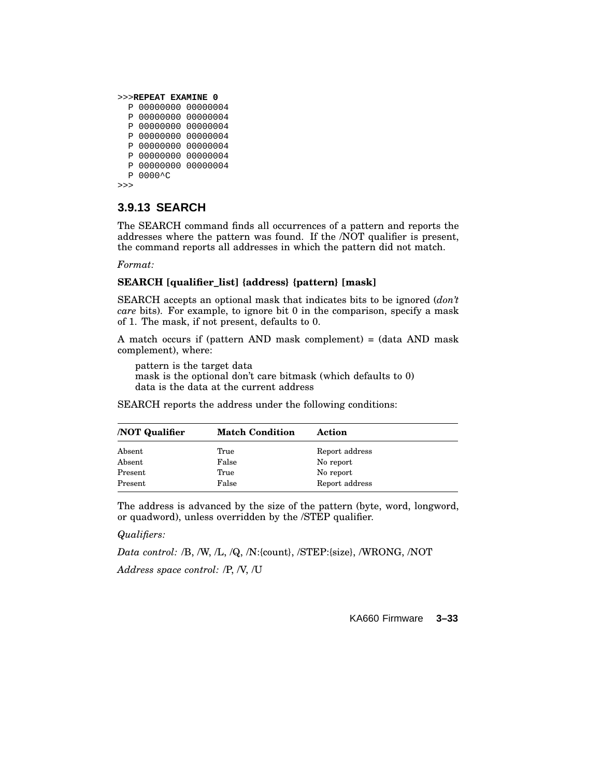```
>>>REPEAT EXAMINE 0
 P 00000000 00000004
 P 00000000 00000004
 P 00000000 00000004
 P 00000000 00000004
 P 00000000 00000004
  P 00000000 00000004
 P 00000000 00000004
 P 0000^C
>>>
```
### **3.9.13 SEARCH**

The SEARCH command finds all occurrences of a pattern and reports the addresses where the pattern was found. If the /NOT qualifier is present, the command reports all addresses in which the pattern did not match.

*Format:*

#### **SEARCH [qualifier\_list] {address} {pattern} [mask]**

SEARCH accepts an optional mask that indicates bits to be ignored (*don't care* bits). For example, to ignore bit 0 in the comparison, specify a mask of 1. The mask, if not present, defaults to 0.

A match occurs if (pattern AND mask complement) = (data AND mask complement), where:

pattern is the target data mask is the optional don't care bitmask (which defaults to 0) data is the data at the current address

SEARCH reports the address under the following conditions:

| <b>NOT Qualifier</b> | <b>Match Condition</b> | Action         |  |
|----------------------|------------------------|----------------|--|
| Absent               | True                   | Report address |  |
| Absent               | False                  | No report      |  |
| Present              | True                   | No report      |  |
| Present              | False                  | Report address |  |

The address is advanced by the size of the pattern (byte, word, longword, or quadword), unless overridden by the /STEP qualifier.

#### *Qualifiers:*

*Data control:* /B, /W, /L, /Q, /N:{count}, /STEP:{size}, /WRONG, /NOT

*Address space control:* /P, /V, /U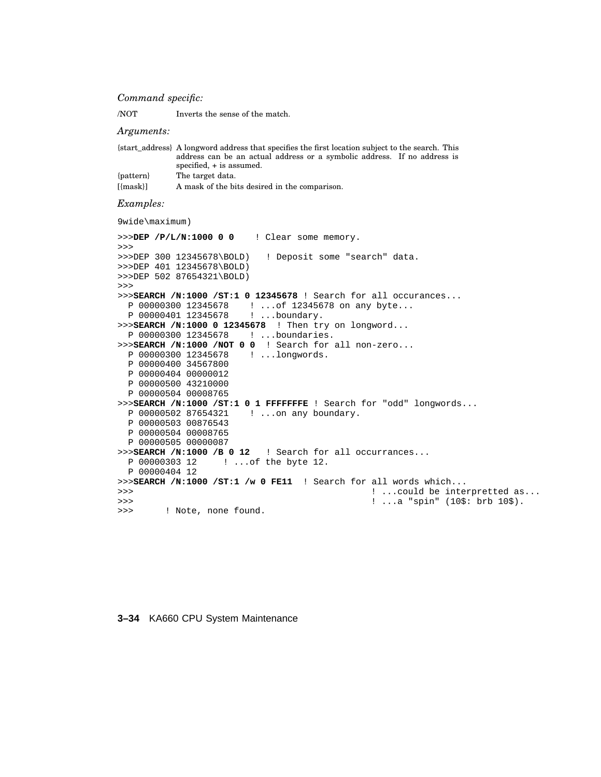#### *Command specific:*

/NOT Inverts the sense of the match.

#### *Arguments:*

|                | {start address} A longword address that specifies the first location subject to the search. This |
|----------------|--------------------------------------------------------------------------------------------------|
|                | address can be an actual address or a symbolic address. If no address is                         |
|                | specified, + is assumed.                                                                         |
| {pattern}      | The target data.                                                                                 |
| ${\rm [mask]}$ | A mask of the bits desired in the comparison.                                                    |

#### *Examples:*

9wide\maximum)

```
>>>DEP /P/L/N:1000 0 0 ! Clear some memory.
>>>
>>>DEP 300 12345678\BOLD) ! Deposit some "search" data.
>>>DEP 401 12345678\BOLD)
>>>DEP 502 87654321\BOLD)
>>>
>>>SEARCH /N:1000 /ST:1 0 12345678 ! Search for all occurances...
 P 00000300 12345678 ! ...of 12345678 on any byte...
 P 00000401 12345678
>>>SEARCH /N:1000 0 12345678 ! Then try on longword...
 P 00000300 12345678 ! ...boundaries.
>>>SEARCH /N:1000 /NOT 0 0 ! Search for all non-zero...
 P 00000300 12345678
 P 00000400 34567800
 P 00000404 00000012
 P 00000500 43210000
 P 00000504 00008765
>>>SEARCH /N:1000 /ST:1 0 1 FFFFFFFE ! Search for "odd" longwords...
 P 00000502 87654321 ! ...on any boundary.
 P 00000503 00876543
 P 00000504 00008765
 P 00000505 00000087
>>>SEARCH /N:1000 /B 0 12 ! Search for all occurrances...
 P 00000303 12 ! ...of the byte 12.
 P 00000404 12
>>>SEARCH /N:1000 /ST:1 /w 0 FE11 ! Search for all words which...
>>> ! ...could be interpretted as...
>>> ! ...a "spin" (10$: brb 10$).
>>> ! Note, none found.
```
### **3–34** KA660 CPU System Maintenance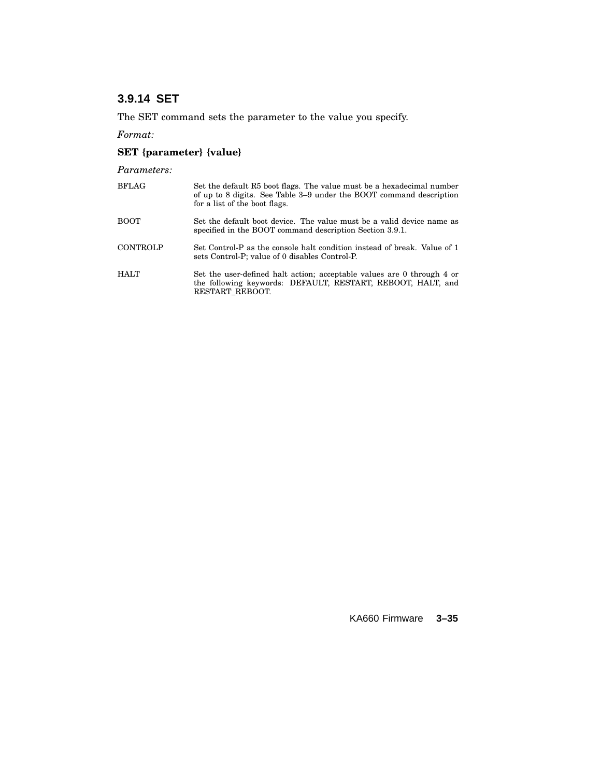# **3.9.14 SET**

The SET command sets the parameter to the value you specify.

*Format:*

# **SET {parameter} {value}**

*Parameters:*

| <b>BFLAG</b>    | Set the default R5 boot flags. The value must be a hexadecimal number<br>of up to 8 digits. See Table 3–9 under the BOOT command description<br>for a list of the boot flags. |
|-----------------|-------------------------------------------------------------------------------------------------------------------------------------------------------------------------------|
| <b>BOOT</b>     | Set the default boot device. The value must be a valid device name as<br>specified in the BOOT command description Section 3.9.1.                                             |
| <b>CONTROLP</b> | Set Control-P as the console halt condition instead of break. Value of 1<br>sets Control-P; value of 0 disables Control-P.                                                    |
| <b>HALT</b>     | Set the user-defined halt action; acceptable values are 0 through 4 or<br>the following keywords: DEFAULT, RESTART, REBOOT, HALT, and<br>RESTART REBOOT.                      |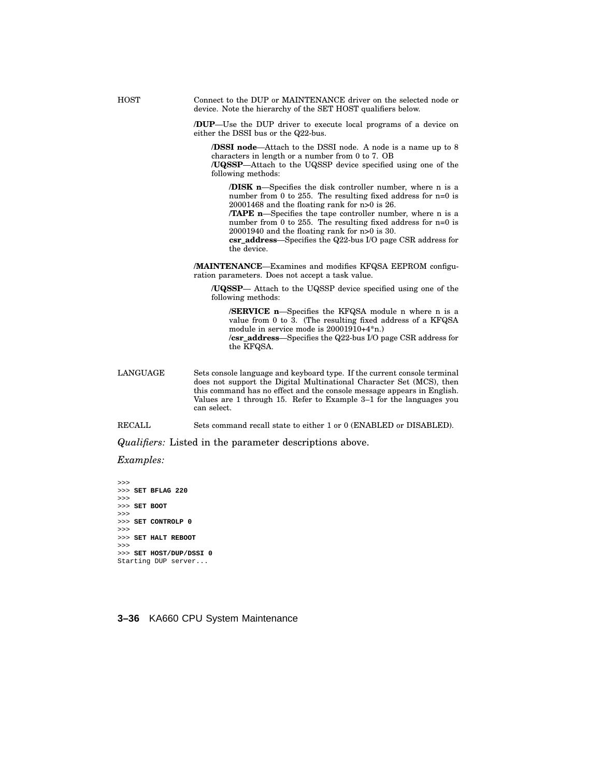HOST Connect to the DUP or MAINTENANCE driver on the selected node or device. Note the hierarchy of the SET HOST qualifiers below.

> **/DUP**—Use the DUP driver to execute local programs of a device on either the DSSI bus or the Q22-bus.

**/DSSI node**—Attach to the DSSI node. A node is a name up to 8 characters in length or a number from 0 to 7. OB

**/UQSSP**—Attach to the UQSSP device specified using one of the following methods:

**/DISK n**—Specifies the disk controller number, where n is a number from 0 to 255. The resulting fixed address for n=0 is 20001468 and the floating rank for n>0 is 26.

**/TAPE n**—Specifies the tape controller number, where n is a number from 0 to 255. The resulting fixed address for n=0 is 20001940 and the floating rank for n>0 is 30.

**csr\_address**—Specifies the Q22-bus I/O page CSR address for the device.

**/MAINTENANCE**—Examines and modifies KFQSA EEPROM configuration parameters. Does not accept a task value.

**/UQSSP**— Attach to the UQSSP device specified using one of the following methods:

**/SERVICE n**—Specifies the KFQSA module n where n is a value from 0 to 3. (The resulting fixed address of a KFQSA module in service mode is 20001910+4\*n.) **/csr\_address**—Specifies the Q22-bus I/O page CSR address for the KFQSA.

LANGUAGE Sets console language and keyboard type. If the current console terminal does not support the Digital Multinational Character Set (MCS), then this command has no effect and the console message appears in English. Values are 1 through 15. Refer to Example 3–1 for the languages you can select.

RECALL Sets command recall state to either 1 or 0 (ENABLED or DISABLED).

*Qualifiers:* Listed in the parameter descriptions above.

*Examples:*

>>> >>> **SET BFLAG 220** >>> >>> **SET BOOT** >>> >>> **SET CONTROLP 0** >>> >>> **SET HALT REBOOT** >>> >>> **SET HOST/DUP/DSSI 0** Starting DUP server...

**3–36** KA660 CPU System Maintenance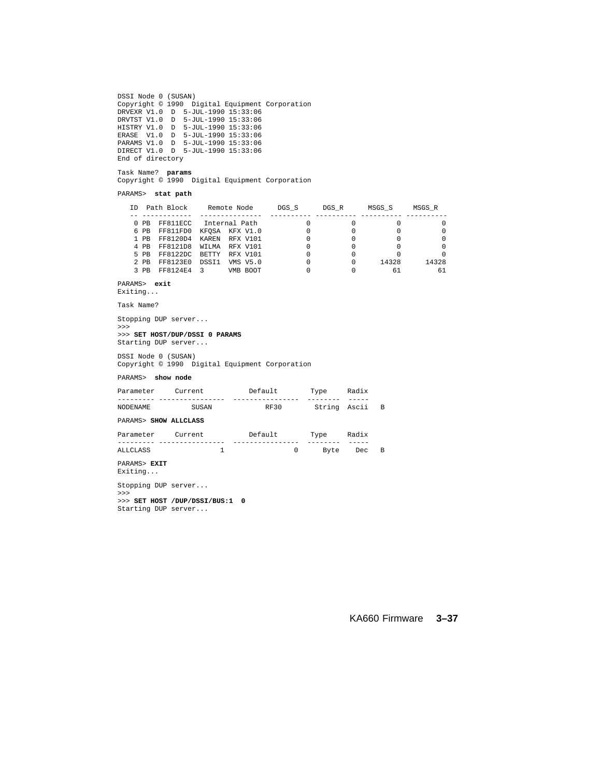DSSI Node 0 (SUSAN) Copyright © 1990 Digital Equipment Corporation DRVEXR V1.0 D 5-JUL-1990 15:33:06 DRVTST V1.0 D 5-JUL-1990 15:33:06 HISTRY V1.0 D 5-JUL-1990 15:33:06 ERASE V1.0 D 5-JUL-1990 15:33:06 PARAMS V1.0 D 5-JUL-1990 15:33:06 DIRECT V1.0 D 5-JUL-1990 15:33:06 End of directory

Task Name? **params** Copyright © 1990 Digital Equipment Corporation

PARAMS> **stat path**

| TD |        | Path Block     |               | Remote Node     | DGS S | DGS R | MSGS S | MSGS R |
|----|--------|----------------|---------------|-----------------|-------|-------|--------|--------|
|    |        |                |               |                 |       |       |        |        |
|    | $0$ PB | FF811ECC       |               | Internal Path   |       |       |        |        |
|    | 6 PB   | FF811FD0       |               | KFOSA KFX V1.0  |       |       |        |        |
|    | $1$ PR | FF8120D4       | KAREN         | RFX V101        |       |       |        |        |
|    | 4 PR   | FF8121D8       | <b>WTTMA</b>  | RFX V101        |       |       |        |        |
|    | 5 PR   | FF8122DC BETTY |               | RFX V101        |       |       |        |        |
|    | $2$ PB | FF8123E0       | DSST1         | <b>VMS V5.0</b> |       | 0     | 14328  | 14328  |
|    | 3 PR   | FF8124E4       | $\mathcal{R}$ | VMB BOOT        |       |       | 61     | 61     |

PARAMS> **exit**

Exiting...

Task Name?

Stopping DUP server... >>>

>>> **SET HOST/DUP/DSSI 0 PARAMS**

Starting DUP server...

DSSI Node 0 (SUSAN) Copyright © 1990 Digital Equipment Corporation

PARAMS> **show node**

| Parameter             | Current | Default.    | Type         | Radix |                |
|-----------------------|---------|-------------|--------------|-------|----------------|
|                       |         |             |              |       |                |
| <b>NODENAME</b>       | SUSAN   | <b>RF30</b> | String Ascii |       | $\overline{B}$ |
| PARAMS> SHOW ALLCLASS |         |             |              |       |                |
| Parameter             | Current | Default     | Tyne         | Radix |                |

| ral alletel | CUL L CIIL | Deraurt | Y MC | nau±^ |  |
|-------------|------------|---------|------|-------|--|
|             |            |         | ____ | __    |  |
| ALLOLASS    |            |         |      | De c  |  |

#### PARAMS> **EXIT**

Exiting...

Stopping DUP server... >>> >>> **SET HOST /DUP/DSSI/BUS:1 0** Starting DUP server...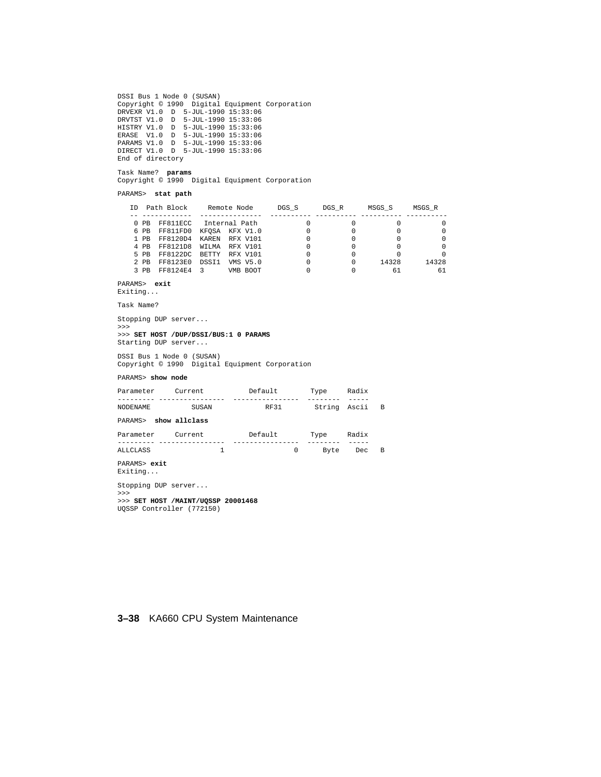```
DSSI Bus 1 Node 0 (SUSAN)
 Copyright © 1990 Digital Equipment Corporation
DRVEXR V1.0 D 5-JUL-1990 15:33:06
 DRVTST V1.0 D 5-JUL-1990 15:33:06
HISTRY V1.0 D 5-JUL-1990 15:33:06
 ERASE V1.0 D 5-JUL-1990 15:33:06
PARAMS V1.0 D 5-JUL-1990 15:33:06
DIRECT V1.0 D 5-JUL-1990 15:33:06
End of directory
```
Task Name? **params** Copyright © 1990 Digital Equipment Corporation

PARAMS> **stat path**

| TD |        | Path Block     |                | Remote Node   | DGS S | DGS R | MSGS S | MSGS R |
|----|--------|----------------|----------------|---------------|-------|-------|--------|--------|
|    |        |                |                |               |       |       |        |        |
|    | PB.    | FF811ECC       |                | Internal Path |       |       |        |        |
|    | 6 PB   | FF811FD0       | KFOSA KFX V1.0 |               |       |       |        |        |
|    | $1$ PR | FF8120D4       | KAREN          | RFX V101      |       |       |        |        |
|    | 4 PB   | FF8121D8       | <b>WTT.MA</b>  | RFX V101      |       |       |        |        |
|    | 5 PB   | FF8122DC BETTY |                | RFX V101      |       |       |        |        |
|    | $2$ PB | FF8123E0       | DSST1          | VMS V5.0      |       |       | 14328  | 14328  |
|    | PR     | FF8124E4       | ્ર             | VMB BOOT      |       |       | 61     | 61     |

PARAMS> **exit**

Exiting...

Task Name?

Stopping DUP server...

>>> >>> **SET HOST /DUP/DSSI/BUS:1 0 PARAMS** Starting DUP server...

DSSI Bus 1 Node 0 (SUSAN) Copyright © 1990 Digital Equipment Corporation

PARAMS> **show node**

| Parameter               | Current       | Default | Type         | Radix |                |
|-------------------------|---------------|---------|--------------|-------|----------------|
| NODENAME                | SUSAN         | RF31    | String Ascii |       | $\overline{B}$ |
| PARAMS>                 | show allclass |         |              |       |                |
| Parameter               | Current       | Default | Type         | Radix |                |
| ALLCLASS                | 1             | 0       | Byte         | Dec   | $\Box$         |
| PARAMS> exit<br>Exiting |               |         |              |       |                |

Stopping DUP server... >>> >>> **SET HOST /MAINT/UQSSP 20001468** UQSSP Controller (772150)

#### **3–38** KA660 CPU System Maintenance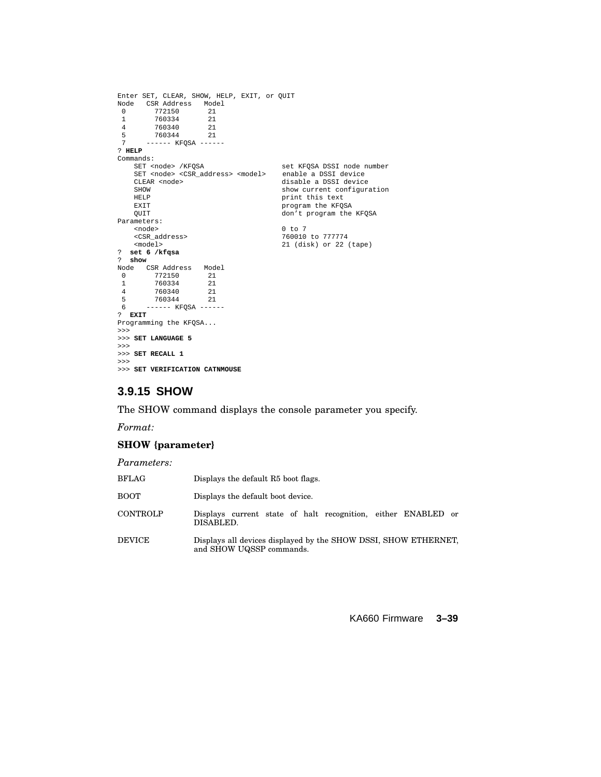```
Enter SET, CLEAR, SHOW, HELP, EXIT, or QUIT
Node CSR Address Model<br>0 772150 21
 \begin{array}{cccc} 0 & & 772150 & & 21 \\ 1 & & 760334 & & 21 \end{array}\begin{array}{cccc} 1 & 760334 & 21 \\ 4 & 760340 & 21 \end{array}4 760340 21<br>5 760344 21
 5 760344<br>7 ----- KI
        ------ KFOSA ------
? HELP
Commands:
     SET <node> /KFQSA set KFQSA DSSI node number
SET <node> <CSR_address> <model> enable a DSSI device
    CLEAR <node>
disable a DSSI device<br>
SHOW

show current configur
    SHOW show current configuration<br>
HELP show print this text
    HELP print this text<br>EXIT program the KFOS
    EXIT<br>
Program the KFQSA<br>
Program the KFQSA<br>
don't program the
                                               don't program the KFQSA
Parameters:
    <node> 0 to 7
     <CSR_address> 760010 to 777774
<model> 21 (disk) or 22 (tape)
? set 6 /kfqsa
? show
Node CSRAddress Model<br>0 772150 21
 ست<br>1 760334 21<br>1 760334 21
           760334 21<br>760340 21
 4 760340 21
 5 760344 21<br>6 ----- KFOSA ----
        ------- KFQSA ------
? EXIT
Programming the KFQSA...
>>>
>>> SET LANGUAGE 5
>>>
>>> SET RECALL 1
>>>
>>> SET VERIFICATION CATNMOUSE
```
# **3.9.15 SHOW**

The SHOW command displays the console parameter you specify.

*Format:*

### **SHOW {parameter}**

| Parameters:     |                                                                                             |
|-----------------|---------------------------------------------------------------------------------------------|
| <b>BFLAG</b>    | Displays the default R5 boot flags.                                                         |
| <b>BOOT</b>     | Displays the default boot device.                                                           |
| <b>CONTROLP</b> | Displays current state of halt recognition, either ENABLED or<br>DISABLED.                  |
| <b>DEVICE</b>   | Displays all devices displayed by the SHOW DSSI, SHOW ETHERNET,<br>and SHOW UQSSP commands. |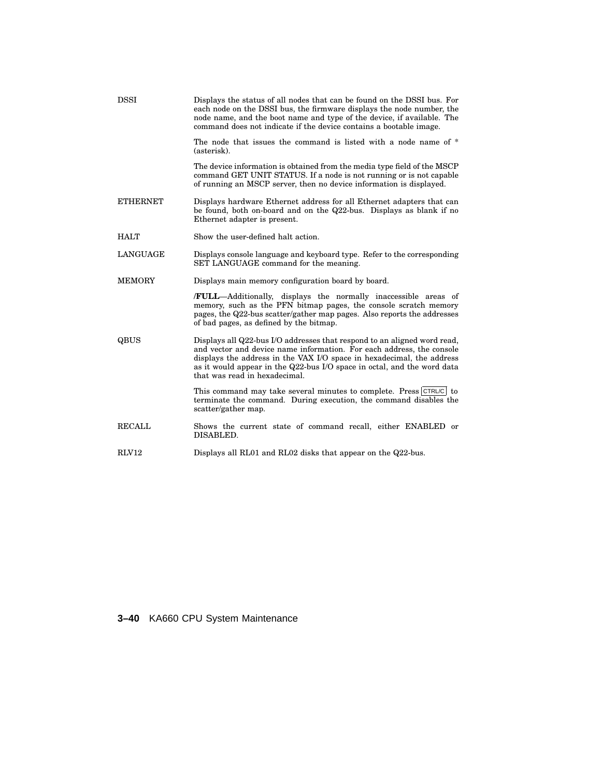| <b>DSSI</b>     | Displays the status of all nodes that can be found on the DSSI bus. For<br>each node on the DSSI bus, the firmware displays the node number, the<br>node name, and the boot name and type of the device, if available. The<br>command does not indicate if the device contains a bootable image.                                       |
|-----------------|----------------------------------------------------------------------------------------------------------------------------------------------------------------------------------------------------------------------------------------------------------------------------------------------------------------------------------------|
|                 | The node that issues the command is listed with a node name of *<br>(asterisk).                                                                                                                                                                                                                                                        |
|                 | The device information is obtained from the media type field of the MSCP<br>command GET UNIT STATUS. If a node is not running or is not capable<br>of running an MSCP server, then no device information is displayed.                                                                                                                 |
| <b>ETHERNET</b> | Displays hardware Ethernet address for all Ethernet adapters that can<br>be found, both on-board and on the Q22-bus. Displays as blank if no<br>Ethernet adapter is present.                                                                                                                                                           |
| <b>HALT</b>     | Show the user-defined halt action.                                                                                                                                                                                                                                                                                                     |
| <b>LANGUAGE</b> | Displays console language and keyboard type. Refer to the corresponding<br>SET LANGUAGE command for the meaning.                                                                                                                                                                                                                       |
| <b>MEMORY</b>   | Displays main memory configuration board by board.                                                                                                                                                                                                                                                                                     |
|                 | <b>FULL</b> —Additionally, displays the normally inaccessible areas of<br>memory, such as the PFN bitmap pages, the console scratch memory<br>pages, the Q22-bus scatter/gather map pages. Also reports the addresses<br>of bad pages, as defined by the bitmap.                                                                       |
| QBUS            | Displays all Q22-bus I/O addresses that respond to an aligned word read,<br>and vector and device name information. For each address, the console<br>displays the address in the VAX I/O space in hexadecimal, the address<br>as it would appear in the Q22-bus I/O space in octal, and the word data<br>that was read in hexadecimal. |
|                 | This command may take several minutes to complete. Press CTRL/C to<br>terminate the command. During execution, the command disables the<br>scatter/gather map.                                                                                                                                                                         |
| <b>RECALL</b>   | Shows the current state of command recall, either ENABLED or<br>DISABLED.                                                                                                                                                                                                                                                              |
| <b>RLV12</b>    | Displays all RL01 and RL02 disks that appear on the Q22-bus.                                                                                                                                                                                                                                                                           |

# **3–40** KA660 CPU System Maintenance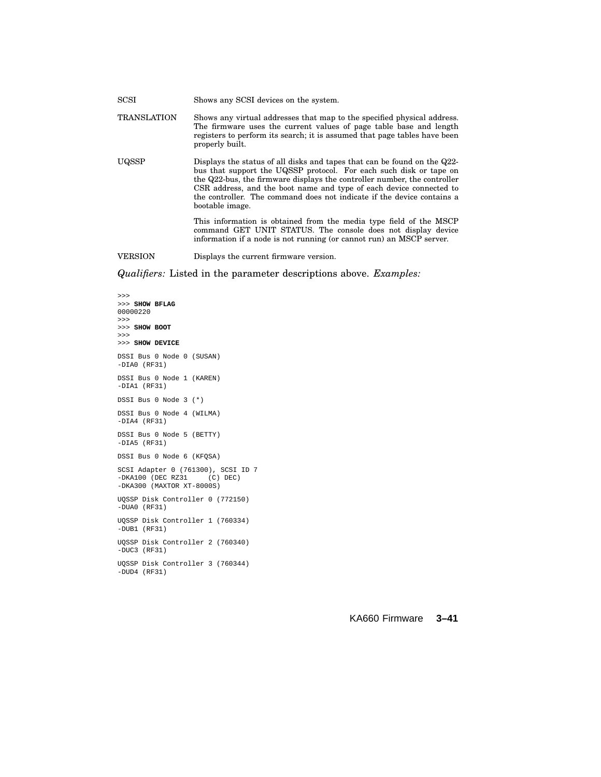| SCSI               | Shows any SCSI devices on the system.                                                                                                                                                                                                                                                                                                                                                          |
|--------------------|------------------------------------------------------------------------------------------------------------------------------------------------------------------------------------------------------------------------------------------------------------------------------------------------------------------------------------------------------------------------------------------------|
| <b>TRANSLATION</b> | Shows any virtual addresses that map to the specified physical address.<br>The firmware uses the current values of page table base and length<br>registers to perform its search; it is assumed that page tables have been<br>properly built.                                                                                                                                                  |
| UQSSP              | Displays the status of all disks and tapes that can be found on the Q22-<br>bus that support the UQSSP protocol. For each such disk or tape on<br>the Q22-bus, the firmware displays the controller number, the controller<br>CSR address, and the boot name and type of each device connected to<br>the controller. The command does not indicate if the device contains a<br>bootable image. |
|                    | This information is obtained from the media type field of the MSCP<br>command GET UNIT STATUS. The console does not display device<br>information if a node is not running (or cannot run) an MSCP server.                                                                                                                                                                                     |
| VERSION            | Displays the current firmware version.                                                                                                                                                                                                                                                                                                                                                         |

*Qualifiers:* Listed in the parameter descriptions above. *Examples:*

>>> >>> **SHOW BFLAG** 00000220 >>> >>> **SHOW BOOT** >>> >>> **SHOW DEVICE** DSSI Bus 0 Node 0 (SUSAN) -DIA0 (RF31) DSSI Bus 0 Node 1 (KAREN) -DIA1 (RF31) DSSI Bus 0 Node 3 (\*) DSSI Bus 0 Node 4 (WILMA) -DIA4 (RF31) DSSI Bus 0 Node 5 (BETTY) -DIA5 (RF31) DSSI Bus 0 Node 6 (KFQSA) SCSI Adapter 0 (761300), SCSI ID 7 -DKA100 (DEC RZ31 (C) DEC) -DKA300 (MAXTOR XT-8000S) UQSSP Disk Controller 0 (772150) -DUA0 (RF31) UQSSP Disk Controller 1 (760334) -DUB1 (RF31) UQSSP Disk Controller 2 (760340) -DUC3 (RF31) UQSSP Disk Controller 3 (760344) -DUD4 (RF31)

### KA660 Firmware **3–41**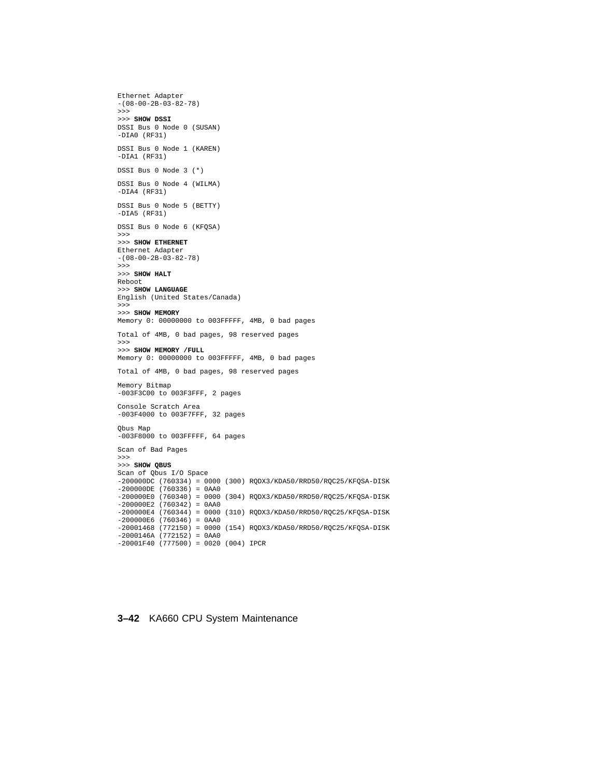```
Ethernet Adapter
-(08-00-2B-03-82-78)
>>>
>>> SHOW DSSI
DSSI Bus 0 Node 0 (SUSAN)
-DIA0 (RF31)
DSSI Bus 0 Node 1 (KAREN)
-DIA1 (RF31)
DSSI Bus 0 Node 3 (*)
DSSI Bus 0 Node 4 (WILMA)
-DIA4 (RF31)
DSSI Bus 0 Node 5 (BETTY)
-DIA5 (RF31)
DSSI Bus 0 Node 6 (KFQSA)
>>>
>>> SHOW ETHERNET
Ethernet Adapter
-(08-00-2B-03-82-78)
>>>
>>> SHOW HALT
Reboot
>>> SHOW LANGUAGE
English (United States/Canada)
>>>
>>> SHOW MEMORY
Memory 0: 00000000 to 003FFFFF, 4MB, 0 bad pages
Total of 4MB, 0 bad pages, 98 reserved pages
>>>
>>> SHOW MEMORY /FULL
Memory 0: 00000000 to 003FFFFF, 4MB, 0 bad pages
Total of 4MB, 0 bad pages, 98 reserved pages
Memory Bitmap
-003F3C00 to 003F3FFF, 2 pages
Console Scratch Area
-003F4000 to 003F7FFF, 32 pages
Qbus Map
-003F8000 to 003FFFFF, 64 pages
Scan of Bad Pages
>>>
>>> SHOW QBUS
Scan of Qbus I/O Space
-200000DC (760334) = 0000 (300) RQDX3/KDA50/RRD50/RQC25/KFQSA-DISK
-200000DE (760336) = 0AA0
-200000E0 (760340) = 0000 (304) RQDX3/KDA50/RRD50/RQC25/KFQSA-DISK
-200000E2 (760342) = 0AA0
-200000E4 (760344) = 0000 (310) RQDX3/KDA50/RRD50/RQC25/KFQSA-DISK
-200000E6 (760346) = 0AA0
-20001468 (772150) = 0000 (154) RQDX3/KDA50/RRD50/RQC25/KFQSA-DISK
-2000146A (772152) = 0AA0
-20001F40 (777500) = 0020 (004) IPCR
```
### **3–42** KA660 CPU System Maintenance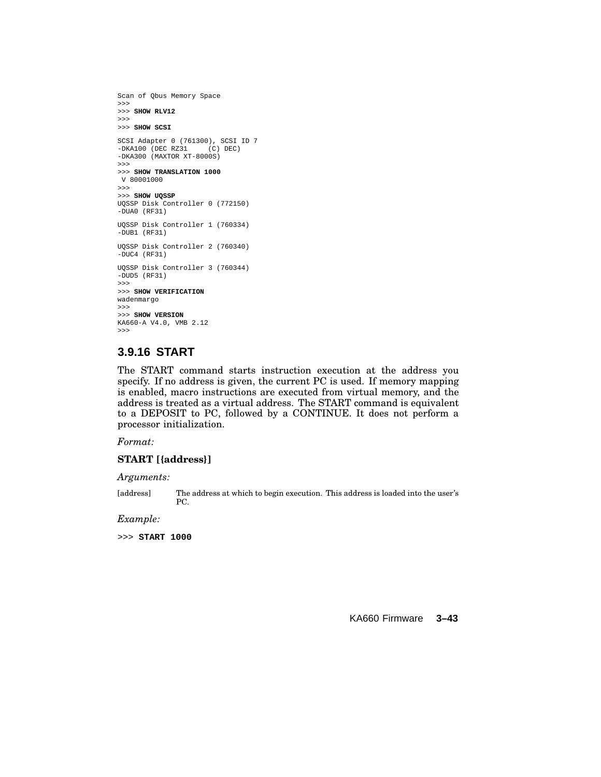```
Scan of Qbus Memory Space
>>>
>>> SHOW RLV12
>>>
>>> SHOW SCSI
SCSI Adapter 0 (761300), SCSI ID 7
-DKA100 (DEC RZ31 (C) DEC)
-DKA300 (MAXTOR XT-8000S)
>>>
>>> SHOW TRANSLATION 1000
V 80001000
>>>
>>> SHOW UQSSP
UQSSP Disk Controller 0 (772150)
-DUA0 (RF31)
UQSSP Disk Controller 1 (760334)
-DUB1 (RF31)
UQSSP Disk Controller 2 (760340)
-DUC4 (RF31)
UQSSP Disk Controller 3 (760344)
-DUD5 (RF31)
>>>
>>> SHOW VERIFICATION
wadenmargo
>>>
>>> SHOW VERSION
KA660-A V4.0, VMB 2.12
>>>
```
### **3.9.16 START**

The START command starts instruction execution at the address you specify. If no address is given, the current PC is used. If memory mapping is enabled, macro instructions are executed from virtual memory, and the address is treated as a virtual address. The START command is equivalent to a DEPOSIT to PC, followed by a CONTINUE. It does not perform a processor initialization.

*Format:*

### **START [{address}]**

*Arguments:*

[address] The address at which to begin execution. This address is loaded into the user's PC.

#### *Example:*

>>> **START 1000**

KA660 Firmware **3–43**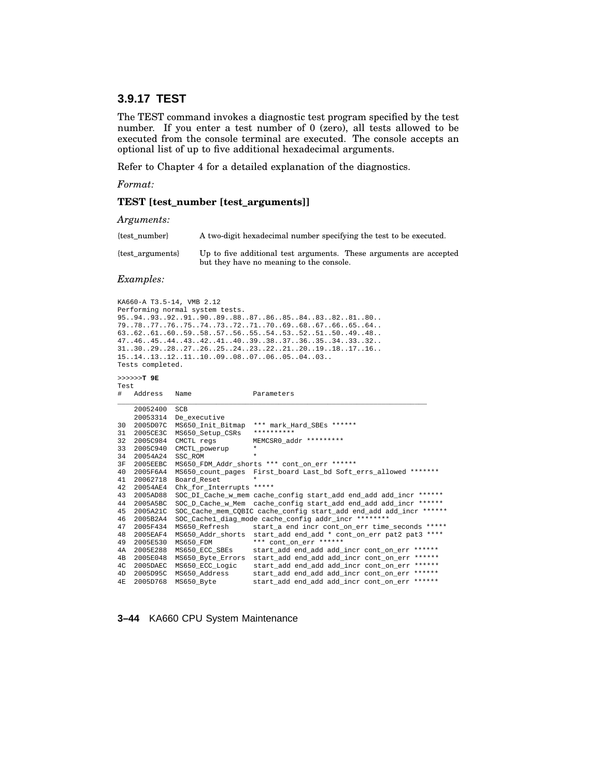## **3.9.17 TEST**

The TEST command invokes a diagnostic test program specified by the test number. If you enter a test number of 0 (zero), all tests allowed to be executed from the console terminal are executed. The console accepts an optional list of up to five additional hexadecimal arguments.

Refer to Chapter 4 for a detailed explanation of the diagnostics.

*Format:*

### **TEST [test\_number [test\_arguments]]**

*Arguments:*

| {test number}    | A two-digit hexadecimal number specifying the test to be executed.                                             |  |  |  |
|------------------|----------------------------------------------------------------------------------------------------------------|--|--|--|
| {test arguments} | Up to five additional test arguments. These arguments are accepted<br>but they have no meaning to the console. |  |  |  |

#### *Examples:*

KA660-A T3.5-14, VMB 2.12 Performing normal system tests. 95..94..93..92..91..90..89..88..87..86..85..84..83..82..81..80.. 79..78..77..76..75..74..73..72..71..70..69..68..67..66..65..64.. 63..62..61..60..59..58..57..56..55..54..53..52..51..50..49..48.. 47..46..45..44..43..42..41..40..39..38..37..36..35..34..33..32.. 31..30..29..28..27..26..25..24..23..22..21..20..19..18..17..16.. 15..14..13..12..11..10..09..08..07..06..05..04..03.. Tests completed.

```
>>>>>>T 9E
Test
```

| #    | Address  | Name                     | Parameters                                                               |
|------|----------|--------------------------|--------------------------------------------------------------------------|
|      | 20052400 | <b>SCB</b>               |                                                                          |
|      | 20053314 | De executive             |                                                                          |
| 30   | 2005D07C | MS650 Init Bitmap        | *** mark_Hard_SBEs ******                                                |
| 31   | 2005CE3C | MS650 Setup CSRs         | **********                                                               |
| 32   | 2005C984 | CMCTL regs               | MEMCSR0_addr *********                                                   |
| 33   | 2005C940 | CMCTL powerup            | $\star$                                                                  |
| 34   | 20054A24 | SSC ROM                  | $\star$                                                                  |
| 3F   | 2005EEBC |                          | MS650_FDM_Addr_shorts *** cont_on_err ******                             |
| 40   | 2005F6A4 |                          | MS650_count_pages    First_board    Last_bd    Soft_errs_allowed ******* |
| 41   | 20062718 | Board_Reset              | $\star$                                                                  |
| 42   | 20054AE4 | Chk_for_Interrupts ***** |                                                                          |
| 43   | 2005AD88 |                          | SOC_DI_Cache_w_mem cache_config start_add end_add add_incr ******        |
| 44   | 2005A5BC |                          | SOC_D_Cache_w_Mem cache_config start_add end_add add_incr ******         |
| 45   | 2005A21C |                          | SOC_Cache_mem_CQBIC cache_config start_add end_add add_incr ******       |
| 46   | 2005B2A4 |                          | SOC Cachel diag mode cache config addr incr ********                     |
| 47   | 2005F434 | MS650_Refresh            | start_a end incr cont_on_err time_seconds *****                          |
| 48   | 2005EAF4 |                          | MS650_Addr_shorts start_add end_add * cont_on_err pat2 pat3 ****         |
| 49   | 2005E530 | MS650 FDM                | *** cont on err ******                                                   |
| 4A   | 2005E288 | MS650 ECC SBEs           | $******$<br>start add end add add incr cont on err                       |
| 4B   | 2005E048 | MS650 Byte Errors        | $******$<br>start_add end_add add_incr cont_on_err                       |
| 4C   | 2005DAEC | MS650_ECC_Logic          | start_add end_add add_incr cont_on_err ******                            |
| 4D   | 2005D95C | MS650 Address            | start_add end_add add_incr cont_on err ******                            |
| 4 F. | 2005D768 | MS650 Byte               | start_add end_add add_incr cont_on err ******                            |

#### **3–44** KA660 CPU System Maintenance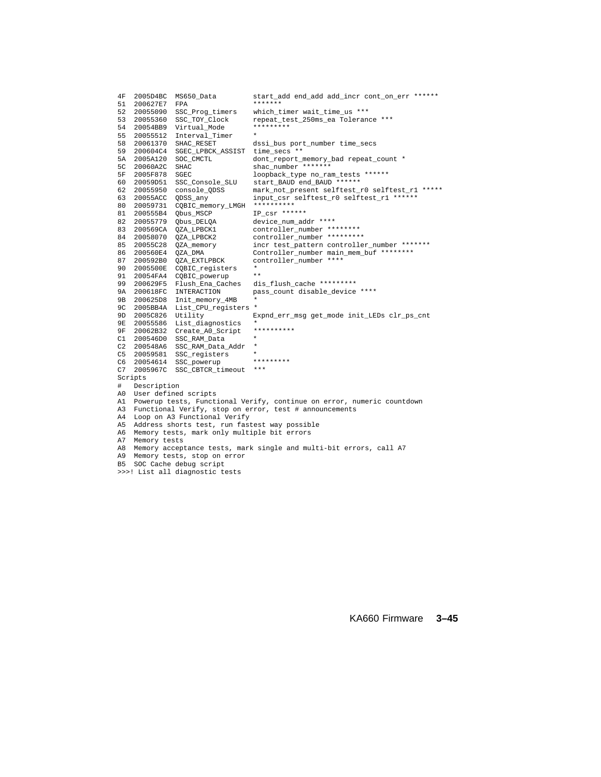| 4F             | 2005D4BC                                                               | MS650_Data                  | start_add end_add add_incr cont_on_err ******  |  |  |  |  |
|----------------|------------------------------------------------------------------------|-----------------------------|------------------------------------------------|--|--|--|--|
| 51             | 200627E7                                                               | FPA                         | *******                                        |  |  |  |  |
| 52             | 20055090                                                               | SSC_Prog_timers             | which_timer wait_time_us ***                   |  |  |  |  |
| 53             | 20055360                                                               | SSC TOY Clock               | repeat test 250ms ea Tolerance ***             |  |  |  |  |
| 54             | 20054BB9                                                               | Virtual Mode                | *********                                      |  |  |  |  |
| 55             | 20055512                                                               | Interval Timer              |                                                |  |  |  |  |
| 58             | 20061370                                                               | SHAC_RESET                  | dssi_bus port_number time_secs                 |  |  |  |  |
| 59             | 200604C4                                                               | SGEC_LPBCK_ASSIST           | time secs **                                   |  |  |  |  |
| 5А             | 2005A120                                                               | SOC_CMCTL                   | dont_report_memory_bad repeat_count *          |  |  |  |  |
| 5 <sup>C</sup> | 20060A2C                                                               | <b>SHAC</b>                 | shac number *******                            |  |  |  |  |
| 5F             | 2005F878                                                               | SGEC                        | loopback_type no_ram_tests ******              |  |  |  |  |
| 60             | 20059D51                                                               | SSC Console SLU             | start BAUD end BAUD ******                     |  |  |  |  |
| 62             | 20055950                                                               | console ODSS                | mark_not_present selftest_r0 selftest_r1 ***** |  |  |  |  |
| 63             | 20055ACC                                                               | ODSS any                    | input_csr selftest_r0 selftest_r1 ******       |  |  |  |  |
| 80             | 20059731                                                               | CQBIC_memory_LMGH           | **********                                     |  |  |  |  |
| 81             | 200555B4                                                               | Qbus_MSCP                   | IP_csr ******                                  |  |  |  |  |
| 82             | 20055779                                                               | Qbus_DELQA                  | device_num_addr ****                           |  |  |  |  |
| 83             | 200569CA                                                               | OZA LPBCK1                  | controller_number ********                     |  |  |  |  |
| 84             | 20058070                                                               | OZA LPBCK2                  | controller_number *********                    |  |  |  |  |
| 85             | 20055C28                                                               | OZA memory                  | incr test_pattern controller_number *******    |  |  |  |  |
| 86             | 200560E4                                                               | OZA DMA                     | Controller_number main_mem_buf ********        |  |  |  |  |
| 87             | 200592B0                                                               | <b>OZA EXTLPBCK</b>         | controller number ****                         |  |  |  |  |
| 90             | 2005500E                                                               | CQBIC_registers             | $\star$                                        |  |  |  |  |
| 91             | 20054FA4                                                               | CQBIC_powerup               | $\star\star$                                   |  |  |  |  |
| 99             | 200629F5                                                               | Flush_Ena_Caches            | dis_flush_cache *********                      |  |  |  |  |
| 9A             | 200618FC                                                               | INTERACTION                 | pass count disable device ****                 |  |  |  |  |
| 9 B            | 200625D8                                                               | Init memory 4MB             |                                                |  |  |  |  |
| 9C             | 2005BB4A                                                               | List CPU registers          | $\star$                                        |  |  |  |  |
| 9D             | 2005C826                                                               | Utility                     | Expnd err msg get mode init LEDs clr ps cnt    |  |  |  |  |
| 9E             | 20055586                                                               | List diagnostics            |                                                |  |  |  |  |
| 9F             | 20062B32                                                               | Create_A0_Script            | **********                                     |  |  |  |  |
| C1             | 200546D0                                                               | SSC_RAM_Data                | $\star$                                        |  |  |  |  |
| C2             | 200548A6                                                               | SSC_RAM_Data_Addr           | $^\star$                                       |  |  |  |  |
| C5             | 20059581                                                               |                             |                                                |  |  |  |  |
|                |                                                                        | SSC registers               | *********                                      |  |  |  |  |
| C6             | 20054614                                                               | SSC_powerup                 | $***$                                          |  |  |  |  |
| C7             | 2005967C                                                               | SSC CBTCR timeout           |                                                |  |  |  |  |
|                | Scripts                                                                |                             |                                                |  |  |  |  |
| #              | Description                                                            |                             |                                                |  |  |  |  |
| A0             |                                                                        | User defined scripts        |                                                |  |  |  |  |
| A1             | Powerup tests, Functional Verify, continue on error, numeric countdown |                             |                                                |  |  |  |  |
| A3             | Functional Verify, stop on error, test # announcements                 |                             |                                                |  |  |  |  |
| A4             | Loop on A3 Functional Verify                                           |                             |                                                |  |  |  |  |
| A5             | Address shorts test, run fastest way possible                          |                             |                                                |  |  |  |  |
| A6             | Memory tests, mark only multiple bit errors                            |                             |                                                |  |  |  |  |
| А7             | Memory tests                                                           |                             |                                                |  |  |  |  |
| A8             | Memory acceptance tests, mark single and multi-bit errors, call A7     |                             |                                                |  |  |  |  |
| A9             |                                                                        | Memory tests, stop on error |                                                |  |  |  |  |
| <b>B5</b>      |                                                                        | SOC Cache debug script      |                                                |  |  |  |  |
|                | >>>! List all diagnostic tests                                         |                             |                                                |  |  |  |  |

KA660 Firmware **3–45**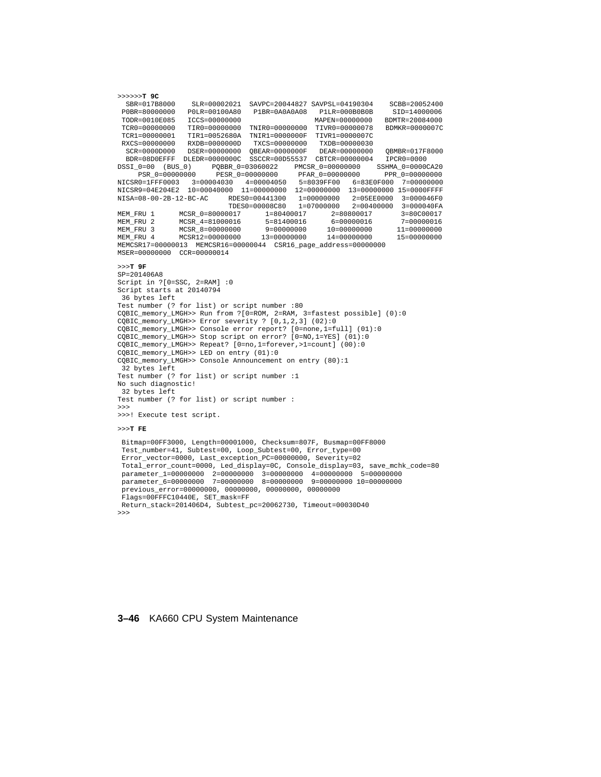>>>>>>**T 9C** SBR=017B8000 SLR=00002021 SAVPC=20044827 SAVPSL=04190304 SCBB=20052400 P0BR=80000000 P0LR=00100A80 P1BR=0A0A0A08 P1LR=000B0B0B SID=14000006 TODR=0010E085 ICCS=00000000 MAPEN=00000000 BDMTR=20084000 TCR0=00000000 TIR0=00000000 TNIR0=00000000 TIVR0=00000078 BDMKR=0000007C TCR1=00000001 TIR1=0052680A TNIR1=0000000F TIVR1=0000007C RXCS=00000000 RXDB=0000000D TXCS=00000000 TXDB=00000030 SCR=0000D000 DSER=00000000 QBEAR=0000000F DEAR=00000000 QBMBR=017F8000 BDR=08D0EFFF DLEDR=0000000C SSCCR=00D55537 CBTCR=00000004 IPCR0=0000 DSSI\_0=00 (BUS\_0) PQBBR\_0=03060022 PMCSR\_0=00000000 SSHMA\_0=0000CA20 PSR\_0=00000000 PESR\_0=00000000 PFAR\_0=00000000 PPR\_0=00000000 NICSR0=1FFF0003 3=00004030 4=00004050 5=8039FF00 6=83E0F000 7=00000000 NICSR9=04E204E2 10=00040000 11=00000000 12=00000000 13=00000000 15=0000FFFF NISA=08-00-2B-12-BC-AC RDES0=00441300 1=00000000 2=05EE0000 3=000046F0 TDES0=00008C80 1=07000000 2=00400000 3=000040FA MEM\_FRU 1 MCSR\_0=80000017 1=80400017 2=80800017 3=80C00017<br>MEM\_FRU 2 MCSR\_4=81000016 5=81400016 6=00000016 7=00000016 MEM\_FRU 2 MCSR\_4=81000016 5=81400016 6=00000016 7=00000016 MEM\_FRU 3 MCSR\_8=00000000 9=00000000 10=00000000 11=00000000 MEM\_FRU 4 MCSR12=00000000 13=00000000 14=00000000 15=00000000 MEMCSR17=00000013 MEMCSR16=00000044 CSR16\_page\_address=00000000 MSER=00000000 CCR=00000014 >>>**T 9F** SP=201406A8 Script in ?[0=SSC, 2=RAM] :0 Script starts at 20140794 36 bytes left Test number (? for list) or script number :80 CQBIC\_memory\_LMGH>> Run from ?[0=ROM, 2=RAM, 3=fastest possible] (0):0 CQBIC\_memory\_LMGH>> Error severity ? [0,1,2,3] (02):0 CQBIC\_memory\_LMGH>> Console error report? [0=none,1=full] (01):0 CQBIC\_memory\_LMGH>> Stop script on error? [0=NO,1=YES] (01):0 CQBIC\_memory\_LMGH>> Repeat? [0=no,1=forever,>1=count] (00):0 CQBIC\_memory\_LMGH>> LED on entry (01):0 CQBIC\_memory\_LMGH>> Console Announcement on entry (80):1 32 bytes left Test number (? for list) or script number :1 No such diagnostic! 32 bytes left Test number (? for list) or script number : >>> >>>! Execute test script. >>>**T FE** Bitmap=00FF3000, Length=00001000, Checksum=807F, Busmap=00FF8000

```
Test_number=41, Subtest=00, Loop_Subtest=00, Error_type=00
Error_vector=0000, Last_exception_PC=00000000, Severity=02
Total_error_count=0000, Led_display=0C, Console_display=03, save_mchk_code=80
parameter_1=00000000 2=00000000 3=00000000 4=00000000 5=00000000
parameter_6=00000000 7=00000000 8=00000000 9=00000000 10=00000000
previous_error=00000000, 00000000, 00000000, 00000000
 Flags=00FFFC10440E, SET_mask=FF
Return_stack=201406D4, Subtest_pc=20062730, Timeout=00030D40
>>>
```
### **3–46** KA660 CPU System Maintenance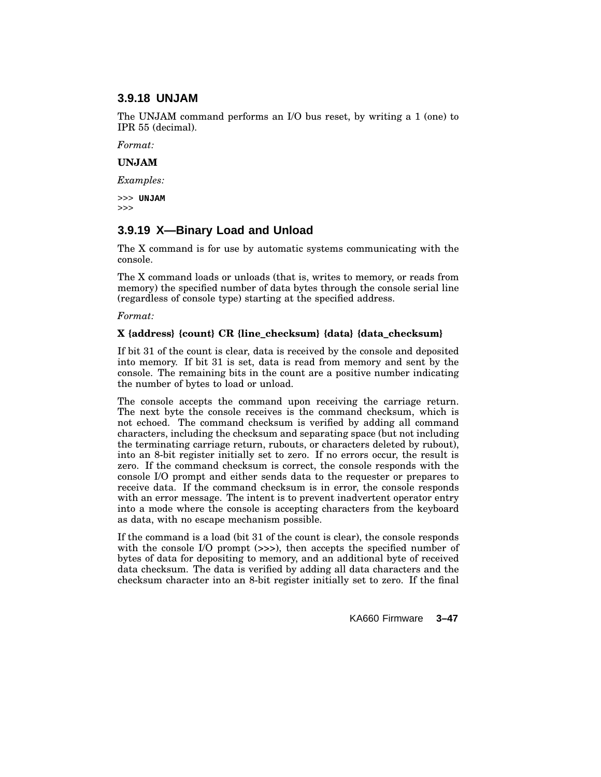### **3.9.18 UNJAM**

The UNJAM command performs an I/O bus reset, by writing a 1 (one) to IPR 55 (decimal).

*Format:*

### **UNJAM**

*Examples:*

>>> **UNJAM** >>>

## **3.9.19 X—Binary Load and Unload**

The X command is for use by automatic systems communicating with the console.

The X command loads or unloads (that is, writes to memory, or reads from memory) the specified number of data bytes through the console serial line (regardless of console type) starting at the specified address.

### *Format:*

### **X {address} {count} CR {line\_checksum} {data} {data\_checksum}**

If bit 31 of the count is clear, data is received by the console and deposited into memory. If bit 31 is set, data is read from memory and sent by the console. The remaining bits in the count are a positive number indicating the number of bytes to load or unload.

The console accepts the command upon receiving the carriage return. The next byte the console receives is the command checksum, which is not echoed. The command checksum is verified by adding all command characters, including the checksum and separating space (but not including the terminating carriage return, rubouts, or characters deleted by rubout), into an 8-bit register initially set to zero. If no errors occur, the result is zero. If the command checksum is correct, the console responds with the console I/O prompt and either sends data to the requester or prepares to receive data. If the command checksum is in error, the console responds with an error message. The intent is to prevent inadvertent operator entry into a mode where the console is accepting characters from the keyboard as data, with no escape mechanism possible.

If the command is a load (bit 31 of the count is clear), the console responds with the console I/O prompt (>>>), then accepts the specified number of bytes of data for depositing to memory, and an additional byte of received data checksum. The data is verified by adding all data characters and the checksum character into an 8-bit register initially set to zero. If the final

KA660 Firmware **3–47**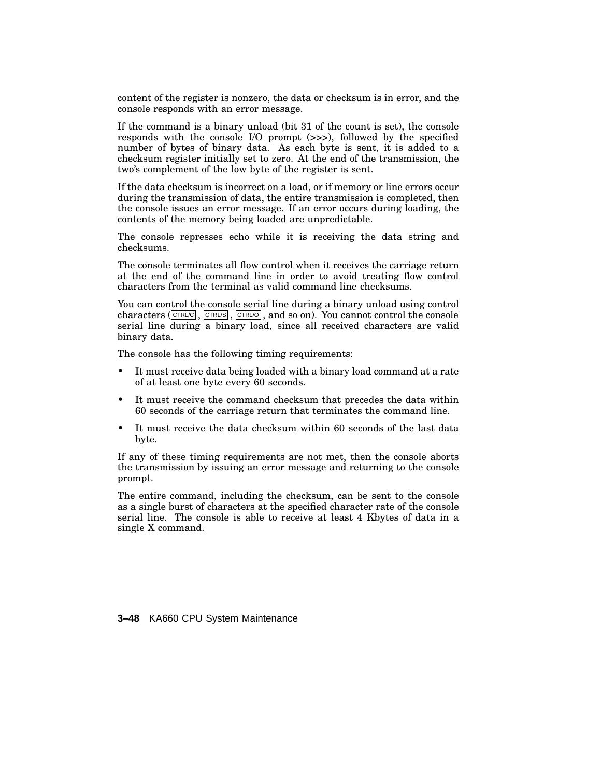content of the register is nonzero, the data or checksum is in error, and the console responds with an error message.

If the command is a binary unload (bit 31 of the count is set), the console responds with the console I/O prompt (>>>), followed by the specified number of bytes of binary data. As each byte is sent, it is added to a checksum register initially set to zero. At the end of the transmission, the two's complement of the low byte of the register is sent.

If the data checksum is incorrect on a load, or if memory or line errors occur during the transmission of data, the entire transmission is completed, then the console issues an error message. If an error occurs during loading, the contents of the memory being loaded are unpredictable.

The console represses echo while it is receiving the data string and checksums.

The console terminates all flow control when it receives the carriage return at the end of the command line in order to avoid treating flow control characters from the terminal as valid command line checksums.

You can control the console serial line during a binary unload using control characters ( $\overline{\text{CTR}}$ ,  $\overline{\text{CTR}}$ ,  $\overline{\text{CTR}}$ ,  $\overline{\text{CTR}}$ , and so on). You cannot control the console serial line during a binary load, since all received characters are valid binary data.

The console has the following timing requirements:

- It must receive data being loaded with a binary load command at a rate of at least one byte every 60 seconds.
- It must receive the command checksum that precedes the data within 60 seconds of the carriage return that terminates the command line.
- It must receive the data checksum within 60 seconds of the last data byte.

If any of these timing requirements are not met, then the console aborts the transmission by issuing an error message and returning to the console prompt.

The entire command, including the checksum, can be sent to the console as a single burst of characters at the specified character rate of the console serial line. The console is able to receive at least 4 Kbytes of data in a single X command.

**3–48** KA660 CPU System Maintenance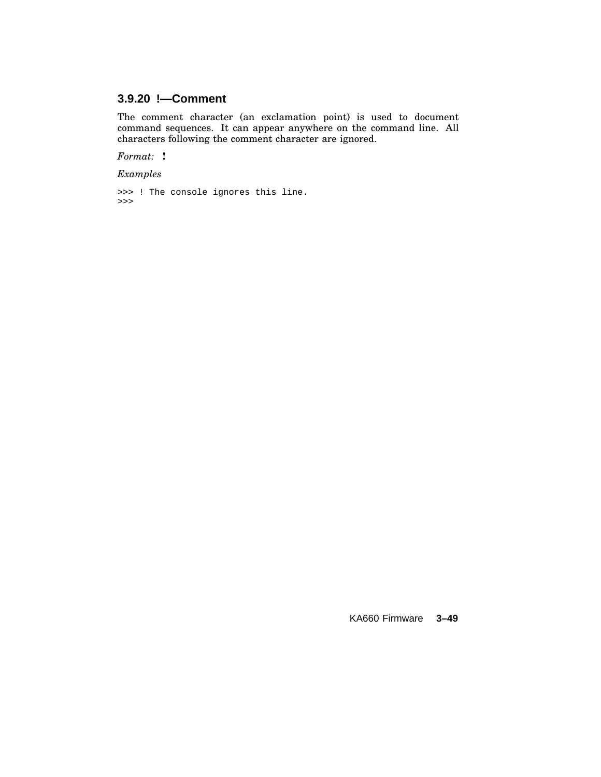# **3.9.20 !—Comment**

The comment character (an exclamation point) is used to document command sequences. It can appear anywhere on the command line. All characters following the comment character are ignored.

*Format:* **!**

*Examples*

```
>>> ! The console ignores this line.
>>>
```
KA660 Firmware **3–49**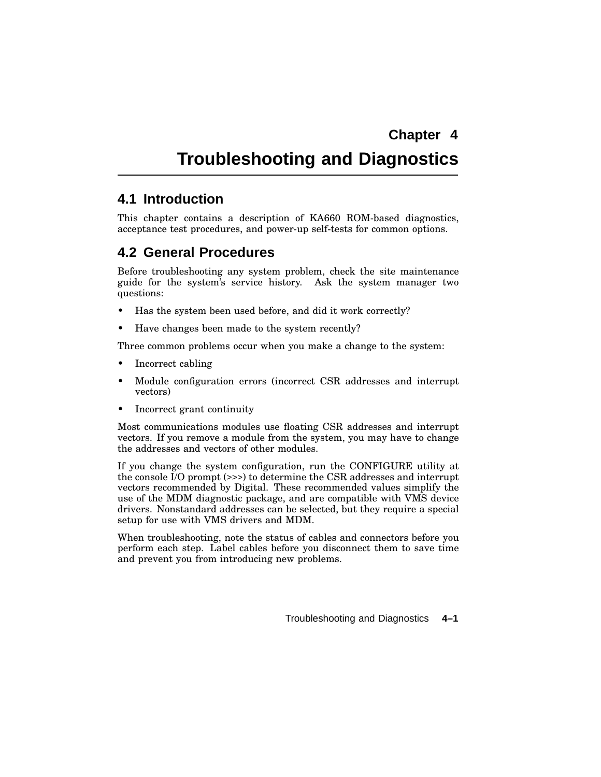# **Troubleshooting and Diagnostics**

# **4.1 Introduction**

This chapter contains a description of KA660 ROM-based diagnostics, acceptance test procedures, and power-up self-tests for common options.

# **4.2 General Procedures**

Before troubleshooting any system problem, check the site maintenance guide for the system's service history. Ask the system manager two questions:

- Has the system been used before, and did it work correctly?
- Have changes been made to the system recently?

Three common problems occur when you make a change to the system:

- Incorrect cabling
- Module configuration errors (incorrect CSR addresses and interrupt vectors)
- Incorrect grant continuity

Most communications modules use floating CSR addresses and interrupt vectors. If you remove a module from the system, you may have to change the addresses and vectors of other modules.

If you change the system configuration, run the CONFIGURE utility at the console I/O prompt (>>>) to determine the CSR addresses and interrupt vectors recommended by Digital. These recommended values simplify the use of the MDM diagnostic package, and are compatible with VMS device drivers. Nonstandard addresses can be selected, but they require a special setup for use with VMS drivers and MDM.

When troubleshooting, note the status of cables and connectors before you perform each step. Label cables before you disconnect them to save time and prevent you from introducing new problems.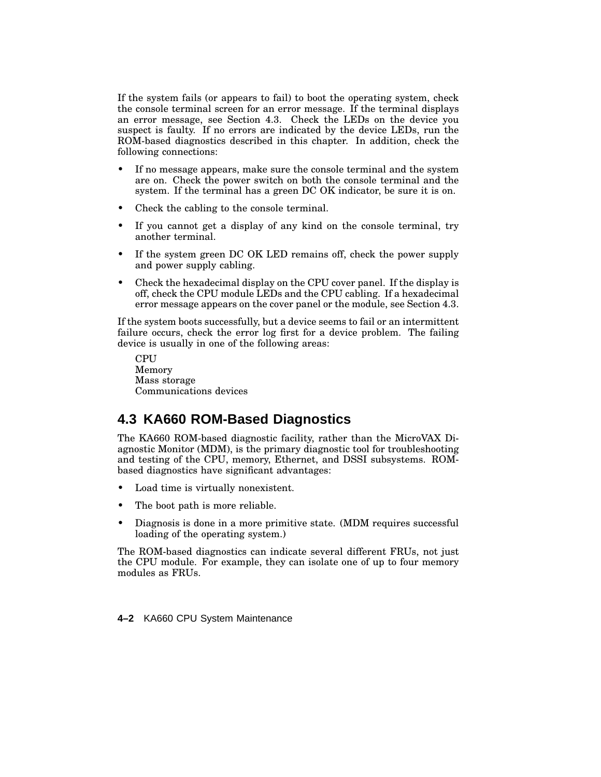If the system fails (or appears to fail) to boot the operating system, check the console terminal screen for an error message. If the terminal displays an error message, see Section 4.3. Check the LEDs on the device you suspect is faulty. If no errors are indicated by the device LEDs, run the ROM-based diagnostics described in this chapter. In addition, check the following connections:

- If no message appears, make sure the console terminal and the system are on. Check the power switch on both the console terminal and the system. If the terminal has a green DC OK indicator, be sure it is on.
- Check the cabling to the console terminal.
- If you cannot get a display of any kind on the console terminal, try another terminal.
- If the system green DC OK LED remains off, check the power supply and power supply cabling.
- Check the hexadecimal display on the CPU cover panel. If the display is off, check the CPU module LEDs and the CPU cabling. If a hexadecimal error message appears on the cover panel or the module, see Section 4.3.

If the system boots successfully, but a device seems to fail or an intermittent failure occurs, check the error log first for a device problem. The failing device is usually in one of the following areas:

**CPU** Memory Mass storage Communications devices

# **4.3 KA660 ROM-Based Diagnostics**

The KA660 ROM-based diagnostic facility, rather than the MicroVAX Diagnostic Monitor (MDM), is the primary diagnostic tool for troubleshooting and testing of the CPU, memory, Ethernet, and DSSI subsystems. ROMbased diagnostics have significant advantages:

- Load time is virtually nonexistent.
- The boot path is more reliable.
- Diagnosis is done in a more primitive state. (MDM requires successful loading of the operating system.)

The ROM-based diagnostics can indicate several different FRUs, not just the CPU module. For example, they can isolate one of up to four memory modules as FRUs.

**4–2** KA660 CPU System Maintenance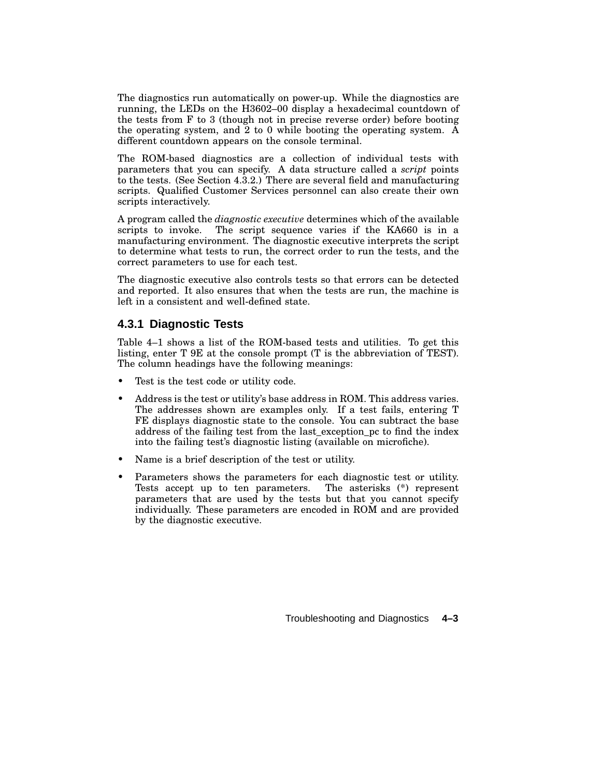The diagnostics run automatically on power-up. While the diagnostics are running, the LEDs on the H3602–00 display a hexadecimal countdown of the tests from F to 3 (though not in precise reverse order) before booting the operating system, and  $\overline{2}$  to 0 while booting the operating system. A different countdown appears on the console terminal.

The ROM-based diagnostics are a collection of individual tests with parameters that you can specify. A data structure called a *script* points to the tests. (See Section 4.3.2.) There are several field and manufacturing scripts. Qualified Customer Services personnel can also create their own scripts interactively.

A program called the *diagnostic executive* determines which of the available scripts to invoke. The script sequence varies if the KA660 is in a manufacturing environment. The diagnostic executive interprets the script to determine what tests to run, the correct order to run the tests, and the correct parameters to use for each test.

The diagnostic executive also controls tests so that errors can be detected and reported. It also ensures that when the tests are run, the machine is left in a consistent and well-defined state.

# **4.3.1 Diagnostic Tests**

Table 4–1 shows a list of the ROM-based tests and utilities. To get this listing, enter T 9E at the console prompt (T is the abbreviation of TEST). The column headings have the following meanings:

- Test is the test code or utility code.
- Address is the test or utility's base address in ROM. This address varies. The addresses shown are examples only. If a test fails, entering T FE displays diagnostic state to the console. You can subtract the base address of the failing test from the last\_exception\_pc to find the index into the failing test's diagnostic listing (available on microfiche).
- Name is a brief description of the test or utility.
- Parameters shows the parameters for each diagnostic test or utility. Tests accept up to ten parameters. The asterisks (\*) represent parameters that are used by the tests but that you cannot specify individually. These parameters are encoded in ROM and are provided by the diagnostic executive.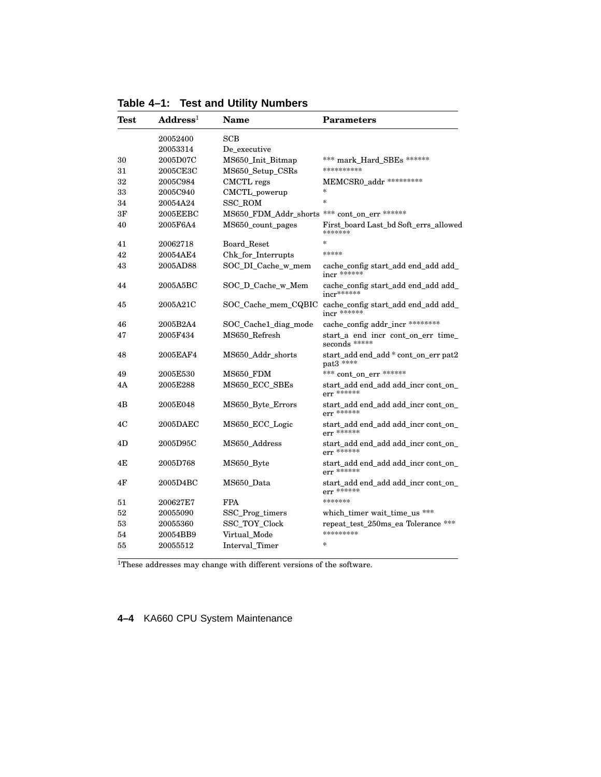| *** mark_Hard_SBEs ******<br>MEMCSR0_addr ********* |
|-----------------------------------------------------|
|                                                     |
|                                                     |
|                                                     |
|                                                     |
|                                                     |
|                                                     |
|                                                     |
| MS650_FDM_Addr_shorts *** cont_on_err ******        |
| First_board Last_bd Soft_errs_allowed               |
|                                                     |
|                                                     |
| cache_config start_add end_add add_                 |
| cache_config start_add end_add add_                 |
| cache_config start_add end_add add_                 |
| cache_config addr_incr ********                     |
| start_a end incr cont_on_err time_                  |
| start_add end_add * cont_on_err pat2                |
| *** cont on err ******                              |
| start add end add add incr cont on                  |
| start_add end_add add_incr cont_on_                 |
| start_add end_add add_incr cont_on_                 |
| start_add end_add add_incr cont_on_                 |
| start add end add add incr cont on                  |
| start_add end_add add_incr cont_on_                 |
|                                                     |
| which_timer wait_time_us ***                        |
| repeat_test_250ms_ea Tolerance ***                  |
|                                                     |
|                                                     |
|                                                     |

**Table 4–1: Test and Utility Numbers**

 ${}^{\overline{1}}\overline{\rm These}$  addresses may change with different versions of the software.

**4–4** KA660 CPU System Maintenance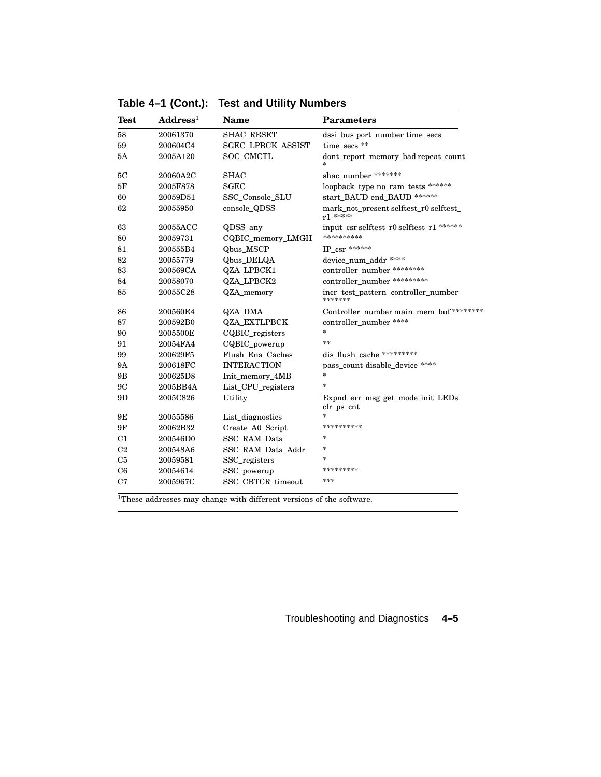| <b>Test</b>    | $\mathbf{Address}^1$ | <b>Name</b>              | <b>Parameters</b>                                                |
|----------------|----------------------|--------------------------|------------------------------------------------------------------|
| 58             | 20061370             | <b>SHAC RESET</b>        | dssi_bus port_number time_secs                                   |
| 59             | 200604C4             | <b>SGEC_LPBCK_ASSIST</b> | time secs **                                                     |
| 5A             | 2005A120             | SOC_CMCTL                | dont_report_memory_bad repeat_count                              |
| 5C             | 20060A2C             | <b>SHAC</b>              | shac number *******                                              |
| 5F             | 2005F878             | <b>SGEC</b>              | loopback_type no_ram_tests ******                                |
| 60             | 20059D51             | SSC_Console_SLU          | start BAUD end BAUD ******                                       |
| 62             | 20055950             | console_QDSS             | mark_not_present selftest_r0 selftest_<br>$r1***$                |
| 63             | 20055ACC             | QDSS_any                 | input_csr selftest_r0 selftest_r1 ******                         |
| 80             | 20059731             | CQBIC_memory_LMGH        | **********                                                       |
| 81             | 200555B4             | Qbus_MSCP                | IP csr ******                                                    |
| 82             | 20055779             | Qbus_DELQA               | device_num_addr ****                                             |
| 83             | 200569CA             | QZA_LPBCK1               | controller number ********                                       |
| 84             | 20058070             | QZA_LPBCK2               | controller number *********                                      |
| 85             | 20055C28             | QZA memory               | incr test_pattern controller_number<br>*******                   |
| 86             | 200560E4             | QZA DMA                  | Controller_number main_mem_buf ********                          |
| 87             | 200592B0             | <b>QZA_EXTLPBCK</b>      | controller_number ****                                           |
| 90             | 2005500E             | CQBIC_registers          | $\ast$                                                           |
| 91             | 20054FA4             | CQBIC_powerup            | **                                                               |
| 99             | 200629F5             | Flush Ena Caches         | dis_flush_cache *********                                        |
| <b>9A</b>      | 200618FC             | <b>INTERACTION</b>       | pass count disable device ****                                   |
| 9 <sub>B</sub> | 200625D8             | Init_memory_4MB          | $\ast$                                                           |
| 9C             | 2005BB4A             | List_CPU_registers       | $\ast$                                                           |
| 9D             | 2005C826             | Utility                  | Expnd_err_msg_get_mode_init_LEDs<br>$\text{clr}\_\text{ps\_cnt}$ |
| 9Ε             | 20055586             | List_diagnostics         | *                                                                |
| 9F             | 20062B32             | Create_A0_Script         | **********                                                       |
| C <sub>1</sub> | 200546D0             | SSC_RAM_Data             | $\ast$                                                           |
| C <sub>2</sub> | 200548A6             | SSC_RAM_Data_Addr        | $\ast$                                                           |
| C <sub>5</sub> | 20059581             | SSC_registers            | *                                                                |
| C6             | 20054614             | SSC_powerup              | *********                                                        |
| C7             | 2005967C             | SSC_CBTCR_timeout        | ***                                                              |

**Table 4–1 (Cont.): Test and Utility Numbers**

 ${}^{1}\!{\rm These}$  addresses may change with different versions of the software.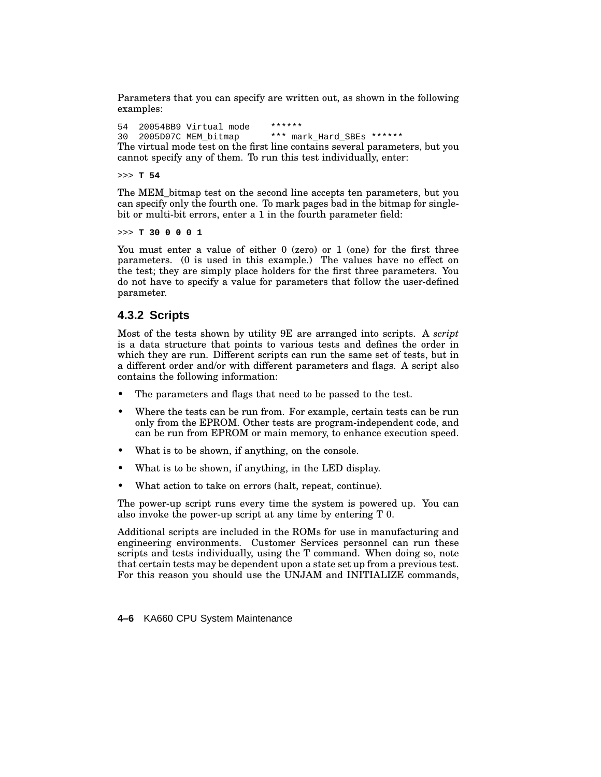Parameters that you can specify are written out, as shown in the following examples:

54 20054BB9 Virtual mode \*\*\*\*\*\*<br>30 2005D07C MEM bitmap \*\*\* ma \*\*\* mark\_Hard\_SBEs \*\*\*\*\*\* The virtual mode test on the first line contains several parameters, but you cannot specify any of them. To run this test individually, enter:

>>> **T 54**

The MEM\_bitmap test on the second line accepts ten parameters, but you can specify only the fourth one. To mark pages bad in the bitmap for singlebit or multi-bit errors, enter a 1 in the fourth parameter field:

>>> **T 30 0 0 0 1**

You must enter a value of either 0 (zero) or 1 (one) for the first three parameters. (0 is used in this example.) The values have no effect on the test; they are simply place holders for the first three parameters. You do not have to specify a value for parameters that follow the user-defined parameter.

### **4.3.2 Scripts**

Most of the tests shown by utility 9E are arranged into scripts. A *script* is a data structure that points to various tests and defines the order in which they are run. Different scripts can run the same set of tests, but in a different order and/or with different parameters and flags. A script also contains the following information:

- The parameters and flags that need to be passed to the test.
- Where the tests can be run from. For example, certain tests can be run only from the EPROM. Other tests are program-independent code, and can be run from EPROM or main memory, to enhance execution speed.
- What is to be shown, if anything, on the console.
- What is to be shown, if anything, in the LED display.
- What action to take on errors (halt, repeat, continue).

The power-up script runs every time the system is powered up. You can also invoke the power-up script at any time by entering T 0.

Additional scripts are included in the ROMs for use in manufacturing and engineering environments. Customer Services personnel can run these scripts and tests individually, using the T command. When doing so, note that certain tests may be dependent upon a state set up from a previous test. For this reason you should use the UNJAM and INITIALIZE commands,

**4–6** KA660 CPU System Maintenance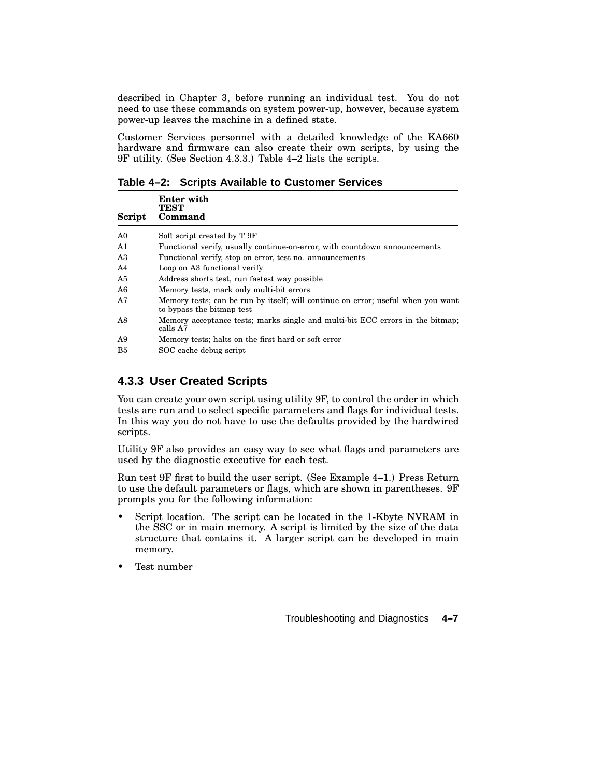described in Chapter 3, before running an individual test. You do not need to use these commands on system power-up, however, because system power-up leaves the machine in a defined state.

Customer Services personnel with a detailed knowledge of the KA660 hardware and firmware can also create their own scripts, by using the 9F utility. (See Section 4.3.3.) Table 4–2 lists the scripts.

**Table 4–2: Scripts Available to Customer Services**

| Script         | Enter with<br><b>TEST</b><br>Command                                                                          |
|----------------|---------------------------------------------------------------------------------------------------------------|
| A <sub>0</sub> | Soft script created by T 9F                                                                                   |
| A1             | Functional verify, usually continue-on-error, with countdown announcements                                    |
| A3             | Functional verify, stop on error, test no. announcements                                                      |
| A <sub>4</sub> | Loop on A3 functional verify                                                                                  |
| A5             | Address shorts test, run fastest way possible                                                                 |
| A6             | Memory tests, mark only multi-bit errors                                                                      |
| A7             | Memory tests; can be run by itself; will continue on error; useful when you want<br>to bypass the bitmap test |
| A8             | Memory acceptance tests; marks single and multi-bit ECC errors in the bitmap;<br>calls A7                     |
| A9             | Memory tests; halts on the first hard or soft error                                                           |
| B5             | SOC cache debug script                                                                                        |

# **4.3.3 User Created Scripts**

You can create your own script using utility 9F, to control the order in which tests are run and to select specific parameters and flags for individual tests. In this way you do not have to use the defaults provided by the hardwired scripts.

Utility 9F also provides an easy way to see what flags and parameters are used by the diagnostic executive for each test.

Run test 9F first to build the user script. (See Example 4–1.) Press Return to use the default parameters or flags, which are shown in parentheses. 9F prompts you for the following information:

- Script location. The script can be located in the 1-Kbyte NVRAM in the SSC or in main memory. A script is limited by the size of the data structure that contains it. A larger script can be developed in main memory.
- Test number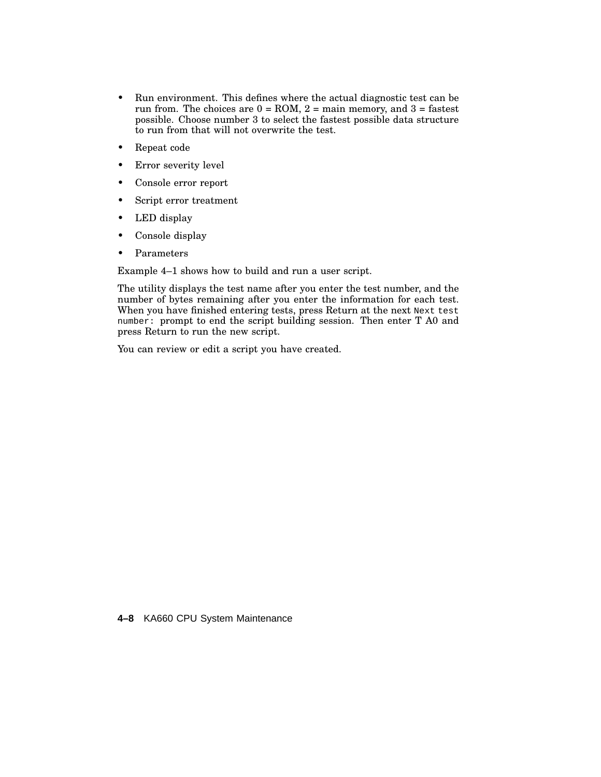- Run environment. This defines where the actual diagnostic test can be run from. The choices are  $0 = \text{ROM}$ ,  $2 = \text{main memory}$ , and  $3 = \text{fastest}$ possible. Choose number 3 to select the fastest possible data structure to run from that will not overwrite the test.
- Repeat code
- Error severity level
- Console error report
- Script error treatment
- LED display
- Console display
- Parameters

Example 4–1 shows how to build and run a user script.

The utility displays the test name after you enter the test number, and the number of bytes remaining after you enter the information for each test. When you have finished entering tests, press Return at the next Next test number: prompt to end the script building session. Then enter T A0 and press Return to run the new script.

You can review or edit a script you have created.

**4–8** KA660 CPU System Maintenance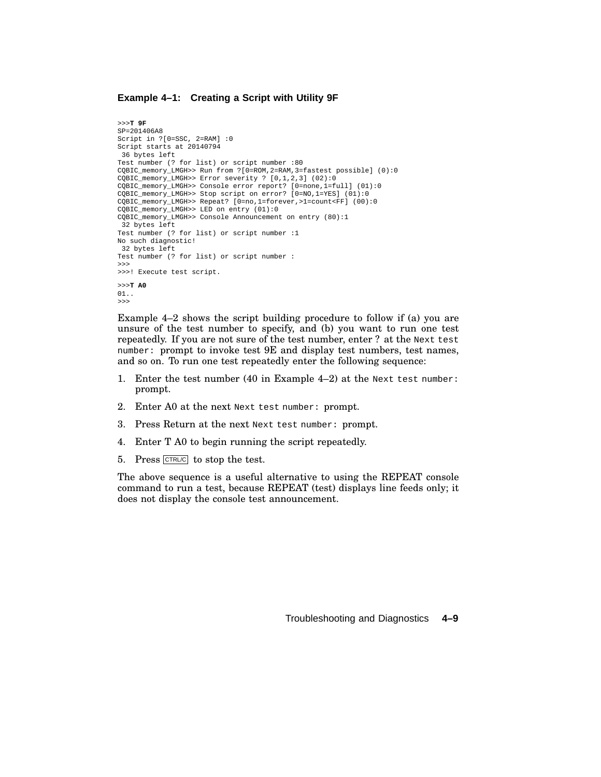#### **Example 4–1: Creating a Script with Utility 9F**

```
>>>T 9F
SP=201406A8
Script in ?[0=SSC, 2=RAM] :0
Script starts at 20140794
36 bytes left
Test number (? for list) or script number :80
CQBIC_memory_LMGH>> Run from ?[0=ROM,2=RAM,3=fastest possible] (0):0
CQBIC_memory_LMGH>> Error severity ? [0,1,2,3] (02):0
CQBIC_memory_LMGH>> Console error report? [0=none,1=full] (01):0
CQBIC_memory_LMGH>> Stop script on error? [0=NO,1=YES] (01):0
CQBIC_memory_LMGH>> Repeat? [0=no,1=forever,>1=count<FF] (00):0
CQBIC_memory_LMGH>> LED on entry (01):0
CQBIC_memory_LMGH>> Console Announcement on entry (80):1
32 bytes left
Test number (? for list) or script number :1
No such diagnostic!
32 bytes left
Test number (? for list) or script number :
>>>
>>>! Execute test script.
>>>T A0
01..
>>>
```
Example 4–2 shows the script building procedure to follow if (a) you are unsure of the test number to specify, and (b) you want to run one test repeatedly. If you are not sure of the test number, enter ? at the Next test number: prompt to invoke test 9E and display test numbers, test names, and so on. To run one test repeatedly enter the following sequence:

- 1. Enter the test number (40 in Example 4–2) at the Next test number: prompt.
- 2. Enter A0 at the next Next test number: prompt.
- 3. Press Return at the next Next test number: prompt.
- 4. Enter T A0 to begin running the script repeatedly.
- 5. Press CTRL/C to stop the test.

The above sequence is a useful alternative to using the REPEAT console command to run a test, because REPEAT (test) displays line feeds only; it does not display the console test announcement.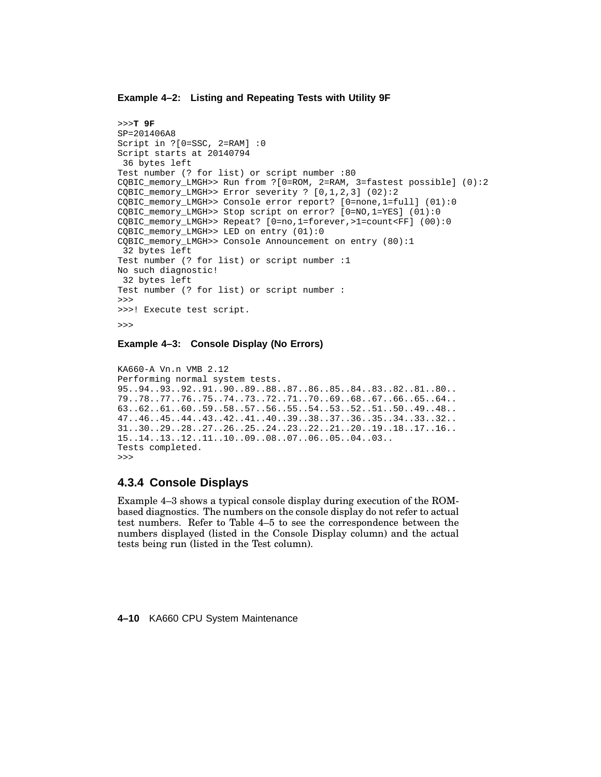### **Example 4–2: Listing and Repeating Tests with Utility 9F**

```
>>>T 9F
SP=201406A8
Script in ?[0=SSC, 2=RAM] :0
Script starts at 20140794
36 bytes left
Test number (? for list) or script number :80
CQBIC_memory_LMGH>> Run from ?[0=ROM, 2=RAM, 3=fastest possible] (0):2
CQBIC_memory_LMGH>> Error severity ? [0,1,2,3] (02):2
CQBIC_memory_LMGH>> Console error report? [0=none,1=full] (01):0
CQBIC_memory_LMGH>> Stop script on error? [0=NO,1=YES] (01):0
CQBIC_memory_LMGH>> Repeat? [0=no,1=forever,>1=count<FF] (00):0
CQBIC_memory_LMGH>> LED on entry (01):0
CQBIC_memory_LMGH>> Console Announcement on entry (80):1
32 bytes left
Test number (? for list) or script number :1
No such diagnostic!
32 bytes left
Test number (? for list) or script number :
>>>
>>>! Execute test script.
>>>
```
**Example 4–3: Console Display (No Errors)**

```
KA660-A Vn.n VMB 2.12
Performing normal system tests.
95..94..93..92..91..90..89..88..87..86..85..84..83..82..81..80..
79..78..77..76..75..74..73..72..71..70..69..68..67..66..65..64..
63..62..61..60..59..58..57..56..55..54..53..52..51..50..49..48..
47..46..45..44..43..42..41..40..39..38..37..36..35..34..33..32..
31..30..29..28..27..26..25..24..23..22..21..20..19..18..17..16..
15..14..13..12..11..10..09..08..07..06..05..04..03..
Tests completed.
>>>
```
### **4.3.4 Console Displays**

Example 4–3 shows a typical console display during execution of the ROMbased diagnostics. The numbers on the console display do not refer to actual test numbers. Refer to Table 4–5 to see the correspondence between the numbers displayed (listed in the Console Display column) and the actual tests being run (listed in the Test column).

**4–10** KA660 CPU System Maintenance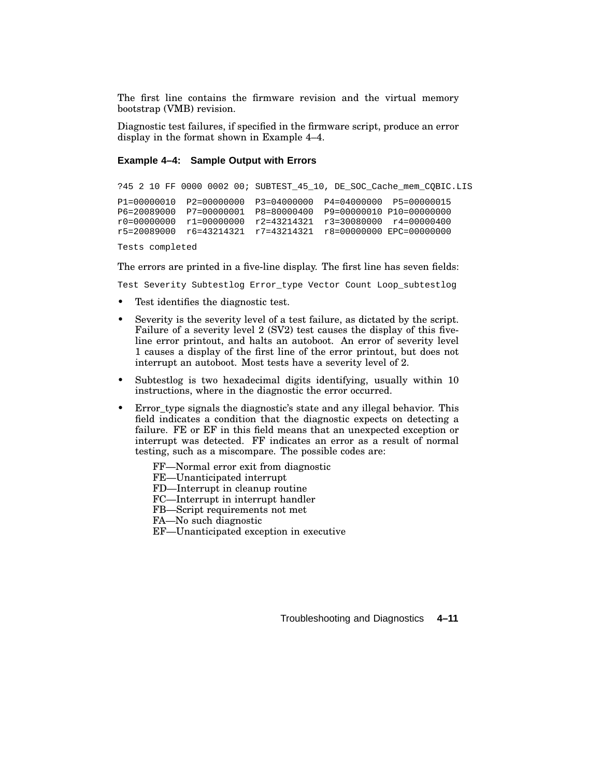The first line contains the firmware revision and the virtual memory bootstrap (VMB) revision.

Diagnostic test failures, if specified in the firmware script, produce an error display in the format shown in Example 4–4.

### **Example 4–4: Sample Output with Errors**

?45 2 10 FF 0000 0002 00; SUBTEST\_45\_10, DE\_SOC\_Cache\_mem\_CQBIC.LIS P1=00000010 P2=00000000 P3=04000000 P4=04000000 P5=00000015 P6=20089000 P7=00000001 P8=80000400 P9=00000010 P10=00000000 r0=00000000 r1=00000000 r2=43214321 r3=30080000 r4=00000400 r5=20089000 r6=43214321 r7=43214321 r8=00000000 EPC=00000000

Tests completed

The errors are printed in a five-line display. The first line has seven fields:

Test Severity Subtestlog Error\_type Vector Count Loop\_subtestlog

- Test identifies the diagnostic test.
- Severity is the severity level of a test failure, as dictated by the script. Failure of a severity level 2 (SV2) test causes the display of this fiveline error printout, and halts an autoboot. An error of severity level 1 causes a display of the first line of the error printout, but does not interrupt an autoboot. Most tests have a severity level of 2.
- Subtestlog is two hexadecimal digits identifying, usually within 10 instructions, where in the diagnostic the error occurred.
- Error\_type signals the diagnostic's state and any illegal behavior. This field indicates a condition that the diagnostic expects on detecting a failure. FE or EF in this field means that an unexpected exception or interrupt was detected. FF indicates an error as a result of normal testing, such as a miscompare. The possible codes are:
	- FF—Normal error exit from diagnostic
	- FE—Unanticipated interrupt
	- FD—Interrupt in cleanup routine
	- FC—Interrupt in interrupt handler
	- FB—Script requirements not met
	- FA—No such diagnostic
	- EF—Unanticipated exception in executive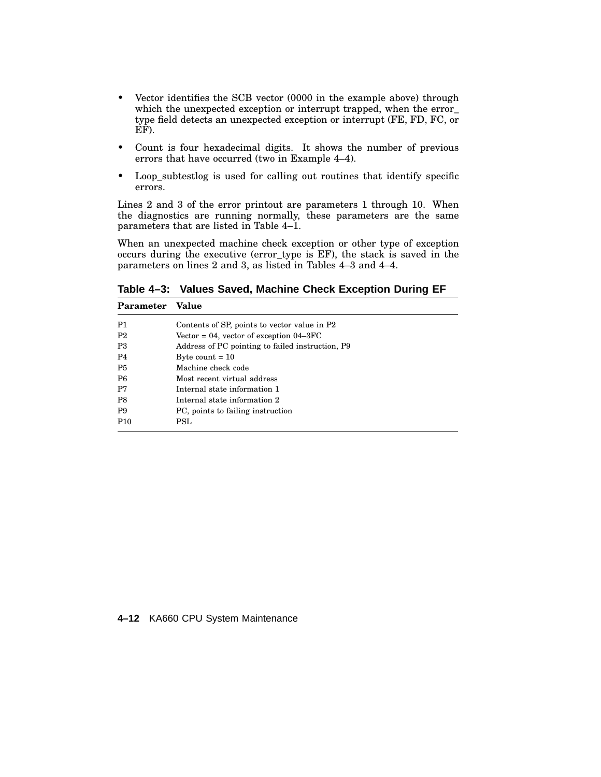- Vector identifies the SCB vector (0000 in the example above) through which the unexpected exception or interrupt trapped, when the error\_ type field detects an unexpected exception or interrupt (FE, FD, FC, or EF).
- Count is four hexadecimal digits. It shows the number of previous errors that have occurred (two in Example 4–4).
- Loop\_subtestlog is used for calling out routines that identify specific errors.

Lines 2 and 3 of the error printout are parameters 1 through 10. When the diagnostics are running normally, these parameters are the same parameters that are listed in Table 4–1.

When an unexpected machine check exception or other type of exception occurs during the executive (error\_type is EF), the stack is saved in the parameters on lines 2 and 3, as listed in Tables 4–3 and 4–4.

**Table 4–3: Values Saved, Machine Check Exception During EF**

| Parameter       | Value                                            |
|-----------------|--------------------------------------------------|
| P1              | Contents of SP, points to vector value in P2     |
| P <sub>2</sub>  | Vector = 04, vector of exception $04-3FC$        |
| P <sub>3</sub>  | Address of PC pointing to failed instruction, P9 |
| P <sub>4</sub>  | Byte count $= 10$                                |
| P <sub>5</sub>  | Machine check code                               |
| P <sub>6</sub>  | Most recent virtual address                      |
| P7              | Internal state information 1                     |
| P <sub>8</sub>  | Internal state information 2                     |
| <b>P9</b>       | PC, points to failing instruction                |
| P <sub>10</sub> | <b>PSL</b>                                       |

### **4–12** KA660 CPU System Maintenance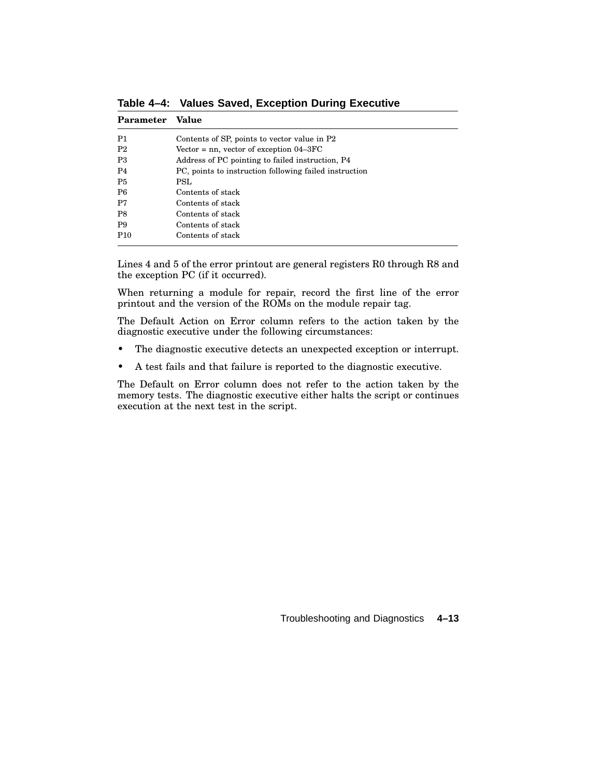| Parameter       | Value                                                  |
|-----------------|--------------------------------------------------------|
| P1              | Contents of SP, points to vector value in P2           |
| P <sub>2</sub>  | Vector $=$ nn, vector of exception $04-3FC$            |
| P3              | Address of PC pointing to failed instruction, P4       |
| P <sub>4</sub>  | PC, points to instruction following failed instruction |
| P <sub>5</sub>  | PSL.                                                   |
| P <sub>6</sub>  | Contents of stack                                      |
| P7              | Contents of stack                                      |
| P8              | Contents of stack                                      |
| <b>P9</b>       | Contents of stack                                      |
| P <sub>10</sub> | Contents of stack                                      |

**Table 4–4: Values Saved, Exception During Executive**

Lines 4 and 5 of the error printout are general registers R0 through R8 and the exception PC (if it occurred).

When returning a module for repair, record the first line of the error printout and the version of the ROMs on the module repair tag.

The Default Action on Error column refers to the action taken by the diagnostic executive under the following circumstances:

- The diagnostic executive detects an unexpected exception or interrupt.
- A test fails and that failure is reported to the diagnostic executive.

The Default on Error column does not refer to the action taken by the memory tests. The diagnostic executive either halts the script or continues execution at the next test in the script.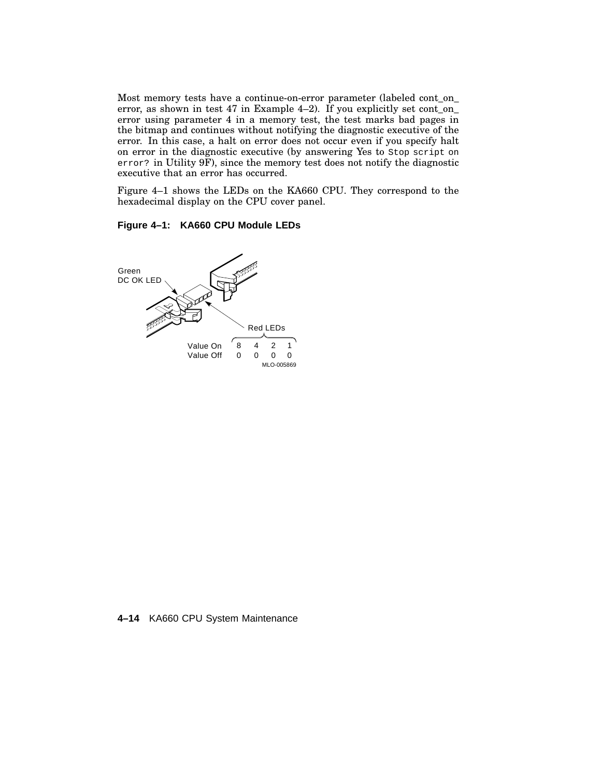Most memory tests have a continue-on-error parameter (labeled cont\_on\_ error, as shown in test 47 in Example 4–2). If you explicitly set cont\_on\_ error using parameter 4 in a memory test, the test marks bad pages in the bitmap and continues without notifying the diagnostic executive of the error. In this case, a halt on error does not occur even if you specify halt on error in the diagnostic executive (by answering Yes to Stop script on error? in Utility 9F), since the memory test does not notify the diagnostic executive that an error has occurred.

Figure 4–1 shows the LEDs on the KA660 CPU. They correspond to the hexadecimal display on the CPU cover panel.

### **Figure 4–1: KA660 CPU Module LEDs**



**4–14** KA660 CPU System Maintenance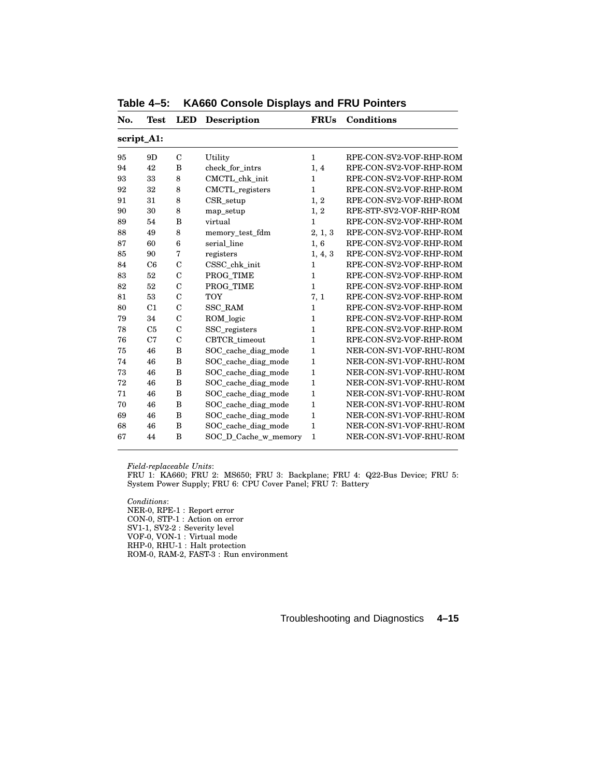| No. | Test           | LED              | <b>Description</b>   | <b>FRUs</b>  | Conditions              |
|-----|----------------|------------------|----------------------|--------------|-------------------------|
|     | script_A1:     |                  |                      |              |                         |
| 95  | 9D             | $\mathbf C$      | Utility              | $\mathbf{1}$ | RPE-CON-SV2-VOF-RHP-ROM |
| 94  | 42             | B                | check_for_intrs      | 1, 4         | RPE-CON-SV2-VOF-RHP-ROM |
| 93  | 33             | 8                | CMCTL_chk_init       | $\mathbf{1}$ | RPE-CON-SV2-VOF-RHP-ROM |
| 92  | 32             | 8                | CMCTL_registers      | $\mathbf{1}$ | RPE-CON-SV2-VOF-RHP-ROM |
| 91  | 31             | 8                | $CSR$ _setup         | 1, 2         | RPE-CON-SV2-VOF-RHP-ROM |
| 90  | 30             | 8                | map_setup            | 1, 2         | RPE-STP-SV2-VOF-RHP-ROM |
| 89  | 54             | B                | virtual              | 1            | RPE-CON-SV2-VOF-RHP-ROM |
| 88  | 49             | 8                | memory_test_fdm      | 2, 1, 3      | RPE-CON-SV2-VOF-RHP-ROM |
| 87  | 60             | $\boldsymbol{6}$ | serial line          | 1,6          | RPE-CON-SV2-VOF-RHP-ROM |
| 85  | 90             | 7                | registers            | 1, 4, 3      | RPE-CON-SV2-VOF-RHP-ROM |
| 84  | C6             | $\mathcal{C}$    | CSSC_chk_init        | 1            | RPE-CON-SV2-VOF-RHP-ROM |
| 83  | 52             | $\mathcal{C}$    | PROG_TIME            | $\mathbf{1}$ | RPE-CON-SV2-VOF-RHP-ROM |
| 82  | 52             | $\overline{C}$   | PROG TIME            | $\mathbf{1}$ | RPE-CON-SV2-VOF-RHP-ROM |
| 81  | 53             | $\overline{C}$   | <b>TOY</b>           | 7, 1         | RPE-CON-SV2-VOF-RHP-ROM |
| 80  | C <sub>1</sub> | $\mathbf C$      | <b>SSC RAM</b>       | $\mathbf{1}$ | RPE-CON-SV2-VOF-RHP-ROM |
| 79  | 34             | $\mathcal{C}$    | ROM_logic            | $\mathbf{1}$ | RPE-CON-SV2-VOF-RHP-ROM |
| 78  | C <sub>5</sub> | $\mathbf C$      | SSC_registers        | $\mathbf{1}$ | RPE-CON-SV2-VOF-RHP-ROM |
| 76  | C7             | $\mathbf C$      | CBTCR timeout        | $\mathbf{1}$ | RPE-CON-SV2-VOF-RHP-ROM |
| 75  | 46             | B                | SOC cache diag mode  | 1            | NER-CON-SV1-VOF-RHU-ROM |
| 74  | 46             | B                | SOC_cache_diag_mode  | 1            | NER-CON-SV1-VOF-RHU-ROM |
| 73  | 46             | B                | SOC cache diag mode  | $\mathbf{1}$ | NER-CON-SV1-VOF-RHU-ROM |
| 72  | 46             | B                | SOC cache diag mode  | $\mathbf{1}$ | NER-CON-SV1-VOF-RHU-ROM |
| 71  | 46             | B                | SOC_cache_diag_mode  | 1            | NER-CON-SV1-VOF-RHU-ROM |
| 70  | 46             | B                | SOC_cache_diag_mode  | 1            | NER-CON-SV1-VOF-RHU-ROM |
| 69  | 46             | B                | SOC_cache_diag_mode  | $\mathbf{1}$ | NER-CON-SV1-VOF-RHU-ROM |
| 68  | 46             | B                | SOC_cache_diag_mode  | $\mathbf{1}$ | NER-CON-SV1-VOF-RHU-ROM |
| 67  | 44             | B                | SOC_D_Cache_w_memory | $\mathbf{1}$ | NER-CON-SV1-VOF-RHU-ROM |
|     |                |                  |                      |              |                         |

**Table 4–5: KA660 Console Displays and FRU Pointers**

FRU 1: KA660; FRU 2: MS650; FRU 3: Backplane; FRU 4: Q22-Bus Device; FRU 5: System Power Supply; FRU 6: CPU Cover Panel; FRU 7: Battery

*Conditions*: NER-0, RPE-1 : Report error CON-0, STP-1 : Action on error SV1-1, SV2-2 : Severity level VOF-0, VON-1 : Virtual mode RHP-0, RHU-1 : Halt protection ROM-0, RAM-2, FAST-3 : Run environment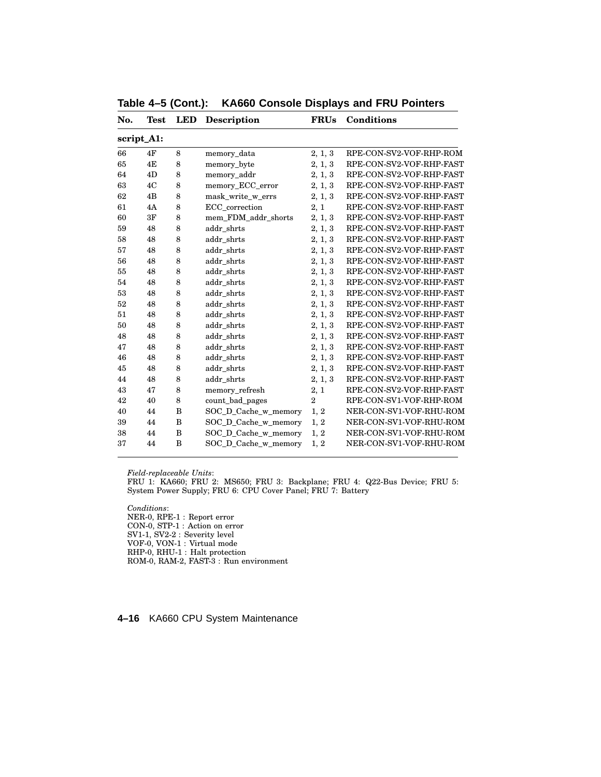| No. | <b>Test</b> | <b>LED</b> | <b>Description</b>   | <b>FRUs</b>    | <b>Conditions</b>        |
|-----|-------------|------------|----------------------|----------------|--------------------------|
|     | script_A1:  |            |                      |                |                          |
| 66  | 4F          | 8          | memory_data          | 2, 1, 3        | RPE-CON-SV2-VOF-RHP-ROM  |
| 65  | 4E          | 8          | memory_byte          | 2, 1, 3        | RPE-CON-SV2-VOF-RHP-FAST |
| 64  | 4D          | 8          | memory_addr          | 2, 1, 3        | RPE-CON-SV2-VOF-RHP-FAST |
| 63  | 4C          | 8          | memory_ECC_error     | 2, 1, 3        | RPE-CON-SV2-VOF-RHP-FAST |
| 62  | 4B          | 8          | mask_write_w_errs    | 2, 1, 3        | RPE-CON-SV2-VOF-RHP-FAST |
| 61  | 4A          | 8          | ECC correction       | 2, 1           | RPE-CON-SV2-VOF-RHP-FAST |
| 60  | 3F          | 8          | mem_FDM_addr_shorts  | 2, 1, 3        | RPE-CON-SV2-VOF-RHP-FAST |
| 59  | 48          | 8          | addr_shrts           | 2, 1, 3        | RPE-CON-SV2-VOF-RHP-FAST |
| 58  | 48          | 8          | addr shrts           | 2, 1, 3        | RPE-CON-SV2-VOF-RHP-FAST |
| 57  | 48          | 8          | addr shrts           | 2, 1, 3        | RPE-CON-SV2-VOF-RHP-FAST |
| 56  | 48          | 8          | addr_shrts           | 2, 1, 3        | RPE-CON-SV2-VOF-RHP-FAST |
| 55  | 48          | 8          | addr shrts           | 2, 1, 3        | RPE-CON-SV2-VOF-RHP-FAST |
| 54  | 48          | 8          | addr shrts           | 2, 1, 3        | RPE-CON-SV2-VOF-RHP-FAST |
| 53  | 48          | 8          | addr_shrts           | 2, 1, 3        | RPE-CON-SV2-VOF-RHP-FAST |
| 52  | 48          | 8          | addr shrts           | 2, 1, 3        | RPE-CON-SV2-VOF-RHP-FAST |
| 51  | 48          | 8          | addr shrts           | 2, 1, 3        | RPE-CON-SV2-VOF-RHP-FAST |
| 50  | 48          | 8          | addr_shrts           | 2, 1, 3        | RPE-CON-SV2-VOF-RHP-FAST |
| 48  | 48          | 8          | addr shrts           | 2, 1, 3        | RPE-CON-SV2-VOF-RHP-FAST |
| 47  | 48          | 8          | addr_shrts           | 2, 1, 3        | RPE-CON-SV2-VOF-RHP-FAST |
| 46  | 48          | 8          | addr shrts           | 2, 1, 3        | RPE-CON-SV2-VOF-RHP-FAST |
| 45  | 48          | 8          | addr shrts           | 2, 1, 3        | RPE-CON-SV2-VOF-RHP-FAST |
| 44  | 48          | 8          | addr_shrts           | 2, 1, 3        | RPE-CON-SV2-VOF-RHP-FAST |
| 43  | 47          | 8          | memory_refresh       | 2, 1           | RPE-CON-SV2-VOF-RHP-FAST |
| 42  | 40          | 8          | count_bad_pages      | $\overline{2}$ | RPE-CON-SV1-VOF-RHP-ROM  |
| 40  | 44          | B          | SOC_D_Cache_w_memory | 1, 2           | NER-CON-SV1-VOF-RHU-ROM  |
| 39  | 44          | B          | SOC_D_Cache_w_memory | 1, 2           | NER-CON-SV1-VOF-RHU-ROM  |
| 38  | 44          | B          | SOC_D_Cache_w_memory | 1, 2           | NER-CON-SV1-VOF-RHU-ROM  |
| 37  | 44          | B          | SOC_D_Cache_w_memory | 1, 2           | NER-CON-SV1-VOF-RHU-ROM  |

**Table 4–5 (Cont.): KA660 Console Displays and FRU Pointers**

FRU 1: KA660; FRU 2: MS650; FRU 3: Backplane; FRU 4: Q22-Bus Device; FRU 5: System Power Supply; FRU 6: CPU Cover Panel; FRU 7: Battery

*Conditions*: NER-0, RPE-1 : Report error CON-0, STP-1 : Action on error SV1-1, SV2-2 : Severity level VOF-0, VON-1 : Virtual mode RHP-0, RHU-1 : Halt protection ROM-0, RAM-2, FAST-3 : Run environment

**4–16** KA660 CPU System Maintenance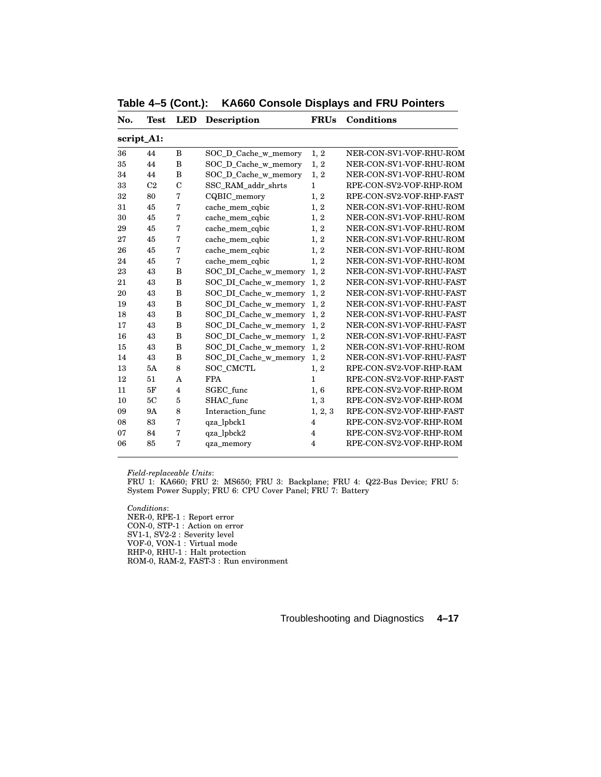| No. | Test           | LED                     | <b>Description</b>    | <b>FRUs</b>    | Conditions               |
|-----|----------------|-------------------------|-----------------------|----------------|--------------------------|
|     | script_A1:     |                         |                       |                |                          |
| 36  | 44             | B                       | SOC_D_Cache_w_memory  | 1, 2           | NER-CON-SV1-VOF-RHU-ROM  |
| 35  | 44             | $\, {\bf B}$            | SOC D Cache w memory  | 1, 2           | NER-CON-SV1-VOF-RHU-ROM  |
| 34  | 44             | B                       | SOC_D_Cache_w_memory  | 1, 2           | NER-CON-SV1-VOF-RHU-ROM  |
| 33  | C <sub>2</sub> | $\mathcal{C}$           | SSC RAM addr shrts    | $\mathbf{1}$   | RPE-CON-SV2-VOF-RHP-ROM  |
| 32  | 80             | $\overline{7}$          | CQBIC_memory          | 1, 2           | RPE-CON-SV2-VOF-RHP-FAST |
| 31  | 45             | 7                       | cache_mem_cqbic       | 1, 2           | NER-CON-SV1-VOF-RHU-ROM  |
| 30  | 45             | 7                       | cache_mem_cqbic       | 1, 2           | NER-CON-SV1-VOF-RHU-ROM  |
| 29  | 45             | 7                       | cache_mem_cqbic       | 1, 2           | NER-CON-SV1-VOF-RHU-ROM  |
| 27  | 45             | 7                       | cache_mem_cqbic       | 1, 2           | NER-CON-SV1-VOF-RHU-ROM  |
| 26  | 45             | 7                       | cache_mem_cqbic       | 1, 2           | NER-CON-SV1-VOF-RHU-ROM  |
| 24  | 45             | 7                       | cache_mem_cqbic       | 1, 2           | NER-CON-SV1-VOF-RHU-ROM  |
| 23  | 43             | B                       | SOC_DI_Cache_w_memory | 1, 2           | NER-CON-SV1-VOF-RHU-FAST |
| 21  | 43             | B                       | SOC_DI_Cache_w_memory | 1, 2           | NER-CON-SV1-VOF-RHU-FAST |
| 20  | 43             | B                       | SOC_DI_Cache_w_memory | 1, 2           | NER-CON-SV1-VOF-RHU-FAST |
| 19  | 43             | B                       | SOC_DI_Cache_w_memory | 1, 2           | NER-CON-SV1-VOF-RHU-FAST |
| 18  | 43             | B                       | SOC_DI_Cache_w_memory | 1, 2           | NER-CON-SV1-VOF-RHU-FAST |
| 17  | 43             | B                       | SOC_DI_Cache_w_memory | 1, 2           | NER-CON-SV1-VOF-RHU-FAST |
| 16  | 43             | B                       | SOC_DI_Cache_w_memory | 1, 2           | NER-CON-SV1-VOF-RHU-FAST |
| 15  | 43             | B                       | SOC_DI_Cache_w_memory | 1, 2           | NER-CON-SV1-VOF-RHU-ROM  |
| 14  | 43             | B                       | SOC_DI_Cache_w_memory | 1, 2           | NER-CON-SV1-VOF-RHU-FAST |
| 13  | 5A             | 8                       | SOC CMCTL             | 1, 2           | RPE-CON-SV2-VOF-RHP-RAM  |
| 12  | 51             | A                       | <b>FPA</b>            | $\mathbf{1}$   | RPE-CON-SV2-VOF-RHP-FAST |
| 11  | 5F             | $\overline{\mathbf{4}}$ | SGEC func             | 1,6            | RPE-CON-SV2-VOF-RHP-ROM  |
| 10  | 5C             | 5                       | SHAC func             | 1, 3           | RPE-CON-SV2-VOF-RHP-ROM  |
| 09  | <b>9A</b>      | 8                       | Interaction func      | 1, 2, 3        | RPE-CON-SV2-VOF-RHP-FAST |
| 08  | 83             | 7                       | qza_lpbck1            | 4              | RPE-CON-SV2-VOF-RHP-ROM  |
| 07  | 84             | 7                       | qza_lpbck2            | $\overline{4}$ | RPE-CON-SV2-VOF-RHP-ROM  |
| 06  | 85             | 7                       | qza_memory            | 4              | RPE-CON-SV2-VOF-RHP-ROM  |
|     |                |                         |                       |                |                          |

**Table 4–5 (Cont.): KA660 Console Displays and FRU Pointers**

FRU 1: KA660; FRU 2: MS650; FRU 3: Backplane; FRU 4: Q22-Bus Device; FRU 5: System Power Supply; FRU 6: CPU Cover Panel; FRU 7: Battery

*Conditions*: NER-0, RPE-1 : Report error CON-0, STP-1 : Action on error SV1-1, SV2-2 : Severity level VOF-0, VON-1 : Virtual mode RHP-0, RHU-1 : Halt protection ROM-0, RAM-2, FAST-3 : Run environment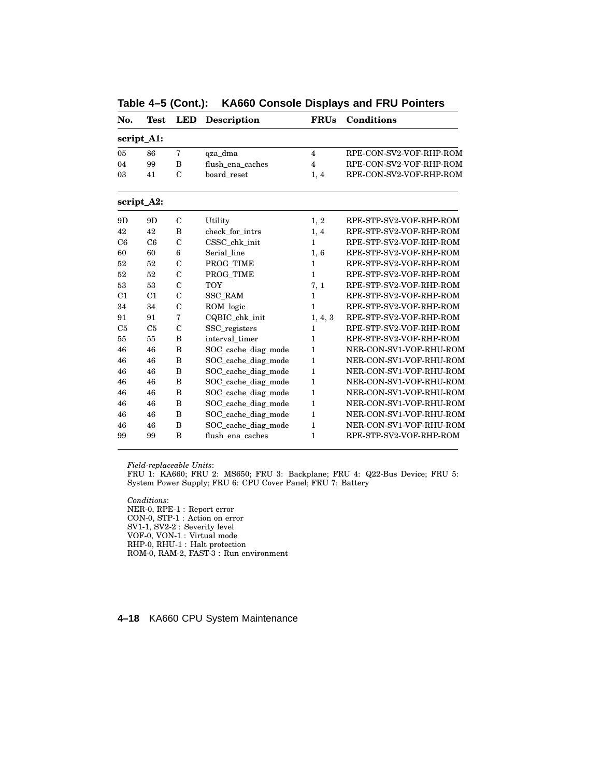| No.            | <b>Test</b>    | <b>LED</b>     | <b>Description</b>  | <b>FRUs</b>    | <b>Conditions</b>       |
|----------------|----------------|----------------|---------------------|----------------|-------------------------|
|                | script_A1:     |                |                     |                |                         |
| 05             | 86             | $\overline{7}$ | qza_dma             | $\overline{4}$ | RPE-CON-SV2-VOF-RHP-ROM |
| 04             | 99             | B              | flush_ena_caches    | $\overline{4}$ | RPE-CON-SV2-VOF-RHP-ROM |
| 03             | 41             | $\mathcal{C}$  | board reset         | 1, 4           | RPE-CON-SV2-VOF-RHP-ROM |
|                | script_A2:     |                |                     |                |                         |
| 9D             | 9D             | $\mathbf C$    | Utility             | 1, 2           | RPE-STP-SV2-VOF-RHP-ROM |
| 42             | 42             | B              | check_for_intrs     | 1, 4           | RPE-STP-SV2-VOF-RHP-ROM |
| C6             | C6             | $\overline{C}$ | CSSC_chk_init       | $\mathbf{1}$   | RPE-STP-SV2-VOF-RHP-ROM |
| 60             | 60             | 6              | Serial line         | 1,6            | RPE-STP-SV2-VOF-RHP-ROM |
| 52             | 52             | $\mathcal{C}$  | PROG TIME           | $\mathbf{1}$   | RPE-STP-SV2-VOF-RHP-ROM |
| 52             | 52             | $\mathcal{C}$  | PROG TIME           | $\mathbf{1}$   | RPE-STP-SV2-VOF-RHP-ROM |
| 53             | 53             | $\mathcal{C}$  | <b>TOY</b>          | 7, 1           | RPE-STP-SV2-VOF-RHP-ROM |
| C1             | C <sub>1</sub> | $\mathcal{C}$  | <b>SSC RAM</b>      | $\mathbf{1}$   | RPE-STP-SV2-VOF-RHP-ROM |
| 34             | 34             | $\mathcal{C}$  | ROM logic           | $\mathbf{1}$   | RPE-STP-SV2-VOF-RHP-ROM |
| 91             | 91             | 7              | CQBIC_chk_init      | 1, 4, 3        | RPE-STP-SV2-VOF-RHP-ROM |
| C <sub>5</sub> | C <sub>5</sub> | $\mathcal{C}$  | SSC_registers       | $\mathbf{1}$   | RPE-STP-SV2-VOF-RHP-ROM |
| 55             | 55             | B              | interval timer      | $\mathbf{1}$   | RPE-STP-SV2-VOF-RHP-ROM |
| 46             | 46             | B              | SOC_cache_diag_mode | $\mathbf{1}$   | NER-CON-SV1-VOF-RHU-ROM |
| 46             | 46             | B              | SOC_cache_diag_mode | $\mathbf{1}$   | NER-CON-SV1-VOF-RHU-ROM |
| 46             | 46             | B              | SOC_cache_diag_mode | $\mathbf{1}$   | NER-CON-SV1-VOF-RHU-ROM |
| 46             | 46             | B              | SOC_cache_diag_mode | $\mathbf{1}$   | NER-CON-SV1-VOF-RHU-ROM |
| 46             | 46             | B              | SOC_cache_diag_mode | $\mathbf{1}$   | NER-CON-SV1-VOF-RHU-ROM |
| 46             | 46             | B              | SOC_cache_diag_mode | 1              | NER-CON-SV1-VOF-RHU-ROM |
| 46             | 46             | B              | SOC_cache_diag_mode | $\mathbf{1}$   | NER-CON-SV1-VOF-RHU-ROM |
| 46             | 46             | B              | SOC_cache_diag_mode | 1              | NER-CON-SV1-VOF-RHU-ROM |
| 99             | 99             | B              | flush ena caches    | $\mathbf{1}$   | RPE-STP-SV2-VOF-RHP-ROM |

**Table 4–5 (Cont.): KA660 Console Displays and FRU Pointers**

FRU 1: KA660; FRU 2: MS650; FRU 3: Backplane; FRU 4: Q22-Bus Device; FRU 5: System Power Supply; FRU 6: CPU Cover Panel; FRU 7: Battery

*Conditions*: NER-0, RPE-1 : Report error CON-0, STP-1 : Action on error SV1-1, SV2-2 : Severity level VOF-0, VON-1 : Virtual mode RHP-0, RHU-1 : Halt protection ROM-0, RAM-2, FAST-3 : Run environment

**4–18** KA660 CPU System Maintenance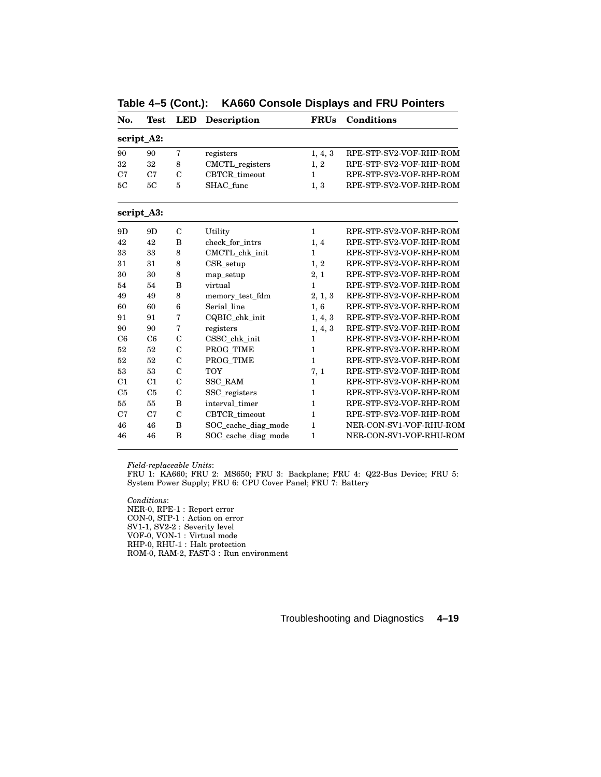| No.            | <b>Test</b>    | <b>LED</b>     | Description          | <b>FRUs</b>  | Conditions              |
|----------------|----------------|----------------|----------------------|--------------|-------------------------|
|                | script_A2:     |                |                      |              |                         |
| 90             | 90             | 7              | registers            | 1, 4, 3      | RPE-STP-SV2-VOF-RHP-ROM |
| 32             | 32             | 8              | CMCTL_registers      | 1, 2         | RPE-STP-SV2-VOF-RHP-ROM |
| C7             | C7             | $\mathbf C$    | CBTCR_timeout        | $\mathbf{1}$ | RPE-STP-SV2-VOF-RHP-ROM |
| 5C             | 5C             | $\overline{5}$ | SHAC func            | 1, 3         | RPE-STP-SV2-VOF-RHP-ROM |
|                | script_A3:     |                |                      |              |                         |
| 9D             | 9D             | $\mathcal{C}$  | Utility              | $\mathbf{1}$ | RPE-STP-SV2-VOF-RHP-ROM |
| 42             | 42             | B              | check_for_intrs      | 1, 4         | RPE-STP-SV2-VOF-RHP-ROM |
| 33             | 33             | 8              | CMCTL_chk_init       | $\mathbf{1}$ | RPE-STP-SV2-VOF-RHP-ROM |
| 31             | 31             | 8              | $CSR$ _setup<br>1, 2 |              | RPE-STP-SV2-VOF-RHP-ROM |
| 30             | 30             | 8              | map_setup            | 2, 1         | RPE-STP-SV2-VOF-RHP-ROM |
| 54             | 54             | B              | virtual              | $\mathbf{1}$ | RPE-STP-SV2-VOF-RHP-ROM |
| 49             | 49             | 8              | memory_test_fdm      | 2, 1, 3      | RPE-STP-SV2-VOF-RHP-ROM |
| 60             | 60             | 6              | Serial line          | 1,6          | RPE-STP-SV2-VOF-RHP-ROM |
| 91             | 91             | 7              | CQBIC chk init       | 1, 4, 3      | RPE-STP-SV2-VOF-RHP-ROM |
| 90             | 90             | 7              | registers            | 1, 4, 3      | RPE-STP-SV2-VOF-RHP-ROM |
| C6             | C6             | $\mathcal{C}$  | CSSC_chk_init        | $\mathbf{1}$ | RPE-STP-SV2-VOF-RHP-ROM |
| 52             | 52             | $\mathbf C$    | PROG TIME            | $\mathbf{1}$ | RPE-STP-SV2-VOF-RHP-ROM |
| 52             | 52             | $\mathcal{C}$  | PROG TIME            | $\mathbf{1}$ | RPE-STP-SV2-VOF-RHP-ROM |
| 53             | 53             | $\mathcal{C}$  | <b>TOY</b>           | 7, 1         | RPE-STP-SV2-VOF-RHP-ROM |
| C1             | C1             | $\mathcal{C}$  | <b>SSC RAM</b>       | $\mathbf{1}$ | RPE-STP-SV2-VOF-RHP-ROM |
| C <sub>5</sub> | C <sub>5</sub> | $\overline{C}$ | SSC_registers        | $\mathbf{1}$ | RPE-STP-SV2-VOF-RHP-ROM |
| 55             | 55             | B              | interval timer       | $\mathbf{1}$ | RPE-STP-SV2-VOF-RHP-ROM |
| C7             | C7             | $\mathcal{C}$  | CBTCR timeout        | $\mathbf{1}$ | RPE-STP-SV2-VOF-RHP-ROM |
| 46             | 46             | B              | SOC_cache_diag_mode  | 1            | NER-CON-SV1-VOF-RHU-ROM |
| 46             | 46             | B              | SOC_cache_diag_mode  | $\mathbf{1}$ | NER-CON-SV1-VOF-RHU-ROM |

**Table 4–5 (Cont.): KA660 Console Displays and FRU Pointers**

FRU 1: KA660; FRU 2: MS650; FRU 3: Backplane; FRU 4: Q22-Bus Device; FRU 5: System Power Supply; FRU 6: CPU Cover Panel; FRU 7: Battery

*Conditions*: NER-0, RPE-1 : Report error CON-0, STP-1 : Action on error SV1-1, SV2-2 : Severity level VOF-0, VON-1 : Virtual mode RHP-0, RHU-1 : Halt protection ROM-0, RAM-2, FAST-3 : Run environment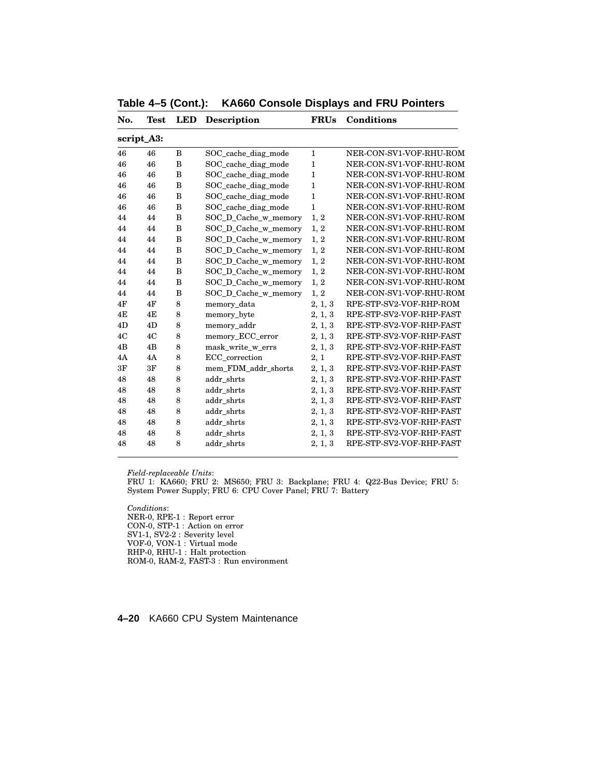| No. | Test       | LED | <b>Description</b>   | <b>FRUs</b>  | Conditions               |
|-----|------------|-----|----------------------|--------------|--------------------------|
|     | script_A3: |     |                      |              |                          |
| 46  | 46         | B   | SOC_cache_diag_mode  | $\mathbf{1}$ | NER-CON-SV1-VOF-RHU-ROM  |
| 46  | 46         | B   | SOC cache diag mode  | $\mathbf{1}$ | NER-CON-SV1-VOF-RHU-ROM  |
| 46  | 46         | B   | SOC_cache_diag_mode  | $\mathbf{1}$ | NER-CON-SV1-VOF-RHU-ROM  |
| 46  | 46         | B   | SOC cache diag mode  | $\mathbf{1}$ | NER-CON-SV1-VOF-RHU-ROM  |
| 46  | 46         | B   | SOC_cache_diag_mode  | 1            | NER-CON-SV1-VOF-RHU-ROM  |
| 46  | 46         | B   | SOC_cache_diag_mode  | $\mathbf{1}$ | NER-CON-SV1-VOF-RHU-ROM  |
| 44  | 44         | B   | SOC_D_Cache_w_memory | 1, 2         | NER-CON-SV1-VOF-RHU-ROM  |
| 44  | 44         | B   | SOC_D_Cache_w_memory | 1, 2         | NER-CON-SV1-VOF-RHU-ROM  |
| 44  | 44         | B   | SOC_D_Cache_w_memory | 1, 2         | NER-CON-SV1-VOF-RHU-ROM  |
| 44  | 44         | B   | SOC_D_Cache_w_memory | 1, 2         | NER-CON-SV1-VOF-RHU-ROM  |
| 44  | 44         | B   | SOC_D_Cache_w_memory | 1, 2         | NER-CON-SV1-VOF-RHU-ROM  |
| 44  | 44         | B   | SOC_D_Cache_w_memory | 1, 2         | NER-CON-SV1-VOF-RHU-ROM  |
| 44  | 44         | B   | SOC_D_Cache_w_memory | 1, 2         | NER-CON-SV1-VOF-RHU-ROM  |
| 44  | 44         | B   | SOC_D_Cache_w_memory | 1, 2         | NER-CON-SV1-VOF-RHU-ROM  |
| 4F  | 4F         | 8   | memory_data          | 2, 1, 3      | RPE-STP-SV2-VOF-RHP-ROM  |
| 4E  | 4E         | 8   | memory_byte          | 2, 1, 3      | RPE-STP-SV2-VOF-RHP-FAST |
| 4D  | 4D         | 8   | memory_addr          | 2, 1, 3      | RPE-STP-SV2-VOF-RHP-FAST |
| 4C  | 4C         | 8   | memory_ECC_error     | 2, 1, 3      | RPE-STP-SV2-VOF-RHP-FAST |
| 4B  | 4B         | 8   | mask write w errs    | 2, 1, 3      | RPE-STP-SV2-VOF-RHP-FAST |
| 4A  | 4A         | 8   | ECC_correction       | 2, 1         | RPE-STP-SV2-VOF-RHP-FAST |
| 3F  | 3F         | 8   | mem FDM addr shorts  | 2, 1, 3      | RPE-STP-SV2-VOF-RHP-FAST |
| 48  | 48         | 8   | addr shrts           | 2, 1, 3      | RPE-STP-SV2-VOF-RHP-FAST |
| 48  | 48         | 8   | addr shrts           | 2, 1, 3      | RPE-STP-SV2-VOF-RHP-FAST |
| 48  | 48         | 8   | addr shrts           | 2, 1, 3      | RPE-STP-SV2-VOF-RHP-FAST |
| 48  | 48         | 8   | addr_shrts           | 2, 1, 3      | RPE-STP-SV2-VOF-RHP-FAST |
| 48  | 48         | 8   | addr_shrts           | 2, 1, 3      | RPE-STP-SV2-VOF-RHP-FAST |
| 48  | 48         | 8   | addr_shrts           | 2, 1, 3      | RPE-STP-SV2-VOF-RHP-FAST |
| 48  | 48         | 8   | addr_shrts           | 2, 1, 3      | RPE-STP-SV2-VOF-RHP-FAST |
|     |            |     |                      |              |                          |

**Table 4–5 (Cont.): KA660 Console Displays and FRU Pointers**

FRU 1: KA660; FRU 2: MS650; FRU 3: Backplane; FRU 4: Q22-Bus Device; FRU 5: System Power Supply; FRU 6: CPU Cover Panel; FRU 7: Battery

*Conditions*: NER-0, RPE-1 : Report error CON-0, STP-1 : Action on error SV1-1, SV2-2 : Severity level VOF-0, VON-1 : Virtual mode RHP-0, RHU-1 : Halt protection ROM-0, RAM-2, FAST-3 : Run environment

**4–20** KA660 CPU System Maintenance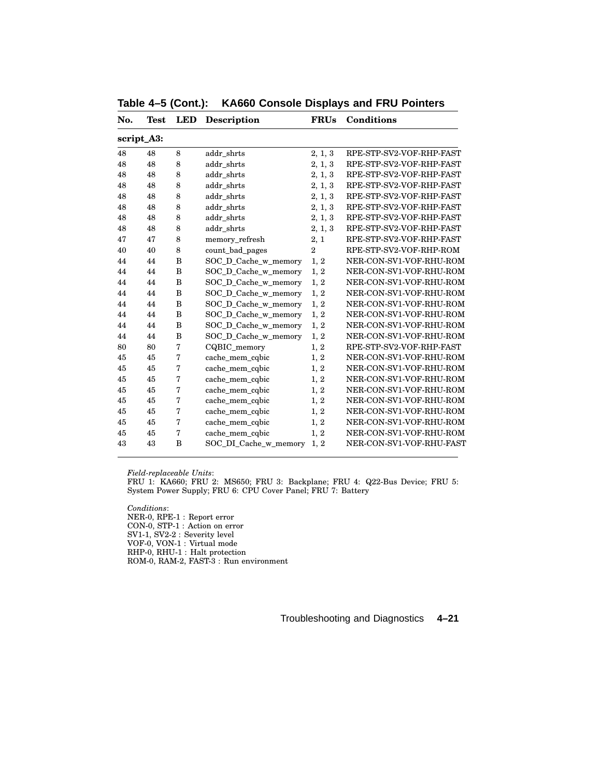| No. | Test       | LED | <b>Description</b>    | <b>FRUs</b>    | Conditions               |
|-----|------------|-----|-----------------------|----------------|--------------------------|
|     | script_A3: |     |                       |                |                          |
| 48  | 48         | 8   | addr_shrts            | 2, 1, 3        | RPE-STP-SV2-VOF-RHP-FAST |
| 48  | 48         | 8   | addr shrts            | 2, 1, 3        | RPE-STP-SV2-VOF-RHP-FAST |
| 48  | 48         | 8   | addr_shrts            | 2, 1, 3        | RPE-STP-SV2-VOF-RHP-FAST |
| 48  | 48         | 8   | addr shrts            | 2, 1, 3        | RPE-STP-SV2-VOF-RHP-FAST |
| 48  | 48         | 8   | addr_shrts            | 2, 1, 3        | RPE-STP-SV2-VOF-RHP-FAST |
| 48  | 48         | 8   | addr shrts            | 2, 1, 3        | RPE-STP-SV2-VOF-RHP-FAST |
| 48  | 48         | 8   | addr shrts            | 2, 1, 3        | RPE-STP-SV2-VOF-RHP-FAST |
| 48  | 48         | 8   | addr shrts            | 2, 1, 3        | RPE-STP-SV2-VOF-RHP-FAST |
| 47  | 47         | 8   | memory_refresh        | 2, 1           | RPE-STP-SV2-VOF-RHP-FAST |
| 40  | 40         | 8   | count_bad_pages       | $\overline{2}$ | RPE-STP-SV2-VOF-RHP-ROM  |
| 44  | 44         | B   | SOC_D_Cache_w_memory  | 1, 2           | NER-CON-SV1-VOF-RHU-ROM  |
| 44  | 44         | B   | SOC_D_Cache_w_memory  | 1, 2           | NER-CON-SV1-VOF-RHU-ROM  |
| 44  | 44         | B   | SOC_D_Cache_w_memory  | 1, 2           | NER-CON-SV1-VOF-RHU-ROM  |
| 44  | 44         | B   | SOC_D_Cache_w_memory  | 1, 2           | NER-CON-SV1-VOF-RHU-ROM  |
| 44  | 44         | B   | SOC_D_Cache_w_memory  | 1, 2           | NER-CON-SV1-VOF-RHU-ROM  |
| 44  | 44         | B   | SOC_D_Cache_w_memory  | 1, 2           | NER-CON-SV1-VOF-RHU-ROM  |
| 44  | 44         | B   | SOC_D_Cache_w_memory  | 1, 2           | NER-CON-SV1-VOF-RHU-ROM  |
| 44  | 44         | B   | SOC_D_Cache_w_memory  | 1, 2           | NER-CON-SV1-VOF-RHU-ROM  |
| 80  | 80         | 7   | CQBIC memory          | 1, 2           | RPE-STP-SV2-VOF-RHP-FAST |
| 45  | 45         | 7   | cache_mem_cqbic       | 1, 2           | NER-CON-SV1-VOF-RHU-ROM  |
| 45  | 45         | 7   | cache_mem_cqbic       | 1, 2           | NER-CON-SV1-VOF-RHU-ROM  |
| 45  | 45         | 7   | cache_mem_cqbic       | 1, 2           | NER-CON-SV1-VOF-RHU-ROM  |
| 45  | 45         | 7   | cache_mem_cqbic       | 1, 2           | NER-CON-SV1-VOF-RHU-ROM  |
| 45  | 45         | 7   | cache_mem_cqbic       | 1, 2           | NER-CON-SV1-VOF-RHU-ROM  |
| 45  | 45         | 7   | cache_mem_cqbic       | 1, 2           | NER-CON-SV1-VOF-RHU-ROM  |
| 45  | 45         | 7   | cache_mem_cqbic       | 1, 2           | NER-CON-SV1-VOF-RHU-ROM  |
| 45  | 45         | 7   | cache_mem_cqbic       | 1, 2           | NER-CON-SV1-VOF-RHU-ROM  |
| 43  | 43         | B   | SOC_DI_Cache_w_memory | 1, 2           | NER-CON-SV1-VOF-RHU-FAST |
|     |            |     |                       |                |                          |

**Table 4–5 (Cont.): KA660 Console Displays and FRU Pointers**

FRU 1: KA660; FRU 2: MS650; FRU 3: Backplane; FRU 4: Q22-Bus Device; FRU 5: System Power Supply; FRU 6: CPU Cover Panel; FRU 7: Battery

*Conditions*: NER-0, RPE-1 : Report error CON-0, STP-1 : Action on error SV1-1, SV2-2 : Severity level VOF-0, VON-1 : Virtual mode RHP-0, RHU-1 : Halt protection ROM-0, RAM-2, FAST-3 : Run environment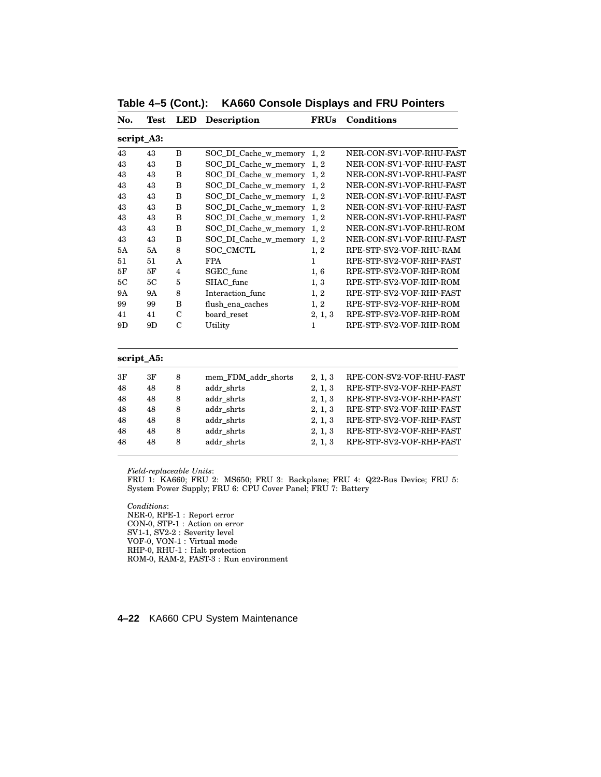| No.       | Test       | LED            | <b>Description</b>         | <b>FRUs</b>  | Conditions               |
|-----------|------------|----------------|----------------------------|--------------|--------------------------|
|           | script_A3: |                |                            |              |                          |
| 43        | 43         | B              | SOC_DI_Cache_w_memory 1, 2 |              | NER-CON-SV1-VOF-RHU-FAST |
| 43        | 43         | B              | SOC_DI_Cache_w_memory 1, 2 |              | NER-CON-SV1-VOF-RHU-FAST |
| 43        | 43         | B              | SOC_DI_Cache_w_memory 1, 2 |              | NER-CON-SV1-VOF-RHU-FAST |
| 43        | 43         | B              | SOC DI Cache w memory 1, 2 |              | NER-CON-SV1-VOF-RHU-FAST |
| 43        | 43         | B              | SOC_DI_Cache_w_memory 1, 2 |              | NER-CON-SV1-VOF-RHU-FAST |
| 43        | 43         | B              | SOC_DI_Cache_w_memory 1, 2 |              | NER-CON-SV1-VOF-RHU-FAST |
| 43        | 43         | B              | SOC_DI_Cache_w_memory      | 1, 2         | NER-CON-SV1-VOF-RHU-FAST |
| 43        | 43         | B              | SOC_DI_Cache_w_memory      | 1, 2         | NER-CON-SV1-VOF-RHU-ROM  |
| 43        | 43         | B              | SOC_DI_Cache_w_memory 1, 2 |              | NER-CON-SV1-VOF-RHU-FAST |
| 5A        | 5A         | 8              | SOC_CMCTL                  | 1, 2         | RPE-STP-SV2-VOF-RHU-RAM  |
| 51        | 51         | A              | <b>FPA</b>                 | $\mathbf{1}$ | RPE-STP-SV2-VOF-RHP-FAST |
| 5F        | 5F         | $\overline{4}$ | SGEC func                  | 1,6          | RPE-STP-SV2-VOF-RHP-ROM  |
| 5C        | 5C         | 5              | SHAC func                  | 1, 3         | RPE-STP-SV2-VOF-RHP-ROM  |
| <b>9A</b> | 9Α         | 8              | Interaction func           | 1, 2         | RPE-STP-SV2-VOF-RHP-FAST |
| 99        | 99         | B              | flush_ena_caches           | 1, 2         | RPE-STP-SV2-VOF-RHP-ROM  |
| 41        | 41         | $\mathbf C$    | board reset                | 2, 1, 3      | RPE-STP-SV2-VOF-RHP-ROM  |
| 9D        | 9D         | $\mathcal{C}$  | Utility                    | $\mathbf{1}$ | RPE-STP-SV2-VOF-RHP-ROM  |
|           | script_A5: |                |                            |              |                          |
| 3F        | 3F         | 8              | mem_FDM_addr_shorts        | 2, 1, 3      | RPE-CON-SV2-VOF-RHU-FAST |
| 48        | 48         | 8              | addr shrts                 | 2, 1, 3      | RPE-STP-SV2-VOF-RHP-FAST |
| 48        | 48         | 8              | addr shrts                 | 2, 1, 3      | RPE-STP-SV2-VOF-RHP-FAST |
| 48        | 48         | 8              | addr shrts                 | 2, 1, 3      | RPE-STP-SV2-VOF-RHP-FAST |

**Table 4–5 (Cont.): KA660 Console Displays and FRU Pointers**

FRU 1: KA660; FRU 2: MS650; FRU 3: Backplane; FRU 4: Q22-Bus Device; FRU 5: System Power Supply; FRU 6: CPU Cover Panel; FRU 7: Battery

48 48 8 addr\_shrts 2, 1, 3 RPE-STP-SV2-VOF-RHP-FAST 48 48 8 addr\_shrts 2, 1, 3 RPE-STP-SV2-VOF-RHP-FAST 48 48 8 addr\_shrts 2, 1, 3 RPE-STP-SV2-VOF-RHP-FAST

*Conditions*: NER-0, RPE-1 : Report error CON-0, STP-1 : Action on error SV1-1, SV2-2 : Severity level VOF-0, VON-1 : Virtual mode RHP-0, RHU-1 : Halt protection ROM-0, RAM-2, FAST-3 : Run environment

**4–22** KA660 CPU System Maintenance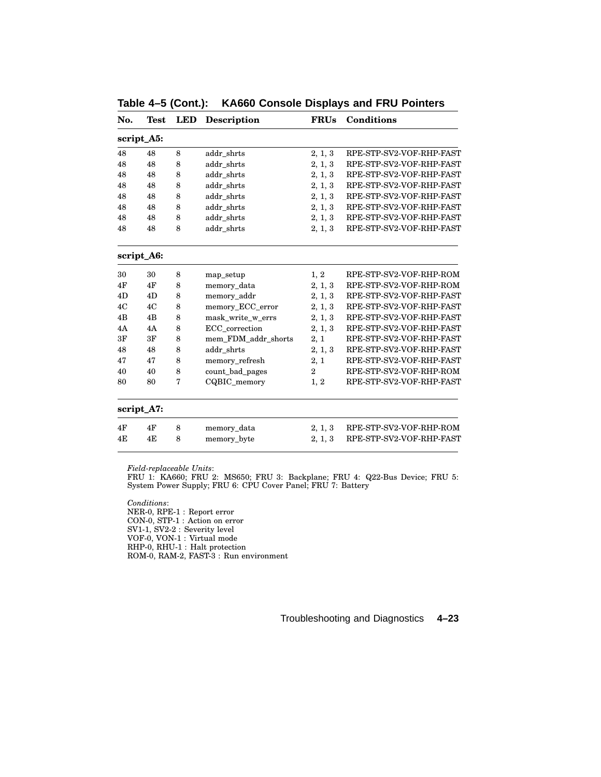| No. | <b>Test</b>           | <b>LED</b> | <b>Description</b>  | <b>FRUs</b>    | <b>Conditions</b>        |
|-----|-----------------------|------------|---------------------|----------------|--------------------------|
|     | script_A5:            |            |                     |                |                          |
| 48  | 48                    | 8          | addr_shrts          | 2, 1, 3        | RPE-STP-SV2-VOF-RHP-FAST |
| 48  | addr_shrts<br>48<br>8 |            |                     | 2, 1, 3        | RPE-STP-SV2-VOF-RHP-FAST |
| 48  | 48                    | 8          | addr_shrts          | 2, 1, 3        | RPE-STP-SV2-VOF-RHP-FAST |
| 48  | 48                    | 8          | addr_shrts          | 2, 1, 3        | RPE-STP-SV2-VOF-RHP-FAST |
| 48  | 48                    | 8          | addr_shrts          | 2, 1, 3        | RPE-STP-SV2-VOF-RHP-FAST |
| 48  | 48                    | 8          | addr_shrts          | 2, 1, 3        | RPE-STP-SV2-VOF-RHP-FAST |
| 48  | 48                    | 8          | addr_shrts          | 2, 1, 3        | RPE-STP-SV2-VOF-RHP-FAST |
| 48  | 48                    | 8          | addr_shrts          | 2, 1, 3        | RPE-STP-SV2-VOF-RHP-FAST |
|     | script_A6:            |            |                     |                |                          |
| 30  | 30                    | 8          | map_setup           | 1, 2           | RPE-STP-SV2-VOF-RHP-ROM  |
| 4F  | 4F                    | 8          | memory_data         | 2, 1, 3        | RPE-STP-SV2-VOF-RHP-ROM  |
| 4D  | 4D                    | 8          | memory_addr         | 2, 1, 3        | RPE-STP-SV2-VOF-RHP-FAST |
| 4C  | 4C                    | 8          | memory_ECC_error    | 2, 1, 3        | RPE-STP-SV2-VOF-RHP-FAST |
| 4B  | 4B                    | 8          | mask_write_w_errs   | 2, 1, 3        | RPE-STP-SV2-VOF-RHP-FAST |
| 4A  | 4A                    | 8          | ECC correction      | 2, 1, 3        | RPE-STP-SV2-VOF-RHP-FAST |
| 3F  | 3F                    | 8          | mem_FDM_addr_shorts | 2, 1           | RPE-STP-SV2-VOF-RHP-FAST |
| 48  | 48                    | 8          | addr shrts          | 2, 1, 3        | RPE-STP-SV2-VOF-RHP-FAST |
| 47  | 47                    | 8          | memory_refresh      | 2, 1           | RPE-STP-SV2-VOF-RHP-FAST |
| 40  | 40                    | 8          | count_bad_pages     | $\overline{2}$ | RPE-STP-SV2-VOF-RHP-ROM  |
| 80  | 80                    | 7          | CQBIC memory        | 1, 2           | RPE-STP-SV2-VOF-RHP-FAST |
|     | script_A7:            |            |                     |                |                          |
| 4F  | 4F                    | 8          | memory_data         | 2, 1, 3        | RPE-STP-SV2-VOF-RHP-ROM  |
| 4E  | 4E                    | 8          | memory_byte         | 2, 1, 3        | RPE-STP-SV2-VOF-RHP-FAST |
|     |                       |            |                     |                |                          |

**Table 4–5 (Cont.): KA660 Console Displays and FRU Pointers**

FRU 1: KA660; FRU 2: MS650; FRU 3: Backplane; FRU 4: Q22-Bus Device; FRU 5: System Power Supply; FRU 6: CPU Cover Panel; FRU 7: Battery

*Conditions*: NER-0, RPE-1 : Report error CON-0, STP-1 : Action on error SV1-1, SV2-2 : Severity level VOF-0, VON-1 : Virtual mode RHP-0, RHU-1 : Halt protection ROM-0, RAM-2, FAST-3 : Run environment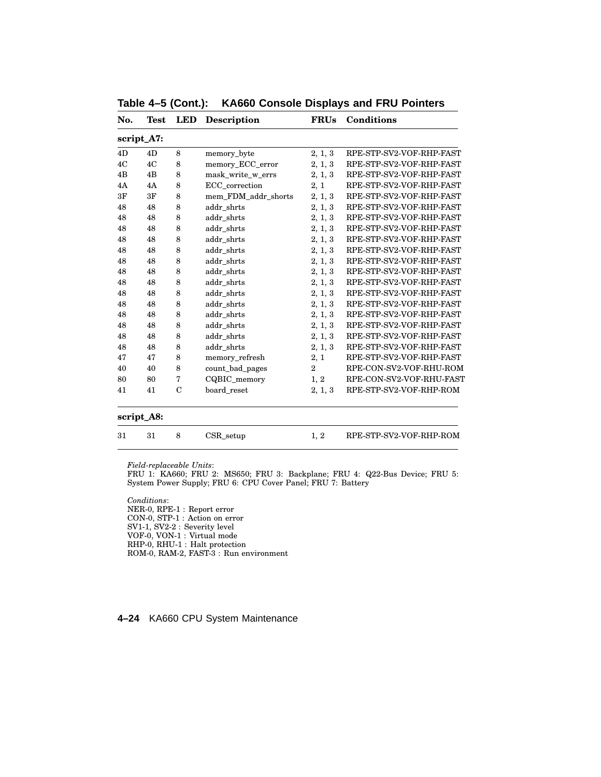| No. | Test       | LED           | <b>Description</b>  | <b>FRUs</b>    | Conditions               |
|-----|------------|---------------|---------------------|----------------|--------------------------|
|     | script_A7: |               |                     |                |                          |
| 4D  | 4D         | 8             | memory_byte         | 2, 1, 3        | RPE-STP-SV2-VOF-RHP-FAST |
| 4C  | 4C         | 8             | memory_ECC_error    | 2, 1, 3        | RPE-STP-SV2-VOF-RHP-FAST |
| 4B  | 4B         | 8             | mask_write_w_errs   | 2, 1, 3        | RPE-STP-SV2-VOF-RHP-FAST |
| 4A  | 4A         | 8             | ECC_correction      | 2, 1           | RPE-STP-SV2-VOF-RHP-FAST |
| 3F  | 3F         | 8             | mem_FDM_addr_shorts | 2, 1, 3        | RPE-STP-SV2-VOF-RHP-FAST |
| 48  | 48         | 8             | addr_shrts          | 2, 1, 3        | RPE-STP-SV2-VOF-RHP-FAST |
| 48  | 48         | 8             | addr_shrts          | 2, 1, 3        | RPE-STP-SV2-VOF-RHP-FAST |
| 48  | 48         | 8             | addr_shrts          | 2, 1, 3        | RPE-STP-SV2-VOF-RHP-FAST |
| 48  | 48         | 8             | addr_shrts          | 2, 1, 3        | RPE-STP-SV2-VOF-RHP-FAST |
| 48  | 48         | 8             | addr shrts          | 2, 1, 3        | RPE-STP-SV2-VOF-RHP-FAST |
| 48  | 48         | 8             | addr shrts          | 2, 1, 3        | RPE-STP-SV2-VOF-RHP-FAST |
| 48  | 48         | 8             | addr shrts          | 2, 1, 3        | RPE-STP-SV2-VOF-RHP-FAST |
| 48  | 48         | 8             | addr shrts          | 2, 1, 3        | RPE-STP-SV2-VOF-RHP-FAST |
| 48  | 48         | 8             | addr_shrts          | 2, 1, 3        | RPE-STP-SV2-VOF-RHP-FAST |
| 48  | 48         | 8             | addr shrts          | 2, 1, 3        | RPE-STP-SV2-VOF-RHP-FAST |
| 48  | 48         | 8             | addr_shrts          | 2, 1, 3        | RPE-STP-SV2-VOF-RHP-FAST |
| 48  | 48         | 8             | addr_shrts          | 2, 1, 3        | RPE-STP-SV2-VOF-RHP-FAST |
| 48  | 48         | 8             | addr_shrts          | 2, 1, 3        | RPE-STP-SV2-VOF-RHP-FAST |
| 48  | 48         | 8             | addr_shrts          | 2, 1, 3        | RPE-STP-SV2-VOF-RHP-FAST |
| 47  | 47         | 8             | memory_refresh      | 2, 1           | RPE-STP-SV2-VOF-RHP-FAST |
| 40  | 40         | 8             | count_bad_pages     | $\overline{2}$ | RPE-CON-SV2-VOF-RHU-ROM  |
| 80  | 80         | 7             | CQBIC_memory        | 1, 2           | RPE-CON-SV2-VOF-RHU-FAST |
| 41  | 41         | $\mathcal{C}$ | board reset         | 2, 1, 3        | RPE-STP-SV2-VOF-RHP-ROM  |
|     | script_A8: |               |                     |                |                          |
| 31  | 31         | 8             | CSR setup           | 1, 2           | RPE-STP-SV2-VOF-RHP-ROM  |

**Table 4–5 (Cont.): KA660 Console Displays and FRU Pointers**

FRU 1: KA660; FRU 2: MS650; FRU 3: Backplane; FRU 4: Q22-Bus Device; FRU 5: System Power Supply; FRU 6: CPU Cover Panel; FRU 7: Battery

*Conditions*: NER-0, RPE-1 : Report error CON-0, STP-1 : Action on error SV1-1, SV2-2 : Severity level VOF-0, VON-1 : Virtual mode RHP-0, RHU-1 : Halt protection ROM-0, RAM-2, FAST-3 : Run environment

# **4–24** KA660 CPU System Maintenance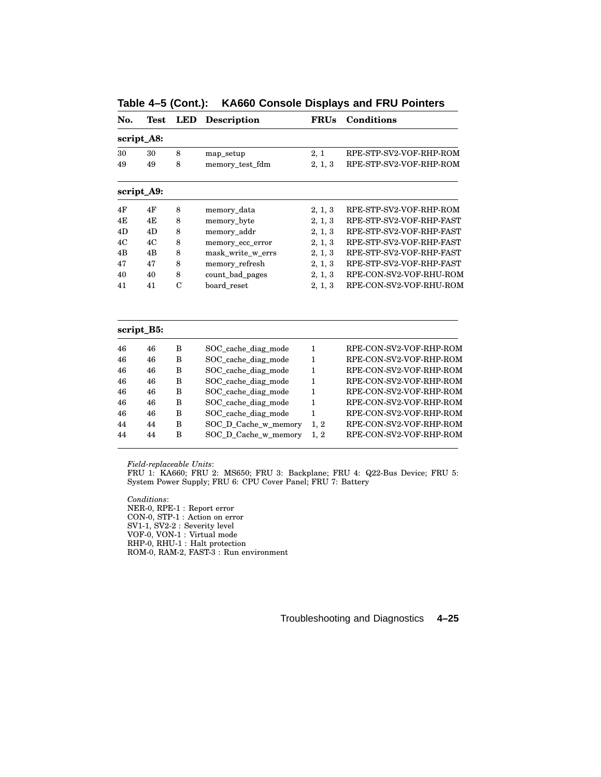| No. | Test       | <b>LED</b>     | <b>Description</b>   | <b>FRUs</b>  | Conditions               |
|-----|------------|----------------|----------------------|--------------|--------------------------|
|     | script_A8: |                |                      |              |                          |
| 30  | 30         | 8              | map_setup            | 2, 1         | RPE-STP-SV2-VOF-RHP-ROM  |
| 49  | 49         | 8              | memory_test_fdm      | 2, 1, 3      | RPE-STP-SV2-VOF-RHP-ROM  |
|     | script_A9: |                |                      |              |                          |
| 4F  | 4F         | 8              | memory_data          | 2, 1, 3      | RPE-STP-SV2-VOF-RHP-ROM  |
| 4E  | 4E         | 8              | memory_byte          | 2, 1, 3      | RPE-STP-SV2-VOF-RHP-FAST |
| 4D  | 4D         | 8              | memory_addr          | 2, 1, 3      | RPE-STP-SV2-VOF-RHP-FAST |
| 4C  | 4C         | 8              | memory_ecc_error     | 2, 1, 3      | RPE-STP-SV2-VOF-RHP-FAST |
| 4B  | 4B         | 8              | mask_write_w_errs    | 2, 1, 3      | RPE-STP-SV2-VOF-RHP-FAST |
| 47  | 47         | 8              | memory_refresh       | 2, 1, 3      | RPE-STP-SV2-VOF-RHP-FAST |
| 40  | 40         | 8              | count_bad_pages      | 2, 1, 3      | RPE-CON-SV2-VOF-RHU-ROM  |
| 41  | 41         | $\overline{C}$ | board reset          | 2, 1, 3      | RPE-CON-SV2-VOF-RHU-ROM  |
|     | script_B5: |                |                      |              |                          |
| 46  | 46         | B              | SOC_cache_diag_mode  | $\mathbf{1}$ | RPE-CON-SV2-VOF-RHP-ROM  |
| 46  | 46         | B              | SOC_cache_diag_mode  | $\mathbf{1}$ | RPE-CON-SV2-VOF-RHP-ROM  |
| 46  | 46         | B              | SOC cache diag mode  | $\mathbf{1}$ | RPE-CON-SV2-VOF-RHP-ROM  |
| 46  | 46         | B              | SOC_cache_diag_mode  | 1            | RPE-CON-SV2-VOF-RHP-ROM  |
| 46  | 46         | B              | SOC_cache_diag_mode  | $\mathbf{1}$ | RPE-CON-SV2-VOF-RHP-ROM  |
| 46  | 46         | B              | SOC_cache_diag_mode  | $\mathbf{1}$ | RPE-CON-SV2-VOF-RHP-ROM  |
| 46  | 46         | B              | SOC_cache_diag_mode  | $\mathbf{1}$ | RPE-CON-SV2-VOF-RHP-ROM  |
| 44  | 44         | B              | SOC_D_Cache_w_memory | 1, 2         | RPE-CON-SV2-VOF-RHP-ROM  |
| 44  | 44         | B              | SOC_D_Cache_w_memory | 1, 2         | RPE-CON-SV2-VOF-RHP-ROM  |

**Table 4–5 (Cont.): KA660 Console Displays and FRU Pointers**

FRU 1: KA660; FRU 2: MS650; FRU 3: Backplane; FRU 4: Q22-Bus Device; FRU 5: System Power Supply; FRU 6: CPU Cover Panel; FRU 7: Battery

*Conditions*: NER-0, RPE-1 : Report error CON-0, STP-1 : Action on error SV1-1, SV2-2 : Severity level VOF-0, VON-1 : Virtual mode RHP-0, RHU-1 : Halt protection ROM-0, RAM-2, FAST-3 : Run environment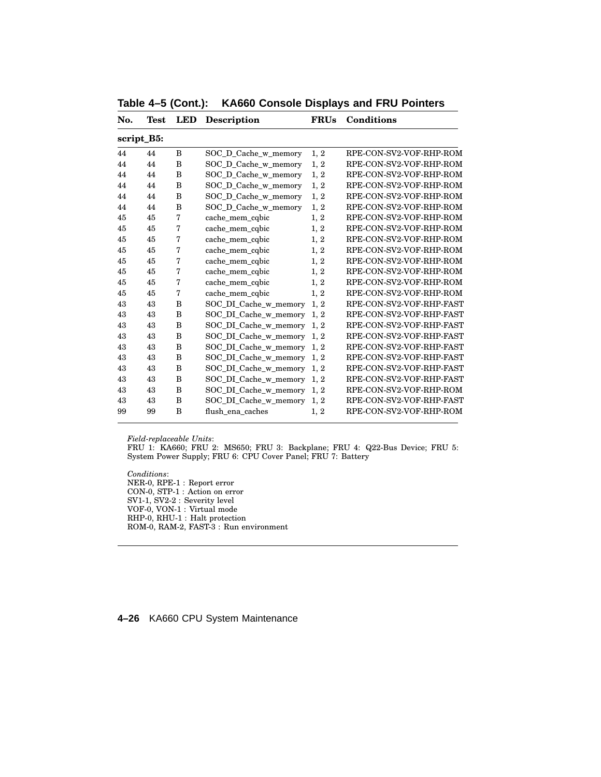| No. | Test       | LED | <b>Description</b>         | <b>FRUs</b> | Conditions               |
|-----|------------|-----|----------------------------|-------------|--------------------------|
|     | script_B5: |     |                            |             |                          |
| 44  | 44         | B   | SOC_D_Cache_w_memory       | 1, 2        | RPE-CON-SV2-VOF-RHP-ROM  |
| 44  | 44         | B   | SOC_D_Cache_w_memory       | 1, 2        | RPE-CON-SV2-VOF-RHP-ROM  |
| 44  | 44         | B   | SOC_D_Cache_w_memory       | 1, 2        | RPE-CON-SV2-VOF-RHP-ROM  |
| 44  | 44         | B   | SOC_D_Cache_w_memory       | 1, 2        | RPE-CON-SV2-VOF-RHP-ROM  |
| 44  | 44         | B   | SOC_D_Cache_w_memory       | 1, 2        | RPE-CON-SV2-VOF-RHP-ROM  |
| 44  | 44         | B   | SOC_D_Cache_w_memory       | 1, 2        | RPE-CON-SV2-VOF-RHP-ROM  |
| 45  | 45         | 7   | cache mem cqbic            | 1, 2        | RPE-CON-SV2-VOF-RHP-ROM  |
| 45  | 45         | 7   | cache_mem_cqbic            | 1, 2        | RPE-CON-SV2-VOF-RHP-ROM  |
| 45  | 45         | 7   | cache_mem_cqbic            | 1, 2        | RPE-CON-SV2-VOF-RHP-ROM  |
| 45  | 45         | 7   | cache_mem_cqbic            | 1, 2        | RPE-CON-SV2-VOF-RHP-ROM  |
| 45  | 45         | 7   | cache_mem_cqbic            | 1, 2        | RPE-CON-SV2-VOF-RHP-ROM  |
| 45  | 45         | 7   | cache_mem_cqbic            | 1, 2        | RPE-CON-SV2-VOF-RHP-ROM  |
| 45  | 45         | 7   | cache_mem_cqbic            | 1, 2        | RPE-CON-SV2-VOF-RHP-ROM  |
| 45  | 45         | 7   | cache_mem_cqbic            | 1, 2        | RPE-CON-SV2-VOF-RHP-ROM  |
| 43  | 43         | B   | SOC_DI_Cache_w_memory      | 1, 2        | RPE-CON-SV2-VOF-RHP-FAST |
| 43  | 43         | B   | SOC DI Cache w memory      | 1, 2        | RPE-CON-SV2-VOF-RHP-FAST |
| 43  | 43         | B   | SOC_DI_Cache_w_memory      | 1, 2        | RPE-CON-SV2-VOF-RHP-FAST |
| 43  | 43         | B   | SOC_DI_Cache_w_memory      | 1, 2        | RPE-CON-SV2-VOF-RHP-FAST |
| 43  | 43         | B   | SOC DI Cache w memory      | 1, 2        | RPE-CON-SV2-VOF-RHP-FAST |
| 43  | 43         | B   | SOC_DI_Cache_w_memory      | 1.2         | RPE-CON-SV2-VOF-RHP-FAST |
| 43  | 43         | B   | SOC_DI_Cache_w_memory      | 1, 2        | RPE-CON-SV2-VOF-RHP-FAST |
| 43  | 43         | B   | SOC_DI_Cache_w_memory 1, 2 |             | RPE-CON-SV2-VOF-RHP-FAST |
| 43  | 43         | B   | SOC_DI_Cache_w_memory      | 1, 2        | RPE-CON-SV2-VOF-RHP-ROM  |
| 43  | 43         | B   | SOC_DI_Cache_w_memory      | 1, 2        | RPE-CON-SV2-VOF-RHP-FAST |
| 99  | 99         | B   | flush ena caches           | 1, 2        | RPE-CON-SV2-VOF-RHP-ROM  |
|     |            |     |                            |             |                          |

**Table 4–5 (Cont.): KA660 Console Displays and FRU Pointers**

FRU 1: KA660; FRU 2: MS650; FRU 3: Backplane; FRU 4: Q22-Bus Device; FRU 5: System Power Supply; FRU 6: CPU Cover Panel; FRU 7: Battery

*Conditions*: NER-0, RPE-1 : Report error CON-0, STP-1 : Action on error SV1-1, SV2-2 : Severity level VOF-0, VON-1 : Virtual mode RHP-0, RHU-1 : Halt protection ROM-0, RAM-2, FAST-3 : Run environment

# **4–26** KA660 CPU System Maintenance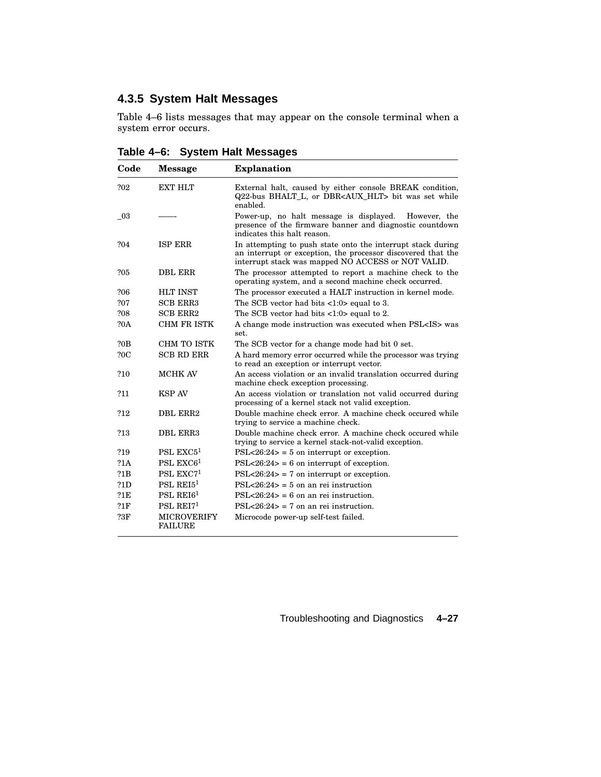# **4.3.5 System Halt Messages**

Table 4–6 lists messages that may appear on the console terminal when a system error occurs.

| Code       | <b>Message</b>                       | <b>Explanation</b>                                                                                                                                                                |
|------------|--------------------------------------|-----------------------------------------------------------------------------------------------------------------------------------------------------------------------------------|
| ?02        | <b>EXT HLT</b>                       | External halt, caused by either console BREAK condition,<br>Q22-bus BHALT_L, or DBR <aux_hlt> bit was set while<br/>enabled.</aux_hlt>                                            |
| - 03       |                                      | Power-up, no halt message is displayed.<br>However, the<br>presence of the firmware banner and diagnostic countdown<br>indicates this halt reason.                                |
| ?04        | <b>ISP ERR</b>                       | In attempting to push state onto the interrupt stack during<br>an interrupt or exception, the processor discovered that the<br>interrupt stack was mapped NO ACCESS or NOT VALID. |
| ?05        | <b>DBL ERR</b>                       | The processor attempted to report a machine check to the<br>operating system, and a second machine check occurred.                                                                |
| ?06        | <b>HLT INST</b>                      | The processor executed a HALT instruction in kernel mode.                                                                                                                         |
| ?07        | <b>SCB ERR3</b>                      | The SCB vector had bits $\langle 1:0 \rangle$ equal to 3.                                                                                                                         |
| ?08        | <b>SCB ERR2</b>                      | The SCB vector had bits $\langle 1:0 \rangle$ equal to 2.                                                                                                                         |
| <b>?0A</b> | <b>CHM FR ISTK</b>                   | A change mode instruction was executed when PSL <is> was<br/>set.</is>                                                                                                            |
| ?0B        | CHM TO ISTK                          | The SCB vector for a change mode had bit 0 set.                                                                                                                                   |
| 20C        | <b>SCB RD ERR</b>                    | A hard memory error occurred while the processor was trying<br>to read an exception or interrupt vector.                                                                          |
| ?10        | <b>MCHK AV</b>                       | An access violation or an invalid translation occurred during<br>machine check exception processing.                                                                              |
| ?11        | <b>KSP AV</b>                        | An access violation or translation not valid occurred during<br>processing of a kernel stack not valid exception.                                                                 |
| ?12        | DBL ERR2                             | Double machine check error. A machine check occured while<br>trying to service a machine check.                                                                                   |
| ?13        | DBL ERR3                             | Double machine check error. A machine check occured while<br>trying to service a kernel stack-not-valid exception.                                                                |
| ?19        | PSL $EXC51$                          | $PSL < 26:24$ = 5 on interrupt or exception.                                                                                                                                      |
| 21A        | PSL $EXC61$                          | $PSL < 26:24$ = 6 on interrupt of exception.                                                                                                                                      |
| 21B        | PSL $EXC71$                          | $PSL < 26:24$ = 7 on interrupt or exception.                                                                                                                                      |
| 21D        | PSL REI $51$                         | $PSL < 26:24 > 5$ on an rei instruction                                                                                                                                           |
| 21E        | PSL REI $61$                         | $PSL < 26:24 > 6$ on an rei instruction.                                                                                                                                          |
| 21F        | PSL $REI71$                          | $PSL < 26:24 > 7$ on an rei instruction.                                                                                                                                          |
| <b>?3F</b> | <b>MICROVERIFY</b><br><b>FAILURE</b> | Microcode power-up self-test failed.                                                                                                                                              |

**Table 4–6: System Halt Messages**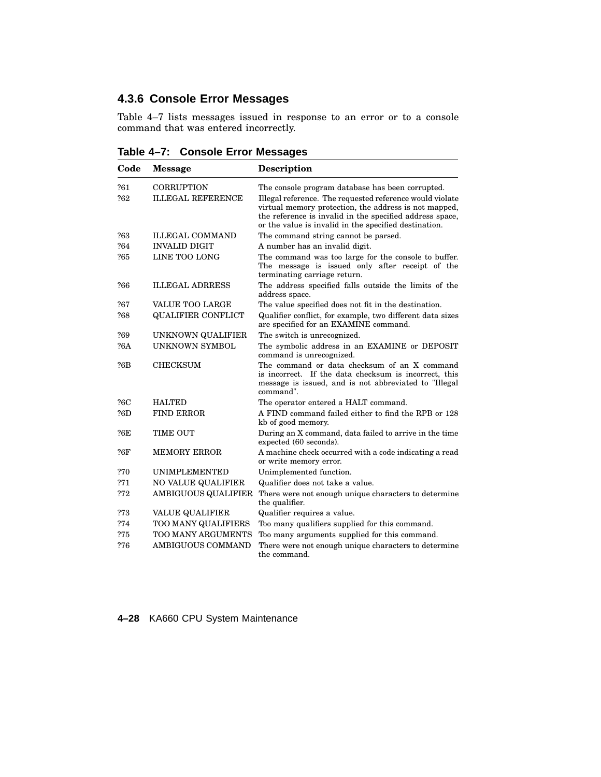## **4.3.6 Console Error Messages**

Table 4–7 lists messages issued in response to an error or to a console command that was entered incorrectly.

**Table 4–7: Console Error Messages**

| Code       | <b>Message</b>                                | <b>Description</b>                                                                                                                                                                                                                                                                         |
|------------|-----------------------------------------------|--------------------------------------------------------------------------------------------------------------------------------------------------------------------------------------------------------------------------------------------------------------------------------------------|
| ?61<br>?62 | <b>CORRUPTION</b><br><b>ILLEGAL REFERENCE</b> | The console program database has been corrupted.<br>Illegal reference. The requested reference would violate<br>virtual memory protection, the address is not mapped,<br>the reference is invalid in the specified address space,<br>or the value is invalid in the specified destination. |
| ?63        | <b>ILLEGAL COMMAND</b>                        | The command string cannot be parsed.                                                                                                                                                                                                                                                       |
| ?64        | <b>INVALID DIGIT</b>                          | A number has an invalid digit.                                                                                                                                                                                                                                                             |
| ?65        | LINE TOO LONG                                 | The command was too large for the console to buffer.<br>The message is issued only after receipt of the<br>terminating carriage return.                                                                                                                                                    |
| ?66        | <b>ILLEGAL ADRRESS</b>                        | The address specified falls outside the limits of the<br>address space.                                                                                                                                                                                                                    |
| ?67        | <b>VALUE TOO LARGE</b>                        | The value specified does not fit in the destination.                                                                                                                                                                                                                                       |
| ?68        | <b>QUALIFIER CONFLICT</b>                     | Qualifier conflict, for example, two different data sizes<br>are specified for an EXAMINE command.                                                                                                                                                                                         |
| ?69        | UNKNOWN QUALIFIER                             | The switch is unrecognized.                                                                                                                                                                                                                                                                |
| ?6A        | <b>UNKNOWN SYMBOL</b>                         | The symbolic address in an EXAMINE or DEPOSIT<br>command is unrecognized.                                                                                                                                                                                                                  |
| ?6B        | CHECKSUM                                      | The command or data checksum of an X command<br>is incorrect. If the data checksum is incorrect, this<br>message is issued, and is not abbreviated to "Illegal"<br>command".                                                                                                               |
| ?6C        | <b>HALTED</b>                                 | The operator entered a HALT command.                                                                                                                                                                                                                                                       |
| ?6D        | <b>FIND ERROR</b>                             | A FIND command failed either to find the RPB or 128<br>kb of good memory.                                                                                                                                                                                                                  |
| ?6E        | TIME OUT                                      | During an X command, data failed to arrive in the time<br>expected (60 seconds).                                                                                                                                                                                                           |
| ?6F        | <b>MEMORY ERROR</b>                           | A machine check occurred with a code indicating a read<br>or write memory error.                                                                                                                                                                                                           |
| ?70        | <b>UNIMPLEMENTED</b>                          | Unimplemented function.                                                                                                                                                                                                                                                                    |
| ?71        | NO VALUE QUALIFIER                            | Qualifier does not take a value.                                                                                                                                                                                                                                                           |
| ?72        | AMBIGUOUS QUALIFIER                           | There were not enough unique characters to determine<br>the qualifier.                                                                                                                                                                                                                     |
| ?73        | <b>VALUE QUALIFIER</b>                        | Qualifier requires a value.                                                                                                                                                                                                                                                                |
| ?74        | TOO MANY QUALIFIERS                           | Too many qualifiers supplied for this command.                                                                                                                                                                                                                                             |
| ?75        | <b>TOO MANY ARGUMENTS</b>                     | Too many arguments supplied for this command.                                                                                                                                                                                                                                              |
| ?76        | <b>AMBIGUOUS COMMAND</b>                      | There were not enough unique characters to determine<br>the command.                                                                                                                                                                                                                       |

**4–28** KA660 CPU System Maintenance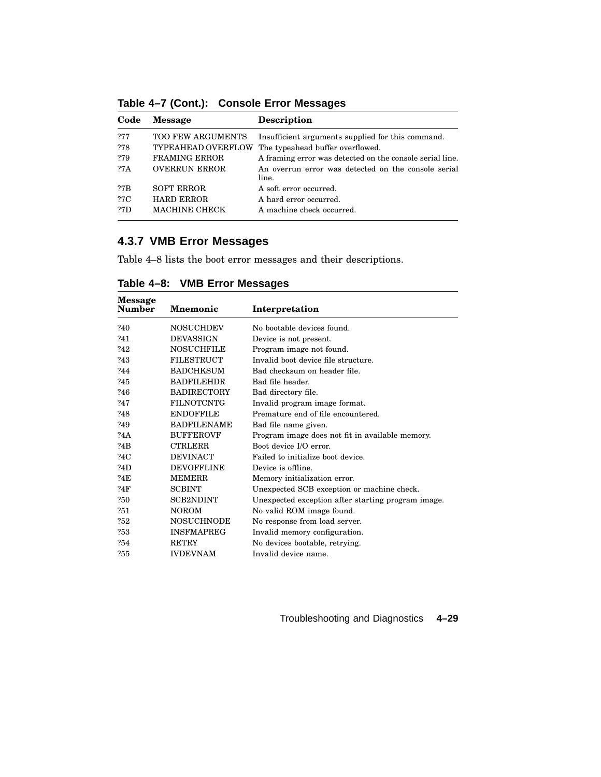| Code | <b>Message</b>            | <b>Description</b>                                           |
|------|---------------------------|--------------------------------------------------------------|
| ?77  | <b>TOO FEW ARGUMENTS</b>  | Insufficient arguments supplied for this command.            |
| ?78  | <b>TYPEAHEAD OVERFLOW</b> | The typeahead buffer overflowed.                             |
| ?79  | <b>FRAMING ERROR</b>      | A framing error was detected on the console serial line.     |
| ?7A  | <b>OVERRUN ERROR</b>      | An overrun error was detected on the console serial<br>line. |
| ?7B  | <b>SOFT ERROR</b>         | A soft error occurred.                                       |
| ?7C  | <b>HARD ERROR</b>         | A hard error occurred.                                       |
| 27D  | <b>MACHINE CHECK</b>      | A machine check occurred.                                    |

**Table 4–7 (Cont.): Console Error Messages**

## **4.3.7 VMB Error Messages**

Table 4–8 lists the boot error messages and their descriptions.

| Message<br>Number | <b>Mnemonic</b>    | Interpretation                                     |  |  |
|-------------------|--------------------|----------------------------------------------------|--|--|
| ?40               | <b>NOSUCHDEV</b>   | No bootable devices found.                         |  |  |
| ?41               | <b>DEVASSIGN</b>   | Device is not present.                             |  |  |
| ?42               | <b>NOSUCHFILE</b>  | Program image not found.                           |  |  |
| ?43               | <b>FILESTRUCT</b>  | Invalid boot device file structure.                |  |  |
| ?44               | <b>BADCHKSUM</b>   | Bad checksum on header file.                       |  |  |
| ?45               | <b>BADFILEHDR</b>  | Bad file header.                                   |  |  |
| ?46               | <b>BADIRECTORY</b> | Bad directory file.                                |  |  |
| ?47               | <b>FILNOTCNTG</b>  | Invalid program image format.                      |  |  |
| ?48               | <b>ENDOFFILE</b>   | Premature end of file encountered.                 |  |  |
| ?49               | <b>BADFILENAME</b> | Bad file name given.                               |  |  |
| ?4A               | <b>BUFFEROVF</b>   | Program image does not fit in available memory.    |  |  |
| ?4B               | <b>CTRLERR</b>     | Boot device I/O error.                             |  |  |
| ?4C               | <b>DEVINACT</b>    | Failed to initialize boot device.                  |  |  |
| ?4D               | <b>DEVOFFLINE</b>  | Device is offline.                                 |  |  |
| ?4E               | <b>MEMERR</b>      | Memory initialization error.                       |  |  |
| ?4F               | <b>SCBINT</b>      | Unexpected SCB exception or machine check.         |  |  |
| 250               | <b>SCB2NDINT</b>   | Unexpected exception after starting program image. |  |  |
| ?51               | <b>NOROM</b>       | No valid ROM image found.                          |  |  |
| ?52               | <b>NOSUCHNODE</b>  | No response from load server.                      |  |  |
| ?53               | <b>INSFMAPREG</b>  | Invalid memory configuration.                      |  |  |
| ?54               | <b>RETRY</b>       | No devices bootable, retrying.                     |  |  |
| ?55               | <b>IVDEVNAM</b>    | Invalid device name.                               |  |  |

**Table 4–8: VMB Error Messages**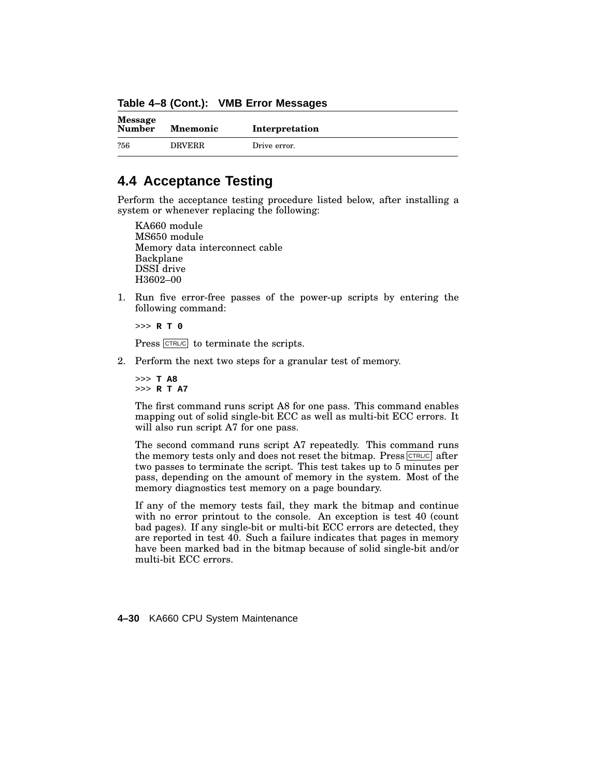**Table 4–8 (Cont.): VMB Error Messages**

| <b>Message</b><br><b>Number</b> | <b>Mnemonic</b> | Interpretation |
|---------------------------------|-----------------|----------------|
| ?56                             | <b>DRVERR</b>   | Drive error.   |

## **4.4 Acceptance Testing**

Perform the acceptance testing procedure listed below, after installing a system or whenever replacing the following:

KA660 module MS650 module Memory data interconnect cable Backplane DSSI drive H3602–00

1. Run five error-free passes of the power-up scripts by entering the following command:

>>> **R T 0**

Press CTRL/C to terminate the scripts.

2. Perform the next two steps for a granular test of memory.

>>> **T A8** >>> **R T A7**

The first command runs script A8 for one pass. This command enables mapping out of solid single-bit ECC as well as multi-bit ECC errors. It will also run script A7 for one pass.

The second command runs script A7 repeatedly. This command runs the memory tests only and does not reset the bitmap. Press  $\overline{CFRLC}$  after two passes to terminate the script. This test takes up to 5 minutes per pass, depending on the amount of memory in the system. Most of the memory diagnostics test memory on a page boundary.

If any of the memory tests fail, they mark the bitmap and continue with no error printout to the console. An exception is test 40 (count bad pages). If any single-bit or multi-bit ECC errors are detected, they are reported in test 40. Such a failure indicates that pages in memory have been marked bad in the bitmap because of solid single-bit and/or multi-bit ECC errors.

**4–30** KA660 CPU System Maintenance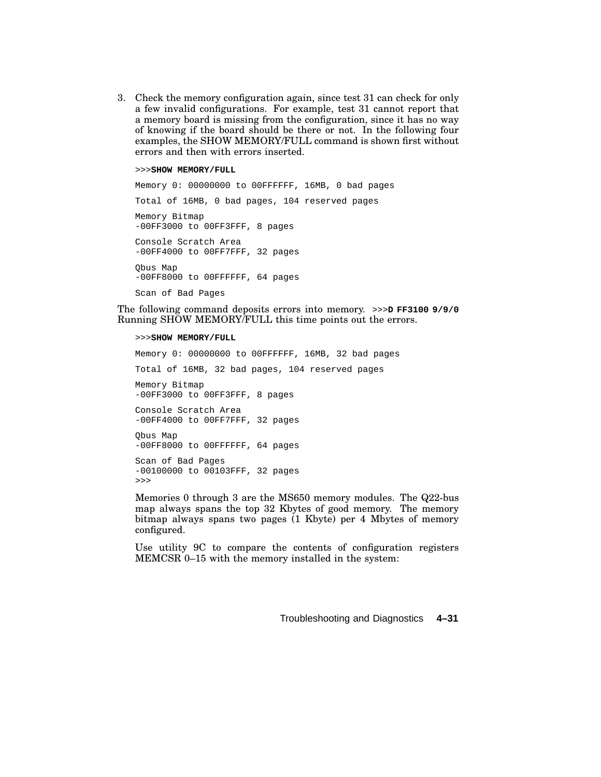3. Check the memory configuration again, since test 31 can check for only a few invalid configurations. For example, test 31 cannot report that a memory board is missing from the configuration, since it has no way of knowing if the board should be there or not. In the following four examples, the SHOW MEMORY/FULL command is shown first without errors and then with errors inserted.

#### >>>**SHOW MEMORY/FULL**

Memory 0: 00000000 to 00FFFFFF, 16MB, 0 bad pages Total of 16MB, 0 bad pages, 104 reserved pages Memory Bitmap -00FF3000 to 00FF3FFF, 8 pages Console Scratch Area -00FF4000 to 00FF7FFF, 32 pages Qbus Map -00FF8000 to 00FFFFFF, 64 pages Scan of Bad Pages

The following command deposits errors into memory. >>>**D FF3100 9/9/0** Running SHOW MEMORY/FULL this time points out the errors.

#### >>>**SHOW MEMORY/FULL**

Memory 0: 00000000 to 00FFFFFF, 16MB, 32 bad pages Total of 16MB, 32 bad pages, 104 reserved pages Memory Bitmap -00FF3000 to 00FF3FFF, 8 pages Console Scratch Area -00FF4000 to 00FF7FFF, 32 pages Qbus Map -00FF8000 to 00FFFFFF, 64 pages Scan of Bad Pages -00100000 to 00103FFF, 32 pages >>>

Memories 0 through 3 are the MS650 memory modules. The Q22-bus map always spans the top 32 Kbytes of good memory. The memory bitmap always spans two pages (1 Kbyte) per 4 Mbytes of memory configured.

Use utility 9C to compare the contents of configuration registers MEMCSR 0–15 with the memory installed in the system: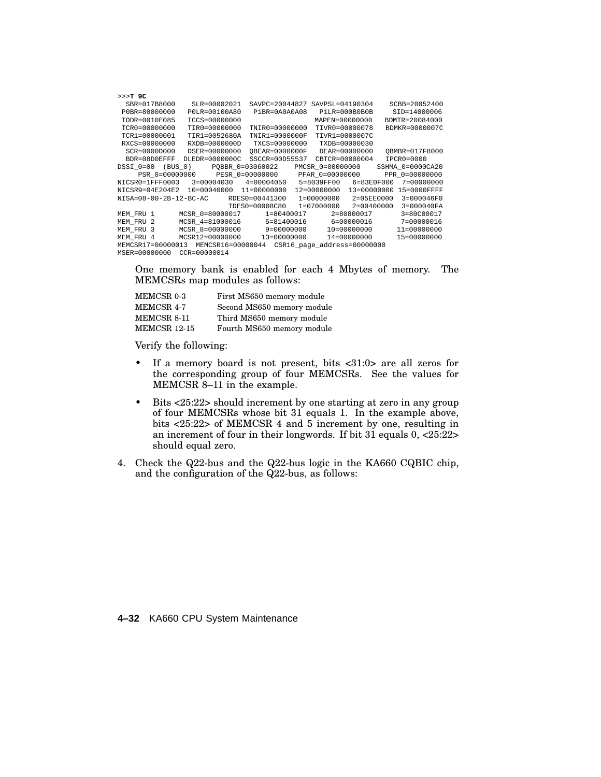|              |                                                                                                                                                             |                                                                                                                                                                                                                                      | SCBB=20052400                                                                                                                                                                                                                                                                                                                                                                                                                                                                                                                                                                                                                                                                                 |
|--------------|-------------------------------------------------------------------------------------------------------------------------------------------------------------|--------------------------------------------------------------------------------------------------------------------------------------------------------------------------------------------------------------------------------------|-----------------------------------------------------------------------------------------------------------------------------------------------------------------------------------------------------------------------------------------------------------------------------------------------------------------------------------------------------------------------------------------------------------------------------------------------------------------------------------------------------------------------------------------------------------------------------------------------------------------------------------------------------------------------------------------------|
|              |                                                                                                                                                             |                                                                                                                                                                                                                                      | SID=14000006                                                                                                                                                                                                                                                                                                                                                                                                                                                                                                                                                                                                                                                                                  |
|              |                                                                                                                                                             |                                                                                                                                                                                                                                      | BDMTR=20084000                                                                                                                                                                                                                                                                                                                                                                                                                                                                                                                                                                                                                                                                                |
|              |                                                                                                                                                             |                                                                                                                                                                                                                                      | $BDMKR = 0000007C$                                                                                                                                                                                                                                                                                                                                                                                                                                                                                                                                                                                                                                                                            |
|              |                                                                                                                                                             |                                                                                                                                                                                                                                      |                                                                                                                                                                                                                                                                                                                                                                                                                                                                                                                                                                                                                                                                                               |
|              |                                                                                                                                                             |                                                                                                                                                                                                                                      |                                                                                                                                                                                                                                                                                                                                                                                                                                                                                                                                                                                                                                                                                               |
|              |                                                                                                                                                             |                                                                                                                                                                                                                                      | OBMBR=017F8000                                                                                                                                                                                                                                                                                                                                                                                                                                                                                                                                                                                                                                                                                |
|              |                                                                                                                                                             |                                                                                                                                                                                                                                      | $TPCR0 = 0000$                                                                                                                                                                                                                                                                                                                                                                                                                                                                                                                                                                                                                                                                                |
|              |                                                                                                                                                             |                                                                                                                                                                                                                                      |                                                                                                                                                                                                                                                                                                                                                                                                                                                                                                                                                                                                                                                                                               |
|              |                                                                                                                                                             |                                                                                                                                                                                                                                      |                                                                                                                                                                                                                                                                                                                                                                                                                                                                                                                                                                                                                                                                                               |
|              |                                                                                                                                                             |                                                                                                                                                                                                                                      |                                                                                                                                                                                                                                                                                                                                                                                                                                                                                                                                                                                                                                                                                               |
|              |                                                                                                                                                             |                                                                                                                                                                                                                                      |                                                                                                                                                                                                                                                                                                                                                                                                                                                                                                                                                                                                                                                                                               |
|              |                                                                                                                                                             |                                                                                                                                                                                                                                      |                                                                                                                                                                                                                                                                                                                                                                                                                                                                                                                                                                                                                                                                                               |
|              |                                                                                                                                                             |                                                                                                                                                                                                                                      | $3 = 000040FA$                                                                                                                                                                                                                                                                                                                                                                                                                                                                                                                                                                                                                                                                                |
|              |                                                                                                                                                             |                                                                                                                                                                                                                                      | $3 = 80C00017$                                                                                                                                                                                                                                                                                                                                                                                                                                                                                                                                                                                                                                                                                |
|              |                                                                                                                                                             |                                                                                                                                                                                                                                      | 7=00000016                                                                                                                                                                                                                                                                                                                                                                                                                                                                                                                                                                                                                                                                                    |
|              |                                                                                                                                                             |                                                                                                                                                                                                                                      | 11=00000000                                                                                                                                                                                                                                                                                                                                                                                                                                                                                                                                                                                                                                                                                   |
|              |                                                                                                                                                             |                                                                                                                                                                                                                                      | 15=00000000                                                                                                                                                                                                                                                                                                                                                                                                                                                                                                                                                                                                                                                                                   |
|              |                                                                                                                                                             |                                                                                                                                                                                                                                      |                                                                                                                                                                                                                                                                                                                                                                                                                                                                                                                                                                                                                                                                                               |
| CCR=00000014 |                                                                                                                                                             |                                                                                                                                                                                                                                      |                                                                                                                                                                                                                                                                                                                                                                                                                                                                                                                                                                                                                                                                                               |
|              | SLR=00002021<br>P0LR=00100A80<br>ICCS=00000000<br>$TTRO = 00000000$<br>TIR1=0052680A<br>RXDB=0000000D<br>DSER=00000000<br>DLEDR=0000000C<br>MCSR12=00000000 | $P1BR = 0A0A0A08$<br>$TNTRO = 00000000$<br>TNIR1=0000000F<br>TXCS=00000000<br>OBEAR=0000000F<br>SSCCR=00D55537<br>NICSR9=04E204E2 10=00040000 11=00000000<br>MCSR 0=80000017 1=80400017<br>MCSR 8=00000000 9=00000000<br>13=00000000 | SAVPC=20044827 SAVPSL=04190304<br>P1LR=000B0B0B<br>MAPEN=00000000<br>TIVR0=00000078<br>TIVR1=0000007C<br>TXDB=00000030<br>DEAR=00000000<br>CBTCR=00000004<br>DSSI 0=00 (BUS 0) POBBR 0=03060022 PMCSR 0=00000000 SSHMA 0=0000CA20<br>PSR 0=00000000 PESR 0=00000000 PFAR 0=00000000 PPR 0=00000000<br>NICSR0=1FFF0003 3=00004030 4=00004050 5=8039FF00 6=83E0F000 7=00000000<br>12=00000000 13=00000000 15=0000FFFF<br>NISA=08-00-2B-12-BC-AC RDES0=00441300 1=00000000 2=05EE0000 3=000046F0<br>TDES0=00008C80 1=07000000 2=00400000<br>2=80800017<br>MCSR 4=81000016 5=81400016 6=00000016<br>10=00000000<br>14=00000000<br>MEMCSR17=00000013 MEMCSR16=00000044 CSR16 page address=00000000 |

One memory bank is enabled for each 4 Mbytes of memory. The MEMCSRs map modules as follows:

| MEMCSR 0-3   | First MS650 memory module  |
|--------------|----------------------------|
| MEMCSR 4-7   | Second MS650 memory module |
| MEMCSR 8-11  | Third MS650 memory module  |
| MEMCSR 12-15 | Fourth MS650 memory module |

Verify the following:

- If a memory board is not present, bits <31:0> are all zeros for the corresponding group of four MEMCSRs. See the values for MEMCSR 8–11 in the example.
- Bits <25:22> should increment by one starting at zero in any group of four MEMCSRs whose bit 31 equals 1. In the example above, bits <25:22> of MEMCSR 4 and 5 increment by one, resulting in an increment of four in their longwords. If bit 31 equals 0, <25:22> should equal zero.
- 4. Check the Q22-bus and the Q22-bus logic in the KA660 CQBIC chip, and the configuration of the Q22-bus, as follows:

**4–32** KA660 CPU System Maintenance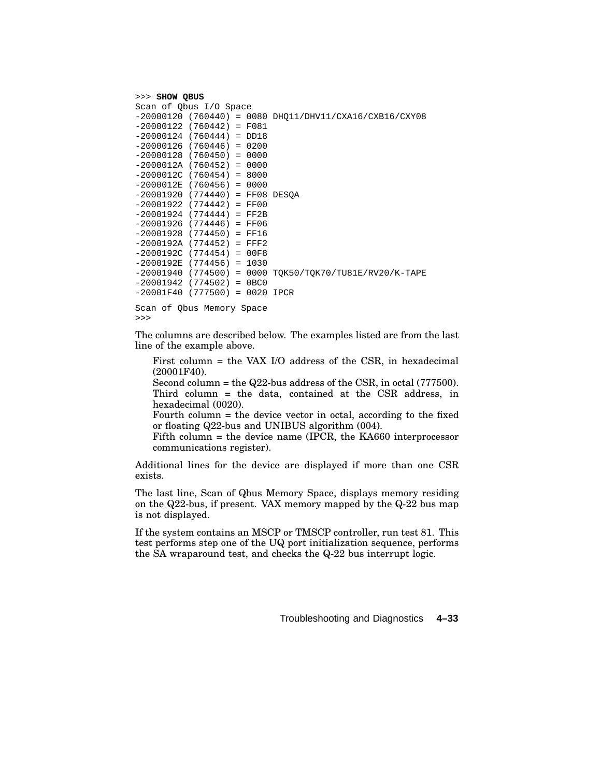```
>>> SHOW QBUS
Scan of Qbus I/O Space
-20000120 (760440) = 0080 DHQ11/DHV11/CXA16/CXB16/CXY08
-20000122 (760442) = F081
-20000124 (760444) = DD18
-20000126 (760446) = 0200
-20000128 (760450) = 0000
-2000012A (760452) = 0000
-2000012C (760454) = 8000
-2000012E (760456) = 0000
-20001920 (774440) = FF08 DESQA
-20001922 (774442) = FF00
-20001924 (774444) = FF2B
-20001926 (774446) = FF06
-20001928 (774450) = FF16
-2000192A (774452) = FFF2
-2000192C (774454) = 00F8
-2000192E (774456) = 1030
-20001940 (774500) = 0000 TQK50/TQK70/TU81E/RV20/K-TAPE
-20001942 (774502) = 0BC0
-20001F40 (777500) = 0020 IPCR
Scan of Qbus Memory Space
```
>>>

The columns are described below. The examples listed are from the last line of the example above.

First column = the VAX I/O address of the CSR, in hexadecimal (20001F40).

Second column = the  $Q22$ -bus address of the CSR, in octal (777500). Third column = the data, contained at the CSR address, in hexadecimal (0020).

Fourth column = the device vector in octal, according to the fixed or floating Q22-bus and UNIBUS algorithm (004).

Fifth column = the device name (IPCR, the KA660 interprocessor communications register).

Additional lines for the device are displayed if more than one CSR exists.

The last line, Scan of Qbus Memory Space, displays memory residing on the Q22-bus, if present. VAX memory mapped by the Q-22 bus map is not displayed.

If the system contains an MSCP or TMSCP controller, run test 81. This test performs step one of the UQ port initialization sequence, performs the SA wraparound test, and checks the Q-22 bus interrupt logic.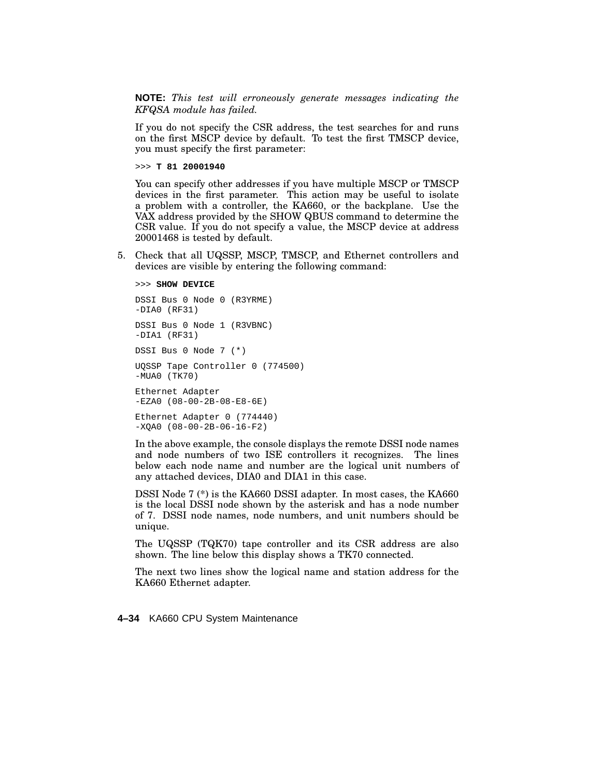**NOTE:** *This test will erroneously generate messages indicating the KFQSA module has failed.*

If you do not specify the CSR address, the test searches for and runs on the first MSCP device by default. To test the first TMSCP device, you must specify the first parameter:

>>> **T 81 20001940**

You can specify other addresses if you have multiple MSCP or TMSCP devices in the first parameter. This action may be useful to isolate a problem with a controller, the KA660, or the backplane. Use the VAX address provided by the SHOW QBUS command to determine the CSR value. If you do not specify a value, the MSCP device at address 20001468 is tested by default.

5. Check that all UQSSP, MSCP, TMSCP, and Ethernet controllers and devices are visible by entering the following command:

```
>>> SHOW DEVICE
DSSI Bus 0 Node 0 (R3YRME)
-DIA0 (RF31)
DSSI Bus 0 Node 1 (R3VBNC)
-DIA1 (RF31)
DSSI Bus 0 Node 7 (*)
UQSSP Tape Controller 0 (774500)
-MUA0 (TK70)
Ethernet Adapter
-EZA0 (08-00-2B-08-E8-6E)
Ethernet Adapter 0 (774440)
-XQA0 (08-00-2B-06-16-F2)
```
In the above example, the console displays the remote DSSI node names and node numbers of two ISE controllers it recognizes. The lines below each node name and number are the logical unit numbers of any attached devices, DIA0 and DIA1 in this case.

DSSI Node 7 (\*) is the KA660 DSSI adapter. In most cases, the KA660 is the local DSSI node shown by the asterisk and has a node number of 7. DSSI node names, node numbers, and unit numbers should be unique.

The UQSSP (TQK70) tape controller and its CSR address are also shown. The line below this display shows a TK70 connected.

The next two lines show the logical name and station address for the KA660 Ethernet adapter.

**4–34** KA660 CPU System Maintenance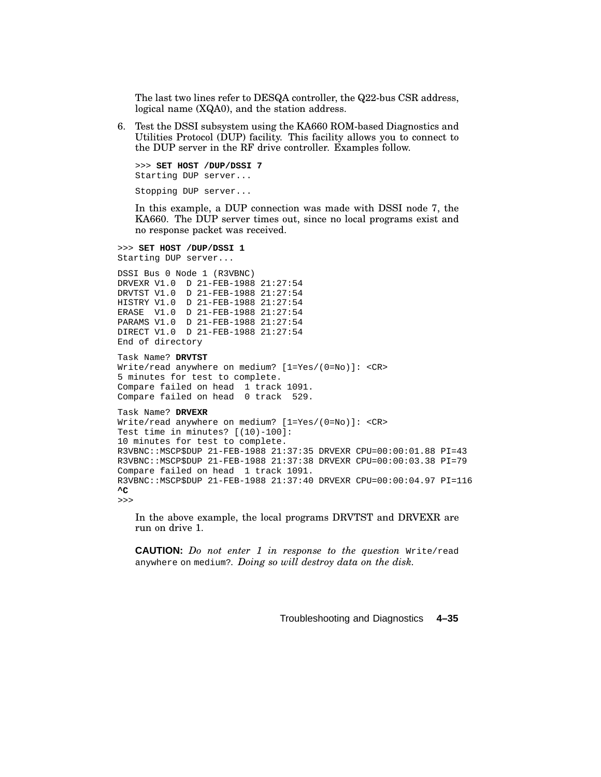The last two lines refer to DESQA controller, the Q22-bus CSR address, logical name (XQA0), and the station address.

6. Test the DSSI subsystem using the KA660 ROM-based Diagnostics and Utilities Protocol (DUP) facility. This facility allows you to connect to the DUP server in the RF drive controller. Examples follow.

```
>>> SET HOST /DUP/DSSI 7
Starting DUP server...
Stopping DUP server...
```
In this example, a DUP connection was made with DSSI node 7, the KA660. The DUP server times out, since no local programs exist and no response packet was received.

```
>>> SET HOST /DUP/DSSI 1
Starting DUP server...
DSSI Bus 0 Node 1 (R3VBNC)
DRVEXR V1.0 D 21-FEB-1988 21:27:54
DRVTST V1.0 D 21-FEB-1988 21:27:54
HISTRY V1.0 D 21-FEB-1988 21:27:54
ERASE V1.0 D 21-FEB-1988 21:27:54
PARAMS V1.0 D 21-FEB-1988 21:27:54
DIRECT V1.0 D 21-FEB-1988 21:27:54
End of directory
Task Name? DRVTST
Write/read anywhere on medium? [1=Yes/(0=No)]: <CR>
5 minutes for test to complete.
Compare failed on head 1 track 1091.
Compare failed on head 0 track 529.
Task Name? DRVEXR
Write/read anywhere on medium? [1=Yes/(0=No)]: <CR>
Test time in minutes? [(10)-100]:
10 minutes for test to complete.
R3VBNC::MSCP$DUP 21-FEB-1988 21:37:35 DRVEXR CPU=00:00:01.88 PI=43
R3VBNC::MSCP$DUP 21-FEB-1988 21:37:38 DRVEXR CPU=00:00:03.38 PI=79
Compare failed on head 1 track 1091.
R3VBNC::MSCP$DUP 21-FEB-1988 21:37:40 DRVEXR CPU=00:00:04.97 PI=116
^C
>>>
```
In the above example, the local programs DRVTST and DRVEXR are run on drive 1.

**CAUTION:** *Do not enter 1 in response to the question* Write/read anywhere on medium?*. Doing so will destroy data on the disk.*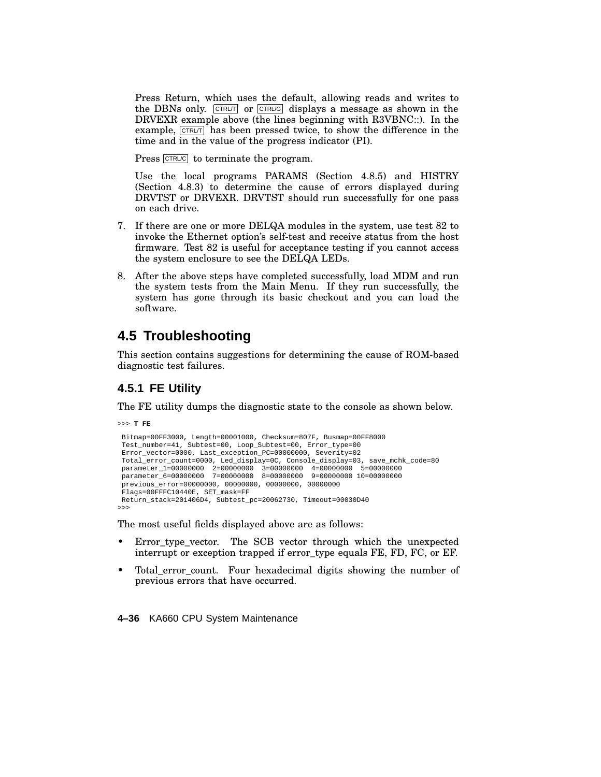Press Return, which uses the default, allowing reads and writes to the DBNs only. CTRL/T or CTRL/G displays a message as shown in the DRVEXR example above (the lines beginning with R3VBNC::). In the example,  $\boxed{\text{CTRLT}}$  has been pressed twice, to show the difference in the time and in the value of the progress indicator (PI).

Press  $\overline{C}$ FRL/C to terminate the program.

Use the local programs PARAMS (Section 4.8.5) and HISTRY (Section 4.8.3) to determine the cause of errors displayed during DRVTST or DRVEXR. DRVTST should run successfully for one pass on each drive.

- 7. If there are one or more DELQA modules in the system, use test 82 to invoke the Ethernet option's self-test and receive status from the host firmware. Test 82 is useful for acceptance testing if you cannot access the system enclosure to see the DELQA LEDs.
- 8. After the above steps have completed successfully, load MDM and run the system tests from the Main Menu. If they run successfully, the system has gone through its basic checkout and you can load the software.

## **4.5 Troubleshooting**

This section contains suggestions for determining the cause of ROM-based diagnostic test failures.

### **4.5.1 FE Utility**

The FE utility dumps the diagnostic state to the console as shown below.

>>> **T FE**

```
Bitmap=00FF3000, Length=00001000, Checksum=807F, Busmap=00FF8000
Test_number=41, Subtest=00, Loop_Subtest=00, Error_type=00
Error_vector=0000, Last_exception_PC=00000000, Severity=02
Total_error_count=0000, Led_display=0C, Console_display=03, save_mchk_code=80
 parameter_1=00000000 2=00000000 3=00000000 4=00000000 5=00000000
parameter_6=00000000 7=00000000 8=00000000 9=00000000 10=00000000
previous_error=00000000, 00000000, 00000000, 00000000
Flags=00FFFC10440E, SET_mask=FF
Return_stack=201406D4, Subtest_pc=20062730, Timeout=00030D40
>>>
```
The most useful fields displayed above are as follows:

- Error type vector. The SCB vector through which the unexpected interrupt or exception trapped if error\_type equals FE, FD, FC, or EF.
- Total error count. Four hexadecimal digits showing the number of previous errors that have occurred.

**4–36** KA660 CPU System Maintenance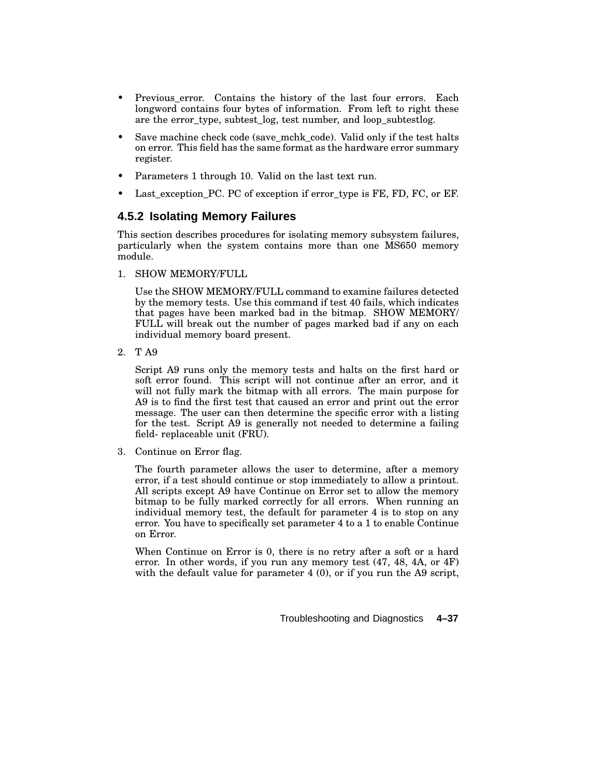- Previous\_error. Contains the history of the last four errors. Each longword contains four bytes of information. From left to right these are the error type, subtest  $log$ , test number, and loop subtestlog.
- Save machine check code (save mchk code). Valid only if the test halts on error. This field has the same format as the hardware error summary register.
- Parameters 1 through 10. Valid on the last text run.
- Last exception PC. PC of exception if error type is FE, FD, FC, or EF.

#### **4.5.2 Isolating Memory Failures**

This section describes procedures for isolating memory subsystem failures, particularly when the system contains more than one MS650 memory module.

1. SHOW MEMORY/FULL

Use the SHOW MEMORY/FULL command to examine failures detected by the memory tests. Use this command if test 40 fails, which indicates that pages have been marked bad in the bitmap. SHOW MEMORY/ FULL will break out the number of pages marked bad if any on each individual memory board present.

2. T A9

Script A9 runs only the memory tests and halts on the first hard or soft error found. This script will not continue after an error, and it will not fully mark the bitmap with all errors. The main purpose for A9 is to find the first test that caused an error and print out the error message. The user can then determine the specific error with a listing for the test. Script A9 is generally not needed to determine a failing field- replaceable unit (FRU).

3. Continue on Error flag.

The fourth parameter allows the user to determine, after a memory error, if a test should continue or stop immediately to allow a printout. All scripts except A9 have Continue on Error set to allow the memory bitmap to be fully marked correctly for all errors. When running an individual memory test, the default for parameter 4 is to stop on any error. You have to specifically set parameter 4 to a 1 to enable Continue on Error.

When Continue on Error is 0, there is no retry after a soft or a hard error. In other words, if you run any memory test (47, 48, 4A, or 4F) with the default value for parameter 4 (0), or if you run the A9 script,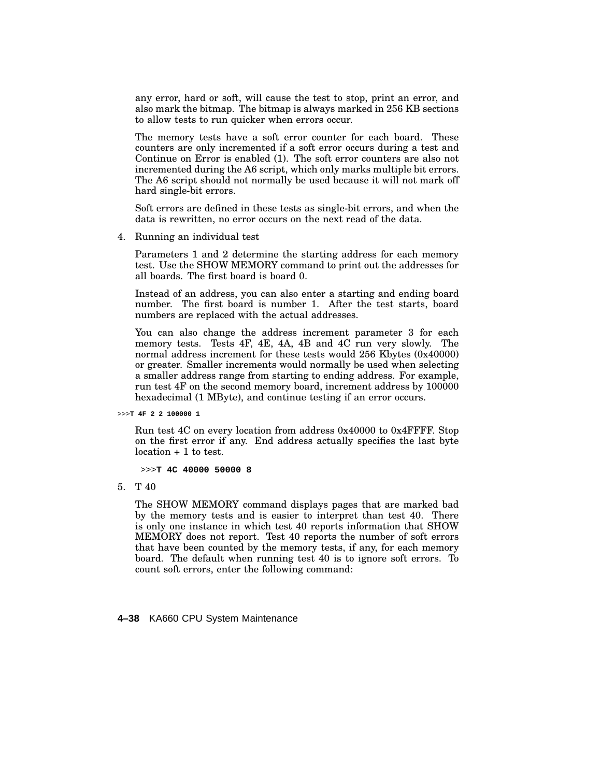any error, hard or soft, will cause the test to stop, print an error, and also mark the bitmap. The bitmap is always marked in 256 KB sections to allow tests to run quicker when errors occur.

The memory tests have a soft error counter for each board. These counters are only incremented if a soft error occurs during a test and Continue on Error is enabled (1). The soft error counters are also not incremented during the A6 script, which only marks multiple bit errors. The A6 script should not normally be used because it will not mark off hard single-bit errors.

Soft errors are defined in these tests as single-bit errors, and when the data is rewritten, no error occurs on the next read of the data.

4. Running an individual test

Parameters 1 and 2 determine the starting address for each memory test. Use the SHOW MEMORY command to print out the addresses for all boards. The first board is board 0.

Instead of an address, you can also enter a starting and ending board number. The first board is number 1. After the test starts, board numbers are replaced with the actual addresses.

You can also change the address increment parameter 3 for each memory tests. Tests 4F, 4E, 4A, 4B and 4C run very slowly. The normal address increment for these tests would 256 Kbytes (0x40000) or greater. Smaller increments would normally be used when selecting a smaller address range from starting to ending address. For example, run test 4F on the second memory board, increment address by 100000 hexadecimal (1 MByte), and continue testing if an error occurs.

>>>**T 4F 2 2 100000 1**

Run test 4C on every location from address 0x40000 to 0x4FFFF. Stop on the first error if any. End address actually specifies the last byte location + 1 to test.

>>>**T 4C 40000 50000 8**

5. T 40

The SHOW MEMORY command displays pages that are marked bad by the memory tests and is easier to interpret than test 40. There is only one instance in which test 40 reports information that SHOW MEMORY does not report. Test 40 reports the number of soft errors that have been counted by the memory tests, if any, for each memory board. The default when running test 40 is to ignore soft errors. To count soft errors, enter the following command:

**4–38** KA660 CPU System Maintenance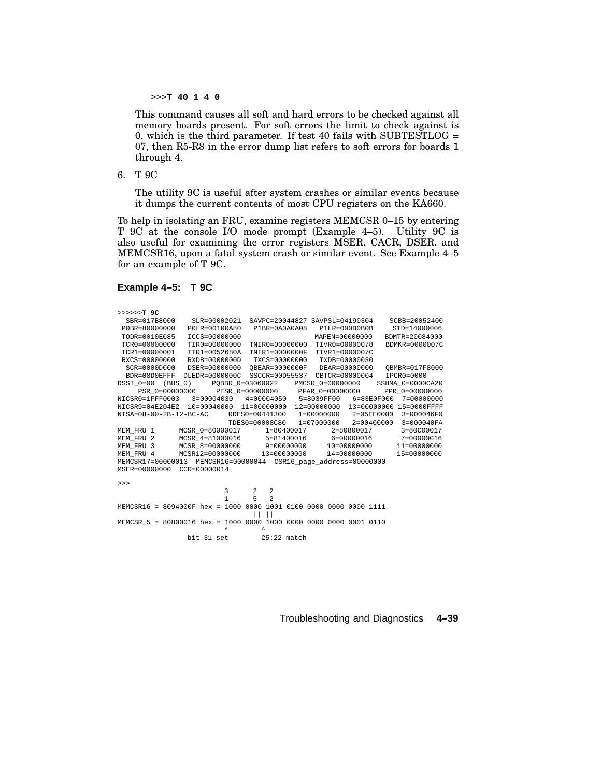>>>**T 40 1 4 0**

This command causes all soft and hard errors to be checked against all memory boards present. For soft errors the limit to check against is 0, which is the third parameter. If test 40 fails with SUBTESTLOG  $=$ 07, then R5-R8 in the error dump list refers to soft errors for boards 1 through 4.

6. T 9C

The utility 9C is useful after system crashes or similar events because it dumps the current contents of most CPU registers on the KA660.

To help in isolating an FRU, examine registers MEMCSR 0–15 by entering T 9C at the console I/O mode prompt (Example 4–5). Utility 9C is also useful for examining the error registers MSER, CACR, DSER, and MEMCSR16, upon a fatal system crash or similar event. See Example 4–5 for an example of T 9C.

```
Example 4–5: T 9C
```

| >>>>>>>T 9C                                                                 |                                                                |                                |                   |                                |                 |                                                 |  |
|-----------------------------------------------------------------------------|----------------------------------------------------------------|--------------------------------|-------------------|--------------------------------|-----------------|-------------------------------------------------|--|
| SBR=017B8000                                                                | SLR=00002021                                                   |                                |                   | SAVPC=20044827 SAVPSL=04190304 |                 | SCBB=20052400                                   |  |
| P0BR=80000000                                                               | P0LR=00100A80                                                  |                                |                   | P1BR=0A0A0A08 P1LR=000B0B0B    |                 | SID=14000006                                    |  |
| TODR=0010E085                                                               | ICCS=00000000                                                  |                                |                   | MAPEN=00000000                 |                 | BDMTR=20084000                                  |  |
| TCR0=00000000                                                               | TIR0=00000000                                                  |                                | TNIR0=00000000    | TIVR0=00000078                 |                 | BDMKR=0000007C                                  |  |
| TCR1=00000001                                                               | TIR1=0052680A                                                  |                                | TNIR1=0000000F    | TIVR1=0000007C                 |                 |                                                 |  |
| RXCS=00000000                                                               | RXDB=0000000D                                                  |                                |                   | TXCS=00000000 TXDB=00000030    |                 |                                                 |  |
| SCR=0000D000                                                                | DSER=00000000                                                  |                                |                   | OBEAR=0000000F DEAR=00000000   |                 | OBMBR=017F8000                                  |  |
| BDR=08D0EFFF                                                                | DLEDR=0000000C SSCCR=00D55537 CBTCR=00000004                   |                                |                   |                                |                 | $IPCR0=0000$                                    |  |
| DSSI 0=00 (BUS 0) POBBR 0=03060022 PMCSR 0=00000000 SSHMA 0=0000CA20        |                                                                |                                |                   |                                |                 |                                                 |  |
|                                                                             | PSR_0=00000000 PESR_0=00000000 PFAR_0=00000000 PPR_0=000000000 |                                |                   |                                |                 |                                                 |  |
| NICSR0=1FFF0003 3=00004030 4=00004050 5=8039FF00 6=83E0F000 7=00000000      |                                                                |                                |                   |                                |                 |                                                 |  |
| NICSR9=04E204E2 10=00040000 11=00000000 12=00000000 13=00000000 15=0000FFFF |                                                                |                                |                   |                                |                 |                                                 |  |
| NISA=08-00-2B-12-BC-AC RDES0=00441300 1=00000000 2=05EE0000 3=000046F0      |                                                                |                                |                   |                                |                 |                                                 |  |
|                                                                             |                                                                |                                |                   |                                |                 | TDES0=00008C80 1=07000000 2=00400000 3=000040FA |  |
| MEM FRU 1                                                                   | MCSR_0=80000017   1=80400017   2=80800017                      |                                |                   |                                |                 | 3=80C00017                                      |  |
| MEM FRU 2                                                                   | MCSR 4=81000016 5=81400016 6=00000016 7=00000016               |                                |                   |                                |                 |                                                 |  |
| MEM_FRU 3 MCSR_8=00000000 9=00000000 10=00000000                            |                                                                |                                |                   |                                |                 | 11=00000000                                     |  |
| MEM FRU 4                                                                   | MCSR12=00000000 13=00000000                                    |                                |                   |                                | $14 = 00000000$ | 15=00000000                                     |  |
| MEMCSR17=00000013 MEMCSR16=00000044 CSR16 page address=00000000             |                                                                |                                |                   |                                |                 |                                                 |  |
| MSER=00000000 CCR=00000014                                                  |                                                                |                                |                   |                                |                 |                                                 |  |
|                                                                             |                                                                |                                |                   |                                |                 |                                                 |  |
| >>                                                                          |                                                                |                                |                   |                                |                 |                                                 |  |
|                                                                             |                                                                | 3                              | 2<br>$\mathbf{2}$ |                                |                 |                                                 |  |
|                                                                             |                                                                | $\mathbf{1}$<br>5 <sup>1</sup> | $\overline{2}$    |                                |                 |                                                 |  |
| MEMCSR16 = 8094000F hex = 1000 0000 1001 0100 0000 0000 0000 1111           |                                                                |                                |                   |                                |                 |                                                 |  |
|                                                                             |                                                                |                                | $\mathbf{H}$      |                                |                 |                                                 |  |
| MEMCSR_5 = 80800016 hex = 1000 0000 1000 0000 0000 0000 0001 0110           |                                                                | $\lambda$                      | $\lambda$         |                                |                 |                                                 |  |
|                                                                             |                                                                |                                |                   |                                |                 |                                                 |  |
|                                                                             |                                                                | bit $31$ set $25:22$ match     |                   |                                |                 |                                                 |  |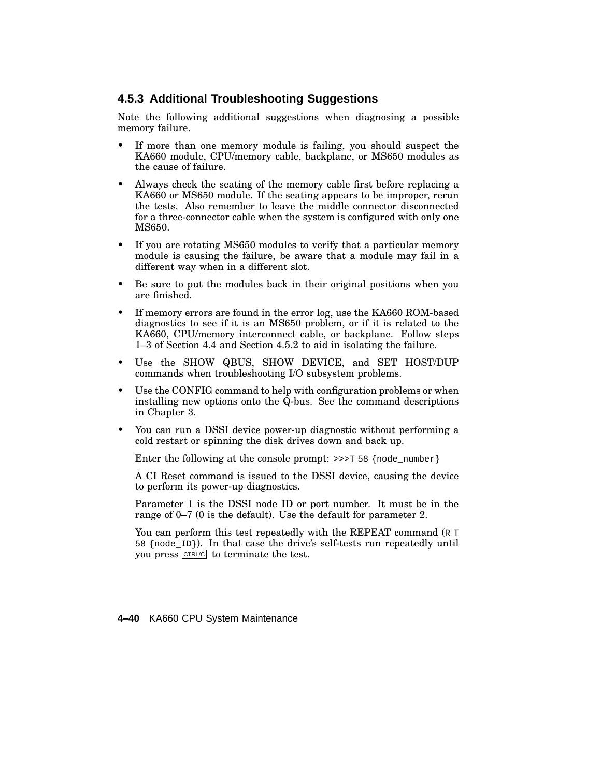#### **4.5.3 Additional Troubleshooting Suggestions**

Note the following additional suggestions when diagnosing a possible memory failure.

- If more than one memory module is failing, you should suspect the KA660 module, CPU/memory cable, backplane, or MS650 modules as the cause of failure.
- Always check the seating of the memory cable first before replacing a KA660 or MS650 module. If the seating appears to be improper, rerun the tests. Also remember to leave the middle connector disconnected for a three-connector cable when the system is configured with only one MS650.
- If you are rotating MS650 modules to verify that a particular memory module is causing the failure, be aware that a module may fail in a different way when in a different slot.
- Be sure to put the modules back in their original positions when you are finished.
- If memory errors are found in the error log, use the KA660 ROM-based diagnostics to see if it is an MS650 problem, or if it is related to the KA660, CPU/memory interconnect cable, or backplane. Follow steps 1–3 of Section 4.4 and Section 4.5.2 to aid in isolating the failure.
- Use the SHOW QBUS, SHOW DEVICE, and SET HOST/DUP commands when troubleshooting I/O subsystem problems.
- Use the CONFIG command to help with configuration problems or when installing new options onto the Q-bus. See the command descriptions in Chapter 3.
- You can run a DSSI device power-up diagnostic without performing a cold restart or spinning the disk drives down and back up.

Enter the following at the console prompt:  $\gg$ >T 58 {node\_number}

A CI Reset command is issued to the DSSI device, causing the device to perform its power-up diagnostics.

Parameter 1 is the DSSI node ID or port number. It must be in the range of 0–7 (0 is the default). Use the default for parameter 2.

You can perform this test repeatedly with the REPEAT command (R T) 58 {node\_ID}). In that case the drive's self-tests run repeatedly until you press CTRL/C to terminate the test.

**4–40** KA660 CPU System Maintenance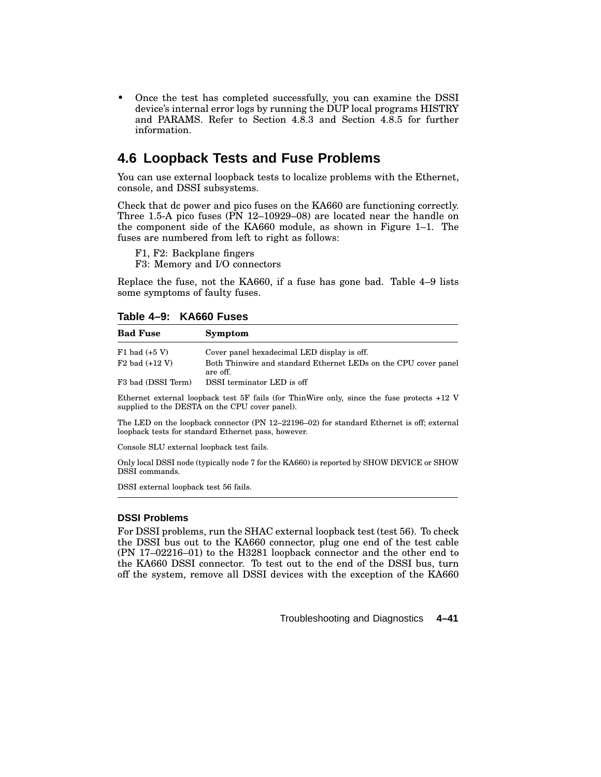• Once the test has completed successfully, you can examine the DSSI device's internal error logs by running the DUP local programs HISTRY and PARAMS. Refer to Section 4.8.3 and Section 4.8.5 for further information.

## **4.6 Loopback Tests and Fuse Problems**

You can use external loopback tests to localize problems with the Ethernet, console, and DSSI subsystems.

Check that dc power and pico fuses on the KA660 are functioning correctly. Three 1.5-A pico fuses (PN 12–10929–08) are located near the handle on the component side of the KA660 module, as shown in Figure 1–1. The fuses are numbered from left to right as follows:

F1, F2: Backplane fingers

F3: Memory and I/O connectors

Replace the fuse, not the KA660, if a fuse has gone bad. Table 4–9 lists some symptoms of faulty fuses.

#### **Table 4–9: KA660 Fuses**

| <b>Bad Fuse</b>    | Symptom                                                                     |
|--------------------|-----------------------------------------------------------------------------|
| $F1$ bad $(+5 V)$  | Cover panel hexadecimal LED display is off.                                 |
| $F2$ bad $(+12 V)$ | Both Thinwire and standard Ethernet LEDs on the CPU cover panel<br>are off. |
| F3 bad (DSSI Term) | DSSI terminator LED is off                                                  |

Ethernet external loopback test 5F fails (for ThinWire only, since the fuse protects +12 V supplied to the DESTA on the CPU cover panel).

The LED on the loopback connector (PN 12–22196–02) for standard Ethernet is off; external loopback tests for standard Ethernet pass, however.

Console SLU external loopback test fails.

Only local DSSI node (typically node 7 for the KA660) is reported by SHOW DEVICE or SHOW DSSI commands.

DSSI external loopback test 56 fails.

#### **DSSI Problems**

For DSSI problems, run the SHAC external loopback test (test 56). To check the DSSI bus out to the KA660 connector, plug one end of the test cable (PN 17–02216–01) to the H3281 loopback connector and the other end to the KA660 DSSI connector. To test out to the end of the DSSI bus, turn off the system, remove all DSSI devices with the exception of the KA660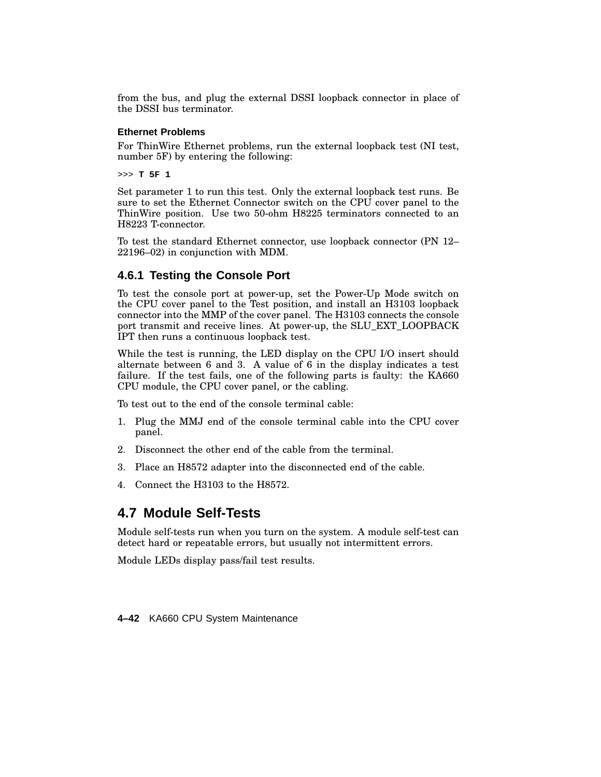from the bus, and plug the external DSSI loopback connector in place of the DSSI bus terminator.

#### **Ethernet Problems**

For ThinWire Ethernet problems, run the external loopback test (NI test, number 5F) by entering the following:

>>> **T 5F 1**

Set parameter 1 to run this test. Only the external loopback test runs. Be sure to set the Ethernet Connector switch on the CPU cover panel to the ThinWire position. Use two 50-ohm H8225 terminators connected to an H8223 T-connector.

To test the standard Ethernet connector, use loopback connector (PN 12– 22196–02) in conjunction with MDM.

#### **4.6.1 Testing the Console Port**

To test the console port at power-up, set the Power-Up Mode switch on the CPU cover panel to the Test position, and install an H3103 loopback connector into the MMP of the cover panel. The H3103 connects the console port transmit and receive lines. At power-up, the SLU\_EXT\_LOOPBACK IPT then runs a continuous loopback test.

While the test is running, the LED display on the CPU I/O insert should alternate between 6 and 3. A value of 6 in the display indicates a test failure. If the test fails, one of the following parts is faulty: the KA660 CPU module, the CPU cover panel, or the cabling.

To test out to the end of the console terminal cable:

- 1. Plug the MMJ end of the console terminal cable into the CPU cover panel.
- 2. Disconnect the other end of the cable from the terminal.
- 3. Place an H8572 adapter into the disconnected end of the cable.
- 4. Connect the H3103 to the H8572.

## **4.7 Module Self-Tests**

Module self-tests run when you turn on the system. A module self-test can detect hard or repeatable errors, but usually not intermittent errors.

Module LEDs display pass/fail test results.

**4–42** KA660 CPU System Maintenance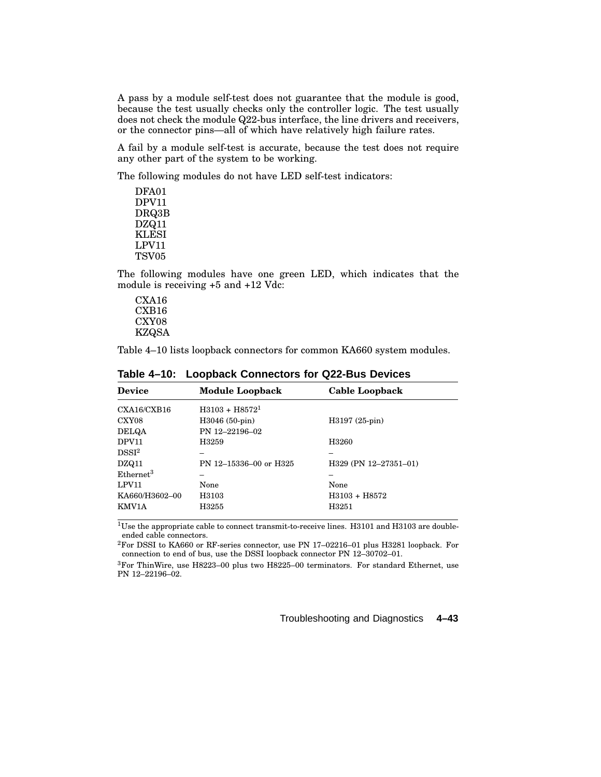A pass by a module self-test does not guarantee that the module is good, because the test usually checks only the controller logic. The test usually does not check the module Q22-bus interface, the line drivers and receivers, or the connector pins—all of which have relatively high failure rates.

A fail by a module self-test is accurate, because the test does not require any other part of the system to be working.

The following modules do not have LED self-test indicators:

DFA01 DPV11 DRQ3B DZQ11 KLESI LPV11 TSV05

The following modules have one green LED, which indicates that the module is receiving +5 and +12 Vdc:

CXA16 CXB16 CXY08 KZQSA

Table 4–10 lists loopback connectors for common KA660 system modules.

| <b>Device</b>         | <b>Module Loopback</b> | Cable Loopback        |
|-----------------------|------------------------|-----------------------|
| $\text{CXA16/CXB16}$  | $H3103 + H85721$       |                       |
| CXY08                 | $H3046(50-pin)$        | H3197 (25-pin)        |
| <b>DELQA</b>          | PN 12-22196-02         |                       |
| DPV11                 | H3259                  | H3260                 |
| DSSI <sup>2</sup>     |                        |                       |
| DZQ11                 | PN 12-15336-00 or H325 | H329 (PN 12-27351-01) |
| Ethernet <sup>3</sup> |                        |                       |
| LPV11                 | None                   | None                  |
| KA660/H3602-00        | H3103                  | $H3103 + H8572$       |
| KMV1A                 | H3255                  | H3251                 |
|                       |                        |                       |

**Table 4–10: Loopback Connectors for Q22-Bus Devices**

<sup>1</sup>Use the appropriate cable to connect transmit-to-receive lines. H3101 and H3103 are doubleended cable connectors.

<sup>2</sup>For DSSI to KA660 or RF-series connector, use PN 17–02216–01 plus H3281 loopback. For connection to end of bus, use the DSSI loopback connector PN 12–30702–01.

 ${}^{3}$ For ThinWire, use H8223–00 plus two H8225–00 terminators. For standard Ethernet, use PN 12–22196–02.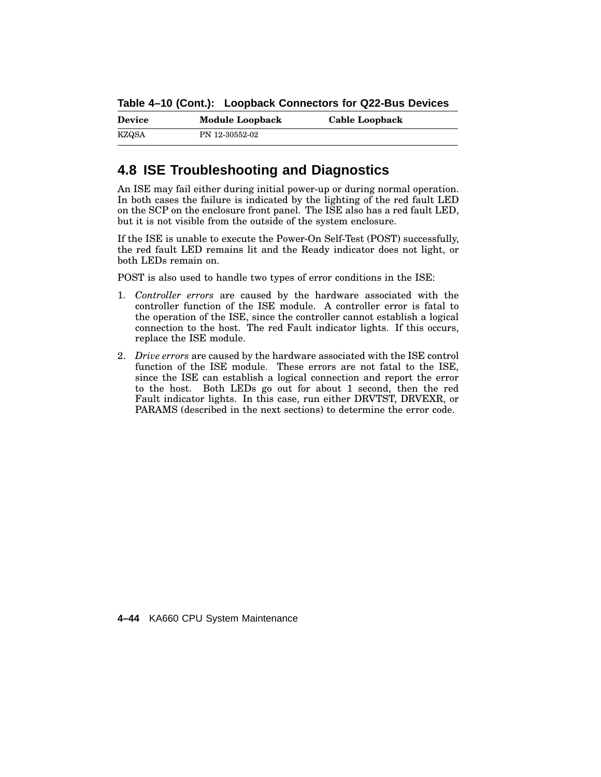**Table 4–10 (Cont.): Loopback Connectors for Q22-Bus Devices**

| <b>Device</b> | <b>Module Loopback</b> | Cable Loopback |
|---------------|------------------------|----------------|
| KZQSA         | PN 12-30552-02         |                |

## **4.8 ISE Troubleshooting and Diagnostics**

An ISE may fail either during initial power-up or during normal operation. In both cases the failure is indicated by the lighting of the red fault LED on the SCP on the enclosure front panel. The ISE also has a red fault LED, but it is not visible from the outside of the system enclosure.

If the ISE is unable to execute the Power-On Self-Test (POST) successfully, the red fault LED remains lit and the Ready indicator does not light, or both LEDs remain on.

POST is also used to handle two types of error conditions in the ISE:

- 1. *Controller errors* are caused by the hardware associated with the controller function of the ISE module. A controller error is fatal to the operation of the ISE, since the controller cannot establish a logical connection to the host. The red Fault indicator lights. If this occurs, replace the ISE module.
- 2. *Drive errors* are caused by the hardware associated with the ISE control function of the ISE module. These errors are not fatal to the ISE, since the ISE can establish a logical connection and report the error to the host. Both LEDs go out for about 1 second, then the red Fault indicator lights. In this case, run either DRVTST, DRVEXR, or PARAMS (described in the next sections) to determine the error code.

**4–44** KA660 CPU System Maintenance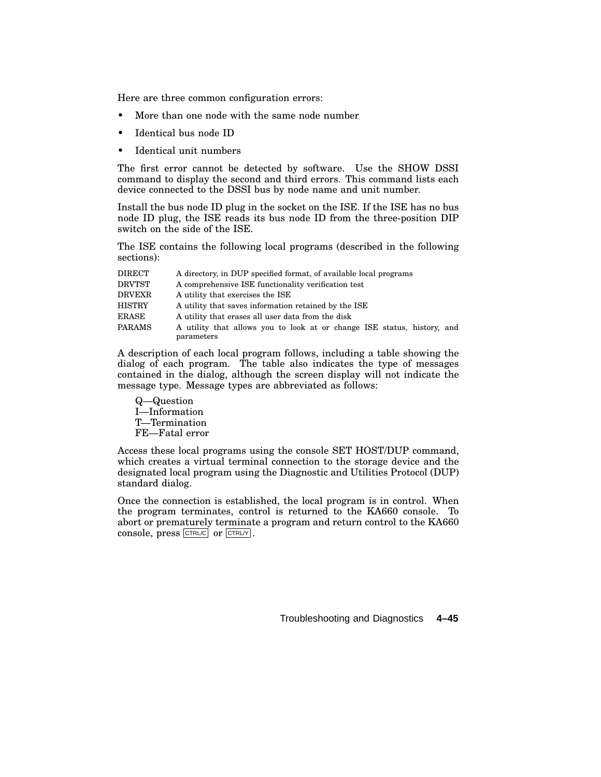Here are three common configuration errors:

- More than one node with the same node number
- Identical bus node ID
- Identical unit numbers

The first error cannot be detected by software. Use the SHOW DSSI command to display the second and third errors. This command lists each device connected to the DSSI bus by node name and unit number.

Install the bus node ID plug in the socket on the ISE. If the ISE has no bus node ID plug, the ISE reads its bus node ID from the three-position DIP switch on the side of the ISE.

The ISE contains the following local programs (described in the following sections):

| <b>DIRECT</b> | A directory, in DUP specified format, of available local programs       |
|---------------|-------------------------------------------------------------------------|
| <b>DRVTST</b> | A comprehensive ISE functionality verification test                     |
| <b>DRVEXR</b> | A utility that exercises the ISE                                        |
| <b>HISTRY</b> | A utility that saves information retained by the ISE                    |
| ERASE         | A utility that erases all user data from the disk                       |
| <b>PARAMS</b> | A utility that allows you to look at or change ISE status, history, and |
|               | parameters                                                              |

A description of each local program follows, including a table showing the dialog of each program. The table also indicates the type of messages contained in the dialog, although the screen display will not indicate the message type. Message types are abbreviated as follows:

Q—Question I—Information T—Termination FE—Fatal error

Access these local programs using the console SET HOST/DUP command, which creates a virtual terminal connection to the storage device and the designated local program using the Diagnostic and Utilities Protocol (DUP) standard dialog.

Once the connection is established, the local program is in control. When the program terminates, control is returned to the KA660 console. To abort or prematurely terminate a program and return control to the KA660 console, press CTRL/C or CTRL/Y .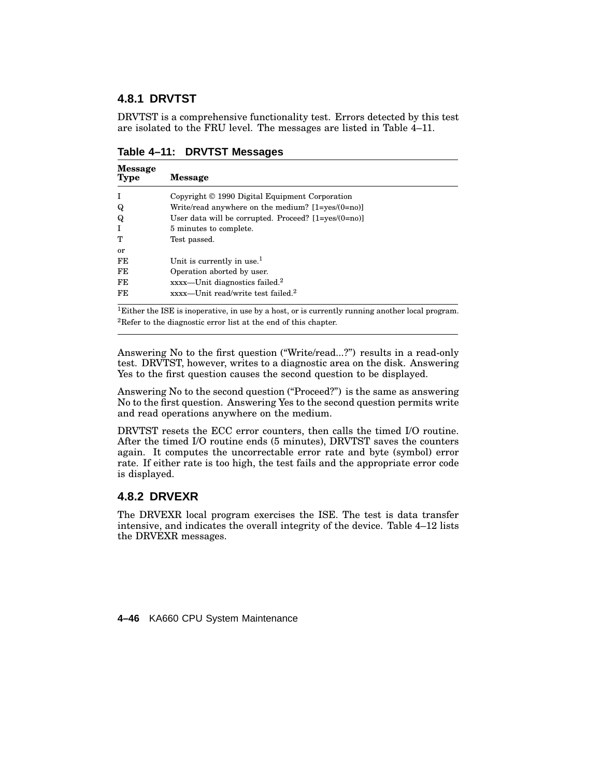#### **4.8.1 DRVTST**

DRVTST is a comprehensive functionality test. Errors detected by this test are isolated to the FRU level. The messages are listed in Table 4–11.

| <b>Message</b><br>Type | <b>Message</b>                                             |
|------------------------|------------------------------------------------------------|
| T                      | Copyright © 1990 Digital Equipment Corporation             |
| Q                      | Write/read anywhere on the medium? $[1 = yes/(0 = no)]$    |
| Q                      | User data will be corrupted. Proceed? $[1 = yes/(0 = no)]$ |
|                        | 5 minutes to complete.                                     |
| т                      | Test passed.                                               |
| or                     |                                                            |
| FE                     | Unit is currently in use. <sup>1</sup>                     |
| FE                     | Operation aborted by user.                                 |
| FE                     | xxxx-Unit diagnostics failed. <sup>2</sup>                 |
| FE                     | xxxx-Unit read/write test failed. <sup>2</sup>             |

**Table 4–11: DRVTST Messages**

<sup>1</sup>Either the ISE is inoperative, in use by a host, or is currently running another local program. <sup>2</sup>Refer to the diagnostic error list at the end of this chapter.

Answering No to the first question (''Write/read...?'') results in a read-only test. DRVTST, however, writes to a diagnostic area on the disk. Answering Yes to the first question causes the second question to be displayed.

Answering No to the second question ("Proceed?") is the same as answering No to the first question. Answering Yes to the second question permits write and read operations anywhere on the medium.

DRVTST resets the ECC error counters, then calls the timed I/O routine. After the timed I/O routine ends (5 minutes), DRVTST saves the counters again. It computes the uncorrectable error rate and byte (symbol) error rate. If either rate is too high, the test fails and the appropriate error code is displayed.

#### **4.8.2 DRVEXR**

The DRVEXR local program exercises the ISE. The test is data transfer intensive, and indicates the overall integrity of the device. Table 4–12 lists the DRVEXR messages.

**4–46** KA660 CPU System Maintenance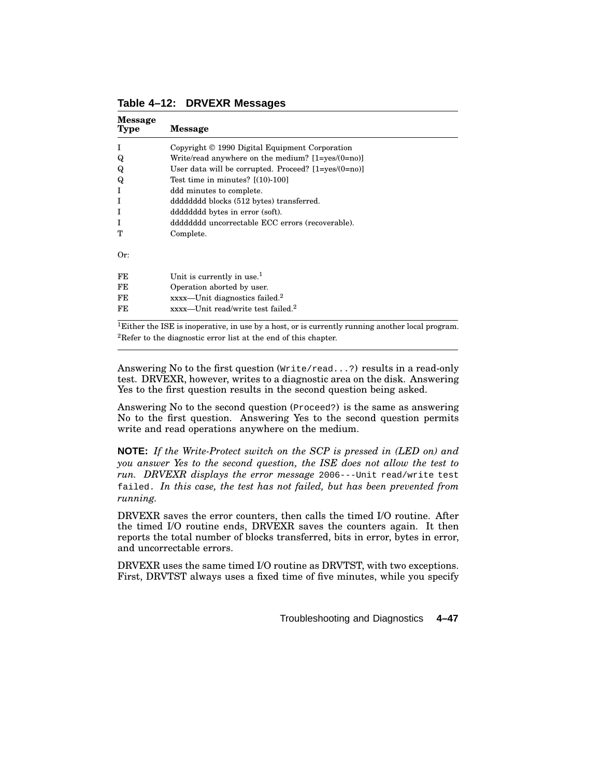| <b>Message</b><br><b>Type</b> | <b>Message</b>                                             |
|-------------------------------|------------------------------------------------------------|
| T                             | Copyright © 1990 Digital Equipment Corporation             |
| Q                             | Write/read anywhere on the medium? $[1 = yes/(0 = no)]$    |
| Q                             | User data will be corrupted. Proceed? $[1 = ves/(0 = no)]$ |
| Q                             | Test time in minutes? $[(10)-100]$                         |
| T                             | ddd minutes to complete.                                   |
| I                             | dddddddd blocks (512 bytes) transferred.                   |
| I                             | ddddddd bytes in error (soft).                             |
| I                             | ddddddd uncorrectable ECC errors (recoverable).            |
| т                             | Complete.                                                  |
| Or:                           |                                                            |
| FE                            | Unit is currently in use. $1$                              |
| FE                            | Operation aborted by user.                                 |
| FE                            | $xxxx$ —Unit diagnostics failed. <sup>2</sup>              |
| FE.                           | $xxxx$ —Unit read/write test failed. <sup>2</sup>          |

**Table 4–12: DRVEXR Messages**

<sup>1</sup>Either the ISE is inoperative, in use by a host, or is currently running another local program. <sup>2</sup>Refer to the diagnostic error list at the end of this chapter.

Answering No to the first question (Write/read...?) results in a read-only test. DRVEXR, however, writes to a diagnostic area on the disk. Answering Yes to the first question results in the second question being asked.

Answering No to the second question (Proceed?) is the same as answering No to the first question. Answering Yes to the second question permits write and read operations anywhere on the medium.

**NOTE:** *If the Write-Protect switch on the SCP is pressed in (LED on) and you answer Yes to the second question, the ISE does not allow the test to run. DRVEXR displays the error message* 2006---Unit read/write test failed. *In this case, the test has not failed, but has been prevented from running.*

DRVEXR saves the error counters, then calls the timed I/O routine. After the timed I/O routine ends, DRVEXR saves the counters again. It then reports the total number of blocks transferred, bits in error, bytes in error, and uncorrectable errors.

DRVEXR uses the same timed I/O routine as DRVTST, with two exceptions. First, DRVTST always uses a fixed time of five minutes, while you specify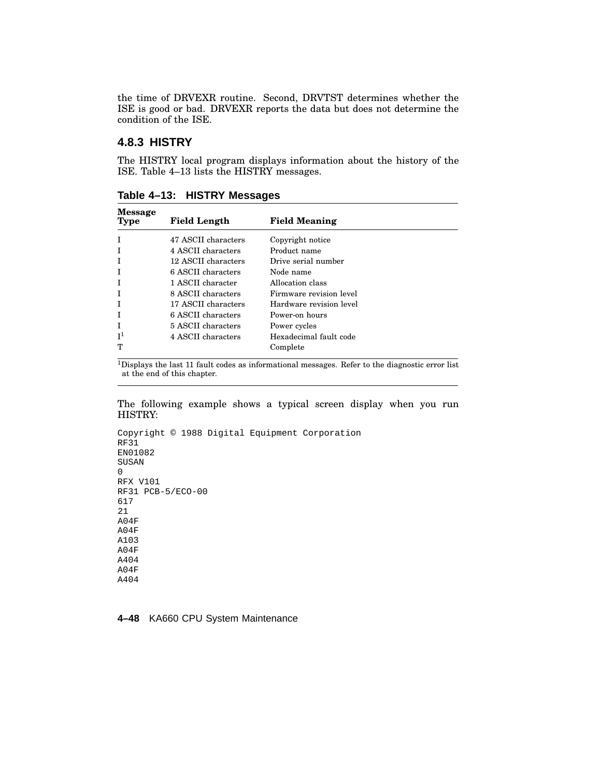the time of DRVEXR routine. Second, DRVTST determines whether the ISE is good or bad. DRVEXR reports the data but does not determine the condition of the ISE.

#### **4.8.3 HISTRY**

The HISTRY local program displays information about the history of the ISE. Table 4–13 lists the HISTRY messages.

| <b>Message</b><br>Type | <b>Field Length</b> | <b>Field Meaning</b>    |
|------------------------|---------------------|-------------------------|
|                        | 47 ASCII characters | Copyright notice        |
|                        | 4 ASCII characters  | Product name            |
|                        | 12 ASCII characters | Drive serial number     |
|                        | 6 ASCII characters  | Node name               |
|                        | 1 ASCII character   | Allocation class        |
|                        | 8 ASCII characters  | Firmware revision level |
|                        | 17 ASCII characters | Hardware revision level |
|                        | 6 ASCII characters  | Power-on hours          |
| Т                      | 5 ASCII characters  | Power cycles            |
| $\mathsf{I}^1$         | 4 ASCII characters  | Hexadecimal fault code  |
| m                      |                     | Complete                |

**Table 4–13: HISTRY Messages**

 $^1$ Displays the last 11 fault codes as informational messages. Refer to the diagnostic error list at the end of this chapter.

The following example shows a typical screen display when you run HISTRY:

```
Copyright © 1988 Digital Equipment Corporation
RF31
EN01082
SUSAN
\OmegaRFX V101
RF31 PCB-5/ECO-00
617
21
A04F
A04F
A103
A04F
A404
A04F
A404
```
**4–48** KA660 CPU System Maintenance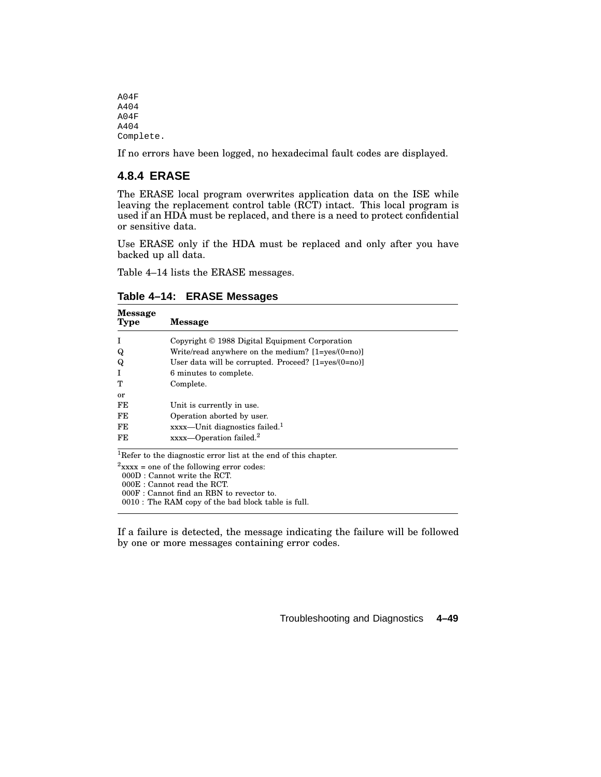A04F A404 A04F A404 Complete.

If no errors have been logged, no hexadecimal fault codes are displayed.

#### **4.8.4 ERASE**

The ERASE local program overwrites application data on the ISE while leaving the replacement control table (RCT) intact. This local program is used if an HDA must be replaced, and there is a need to protect confidential or sensitive data.

Use ERASE only if the HDA must be replaced and only after you have backed up all data.

Table 4–14 lists the ERASE messages.

| <b>Message</b><br>Type                       | <b>Message</b>                                                              |  |
|----------------------------------------------|-----------------------------------------------------------------------------|--|
|                                              | Copyright © 1988 Digital Equipment Corporation                              |  |
| Q                                            | Write/read anywhere on the medium? $[1 = yes/(0 = no)]$                     |  |
| Q                                            | User data will be corrupted. Proceed? $[1 = yes/(0 = no)]$                  |  |
|                                              | 6 minutes to complete.                                                      |  |
| т                                            | Complete.                                                                   |  |
| <b>or</b>                                    |                                                                             |  |
| FE                                           | Unit is currently in use.                                                   |  |
| FE                                           | Operation aborted by user.                                                  |  |
| FE                                           | $xxxx$ —Unit diagnostics failed. <sup>1</sup>                               |  |
| FE                                           | $xxxx$ —Operation failed. <sup>2</sup>                                      |  |
|                                              | <sup>1</sup> Refer to the diagnostic error list at the end of this chapter. |  |
| $2$ xxxx = one of the following error codes: |                                                                             |  |

**Table 4–14: ERASE Messages**

000D : Cannot write the RCT.

000E : Cannot read the RCT.

000F : Cannot find an RBN to revector to.

0010 : The RAM copy of the bad block table is full.

If a failure is detected, the message indicating the failure will be followed by one or more messages containing error codes.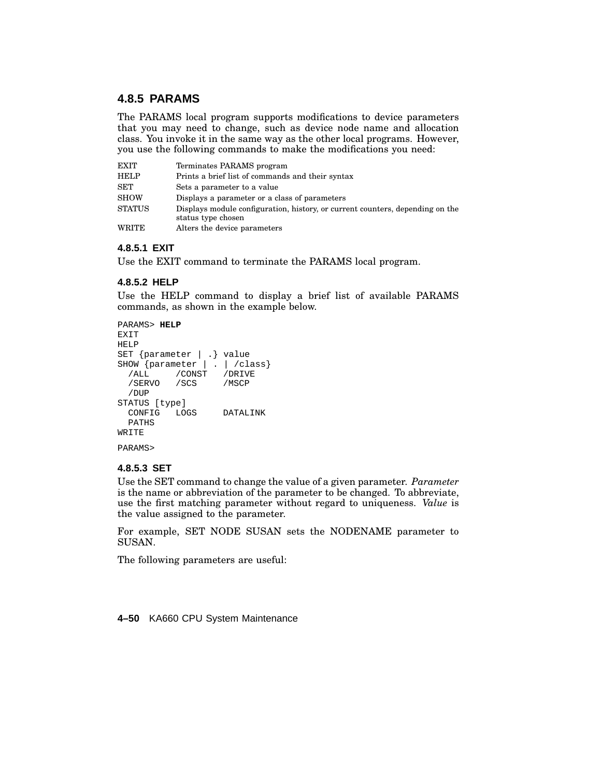#### **4.8.5 PARAMS**

The PARAMS local program supports modifications to device parameters that you may need to change, such as device node name and allocation class. You invoke it in the same way as the other local programs. However, you use the following commands to make the modifications you need:

| <b>EXIT</b>   | Terminates PARAMS program                                                                           |
|---------------|-----------------------------------------------------------------------------------------------------|
| <b>HELP</b>   | Prints a brief list of commands and their syntax                                                    |
| SET           | Sets a parameter to a value                                                                         |
| SHOW          | Displays a parameter or a class of parameters                                                       |
| <b>STATUS</b> | Displays module configuration, history, or current counters, depending on the<br>status type chosen |
| WRITE         | Alters the device parameters                                                                        |

#### **4.8.5.1 EXIT**

Use the EXIT command to terminate the PARAMS local program.

#### **4.8.5.2 HELP**

Use the HELP command to display a brief list of available PARAMS commands, as shown in the example below.

```
PARAMS> HELP
EXIT
HELP
SET {parameter | .} value
SHOW {parameter | . | /class}<br>
/ALL /CONST /DRIVE
           /CONST /DRIVE<br>/SCS /MSCP
  /SERVO
  /DUP
STATUS [type]
  CONFIG LOGS DATALINK
  PATHS
WRITE
PARAMS>
```
#### **4.8.5.3 SET**

Use the SET command to change the value of a given parameter. *Parameter* is the name or abbreviation of the parameter to be changed. To abbreviate, use the first matching parameter without regard to uniqueness. *Value* is the value assigned to the parameter.

For example, SET NODE SUSAN sets the NODENAME parameter to SUSAN.

The following parameters are useful:

**4–50** KA660 CPU System Maintenance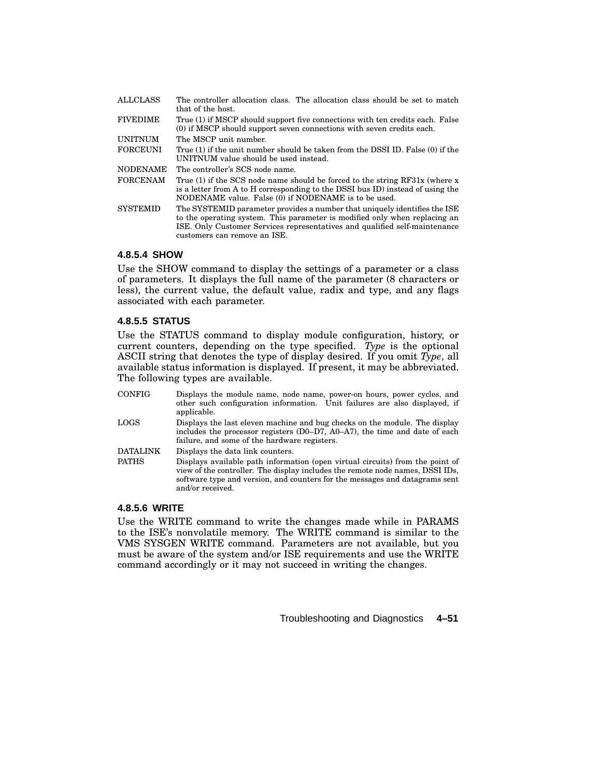| <b>ALLCLASS</b> | The controller allocation class. The allocation class should be set to match<br>that of the host.                                                                                                                                                                     |  |  |
|-----------------|-----------------------------------------------------------------------------------------------------------------------------------------------------------------------------------------------------------------------------------------------------------------------|--|--|
| <b>FIVEDIME</b> | True (1) if MSCP should support five connections with ten credits each. False<br>(0) if MSCP should support seven connections with seven credits each.                                                                                                                |  |  |
| <b>UNITNUM</b>  | The MSCP unit number.                                                                                                                                                                                                                                                 |  |  |
| <b>FORCEUNI</b> | True (1) if the unit number should be taken from the DSSI ID. False (0) if the<br>UNITNUM value should be used instead.                                                                                                                                               |  |  |
| <b>NODENAME</b> | The controller's SCS node name.                                                                                                                                                                                                                                       |  |  |
| <b>FORCENAM</b> | True (1) if the SCS node name should be forced to the string $RF31x$ (where x<br>is a letter from A to H corresponding to the DSSI bus ID) instead of using the<br>NODENAME value. False (0) if NODENAME is to be used.                                               |  |  |
| <b>SYSTEMID</b> | The SYSTEMID parameter provides a number that uniquely identifies the ISE<br>to the operating system. This parameter is modified only when replacing an<br>ISE. Only Customer Services representatives and qualified self-maintenance<br>customers can remove an ISE. |  |  |

#### **4.8.5.4 SHOW**

Use the SHOW command to display the settings of a parameter or a class of parameters. It displays the full name of the parameter (8 characters or less), the current value, the default value, radix and type, and any flags associated with each parameter.

#### **4.8.5.5 STATUS**

Use the STATUS command to display module configuration, history, or current counters, depending on the type specified. *Type* is the optional ASCII string that denotes the type of display desired. If you omit *Type*, all available status information is displayed. If present, it may be abbreviated. The following types are available.

| <b>CONFIG</b>   | Displays the module name, node name, power-on hours, power cycles, and<br>other such configuration information. Unit failures are also displayed, if<br>applicable.                                                                                               |
|-----------------|-------------------------------------------------------------------------------------------------------------------------------------------------------------------------------------------------------------------------------------------------------------------|
| LOGS            | Displays the last eleven machine and bug checks on the module. The display<br>includes the processor registers (D0–D7, A0–A7), the time and date of each<br>failure, and some of the hardware registers.                                                          |
| <b>DATALINK</b> | Displays the data link counters.                                                                                                                                                                                                                                  |
| <b>PATHS</b>    | Displays available path information (open virtual circuits) from the point of<br>view of the controller. The display includes the remote node names, DSSI IDs,<br>software type and version, and counters for the messages and datagrams sent<br>and/or received. |

#### **4.8.5.6 WRITE**

Use the WRITE command to write the changes made while in PARAMS to the ISE's nonvolatile memory. The WRITE command is similar to the VMS SYSGEN WRITE command. Parameters are not available, but you must be aware of the system and/or ISE requirements and use the WRITE command accordingly or it may not succeed in writing the changes.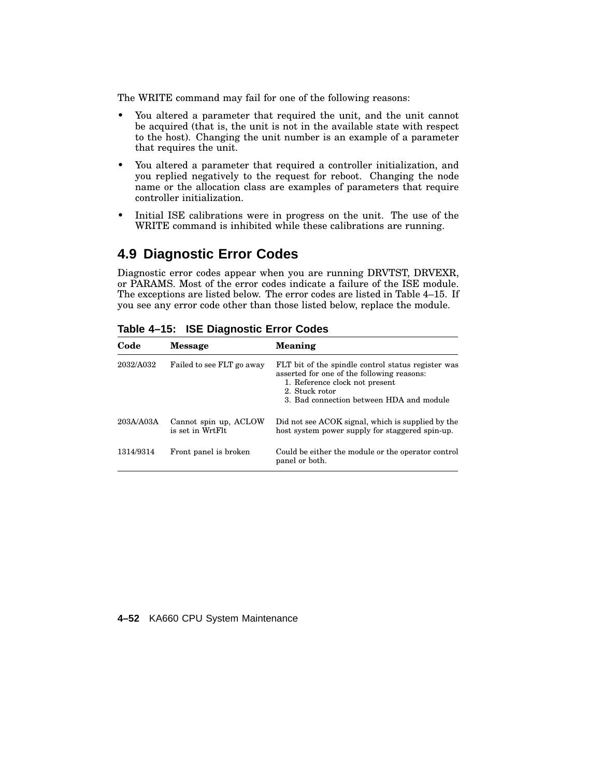The WRITE command may fail for one of the following reasons:

- You altered a parameter that required the unit, and the unit cannot be acquired (that is, the unit is not in the available state with respect to the host). Changing the unit number is an example of a parameter that requires the unit.
- You altered a parameter that required a controller initialization, and you replied negatively to the request for reboot. Changing the node name or the allocation class are examples of parameters that require controller initialization.
- Initial ISE calibrations were in progress on the unit. The use of the WRITE command is inhibited while these calibrations are running.

## **4.9 Diagnostic Error Codes**

Diagnostic error codes appear when you are running DRVTST, DRVEXR, or PARAMS. Most of the error codes indicate a failure of the ISE module. The exceptions are listed below. The error codes are listed in Table 4–15. If you see any error code other than those listed below, replace the module.

| Code      | <b>Message</b>                            | <b>Meaning</b>                                                                                                                                                                                   |
|-----------|-------------------------------------------|--------------------------------------------------------------------------------------------------------------------------------------------------------------------------------------------------|
| 2032/A032 | Failed to see FLT go away                 | FLT bit of the spindle control status register was<br>asserted for one of the following reasons:<br>1. Reference clock not present<br>2. Stuck rotor<br>3. Bad connection between HDA and module |
| 203A/A03A | Cannot spin up, ACLOW<br>is set in WrtFlt | Did not see ACOK signal, which is supplied by the<br>host system power supply for staggered spin-up.                                                                                             |
| 1314/9314 | Front panel is broken                     | Could be either the module or the operator control<br>panel or both.                                                                                                                             |

**Table 4–15: ISE Diagnostic Error Codes**

#### **4–52** KA660 CPU System Maintenance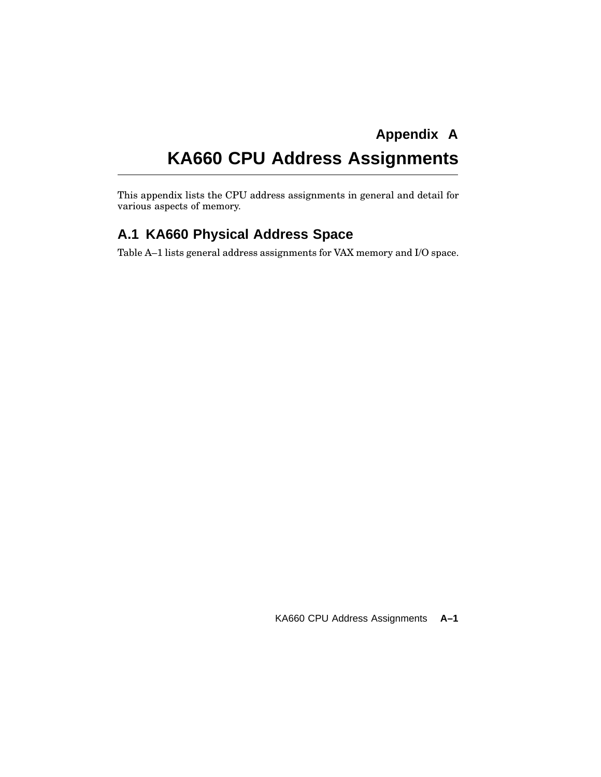# **Appendix A KA660 CPU Address Assignments**

This appendix lists the CPU address assignments in general and detail for various aspects of memory.

## **A.1 KA660 Physical Address Space**

Table A–1 lists general address assignments for VAX memory and I/O space.

KA660 CPU Address Assignments **A–1**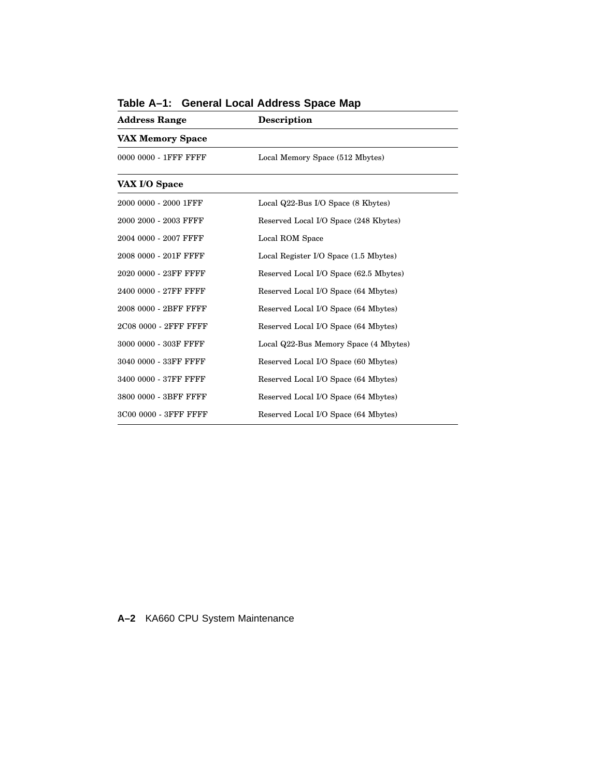| Description                            |  |
|----------------------------------------|--|
|                                        |  |
| Local Memory Space (512 Mbytes)        |  |
|                                        |  |
| Local Q22-Bus I/O Space (8 Kbytes)     |  |
| Reserved Local I/O Space (248 Kbytes)  |  |
| Local ROM Space                        |  |
| Local Register I/O Space (1.5 Mbytes)  |  |
| Reserved Local I/O Space (62.5 Mbytes) |  |
| Reserved Local I/O Space (64 Mbytes)   |  |
| Reserved Local I/O Space (64 Mbytes)   |  |
| Reserved Local I/O Space (64 Mbytes)   |  |
| Local Q22-Bus Memory Space (4 Mbytes)  |  |
| Reserved Local I/O Space (60 Mbytes)   |  |
| Reserved Local I/O Space (64 Mbytes)   |  |
| Reserved Local I/O Space (64 Mbytes)   |  |
| Reserved Local I/O Space (64 Mbytes)   |  |
|                                        |  |

**Table A–1: General Local Address Space Map**

**A–2** KA660 CPU System Maintenance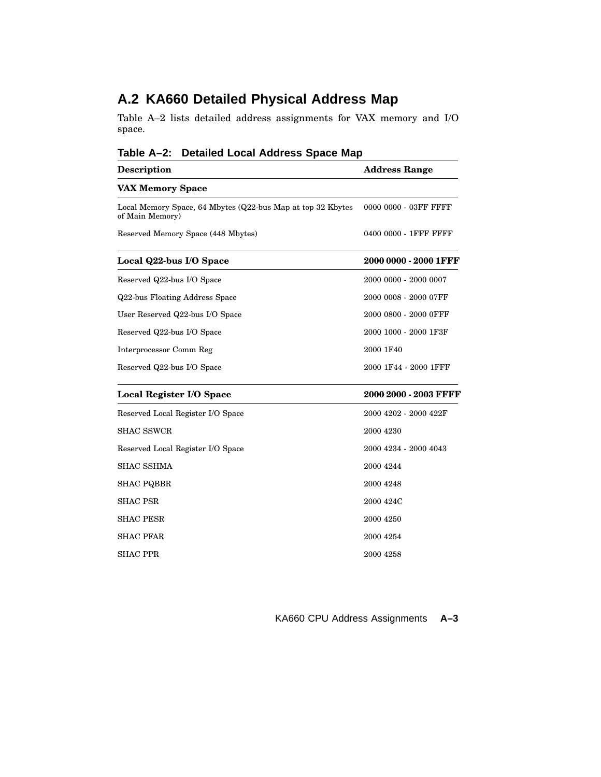## **A.2 KA660 Detailed Physical Address Map**

Table A–2 lists detailed address assignments for VAX memory and I/O space.

| iaui∈ A–∠.<br>Detailed Local Address opace map                                 |                       |  |
|--------------------------------------------------------------------------------|-----------------------|--|
| <b>Description</b>                                                             | <b>Address Range</b>  |  |
| <b>VAX Memory Space</b>                                                        |                       |  |
| Local Memory Space, 64 Mbytes (Q22-bus Map at top 32 Kbytes<br>of Main Memory) | 0000 0000 - 03FF FFFF |  |
| Reserved Memory Space (448 Mbytes)                                             | 0400 0000 - 1FFF FFFF |  |
| Local Q22-bus I/O Space                                                        | 2000 0000 - 2000 1FFF |  |
| Reserved Q22-bus I/O Space                                                     | 2000 0000 - 2000 0007 |  |
| Q22-bus Floating Address Space                                                 | 2000 0008 - 2000 07FF |  |
| User Reserved Q22-bus I/O Space                                                | 2000 0800 - 2000 OFFF |  |
| Reserved Q22-bus I/O Space                                                     | 2000 1000 - 2000 1F3F |  |
| Interprocessor Comm Reg                                                        | 2000 1F40             |  |
| Reserved Q22-bus I/O Space                                                     | 2000 1F44 - 2000 1FFF |  |
| Local Register I/O Space                                                       | 2000 2000 - 2003 FFFF |  |
| Reserved Local Register I/O Space                                              | 2000 4202 - 2000 422F |  |
| <b>SHAC SSWCR</b>                                                              | 2000 4230             |  |
| Reserved Local Register I/O Space                                              | 2000 4234 - 2000 4043 |  |
| <b>SHAC SSHMA</b>                                                              | 2000 4244             |  |
| <b>SHAC PQBBR</b>                                                              | 2000 4248             |  |
| <b>SHAC PSR</b>                                                                | 2000 424C             |  |
| <b>SHAC PESR</b>                                                               | 2000 4250             |  |
| <b>SHAC PFAR</b>                                                               | 2000 4254             |  |
| <b>SHAC PPR</b>                                                                | 2000 4258             |  |

**Table A–2: Detailed Local Address Space Map**

KA660 CPU Address Assignments **A–3**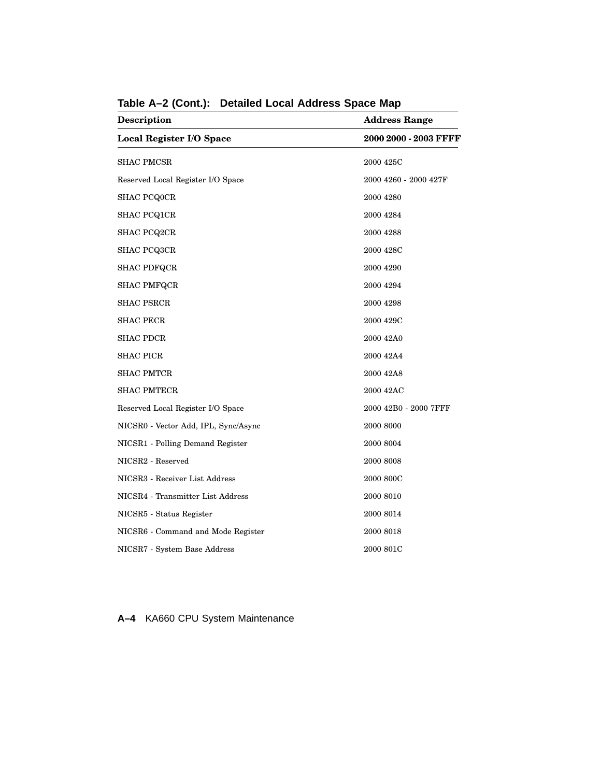| Description                          | <b>Address Range</b><br>2000 2000 - 2003 FFFF |  |
|--------------------------------------|-----------------------------------------------|--|
| <b>Local Register I/O Space</b>      |                                               |  |
| <b>SHAC PMCSR</b>                    | 2000 425C                                     |  |
| Reserved Local Register I/O Space    | 2000 4260 - 2000 427F                         |  |
| <b>SHAC PCQ0CR</b>                   | 2000 4280                                     |  |
| <b>SHAC PCQ1CR</b>                   | 2000 4284                                     |  |
| <b>SHAC PCQ2CR</b>                   | 2000 4288                                     |  |
| <b>SHAC PCQ3CR</b>                   | 2000 428C                                     |  |
| <b>SHAC PDFQCR</b>                   | 2000 4290                                     |  |
| <b>SHAC PMFQCR</b>                   | 2000 4294                                     |  |
| <b>SHAC PSRCR</b>                    | 2000 4298                                     |  |
| <b>SHAC PECR</b>                     | 2000 429C                                     |  |
| <b>SHAC PDCR</b>                     | 2000 42A0                                     |  |
| <b>SHAC PICR</b>                     | 2000 42A4                                     |  |
| <b>SHAC PMTCR</b>                    | 2000 42A8                                     |  |
| <b>SHAC PMTECR</b>                   | 2000 42AC                                     |  |
| Reserved Local Register I/O Space    | 2000 42B0 - 2000 7FFF                         |  |
| NICSR0 - Vector Add, IPL, Sync/Async | 2000 8000                                     |  |
| NICSR1 - Polling Demand Register     | 2000 8004                                     |  |
| NICSR2 - Reserved                    | 2000 8008                                     |  |
| NICSR3 - Receiver List Address       | 2000 800C                                     |  |
| NICSR4 - Transmitter List Address    | 2000 8010                                     |  |
| NICSR5 - Status Register             | 2000 8014                                     |  |
| NICSR6 - Command and Mode Register   | 2000 8018                                     |  |
| NICSR7 - System Base Address         | 2000 801C                                     |  |

**Table A–2 (Cont.): Detailed Local Address Space Map**

**A–4** KA660 CPU System Maintenance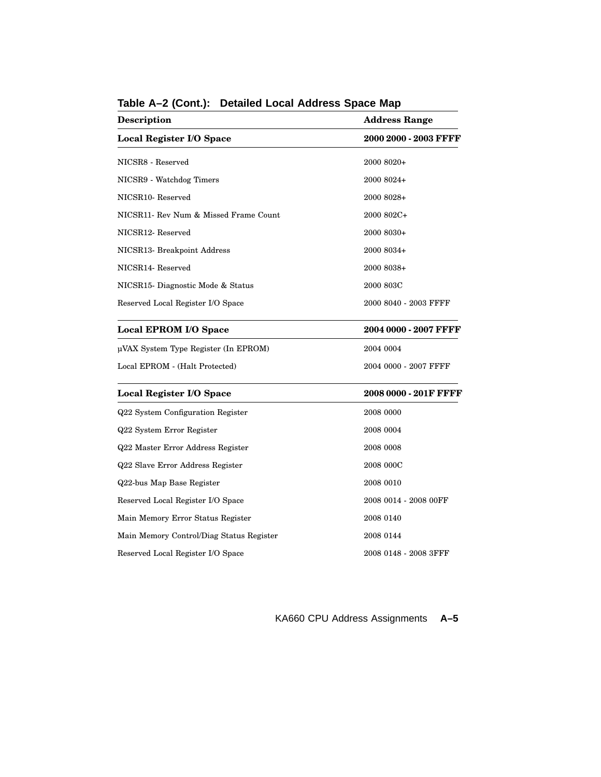| Description                              | <b>Address Range</b>  |
|------------------------------------------|-----------------------|
| <b>Local Register I/O Space</b>          | 2000 2000 - 2003 FFFF |
| NICSR8 - Reserved                        | 2000 8020+            |
| NICSR9 - Watchdog Timers                 | 2000 8024+            |
| NICSR <sub>10</sub> -Reserved            | 2000 8028+            |
| NICSR11- Rev Num & Missed Frame Count    | 2000 802C+            |
| NICSR12-Reserved                         | 2000 8030+            |
| NICSR13- Breakpoint Address              | 2000 8034+            |
| NICSR14-Reserved                         | 2000 8038+            |
| NICSR15- Diagnostic Mode & Status        | 2000 803C             |
| Reserved Local Register I/O Space        | 2000 8040 - 2003 FFFF |
| Local EPROM I/O Space                    | 2004 0000 - 2007 FFFF |
| µVAX System Type Register (In EPROM)     | 2004 0004             |
| Local EPROM - (Halt Protected)           | 2004 0000 - 2007 FFFF |
| Local Register I/O Space                 | 2008 0000 - 201F FFFF |
| Q22 System Configuration Register        | 2008 0000             |
| Q22 System Error Register                | 2008 0004             |
| Q22 Master Error Address Register        | 2008 0008             |
| Q22 Slave Error Address Register         | 2008 000C             |
| Q22-bus Map Base Register                | 2008 0010             |
| Reserved Local Register I/O Space        | 2008 0014 - 2008 00FF |
| Main Memory Error Status Register        | 2008 0140             |
| Main Memory Control/Diag Status Register | 2008 0144             |
| Reserved Local Register I/O Space        | 2008 0148 - 2008 3FFF |

**Table A–2 (Cont.): Detailed Local Address Space Map**

KA660 CPU Address Assignments **A–5**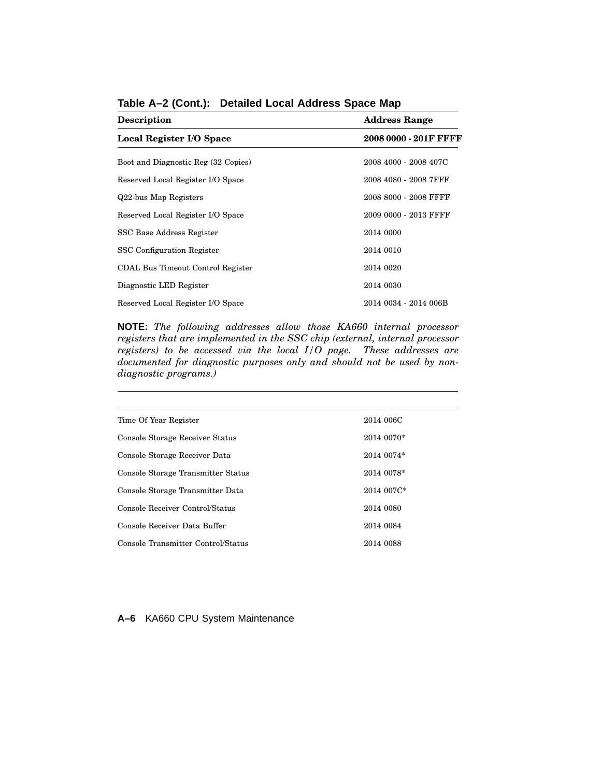| <b>Description</b>                  | <b>Address Range</b>  |  |
|-------------------------------------|-----------------------|--|
| Local Register I/O Space            | 2008 0000 - 201F FFFF |  |
| Boot and Diagnostic Reg (32 Copies) | 2008 4000 - 2008 407C |  |
| Reserved Local Register I/O Space   | 2008 4080 - 2008 7FFF |  |
| Q22-bus Map Registers               | 2008 8000 - 2008 FFFF |  |
| Reserved Local Register I/O Space   | 2009 0000 - 2013 FFFF |  |
| SSC Base Address Register           | 2014 0000             |  |
| <b>SSC</b> Configuration Register   | 2014 0010             |  |
| CDAL Bus Timeout Control Register   | 2014 0020             |  |
| Diagnostic LED Register             | 2014 0030             |  |
| Reserved Local Register I/O Space   | 2014 0034 - 2014 006B |  |

**Table A–2 (Cont.): Detailed Local Address Space Map**

**NOTE:** *The following addresses allow those KA660 internal processor registers that are implemented in the SSC chip (external, internal processor registers) to be accessed via the local I/O page. These addresses are documented for diagnostic purposes only and should not be used by nondiagnostic programs.)*

| Time Of Year Register              | 2014 006C  |
|------------------------------------|------------|
| Console Storage Receiver Status    | 2014 0070* |
| Console Storage Receiver Data      | 2014 0074* |
| Console Storage Transmitter Status | 2014 0078* |
| Console Storage Transmitter Data   | 2014 007C* |
| Console Receiver Control/Status    | 2014 0080  |
| Console Receiver Data Buffer       | 2014 0084  |
| Console Transmitter Control/Status | 2014 0088  |

#### **A–6** KA660 CPU System Maintenance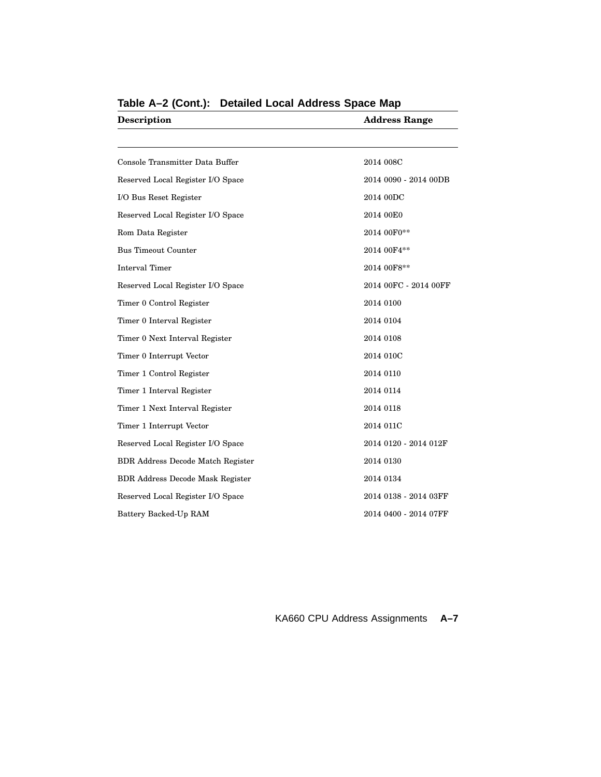| <b>Description</b>                       | <b>Address Range</b>  |  |
|------------------------------------------|-----------------------|--|
|                                          |                       |  |
| Console Transmitter Data Buffer          | 2014 008C             |  |
| Reserved Local Register I/O Space        | 2014 0090 - 2014 00DB |  |
| I/O Bus Reset Register                   | 2014 00DC             |  |
| Reserved Local Register I/O Space        | 2014 00E0             |  |
| Rom Data Register                        | 2014 00F0**           |  |
| <b>Bus Timeout Counter</b>               | 2014 00F4**           |  |
| <b>Interval Timer</b>                    | 2014 00F8**           |  |
| Reserved Local Register I/O Space        | 2014 00FC - 2014 00FF |  |
| Timer 0 Control Register                 | 2014 0100             |  |
| Timer 0 Interval Register                | 2014 0104             |  |
| Timer 0 Next Interval Register           | 2014 0108             |  |
| Timer 0 Interrupt Vector                 | 2014 010C             |  |
| Timer 1 Control Register                 | 2014 0110             |  |
| Timer 1 Interval Register                | 2014 0114             |  |
| Timer 1 Next Interval Register           | 2014 0118             |  |
| Timer 1 Interrupt Vector                 | 2014 011C             |  |
| Reserved Local Register I/O Space        | 2014 0120 - 2014 012F |  |
| <b>BDR Address Decode Match Register</b> | 2014 0130             |  |
| <b>BDR Address Decode Mask Register</b>  | 2014 0134             |  |
| Reserved Local Register I/O Space        | 2014 0138 - 2014 03FF |  |
| Battery Backed-Up RAM                    | 2014 0400 - 2014 07FF |  |

**Table A–2 (Cont.): Detailed Local Address Space Map**

KA660 CPU Address Assignments **A–7**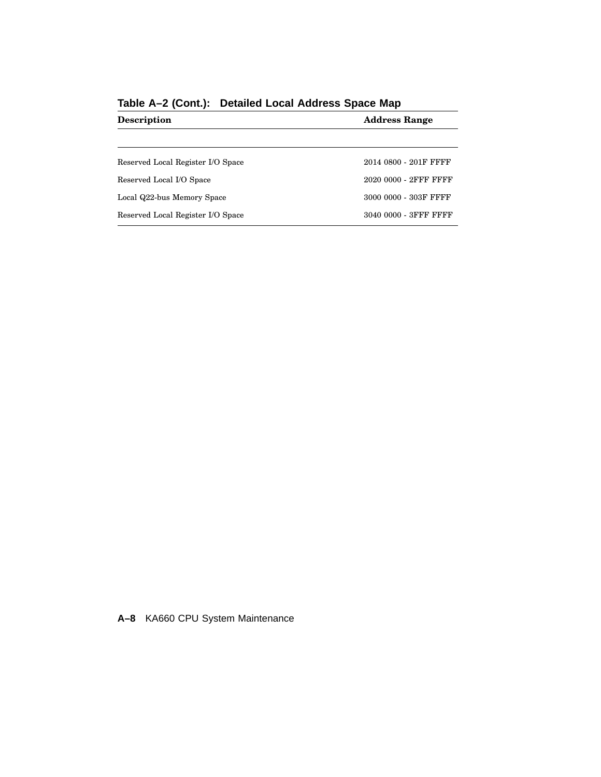| <b>Address Range</b>  |  |
|-----------------------|--|
|                       |  |
| 2014 0800 - 201F FFFF |  |
| 2020 0000 - 2FFF FFFF |  |
| 3000 0000 - 303F FFFF |  |
| 3040 0000 - 3FFF FFFF |  |
|                       |  |

**Table A–2 (Cont.): Detailed Local Address Space Map**

**A–8** KA660 CPU System Maintenance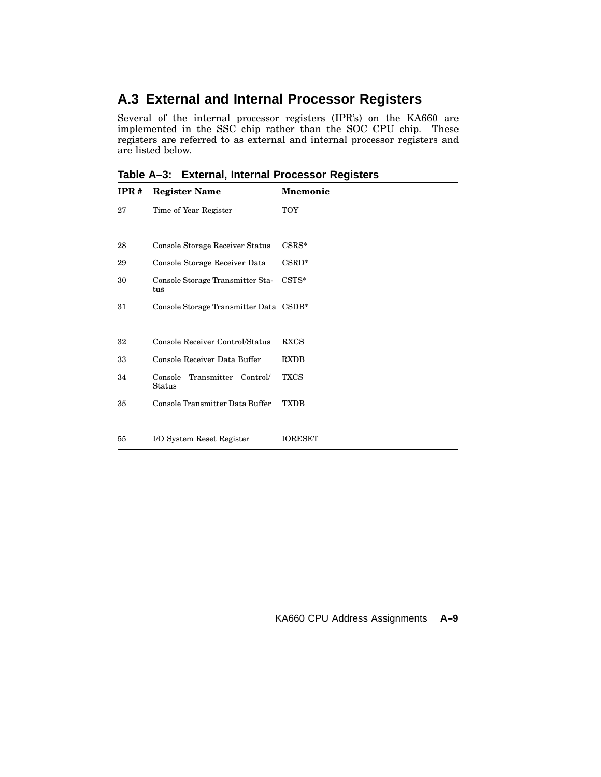## **A.3 External and Internal Processor Registers**

Several of the internal processor registers (IPR's) on the KA660 are implemented in the SSC chip rather than the SOC CPU chip. These registers are referred to as external and internal processor registers and are listed below.

**Table A–3: External, Internal Processor Registers**

| $_{\rm IPR\,\textit{#}}$ | <b>Register Name</b>                      | <b>Mnemonic</b> |
|--------------------------|-------------------------------------------|-----------------|
| 27                       | Time of Year Register                     | TOY             |
|                          |                                           |                 |
| 28                       | Console Storage Receiver Status           | $CSRS^*$        |
| 29                       | Console Storage Receiver Data             | $CSRD^*$        |
| 30                       | Console Storage Transmitter Sta-<br>tus   | $\text{CSTS}*$  |
| 31                       | Console Storage Transmitter Data CSDB*    |                 |
|                          |                                           |                 |
| 32                       | Console Receiver Control/Status           | <b>RXCS</b>     |
| 33                       | Console Receiver Data Buffer              | <b>RXDB</b>     |
| 34                       | Transmitter Control/<br>Console<br>Status | <b>TXCS</b>     |
| 35                       | Console Transmitter Data Buffer           | <b>TXDB</b>     |
|                          |                                           |                 |
| 55                       | I/O System Reset Register                 | <b>IORESET</b>  |

#### KA660 CPU Address Assignments **A–9**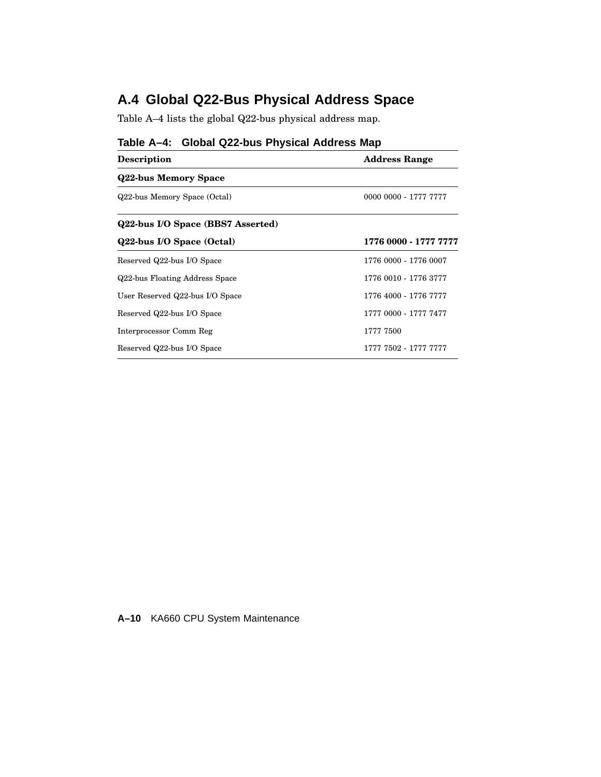## **A.4 Global Q22-Bus Physical Address Space**

Table A–4 lists the global Q22-bus physical address map.

| $1$ avic $A^{-1}$ . Oluval GZZ-vus I III siyal Ayulcas IIIap |                       |  |  |
|--------------------------------------------------------------|-----------------------|--|--|
| <b>Description</b>                                           | <b>Address Range</b>  |  |  |
| <b>Q22-bus Memory Space</b>                                  |                       |  |  |
| Q22-bus Memory Space (Octal)                                 | 0000 0000 - 1777 7777 |  |  |
| Q22-bus I/O Space (BBS7 Asserted)                            |                       |  |  |
| Q22-bus I/O Space (Octal)                                    | 1776 0000 - 1777 7777 |  |  |
| Reserved Q22-bus I/O Space                                   | 1776 0000 - 1776 0007 |  |  |
| Q22-bus Floating Address Space                               | 1776 0010 - 1776 3777 |  |  |
| User Reserved Q22-bus I/O Space                              | 1776 4000 - 1776 7777 |  |  |
| Reserved Q22-bus I/O Space                                   | 1777 0000 - 1777 7477 |  |  |
| Interprocessor Comm Reg                                      | 1777 7500             |  |  |
| Reserved Q22-bus I/O Space                                   | 1777 7502 - 1777 7777 |  |  |

### **Table A–4: Global Q22-bus Physical Address Map**

**A–10** KA660 CPU System Maintenance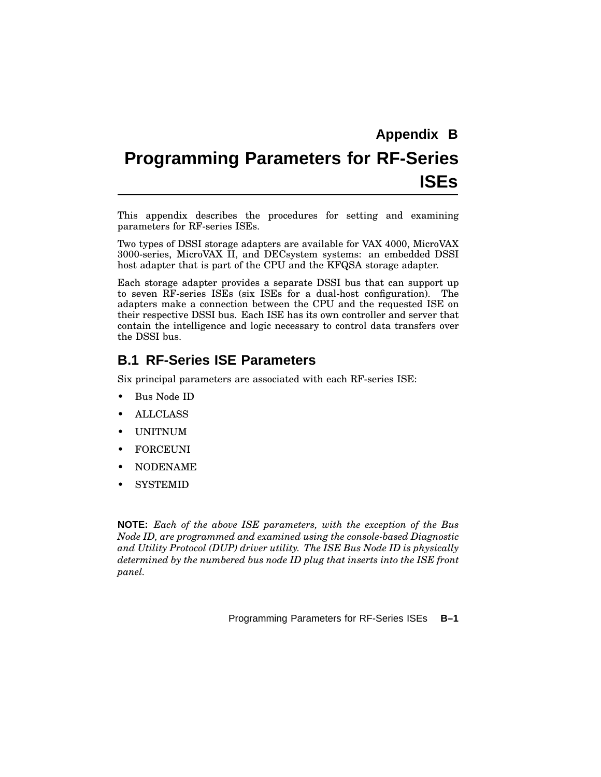# **Programming Parameters for RF-Series ISEs**

This appendix describes the procedures for setting and examining parameters for RF-series ISEs.

Two types of DSSI storage adapters are available for VAX 4000, MicroVAX 3000-series, MicroVAX II, and DECsystem systems: an embedded DSSI host adapter that is part of the CPU and the KFQSA storage adapter.

Each storage adapter provides a separate DSSI bus that can support up to seven RF-series ISEs (six ISEs for a dual-host configuration). The adapters make a connection between the CPU and the requested ISE on their respective DSSI bus. Each ISE has its own controller and server that contain the intelligence and logic necessary to control data transfers over the DSSI bus.

## **B.1 RF-Series ISE Parameters**

Six principal parameters are associated with each RF-series ISE:

- Bus Node ID
- ALLCLASS
- UNITNUM
- **FORCEUNI**
- NODENAME
- **SYSTEMID**

**NOTE:** *Each of the above ISE parameters, with the exception of the Bus Node ID, are programmed and examined using the console-based Diagnostic and Utility Protocol (DUP) driver utility. The ISE Bus Node ID is physically determined by the numbered bus node ID plug that inserts into the ISE front panel.*

Programming Parameters for RF-Series ISEs **B–1**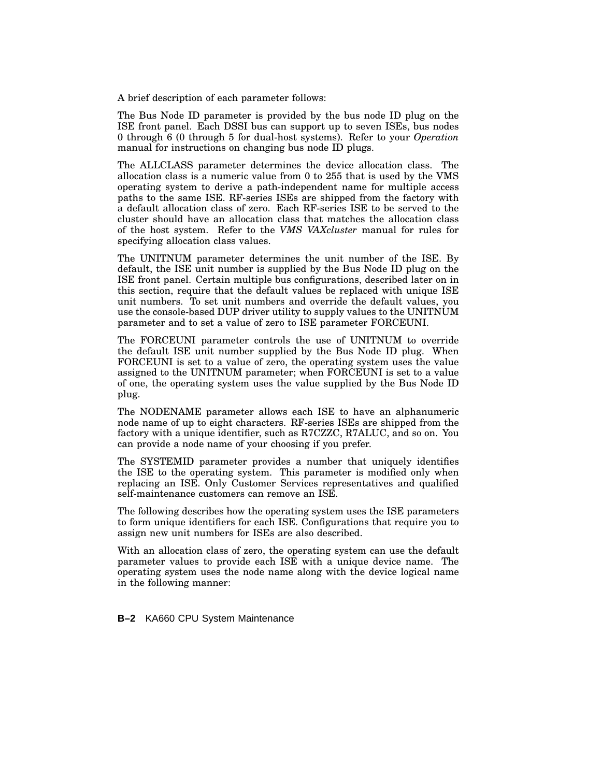A brief description of each parameter follows:

The Bus Node ID parameter is provided by the bus node ID plug on the ISE front panel. Each DSSI bus can support up to seven ISEs, bus nodes 0 through 6 (0 through 5 for dual-host systems). Refer to your *Operation* manual for instructions on changing bus node ID plugs.

The ALLCLASS parameter determines the device allocation class. The allocation class is a numeric value from 0 to 255 that is used by the VMS operating system to derive a path-independent name for multiple access paths to the same ISE. RF-series ISEs are shipped from the factory with a default allocation class of zero. Each RF-series ISE to be served to the cluster should have an allocation class that matches the allocation class of the host system. Refer to the *VMS VAXcluster* manual for rules for specifying allocation class values.

The UNITNUM parameter determines the unit number of the ISE. By default, the ISE unit number is supplied by the Bus Node ID plug on the ISE front panel. Certain multiple bus configurations, described later on in this section, require that the default values be replaced with unique ISE unit numbers. To set unit numbers and override the default values, you use the console-based DUP driver utility to supply values to the UNITNUM parameter and to set a value of zero to ISE parameter FORCEUNI.

The FORCEUNI parameter controls the use of UNITNUM to override the default ISE unit number supplied by the Bus Node ID plug. When FORCEUNI is set to a value of zero, the operating system uses the value assigned to the UNITNUM parameter; when FORCEUNI is set to a value of one, the operating system uses the value supplied by the Bus Node ID plug.

The NODENAME parameter allows each ISE to have an alphanumeric node name of up to eight characters. RF-series ISEs are shipped from the factory with a unique identifier, such as R7CZZC, R7ALUC, and so on. You can provide a node name of your choosing if you prefer.

The SYSTEMID parameter provides a number that uniquely identifies the ISE to the operating system. This parameter is modified only when replacing an ISE. Only Customer Services representatives and qualified self-maintenance customers can remove an ISE.

The following describes how the operating system uses the ISE parameters to form unique identifiers for each ISE. Configurations that require you to assign new unit numbers for ISEs are also described.

With an allocation class of zero, the operating system can use the default parameter values to provide each ISE with a unique device name. The operating system uses the node name along with the device logical name in the following manner:

**B–2** KA660 CPU System Maintenance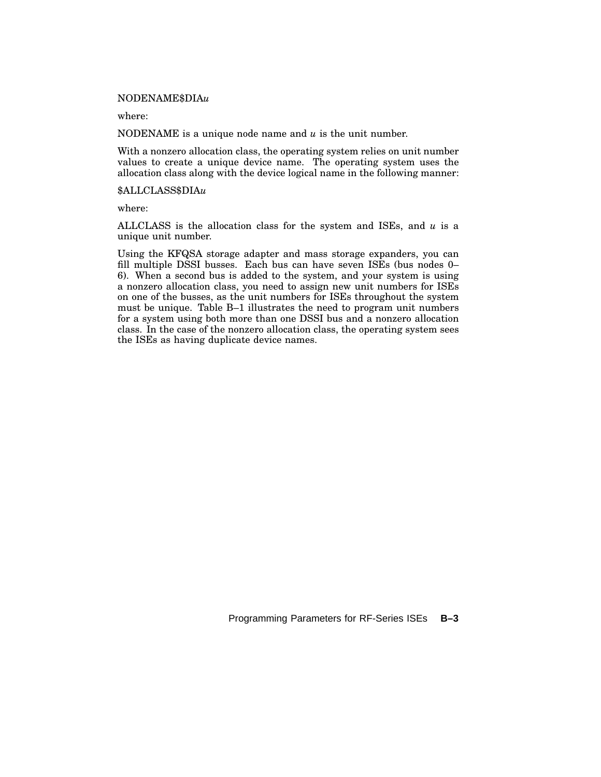#### NODENAME\$DIA*u*

where:

NODENAME is a unique node name and *u* is the unit number.

With a nonzero allocation class, the operating system relies on unit number values to create a unique device name. The operating system uses the allocation class along with the device logical name in the following manner:

#### \$ALLCLASS\$DIA*u*

where:

ALLCLASS is the allocation class for the system and ISEs, and *u* is a unique unit number.

Using the KFQSA storage adapter and mass storage expanders, you can fill multiple DSSI busses. Each bus can have seven ISEs (bus nodes 0– 6). When a second bus is added to the system, and your system is using a nonzero allocation class, you need to assign new unit numbers for ISEs on one of the busses, as the unit numbers for ISEs throughout the system must be unique. Table B–1 illustrates the need to program unit numbers for a system using both more than one DSSI bus and a nonzero allocation class. In the case of the nonzero allocation class, the operating system sees the ISEs as having duplicate device names.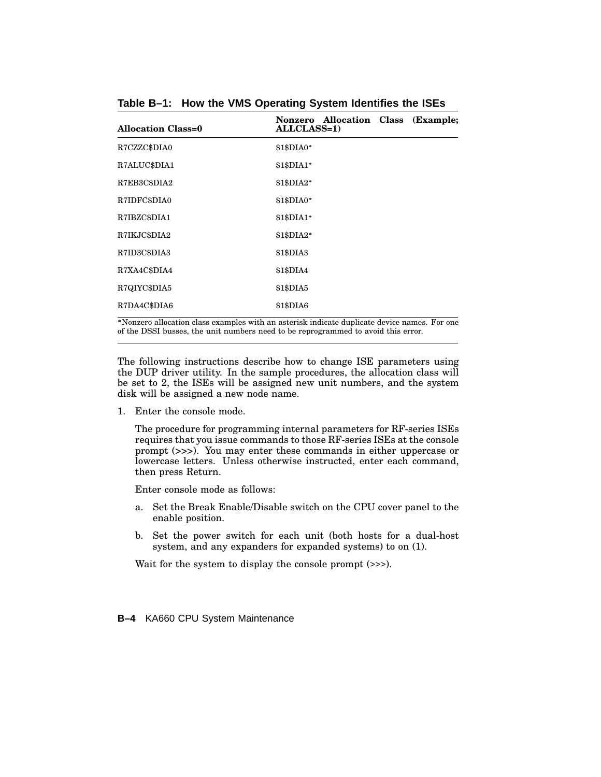| <b>Allocation Class=0</b> | Nonzero Allocation Class (Example:<br><b>ALLCLASS=1)</b> |
|---------------------------|----------------------------------------------------------|
| R7CZZC\$DIA0              | \$1\$DIA0*                                               |
| R7ALUC\$DIA1              | \$1\$DIA1"                                               |
| R7EB3C\$DIA2              | \$1\$DIA2*                                               |
| R7IDFC\$DIA0              | \$1\$DIA0*                                               |
| R7IBZC\$DIA1              | \$1\$DIA1*                                               |
| R7IKJC\$DIA2              | \$1\$DIA2*                                               |
| R7ID3C\$DIA3              | \$1\$DIA3                                                |
| R7XA4C\$DIA4              | \$1\$DIA4                                                |
| R7QIYC\$DIA5              | \$1\$DIA5                                                |
| R7DA4C\$DIA6              | \$1\$DIA6                                                |

**Table B–1: How the VMS Operating System Identifies the ISEs**

 Nonzero allocation class examples with an asterisk indicate duplicate device names. For one of the DSSI busses, the unit numbers need to be reprogrammed to avoid this error.

The following instructions describe how to change ISE parameters using the DUP driver utility. In the sample procedures, the allocation class will be set to 2, the ISEs will be assigned new unit numbers, and the system disk will be assigned a new node name.

1. Enter the console mode.

The procedure for programming internal parameters for RF-series ISEs requires that you issue commands to those RF-series ISEs at the console prompt (>>>). You may enter these commands in either uppercase or lowercase letters. Unless otherwise instructed, enter each command, then press Return.

Enter console mode as follows:

- a. Set the Break Enable/Disable switch on the CPU cover panel to the enable position.
- b. Set the power switch for each unit (both hosts for a dual-host system, and any expanders for expanded systems) to on (1).

Wait for the system to display the console prompt (>>>).

**B–4** KA660 CPU System Maintenance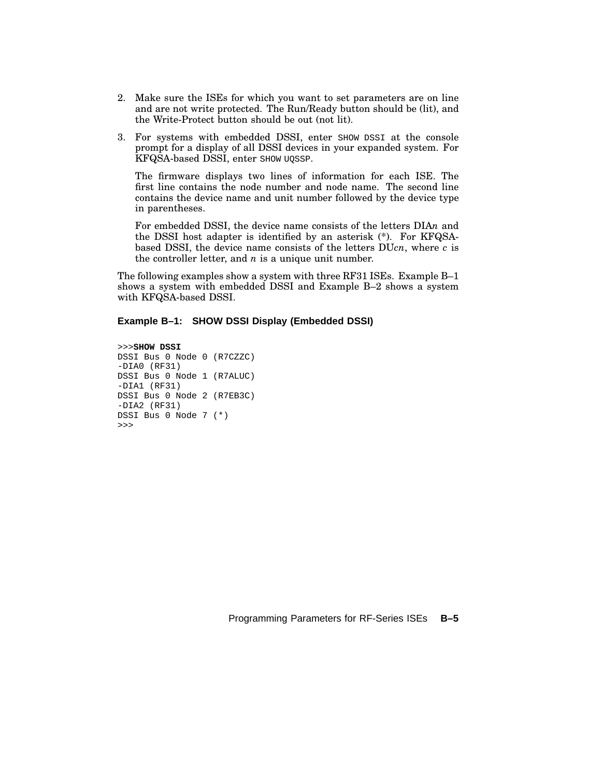- 2. Make sure the ISEs for which you want to set parameters are on line and are not write protected. The Run/Ready button should be (lit), and the Write-Protect button should be out (not lit).
- 3. For systems with embedded DSSI, enter SHOW DSSI at the console prompt for a display of all DSSI devices in your expanded system. For KFQSA-based DSSI, enter SHOW UQSSP.

The firmware displays two lines of information for each ISE. The first line contains the node number and node name. The second line contains the device name and unit number followed by the device type in parentheses.

For embedded DSSI, the device name consists of the letters DIA*n* and the DSSI host adapter is identified by an asterisk (\*). For KFQSAbased DSSI, the device name consists of the letters DU*cn*, where *c* is the controller letter, and *n* is a unique unit number.

The following examples show a system with three RF31 ISEs. Example B–1 shows a system with embedded DSSI and Example B–2 shows a system with KFQSA-based DSSI.

#### **Example B–1: SHOW DSSI Display (Embedded DSSI)**

```
>>>SHOW DSSI
DSSI Bus 0 Node 0 (R7CZZC)
-DIA0 (RF31)
DSSI Bus 0 Node 1 (R7ALUC)
-DIA1 (RF31)
DSSI Bus 0 Node 2 (R7EB3C)
-DIA2 (RF31)
DSSI Bus 0 Node 7 (*)
>>>
```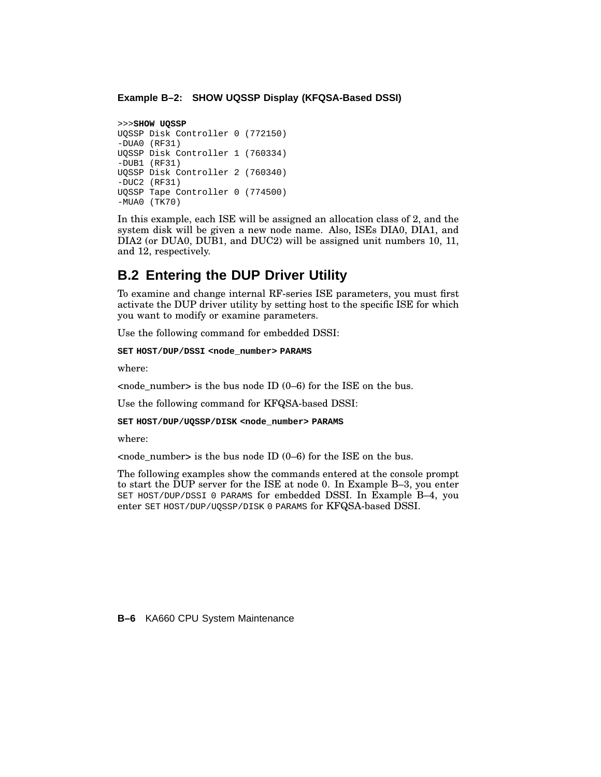#### **Example B–2: SHOW UQSSP Display (KFQSA-Based DSSI)**

```
>>>SHOW UQSSP
UQSSP Disk Controller 0 (772150)
-DUA0 (RF31)
UQSSP Disk Controller 1 (760334)
-DUB1 (RF31)
UQSSP Disk Controller 2 (760340)
-DUC2 (RF31)
UQSSP Tape Controller 0 (774500)
-MUA0 (TK70)
```
In this example, each ISE will be assigned an allocation class of 2, and the system disk will be given a new node name. Also, ISEs DIA0, DIA1, and DIA2 (or DUA0, DUB1, and DUC2) will be assigned unit numbers 10, 11, and 12, respectively.

## **B.2 Entering the DUP Driver Utility**

To examine and change internal RF-series ISE parameters, you must first activate the DUP driver utility by setting host to the specific ISE for which you want to modify or examine parameters.

Use the following command for embedded DSSI:

**SET HOST/DUP/DSSI <node\_number> PARAMS**

where:

 $\langle$  -node number is the bus node ID (0–6) for the ISE on the bus.

Use the following command for KFQSA-based DSSI:

**SET HOST/DUP/UQSSP/DISK <node\_number> PARAMS**

where:

 $\alpha$  < node\_number> is the bus node ID (0–6) for the ISE on the bus.

The following examples show the commands entered at the console prompt to start the DUP server for the ISE at node 0. In Example B–3, you enter SET HOST/DUP/DSSI 0 PARAMS for embedded DSSI. In Example B–4, you enter SET HOST/DUP/UQSSP/DISK 0 PARAMS for KFQSA-based DSSI.

**B–6** KA660 CPU System Maintenance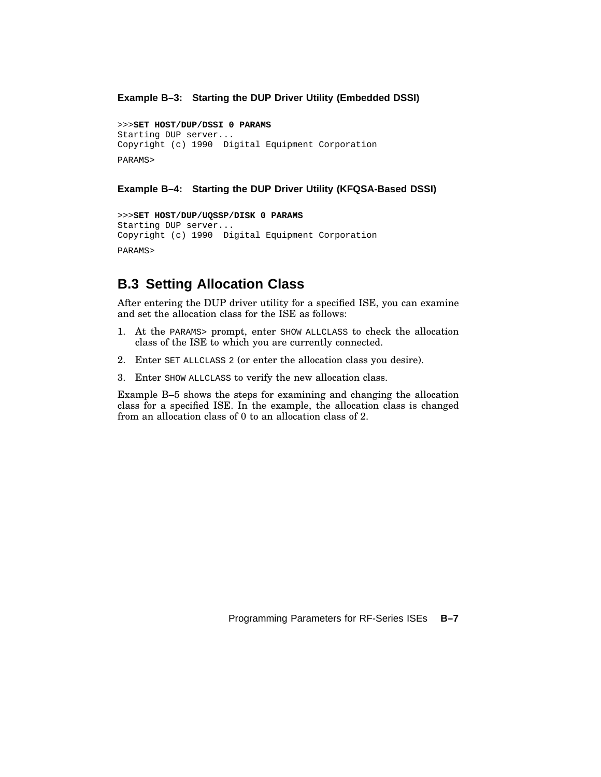#### **Example B–3: Starting the DUP Driver Utility (Embedded DSSI)**

>>>**SET HOST/DUP/DSSI 0 PARAMS** Starting DUP server... Copyright (c) 1990 Digital Equipment Corporation PARAMS>

#### **Example B–4: Starting the DUP Driver Utility (KFQSA-Based DSSI)**

```
>>>SET HOST/DUP/UQSSP/DISK 0 PARAMS
Starting DUP server...
Copyright (c) 1990 Digital Equipment Corporation
PARAMS>
```
# **B.3 Setting Allocation Class**

After entering the DUP driver utility for a specified ISE, you can examine and set the allocation class for the ISE as follows:

- 1. At the PARAMS> prompt, enter SHOW ALLCLASS to check the allocation class of the ISE to which you are currently connected.
- 2. Enter SET ALLCLASS 2 (or enter the allocation class you desire).
- 3. Enter SHOW ALLCLASS to verify the new allocation class.

Example B–5 shows the steps for examining and changing the allocation class for a specified ISE. In the example, the allocation class is changed from an allocation class of 0 to an allocation class of 2.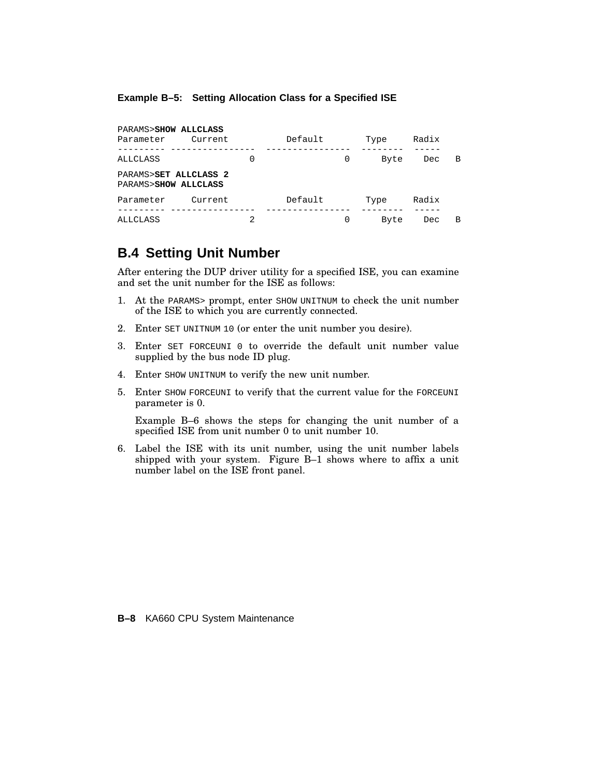#### **Example B–5: Setting Allocation Class for a Specified ISE**

| PARAMS>SHOW ALLCLASS                          |         |   |         |   |      |       |   |
|-----------------------------------------------|---------|---|---------|---|------|-------|---|
| Parameter                                     | Current |   | Default |   | Type | Radix |   |
| ALLCLASS                                      |         | 0 |         | 0 | Byte | Dec   | В |
| PARAMS>SET ALLCLASS 2<br>PARAMS>SHOW ALLCLASS |         |   |         |   |      |       |   |
| Parameter                                     | Current |   | Default |   | Type | Radix |   |
| ALLCLASS                                      |         | 2 |         | 0 | Byte | Dec   | B |

# **B.4 Setting Unit Number**

After entering the DUP driver utility for a specified ISE, you can examine and set the unit number for the ISE as follows:

- 1. At the PARAMS> prompt, enter SHOW UNITNUM to check the unit number of the ISE to which you are currently connected.
- 2. Enter SET UNITNUM 10 (or enter the unit number you desire).
- 3. Enter SET FORCEUNI 0 to override the default unit number value supplied by the bus node ID plug.
- 4. Enter SHOW UNITNUM to verify the new unit number.
- 5. Enter SHOW FORCEUNI to verify that the current value for the FORCEUNI parameter is 0.

Example B–6 shows the steps for changing the unit number of a specified ISE from unit number 0 to unit number 10.

6. Label the ISE with its unit number, using the unit number labels shipped with your system. Figure B–1 shows where to affix a unit number label on the ISE front panel.

**B–8** KA660 CPU System Maintenance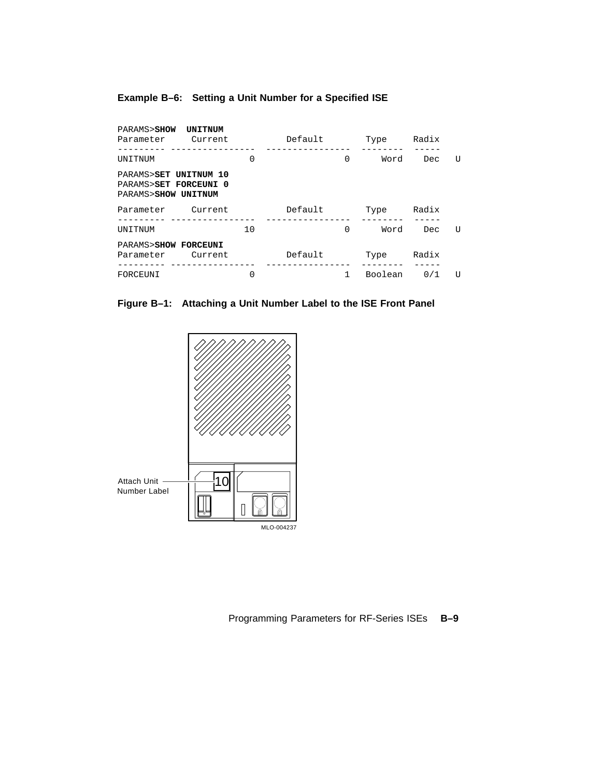### **Example B–6: Setting a Unit Number for a Specified ISE**

| PARAMS>SHOW<br>Parameter Current                                      | <b>UNITNUM</b> |    | Default |          | Type    | Radix |    |
|-----------------------------------------------------------------------|----------------|----|---------|----------|---------|-------|----|
| UNITNUM                                                               |                | 0  |         | $\Omega$ | Word    | Dec.  | U  |
| PARAMS>SET UNITNUM 10<br>PARAMS>SET FORCEUNI 0<br>PARAMS>SHOW UNITNUM |                |    |         |          |         |       |    |
| Parameter Current                                                     |                |    | Default |          | Type    | Radix |    |
| UNITNUM                                                               |                | 10 |         | 0        | Word    | Dec.  | U  |
| PARAMS>SHOW FORCEUNI<br>Parameter Current                             |                |    | Default |          | Type    | Radix |    |
| FORCEUNI                                                              |                | 0  |         |          | Boolean | 0/1   | ŢJ |

### **Figure B–1: Attaching a Unit Number Label to the ISE Front Panel**

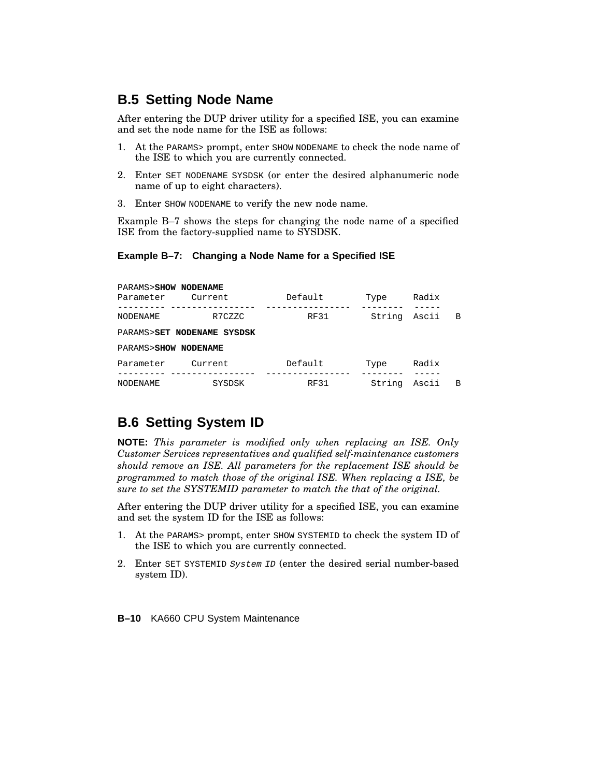# **B.5 Setting Node Name**

After entering the DUP driver utility for a specified ISE, you can examine and set the node name for the ISE as follows:

- 1. At the PARAMS> prompt, enter SHOW NODENAME to check the node name of the ISE to which you are currently connected.
- 2. Enter SET NODENAME SYSDSK (or enter the desired alphanumeric node name of up to eight characters).
- 3. Enter SHOW NODENAME to verify the new node name.

Example B–7 shows the steps for changing the node name of a specified ISE from the factory-supplied name to SYSDSK.

#### **Example B–7: Changing a Node Name for a Specified ISE**

| PARAMS>SHOW NODENAME<br>Parameter | Current                    | Default     | Type   | Radix |                |
|-----------------------------------|----------------------------|-------------|--------|-------|----------------|
| NODENAME                          | R7CZZC                     | <b>RF31</b> | String | Ascii | $\overline{B}$ |
|                                   | PARAMS>SET NODENAME SYSDSK |             |        |       |                |
| PARAMS>SHOW NODENAME              |                            |             |        |       |                |
| Parameter                         | Current                    | Default     | Type   | Radix |                |
| NODENAME                          | SYSDSK                     | <b>RF31</b> | String | Ascii | B              |

# **B.6 Setting System ID**

**NOTE:** *This parameter is modified only when replacing an ISE. Only Customer Services representatives and qualified self-maintenance customers should remove an ISE. All parameters for the replacement ISE should be programmed to match those of the original ISE. When replacing a ISE, be sure to set the SYSTEMID parameter to match the that of the original.*

After entering the DUP driver utility for a specified ISE, you can examine and set the system ID for the ISE as follows:

- 1. At the PARAMS> prompt, enter SHOW SYSTEMID to check the system ID of the ISE to which you are currently connected.
- 2. Enter SET SYSTEMID System ID (enter the desired serial number-based system ID).

**B–10** KA660 CPU System Maintenance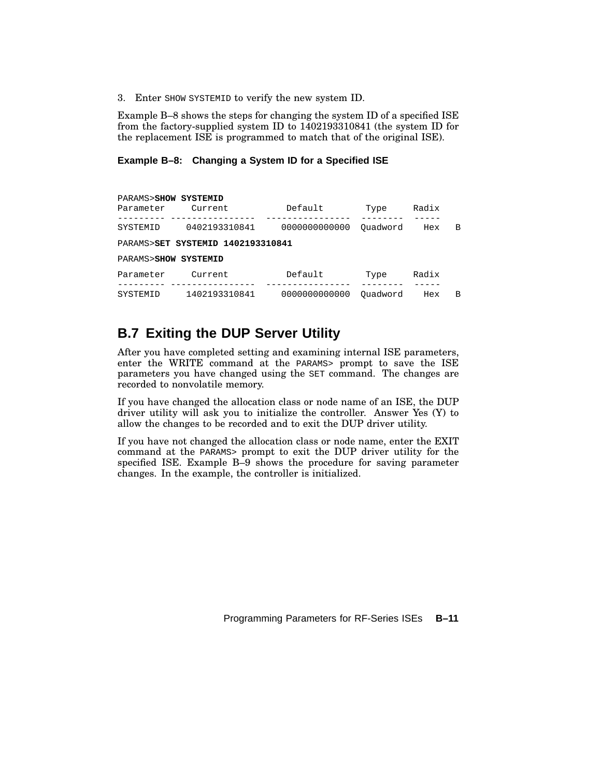3. Enter SHOW SYSTEMID to verify the new system ID.

Example B–8 shows the steps for changing the system ID of a specified ISE from the factory-supplied system ID to 1402193310841 (the system ID for the replacement ISE is programmed to match that of the original ISE).

#### **Example B–8: Changing a System ID for a Specified ISE**

PARAMS>**SHOW SYSTEMID** Parameter Current Default Type Radix --------- ---------------- ---------------- -------- ----- SYSTEMID 0402193310841 0000000000000 Quadword Hex B PARAMS>**SET SYSTEMID 1402193310841** PARAMS>**SHOW SYSTEMID** Parameter Current Default Type Radix --------- ---------------- ---------------- -------- ----- SYSTEMID 1402193310841 0000000000000 Quadword Hex B

# **B.7 Exiting the DUP Server Utility**

After you have completed setting and examining internal ISE parameters, enter the WRITE command at the PARAMS> prompt to save the ISE parameters you have changed using the SET command. The changes are recorded to nonvolatile memory.

If you have changed the allocation class or node name of an ISE, the DUP driver utility will ask you to initialize the controller. Answer Yes (Y) to allow the changes to be recorded and to exit the DUP driver utility.

If you have not changed the allocation class or node name, enter the EXIT command at the PARAMS> prompt to exit the DUP driver utility for the specified ISE. Example B–9 shows the procedure for saving parameter changes. In the example, the controller is initialized.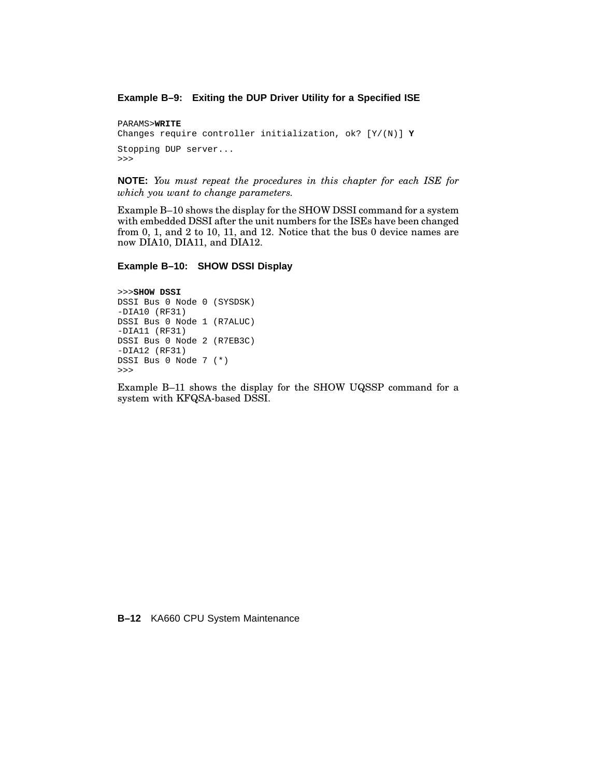#### **Example B–9: Exiting the DUP Driver Utility for a Specified ISE**

```
PARAMS>WRITE
Changes require controller initialization, ok? [Y/(N)] Y
Stopping DUP server...
>>>
```
**NOTE:** *You must repeat the procedures in this chapter for each ISE for which you want to change parameters.*

Example B–10 shows the display for the SHOW DSSI command for a system with embedded DSSI after the unit numbers for the ISEs have been changed from 0, 1, and 2 to 10, 11, and 12. Notice that the bus 0 device names are now DIA10, DIA11, and DIA12.

#### **Example B–10: SHOW DSSI Display**

```
>>>SHOW DSSI
DSSI Bus 0 Node 0 (SYSDSK)
-DIA10 (RF31)
DSSI Bus 0 Node 1 (R7ALUC)
-DIA11 (RF31)
DSSI Bus 0 Node 2 (R7EB3C)
-DIA12 (RF31)
DSSI Bus 0 Node 7 (*)
>>>
```
Example B–11 shows the display for the SHOW UQSSP command for a system with KFQSA-based DSSI.

**B–12** KA660 CPU System Maintenance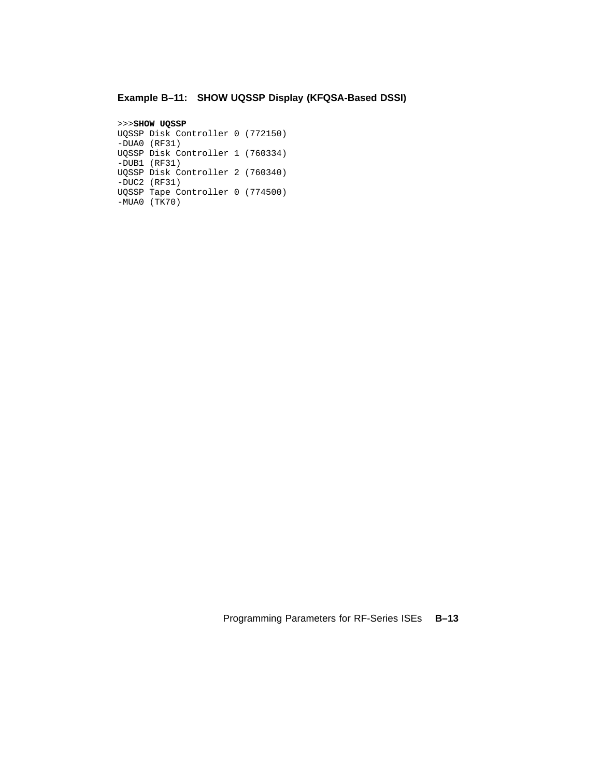### **Example B–11: SHOW UQSSP Display (KFQSA-Based DSSI)**

```
>>>SHOW UQSSP
UQSSP Disk Controller 0 (772150)
-DUA0 (RF31)
UQSSP Disk Controller 1 (760334)
-DUB1 (RF31)
UQSSP Disk Controller 2 (760340)
-DUC2 (RF31)
UQSSP Tape Controller 0 (774500)
-MUA0 (TK70)
```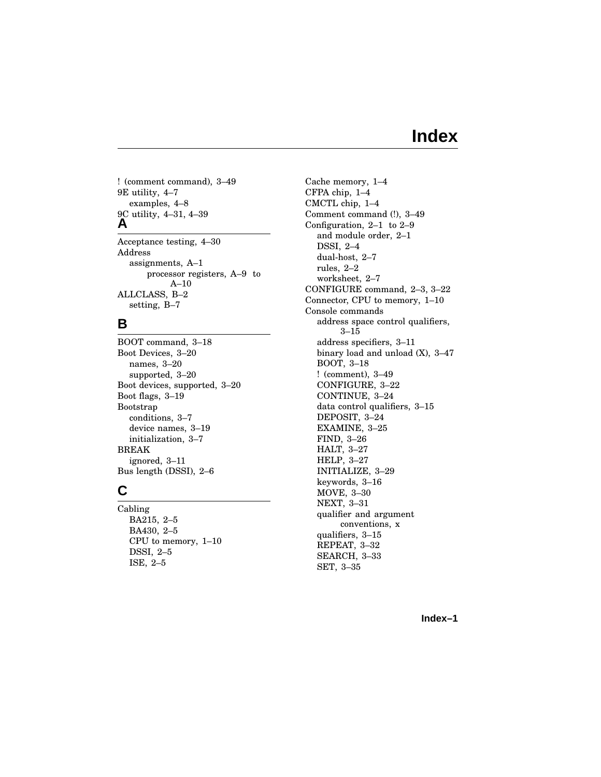# **Index**

! (comment command), 3–49 9E utility, 4–7 examples, 4–8 9C utility, 4–31, 4–39 **A** Acceptance testing, 4–30

Address assignments, A–1 processor registers, A–9 to A–10 ALLCLASS, B–2 setting, B–7

#### **B**

BOOT command, 3–18 Boot Devices, 3–20 names, 3–20 supported, 3–20 Boot devices, supported, 3–20 Boot flags, 3–19 Bootstrap conditions, 3–7 device names, 3–19 initialization, 3–7 BREAK ignored, 3–11 Bus length (DSSI), 2–6

### **C**

Cabling BA215, 2–5 BA430, 2–5 CPU to memory, 1–10 DSSI, 2–5 ISE, 2–5

Cache memory, 1–4 CFPA chip, 1–4 CMCTL chip, 1–4 Comment command (!), 3–49 Configuration, 2–1 to 2–9 and module order, 2–1 DSSI, 2–4 dual-host, 2–7 rules, 2–2 worksheet, 2–7 CONFIGURE command, 2–3, 3–22 Connector, CPU to memory, 1–10 Console commands address space control qualifiers, 3–15 address specifiers, 3–11 binary load and unload (X), 3–47 BOOT, 3–18 ! (comment), 3–49 CONFIGURE, 3–22 CONTINUE, 3–24 data control qualifiers, 3–15 DEPOSIT, 3–24 EXAMINE, 3–25 FIND, 3–26 HALT, 3–27 HELP, 3–27 INITIALIZE, 3–29 keywords, 3–16 MOVE, 3–30 NEXT, 3–31 qualifier and argument conventions, x qualifiers, 3–15 REPEAT, 3–32 SEARCH, 3–33 SET, 3–35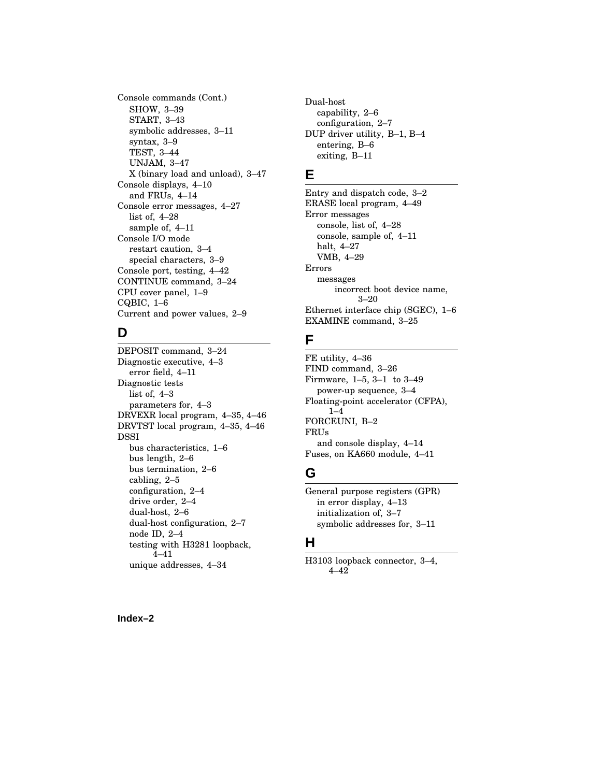Console commands (Cont.) SHOW, 3–39 START, 3–43 symbolic addresses, 3–11 syntax, 3–9 TEST, 3–44 UNJAM, 3–47 X (binary load and unload), 3–47 Console displays, 4–10 and FRUs, 4–14 Console error messages, 4–27 list of, 4–28 sample of, 4–11 Console I/O mode restart caution, 3–4 special characters, 3–9 Console port, testing, 4–42 CONTINUE command, 3–24 CPU cover panel, 1–9 CQBIC, 1–6 Current and power values, 2–9

### **D**

DEPOSIT command, 3–24 Diagnostic executive, 4–3 error field, 4–11 Diagnostic tests list of, 4–3 parameters for, 4–3 DRVEXR local program, 4–35, 4–46 DRVTST local program, 4–35, 4–46 DSSI bus characteristics, 1–6 bus length, 2–6 bus termination, 2–6 cabling, 2–5 configuration, 2–4 drive order, 2–4 dual-host, 2–6 dual-host configuration, 2–7 node ID, 2–4 testing with H3281 loopback, 4–41 unique addresses, 4–34

Dual-host capability, 2–6 configuration, 2–7 DUP driver utility, B–1, B–4 entering, B–6 exiting, B–11

## **E**

Entry and dispatch code, 3–2 ERASE local program, 4–49 Error messages console, list of, 4–28 console, sample of, 4–11 halt, 4–27 VMB, 4–29 Errors messages incorrect boot device name, 3–20 Ethernet interface chip (SGEC), 1–6 EXAMINE command, 3–25

# **F**

FE utility, 4–36 FIND command, 3–26 Firmware, 1–5, 3–1 to 3–49 power-up sequence, 3–4 Floating-point accelerator (CFPA), 1–4 FORCEUNI, B–2 FRUs and console display, 4–14 Fuses, on KA660 module, 4–41

# **G**

General purpose registers (GPR) in error display, 4–13 initialization of, 3–7 symbolic addresses for, 3–11

# **H**

H3103 loopback connector, 3–4, 4–42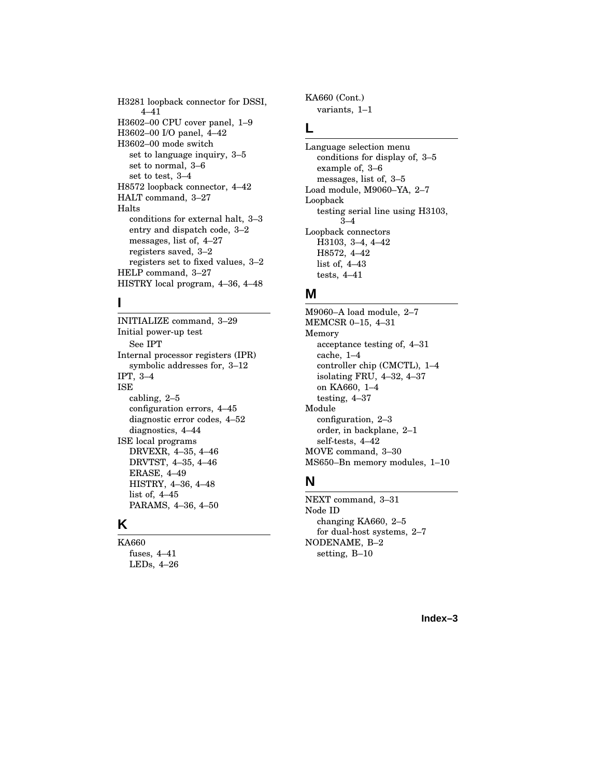H3281 loopback connector for DSSI, 4–41 H3602–00 CPU cover panel, 1–9 H3602–00 I/O panel, 4–42 H3602–00 mode switch set to language inquiry, 3–5 set to normal, 3–6 set to test, 3–4 H8572 loopback connector, 4–42 HALT command, 3–27 Halts conditions for external halt, 3–3 entry and dispatch code, 3–2 messages, list of, 4–27 registers saved, 3–2 registers set to fixed values, 3–2 HELP command, 3–27 HISTRY local program, 4–36, 4–48

### **I**

INITIALIZE command, 3–29 Initial power-up test See IPT Internal processor registers (IPR) symbolic addresses for, 3–12 IPT, 3–4 ISE cabling, 2–5 configuration errors, 4–45 diagnostic error codes, 4–52 diagnostics, 4–44 ISE local programs DRVEXR, 4–35, 4–46 DRVTST, 4–35, 4–46 ERASE, 4–49 HISTRY, 4–36, 4–48 list of, 4–45 PARAMS, 4–36, 4–50

# **K**

KA660 fuses, 4–41 LEDs, 4–26 KA660 (Cont.) variants, 1–1

# **L**

Language selection menu conditions for display of, 3–5 example of, 3–6 messages, list of, 3–5 Load module, M9060–YA, 2–7 Loopback testing serial line using H3103,  $3-4$ Loopback connectors H3103, 3–4, 4–42 H8572, 4–42 list of, 4–43 tests, 4–41

#### **M**

M9060–A load module, 2–7 MEMCSR 0–15, 4–31 Memory acceptance testing of, 4–31 cache, 1–4 controller chip (CMCTL), 1–4 isolating FRU, 4–32, 4–37 on KA660, 1–4 testing, 4–37 Module configuration, 2–3 order, in backplane, 2–1 self-tests, 4–42 MOVE command, 3–30 MS650–Bn memory modules, 1–10

### **N**

NEXT command, 3–31 Node ID changing KA660, 2–5 for dual-host systems, 2–7 NODENAME, B–2 setting, B–10